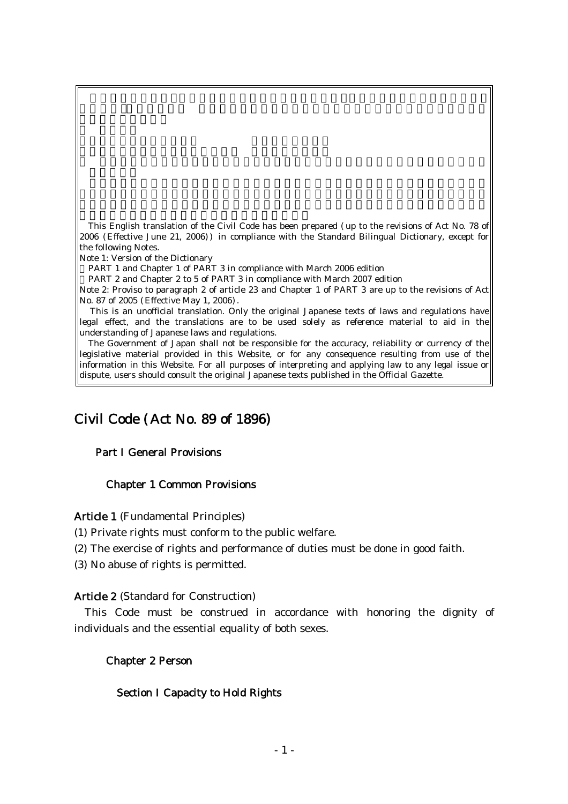This English translation of the Civil Code has been prepared (up to the revisions of Act No. 78 of 2006 (Effective June 21, 2006)) in compliance with the Standard Bilingual Dictionary, except for the following Notes.

この民法の翻訳は 平成十八年法律第七十八号までの改正 平成18年6月21日施行 、 ()

Note 1: Version of the Dictionary

PART 1 and Chapter 1 of PART 3 in compliance with March 2006 edition

PART 2 and Chapter 2 to 5 of PART 3 in compliance with March 2007 edition

Note 2: Proviso to paragraph 2 of article 23 and Chapter 1 of PART 3 are up to the revisions of Act No. 87 of 2005 (Effective May 1, 2006).

This is an unofficial translation. Only the original Japanese texts of laws and regulations have legal effect, and the translations are to be used solely as reference material to aid in the understanding of Japanese laws and regulations.

The Government of Japan shall not be responsible for the accuracy, reliability or currency of the legislative material provided in this Website, or for any consequence resulting from use of the information in this Website. For all purposes of interpreting and applying law to any legal issue or dispute, users should consult the original Japanese texts published in the Official Gazette.

# Civil Code (Act No. 89 of 1896)

## Part I General Provisions

### Chapter 1 Common Provisions

### Article 1 (Fundamental Principles)

(1) Private rights must conform to the public welfare.

(2) The exercise of rights and performance of duties must be done in good faith.

(3) No abuse of rights is permitted.

### Article 2 (Standard for Construction)

This Code must be construed in accordance with honoring the dignity of individuals and the essential equality of both sexes.

## Chapter 2 Person

## Section I Capacity to Hold Rights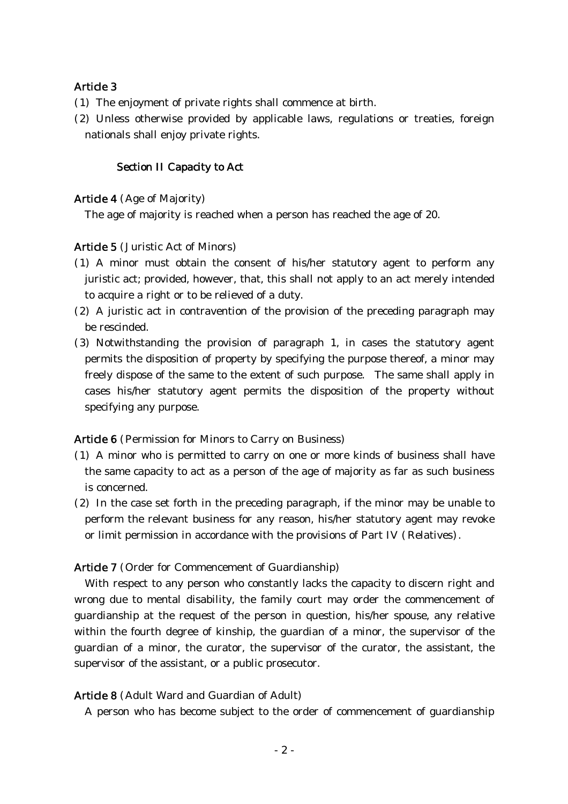## Article 3

- (1) The enjoyment of private rights shall commence at birth.
- (2) Unless otherwise provided by applicable laws, regulations or treaties, foreign nationals shall enjoy private rights.

## Section II Capacity to Act

## Article 4 (Age of Majority)

The age of majority is reached when a person has reached the age of 20.

## Article 5 (Juristic Act of Minors)

- (1) A minor must obtain the consent of his/her statutory agent to perform any juristic act; provided, however, that, this shall not apply to an act merely intended to acquire a right or to be relieved of a duty.
- $(2)$  A juristic act in contravention of the provision of the preceding paragraph may be rescinded.
- (3) Notwithstanding the provision of paragraph 1, in cases the statutory agent permits the disposition of property by specifying the purpose thereof, a minor may freely dispose of the same to the extent of such purpose. The same shall apply in cases his/her statutory agent permits the disposition of the property without specifying any purpose.

### Article 6 (Permission for Minors to Carry on Business)

- ( )1 A minor who is permitted to carry on one or more kinds of business shall have the same capacity to act as a person of the age of majority as far as such business is concerned.
- $(2)$  In the case set forth in the preceding paragraph, if the minor may be unable to perform the relevant business for any reason, his/her statutory agent may revoke or limit permission in accordance with the provisions of Part IV  $($  Relatives $)$ .

### Article 7 (Order for Commencement of Guardianship)

With respect to any person who constantly lacks the capacity to discern right and wrong due to mental disability, the family court may order the commencement of guardianship at the request of the person in question, his/her spouse, any relative within the fourth degree of kinship, the guardian of a minor, the supervisor of the guardian of a minor, the curator, the supervisor of the curator, the assistant, the supervisor of the assistant, or a public prosecutor.

#### Article 8 (Adult Ward and Guardian of Adult)

A person who has become subject to the order of commencement of guardianship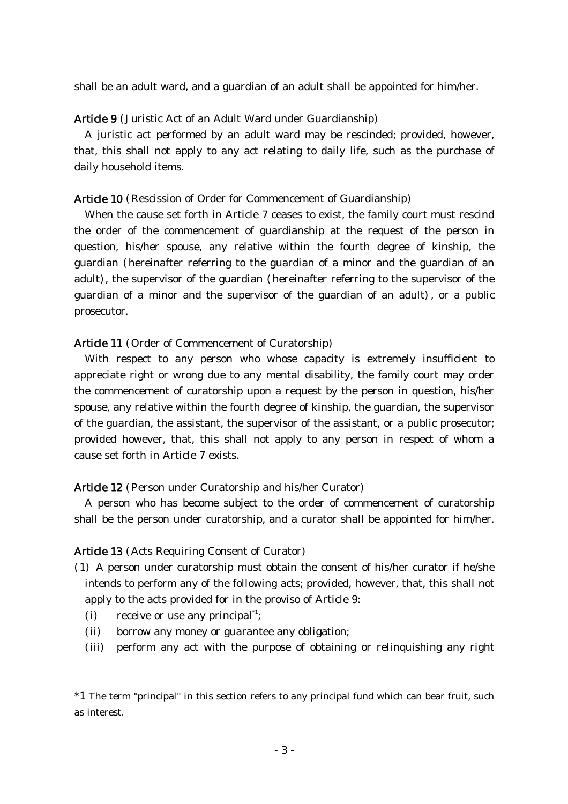shall be an adult ward, and a guardian of an adult shall be appointed for him/her.

Article 9 (Juristic Act of an Adult Ward under Guardianship)

A juristic act performed by an adult ward may be rescinded; provided, however, that, this shall not apply to any act relating to daily life, such as the purchase of daily household items.

## Article 10 (Rescission of Order for Commencement of Guardianship)

When the cause set forth in Article 7 ceases to exist, the family court must rescind the order of the commencement of guardianship at the request of the person in question, his/her spouse, any relative within the fourth degree of kinship, the guardian (hereinafter referring to the guardian of a minor and the guardian of an adult), the supervisor of the guardian (hereinafter referring to the supervisor of the guardian of a minor and the supervisor of the guardian of an adult), or a public prosecutor.

## Article 11 (Order of Commencement of Curatorship)

With respect to any person who whose capacity is extremely insufficient to appreciate right or wrong due to any mental disability, the family court may order the commencement of curatorship upon a request by the person in question, his/her spouse, any relative within the fourth degree of kinship, the guardian, the supervisor of the guardian, the assistant, the supervisor of the assistant, or a public prosecutor; provided however, that, this shall not apply to any person in respect of whom a cause set forth in Article 7 exists.

## Article 12 (Person under Curatorship and his/her Curator)

A person who has become subject to the order of commencement of curatorship shall be the person under curatorship, and a curator shall be appointed for him/her.

## Article 13 (Acts Requiring Consent of Curator)

- $(1)$  A person under curatorship must obtain the consent of his/her curator if he/she intends to perform any of the following acts; provided, however, that, this shall not apply to the acts provided for in the proviso of Article 9:
	- (i) receive or use any principal<sup> $1$ </sup>;
	- (ii) borrow any money or guarantee any obligation;
	- (iii) perform any act with the purpose of obtaining or relinquishing any right

<sup>\*1</sup> The term "principal" in this section refers to any principal fund which can bear fruit, such as interest.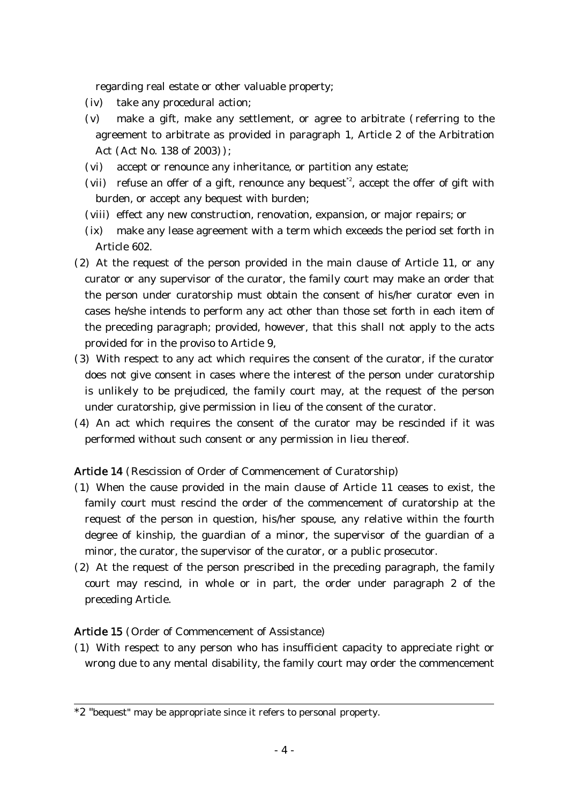regarding real estate or other valuable property;

- $(iv)$  take any procedural action;
- $(v)$  make a gift, make any settlement, or agree to arbitrate (referring to the agreement to arbitrate as provided in paragraph 1, Article 2 of the Arbitration Act (Act No. 138 of 2003));
- $(vi)$  accept or renounce any inheritance, or partition any estate;
- (vii) refuse an offer of a gift, renounce any bequest<sup>2</sup>, accept the offer of gift with burden, or accept any bequest with burden;
- (viii) effect any new construction, renovation, expansion, or major repairs; or
- $(ix)$  make any lease agreement with a term which exceeds the period set forth in Article 602.
- $(2)$  At the request of the person provided in the main clause of Article 11, or any curator or any supervisor of the curator, the family court may make an order that the person under curatorship must obtain the consent of his/her curator even in cases he/she intends to perform any act other than those set forth in each item of the preceding paragraph; provided, however, that this shall not apply to the acts provided for in the proviso to Article 9,
- (3) With respect to any act which requires the consent of the curator, if the curator does not give consent in cases where the interest of the person under curatorship is unlikely to be prejudiced, the family court may, at the request of the person under curatorship, give permission in lieu of the consent of the curator.
- $(4)$  An act which requires the consent of the curator may be rescinded if it was performed without such consent or any permission in lieu thereof.

Article 14 (Rescission of Order of Commencement of Curatorship)

- ( )1 When the cause provided in the main clause of Article 11 ceases to exist, the family court must rescind the order of the commencement of curatorship at the request of the person in question, his/her spouse, any relative within the fourth degree of kinship, the guardian of a minor, the supervisor of the guardian of a minor, the curator, the supervisor of the curator, or a public prosecutor.
- $(2)$  At the request of the person prescribed in the preceding paragraph, the family court may rescind, in whole or in part, the order under paragraph 2 of the preceding Article.

### Article 15 (Order of Commencement of Assistance)

( )1 With respect to any person who has insufficient capacity to appreciate right or wrong due to any mental disability, the family court may order the commencement

<sup>\*2 &</sup>quot;bequest" may be appropriate since it refers to personal property.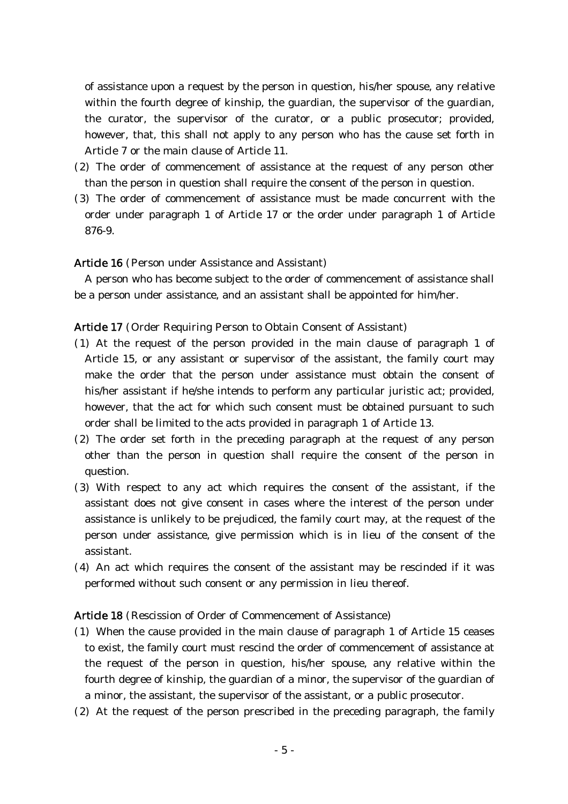of assistance upon a request by the person in question, his/her spouse, any relative within the fourth degree of kinship, the guardian, the supervisor of the guardian, the curator, the supervisor of the curator, or a public prosecutor; provided, however, that, this shall not apply to any person who has the cause set forth in Article 7 or the main clause of Article 11.

- (2) The order of commencement of assistance at the request of any person other than the person in question shall require the consent of the person in question.
- (3) The order of commencement of assistance must be made concurrent with the order under paragraph 1 of Article 17 or the order under paragraph 1 of Article 876-9.

### Article 16 (Person under Assistance and Assistant)

A person who has become subject to the order of commencement of assistance shall be a person under assistance, and an assistant shall be appointed for him/her.

Article 17 (Order Requiring Person to Obtain Consent of Assistant)

- ( )1 At the request of the person provided in the main clause of paragraph 1 of Article 15, or any assistant or supervisor of the assistant, the family court may make the order that the person under assistance must obtain the consent of his/her assistant if he/she intends to perform any particular juristic act; provided, however, that the act for which such consent must be obtained pursuant to such order shall be limited to the acts provided in paragraph 1 of Article 13.
- $(2)$  The order set forth in the preceding paragraph at the request of any person other than the person in question shall require the consent of the person in question.
- (3) With respect to any act which requires the consent of the assistant, if the assistant does not give consent in cases where the interest of the person under assistance is unlikely to be prejudiced, the family court may, at the request of the person under assistance, give permission which is in lieu of the consent of the assistant.
- $(4)$  An act which requires the consent of the assistant may be rescinded if it was performed without such consent or any permission in lieu thereof.

### Article 18 (Rescission of Order of Commencement of Assistance)

- ( )1 When the cause provided in the main clause of paragraph 1 of Article 15 ceases to exist, the family court must rescind the order of commencement of assistance at the request of the person in question, his/her spouse, any relative within the fourth degree of kinship, the guardian of a minor, the supervisor of the guardian of a minor, the assistant, the supervisor of the assistant, or a public prosecutor.
- $(2)$  At the request of the person prescribed in the preceding paragraph, the family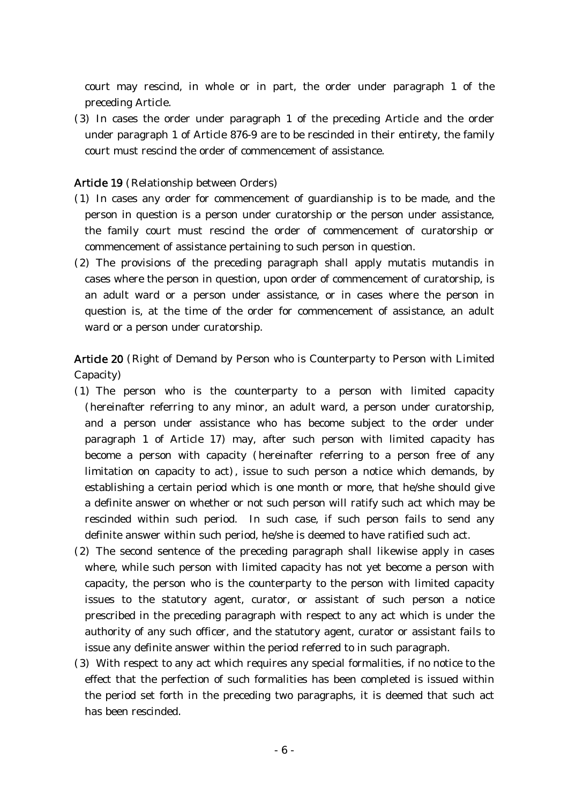court may rescind, in whole or in part, the order under paragraph 1 of the preceding Article.

(3) In cases the order under paragraph 1 of the preceding Article and the order under paragraph 1 of Article 876-9 are to be rescinded in their entirety, the family court must rescind the order of commencement of assistance.

## Article 19 (Relationship between Orders)

- ( )1 In cases any order for commencement of guardianship is to be made, and the person in question is a person under curatorship or the person under assistance, the family court must rescind the order of commencement of curatorship or commencement of assistance pertaining to such person in question.
- (2) The provisions of the preceding paragraph shall apply mutatis mutandis in cases where the person in question, upon order of commencement of curatorship, is an adult ward or a person under assistance, or in cases where the person in question is, at the time of the order for commencement of assistance, an adult ward or a person under curatorship.

Article 20 (Right of Demand by Person who is Counterparty to Person with Limited Capacity)

- $(1)$  The person who is the counterparty to a person with limited capacity (hereinafter referring to any minor, an adult ward, a person under curatorship, and a person under assistance who has become subject to the order under paragraph 1 of Article 17) may, after such person with limited capacity has become a person with capacity hereinafter referring to a person free of any ( limitation on capacity to act), issue to such person a notice which demands, by establishing a certain period which is one month or more, that he/she should give a definite answer on whether or not such person will ratify such act which may be rescinded within such period. In such case, if such person fails to send any definite answer within such period, he/she is deemed to have ratified such act.
- $(2)$  The second sentence of the preceding paragraph shall likewise apply in cases where, while such person with limited capacity has not yet become a person with capacity, the person who is the counterparty to the person with limited capacity issues to the statutory agent, curator, or assistant of such person a notice prescribed in the preceding paragraph with respect to any act which is under the authority of any such officer, and the statutory agent, curator or assistant fails to issue any definite answer within the period referred to in such paragraph.
- (3) With respect to any act which requires any special formalities, if no notice to the effect that the perfection of such formalities has been completed is issued within the period set forth in the preceding two paragraphs, it is deemed that such act has been rescinded.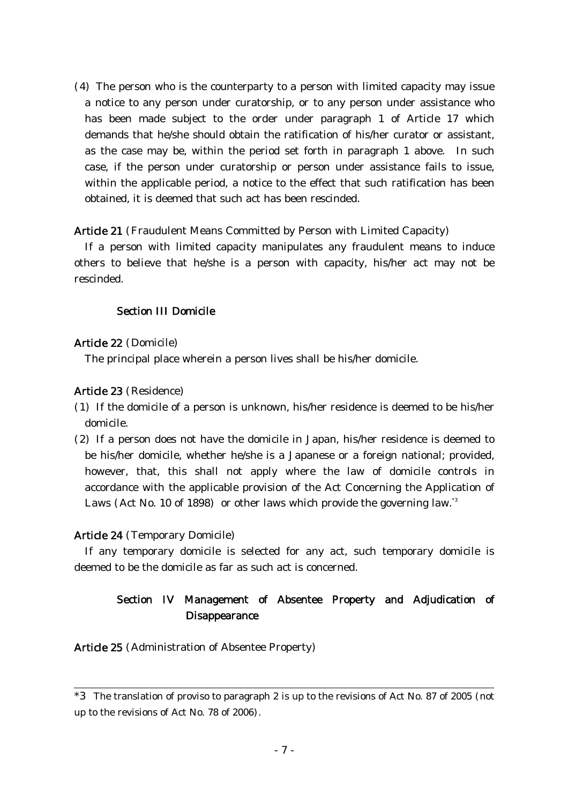$(4)$  The person who is the counterparty to a person with limited capacity may issue a notice to any person under curatorship, or to any person under assistance who has been made subject to the order under paragraph 1 of Article 17 which demands that he/she should obtain the ratification of his/her curator or assistant, as the case may be, within the period set forth in paragraph 1 above. In such case, if the person under curatorship or person under assistance fails to issue, within the applicable period, a notice to the effect that such ratification has been obtained, it is deemed that such act has been rescinded.

## Article 21 (Fraudulent Means Committed by Person with Limited Capacity)

If a person with limited capacity manipulates any fraudulent means to induce others to believe that he/she is a person with capacity, his/her act may not be rescinded.

## Section III Domicile

## Article 22 (Domicile)

The principal place wherein a person lives shall be his/her domicile.

## Article 23 (Residence)

- $(1)$  If the domicile of a person is unknown, his/her residence is deemed to be his/her domicile.
- $(2)$  If a person does not have the domicile in Japan, his/her residence is deemed to be his/her domicile, whether he/she is a Japanese or a foreign national; provided, however, that, this shall not apply where the law of domicile controls in accordance with the applicable provision of the Act Concerning the Application of Laws (Act No. 10 of 1898) or other laws which provide the governing law.  $^{\ast}$

## Article 24 (Temporary Domicile)

If any temporary domicile is selected for any act, such temporary domicile is deemed to be the domicile as far as such act is concerned.

# Section IV Management of Absentee Property and Adjudication of Disappearance

Article 25 (Administration of Absentee Property)

 $*3$  The translation of proviso to paragraph 2 is up to the revisions of Act No. 87 of 2005 (not up to the revisions of Act No. 78 of 2006).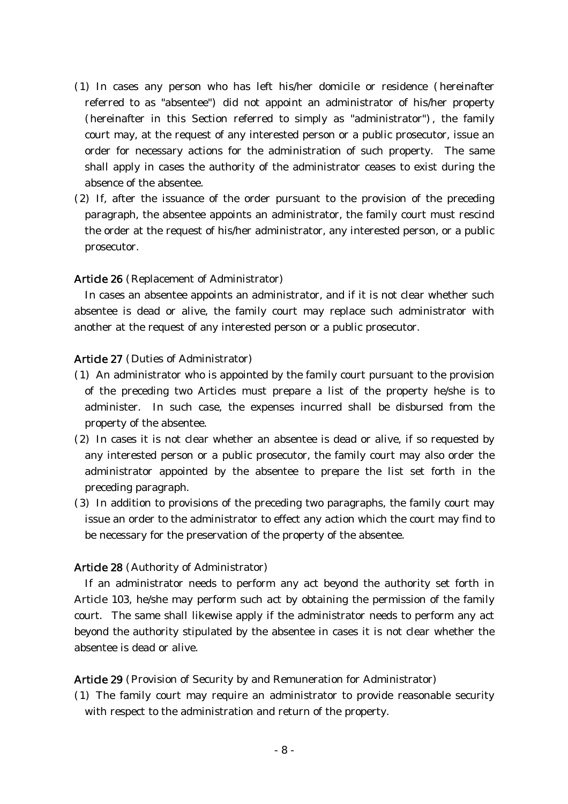- $(1)$  In cases any person who has left his/her domicile or residence (hereinafter referred to as "absentee") did not appoint an administrator of his/her property (hereinafter in this Section referred to simply as "administrator"), the family court may, at the request of any interested person or a public prosecutor, issue an order for necessary actions for the administration of such property. The same shall apply in cases the authority of the administrator ceases to exist during the absence of the absentee.
- $(2)$  If, after the issuance of the order pursuant to the provision of the preceding paragraph, the absentee appoints an administrator, the family court must rescind the order at the request of his/her administrator, any interested person, or a public prosecutor.

### Article 26 (Replacement of Administrator)

In cases an absentee appoints an administrator, and if it is not clear whether such absentee is dead or alive, the family court may replace such administrator with another at the request of any interested person or a public prosecutor.

### Article 27 (Duties of Administrator)

- ( )1 An administrator who is appointed by the family court pursuant to the provision of the preceding two Articles must prepare a list of the property he/she is to administer. In such case, the expenses incurred shall be disbursed from the property of the absentee.
- $(2)$  In cases it is not clear whether an absentee is dead or alive, if so requested by any interested person or a public prosecutor, the family court may also order the administrator appointed by the absentee to prepare the list set forth in the preceding paragraph.
- ( )3 In addition to provisions of the preceding two paragraphs, the family court may issue an order to the administrator to effect any action which the court may find to be necessary for the preservation of the property of the absentee.

#### Article 28 (Authority of Administrator)

If an administrator needs to perform any act beyond the authority set forth in Article 103, he/she may perform such act by obtaining the permission of the family court. The same shall likewise apply if the administrator needs to perform any act beyond the authority stipulated by the absentee in cases it is not clear whether the absentee is dead or alive.

#### Article 29 (Provision of Security by and Remuneration for Administrator)

( )1 The family court may require an administrator to provide reasonable security with respect to the administration and return of the property.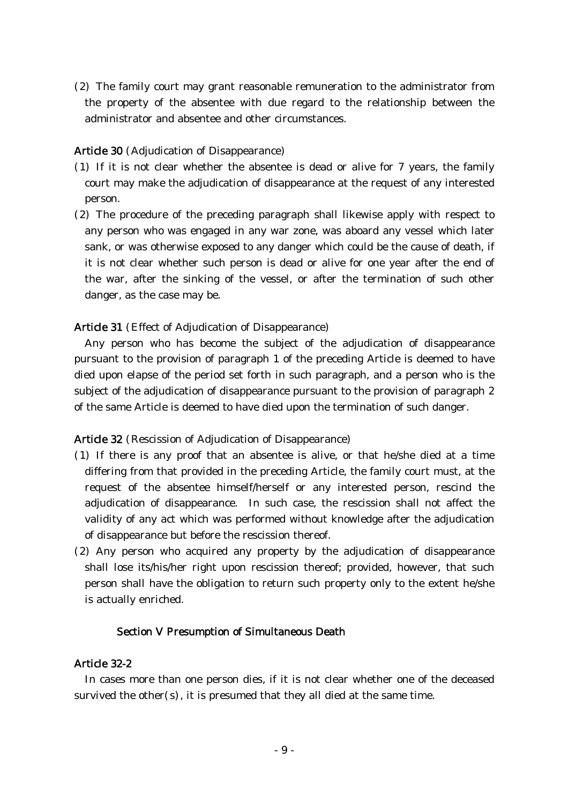(2) The family court may grant reasonable remuneration to the administrator from the property of the absentee with due regard to the relationship between the administrator and absentee and other circumstances.

## Article 30 (Adjudication of Disappearance)

- $(1)$  If it is not clear whether the absentee is dead or alive for 7 years, the family court may make the adjudication of disappearance at the request of any interested person.
- $(2)$  The procedure of the preceding paragraph shall likewise apply with respect to any person who was engaged in any war zone, was aboard any vessel which later sank, or was otherwise exposed to any danger which could be the cause of death, if it is not clear whether such person is dead or alive for one year after the end of the war, after the sinking of the vessel, or after the termination of such other danger, as the case may be.

## Article 31 (Effect of Adjudication of Disappearance)

Any person who has become the subject of the adjudication of disappearance pursuant to the provision of paragraph 1 of the preceding Article is deemed to have died upon elapse of the period set forth in such paragraph, and a person who is the subject of the adjudication of disappearance pursuant to the provision of paragraph 2 of the same Article is deemed to have died upon the termination of such danger.

## Article 32 (Rescission of Adjudication of Disappearance)

- ( )1 If there is any proof that an absentee is alive, or that he/she died at a time differing from that provided in the preceding Article, the family court must, at the request of the absentee himself/herself or any interested person, rescind the adjudication of disappearance. In such case, the rescission shall not affect the validity of any act which was performed without knowledge after the adjudication of disappearance but before the rescission thereof.
- $(2)$  Any person who acquired any property by the adjudication of disappearance shall lose its/his/her right upon rescission thereof; provided, however, that such person shall have the obligation to return such property only to the extent he/she is actually enriched.

## Section V Presumption of Simultaneous Death

### Article 32-2

In cases more than one person dies, if it is not clear whether one of the deceased survived the other(s), it is presumed that they all died at the same time.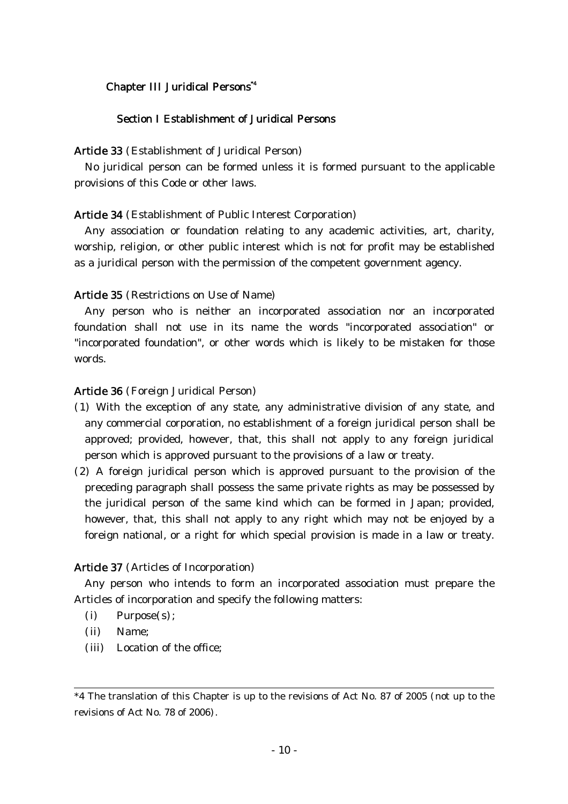## Chapter III Juridical Persons<sup>\*4</sup>

## Section I Establishment of Juridical Persons

Article 33 (Establishment of Juridical Person)

No juridical person can be formed unless it is formed pursuant to the applicable provisions of this Code or other laws.

### Article 34 (Establishment of Public Interest Corporation)

Any association or foundation relating to any academic activities, art, charity, worship, religion, or other public interest which is not for profit may be established as a juridical person with the permission of the competent government agency.

#### Article 35 (Restrictions on Use of Name)

Any person who is neither an incorporated association nor an incorporated foundation shall not use in its name the words "incorporated association" or "incorporated foundation", or other words which is likely to be mistaken for those words.

## Article 36 (Foreign Juridical Person)

- (1) With the exception of any state, any administrative division of any state, and any commercial corporation, no establishment of a foreign juridical person shall be approved; provided, however, that, this shall not apply to any foreign juridical person which is approved pursuant to the provisions of a law or treaty.
- $(2)$  A foreign juridical person which is approved pursuant to the provision of the preceding paragraph shall possess the same private rights as may be possessed by the juridical person of the same kind which can be formed in Japan; provided, however, that, this shall not apply to any right which may not be enjoyed by a foreign national, or a right for which special provision is made in a law or treaty.

### Article 37 (Articles of Incorporation)

Any person who intends to form an incorporated association must prepare the Articles of incorporation and specify the following matters:

 $(i)$  Purpose $(s)$ ;

(ii) Name:

(iii) Location of the office;

 $*4$  The translation of this Chapter is up to the revisions of Act No. 87 of 2005 (not up to the revisions of Act No. 78 of 2006).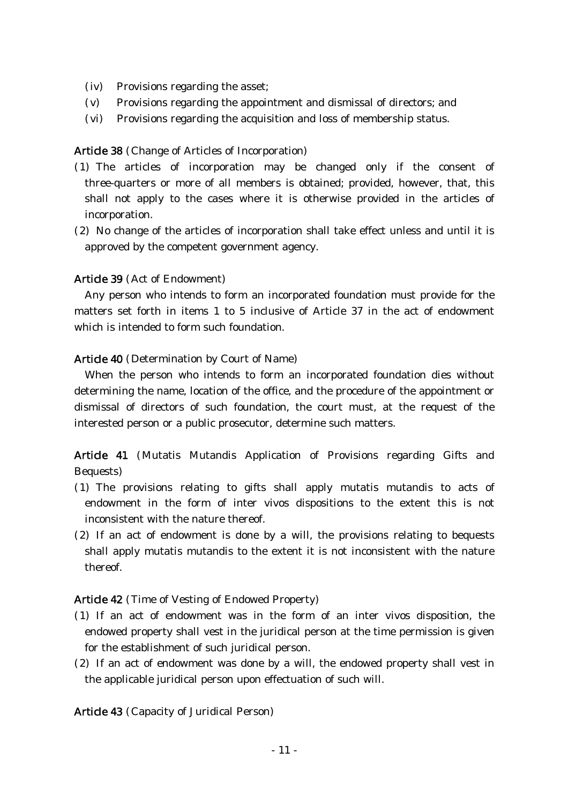- $(iv)$  Provisions regarding the asset;
- $(v)$  Provisions regarding the appointment and dismissal of directors; and
- (vi) Provisions regarding the acquisition and loss of membership status.

## Article 38 (Change of Articles of Incorporation)

- ( )1 The articles of incorporation may be changed only if the consent of three-quarters or more of all members is obtained; provided, however, that, this shall not apply to the cases where it is otherwise provided in the articles of incorporation.
- $(2)$  No change of the articles of incorporation shall take effect unless and until it is approved by the competent government agency.

## Article 39 (Act of Endowment)

Any person who intends to form an incorporated foundation must provide for the matters set forth in items 1 to 5 inclusive of Article 37 in the act of endowment which is intended to form such foundation.

## Article 40 (Determination by Court of Name)

When the person who intends to form an incorporated foundation dies without determining the name, location of the office, and the procedure of the appointment or dismissal of directors of such foundation, the court must, at the request of the interested person or a public prosecutor, determine such matters.

Article 41 (Mutatis Mutandis Application of Provisions regarding Gifts and Bequests)

- ( )1 The provisions relating to gifts shall apply mutatis mutandis to acts of endowment in the form of inter vivos dispositions to the extent this is not inconsistent with the nature thereof.
- $(2)$  If an act of endowment is done by a will, the provisions relating to bequests shall apply mutatis mutandis to the extent it is not inconsistent with the nature thereof.

### Article 42 (Time of Vesting of Endowed Property)

- ( )1 If an act of endowment was in the form of an inter vivos disposition, the endowed property shall vest in the juridical person at the time permission is given for the establishment of such juridical person.
- $(2)$  If an act of endowment was done by a will, the endowed property shall vest in the applicable juridical person upon effectuation of such will.

Article 43 (Capacity of Juridical Person)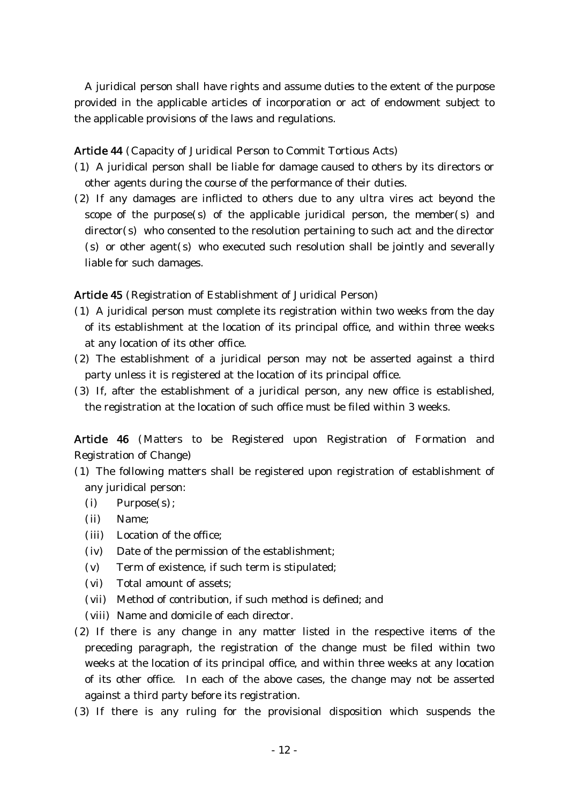A juridical person shall have rights and assume duties to the extent of the purpose provided in the applicable articles of incorporation or act of endowment subject to the applicable provisions of the laws and regulations.

Article 44 (Capacity of Juridical Person to Commit Tortious Acts)

- ( )1 A juridical person shall be liable for damage caused to others by its directors or other agents during the course of the performance of their duties.
- (2) If any damages are inflicted to others due to any ultra vires act beyond the scope of the purpose(s) of the applicable juridical person, the member (s) and  $director(s)$  who consented to the resolution pertaining to such act and the director  $(s)$  or other agent  $(s)$  who executed such resolution shall be jointly and severally liable for such damages.

Article 45 (Registration of Establishment of Juridical Person)

- (1) A juridical person must complete its registration within two weeks from the day of its establishment at the location of its principal office, and within three weeks at any location of its other office.
- (2) The establishment of a juridical person may not be asserted against a third party unless it is registered at the location of its principal office.
- (3) If, after the establishment of a juridical person, any new office is established, the registration at the location of such office must be filed within 3 weeks.

Article 46 (Matters to be Registered upon Registration of Formation and Registration of Change)

- ( )1 The following matters shall be registered upon registration of establishment of any juridical person:
	- $(i)$  Purpose $(s)$ ;
	- (ii) Name:
	- (iii) Location of the office;
	- $(iv)$  Date of the permission of the establishment;
	- $(v)$  Term of existence, if such term is stipulated;
	- $(vi)$  Total amount of assets:
	- (vii) Method of contribution, if such method is defined; and
	- (viii) Name and domicile of each director.
- $(2)$  If there is any change in any matter listed in the respective items of the preceding paragraph, the registration of the change must be filed within two weeks at the location of its principal office, and within three weeks at any location of its other office. In each of the above cases, the change may not be asserted against a third party before its registration.
- (3) If there is any ruling for the provisional disposition which suspends the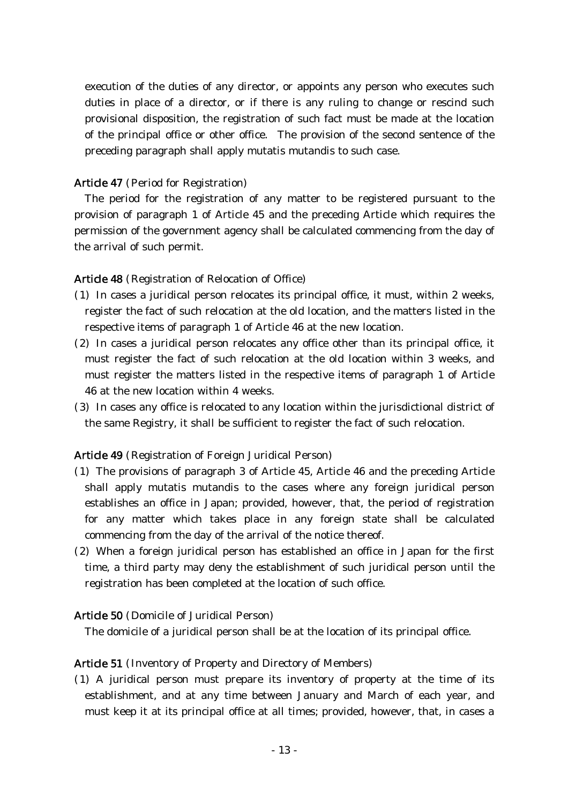execution of the duties of any director, or appoints any person who executes such duties in place of a director, or if there is any ruling to change or rescind such provisional disposition, the registration of such fact must be made at the location of the principal office or other office. The provision of the second sentence of the preceding paragraph shall apply mutatis mutandis to such case.

## Article 47 (Period for Registration)

The period for the registration of any matter to be registered pursuant to the provision of paragraph 1 of Article 45 and the preceding Article which requires the permission of the government agency shall be calculated commencing from the day of the arrival of such permit.

## Article 48 (Registration of Relocation of Office)

- $(1)$  In cases a juridical person relocates its principal office, it must, within 2 weeks, register the fact of such relocation at the old location, and the matters listed in the respective items of paragraph 1 of Article 46 at the new location.
- $(2)$  In cases a juridical person relocates any office other than its principal office, it must register the fact of such relocation at the old location within 3 weeks, and must register the matters listed in the respective items of paragraph 1 of Article 46 at the new location within 4 weeks.
- (3) In cases any office is relocated to any location within the jurisdictional district of the same Registry, it shall be sufficient to register the fact of such relocation.

## Article 49 (Registration of Foreign Juridical Person)

- ( )1 The provisions of paragraph 3 of Article 45, Article 46 and the preceding Article shall apply mutatis mutandis to the cases where any foreign juridical person establishes an office in Japan; provided, however, that, the period of registration for any matter which takes place in any foreign state shall be calculated commencing from the day of the arrival of the notice thereof.
- $(2)$  When a foreign juridical person has established an office in Japan for the first time, a third party may deny the establishment of such juridical person until the registration has been completed at the location of such office.

## Article 50 (Domicile of Juridical Person)

The domicile of a juridical person shall be at the location of its principal office.

## Article 51 (Inventory of Property and Directory of Members)

( )1 A juridical person must prepare its inventory of property at the time of its establishment, and at any time between January and March of each year, and must keep it at its principal office at all times; provided, however, that, in cases a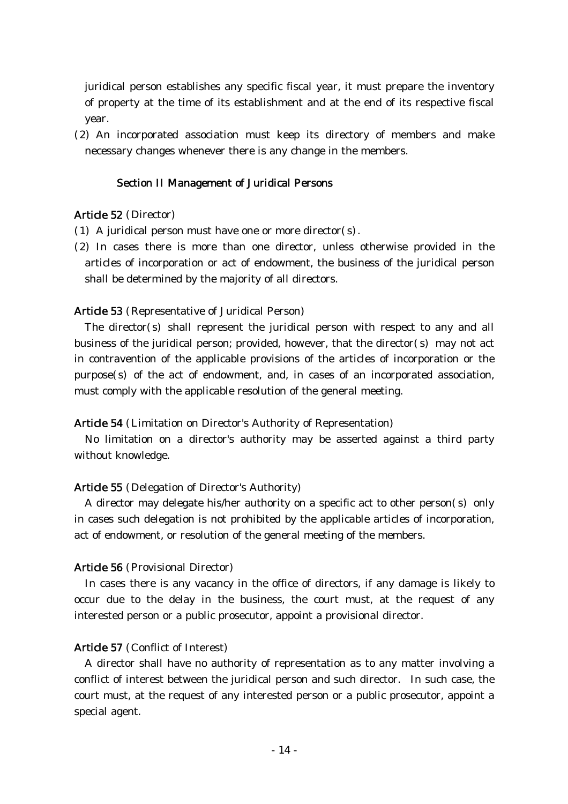juridical person establishes any specific fiscal year, it must prepare the inventory of property at the time of its establishment and at the end of its respective fiscal year.

(2) An incorporated association must keep its directory of members and make necessary changes whenever there is any change in the members.

## Section II Management of Juridical Persons

## Article 52 (Director)

- (1) A juridical person must have one or more director  $(s)$ .
- (2) In cases there is more than one director, unless otherwise provided in the articles of incorporation or act of endowment, the business of the juridical person shall be determined by the majority of all directors.

### Article 53 (Representative of Juridical Person)

The director(s) shall represent the juridical person with respect to any and all business of the juridical person; provided, however, that the director( $s$ ) may not act in contravention of the applicable provisions of the articles of incorporation or the  $purpose(s)$  of the act of endowment, and, in cases of an incorporated association, must comply with the applicable resolution of the general meeting.

## Article 54 (Limitation on Director's Authority of Representation)

No limitation on a director's authority may be asserted against a third party without knowledge.

#### Article 55 (Delegation of Director's Authority)

A director may delegate his/her authority on a specific act to other person( $s$ ) only in cases such delegation is not prohibited by the applicable articles of incorporation, act of endowment, or resolution of the general meeting of the members.

#### Article 56 (Provisional Director)

In cases there is any vacancy in the office of directors, if any damage is likely to occur due to the delay in the business, the court must, at the request of any interested person or a public prosecutor, appoint a provisional director.

## Article 57 (Conflict of Interest)

A director shall have no authority of representation as to any matter involving a conflict of interest between the juridical person and such director. In such case, the court must, at the request of any interested person or a public prosecutor, appoint a special agent.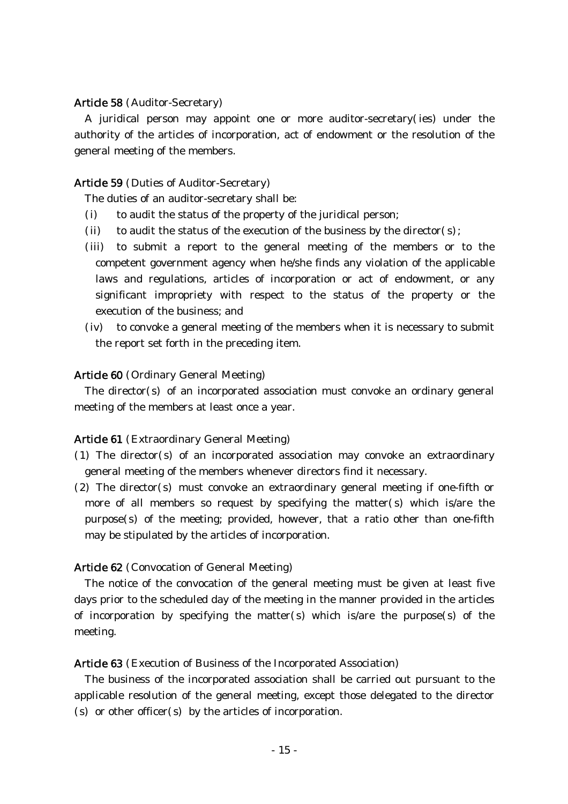### Article 58 (Auditor-Secretary)

A juridical person may appoint one or more auditor-secretary (ies) under the authority of the articles of incorporation, act of endowment or the resolution of the general meeting of the members.

### Article 59 (Duties of Auditor-Secretary)

The duties of an auditor-secretary shall be:

- $(i)$  to audit the status of the property of the juridical person;
- (ii) to audit the status of the execution of the business by the director  $(s)$ ;
- (iii) to submit a report to the general meeting of the members or to the competent government agency when he/she finds any violation of the applicable laws and regulations, articles of incorporation or act of endowment, or any significant impropriety with respect to the status of the property or the execution of the business; and
- $(iv)$  to convoke a general meeting of the members when it is necessary to submit the report set forth in the preceding item.

### Article 60 (Ordinary General Meeting)

The director(s) of an incorporated association must convoke an ordinary general meeting of the members at least once a year.

## Article 61 (Extraordinary General Meeting)

- (1) The director(s) of an incorporated association may convoke an extraordinary general meeting of the members whenever directors find it necessary.
- $(2)$  The director $(s)$  must convoke an extraordinary general meeting if one-fifth or more of all members so request by specifying the matter  $(s)$  which is/are the  $purpose(s)$  of the meeting; provided, however, that a ratio other than one-fifth may be stipulated by the articles of incorporation.

#### Article 62 (Convocation of General Meeting)

The notice of the convocation of the general meeting must be given at least five days prior to the scheduled day of the meeting in the manner provided in the articles of incorporation by specifying the matter  $(s)$  which is/are the purpose  $(s)$  of the meeting.

## Article 63 (Execution of Business of the Incorporated Association)

The business of the incorporated association shall be carried out pursuant to the applicable resolution of the general meeting, except those delegated to the director (s) or other officer (s) by the articles of incorporation.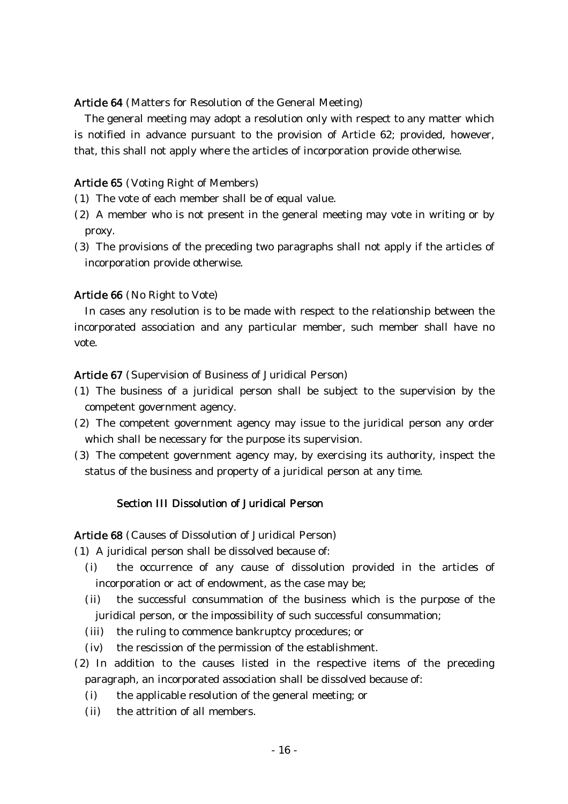Article 64 (Matters for Resolution of the General Meeting)

The general meeting may adopt a resolution only with respect to any matter which is notified in advance pursuant to the provision of Article 62; provided, however, that, this shall not apply where the articles of incorporation provide otherwise.

## Article 65 (Voting Right of Members)

- (1) The vote of each member shall be of equal value.
- $(2)$  A member who is not present in the general meeting may vote in writing or by proxy.
- (3) The provisions of the preceding two paragraphs shall not apply if the articles of incorporation provide otherwise.

## Article 66 (No Right to Vote)

In cases any resolution is to be made with respect to the relationship between the incorporated association and any particular member, such member shall have no vote.

### Article 67 (Supervision of Business of Juridical Person)

- ( )1 The business of a juridical person shall be subject to the supervision by the competent government agency.
- $(2)$  The competent government agency may issue to the juridical person any order which shall be necessary for the purpose its supervision.
- ( )3 The competent government agency may, by exercising its authority, inspect the status of the business and property of a juridical person at any time.

## Section III Dissolution of Juridical Person

### Article 68 (Causes of Dissolution of Juridical Person)

(1) A juridical person shall be dissolved because of:

- (i) the occurrence of any cause of dissolution provided in the articles of incorporation or act of endowment, as the case may be;
- (ii) the successful consummation of the business which is the purpose of the juridical person, or the impossibility of such successful consummation;
- (iii) the ruling to commence bankruptcy procedures; or
- (iv) the rescission of the permission of the establishment.
- $(2)$  In addition to the causes listed in the respective items of the preceding paragraph, an incorporated association shall be dissolved because of:
	- (i) the applicable resolution of the general meeting; or
	- $(iii)$  the attrition of all members.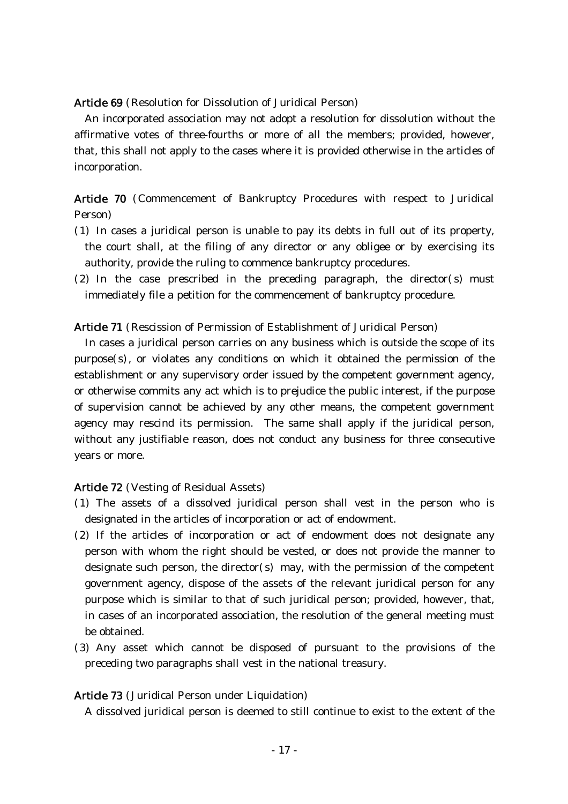Article 69 (Resolution for Dissolution of Juridical Person)

An incorporated association may not adopt a resolution for dissolution without the affirmative votes of three-fourths or more of all the members; provided, however, that, this shall not apply to the cases where it is provided otherwise in the articles of incorporation.

Article 70 (Commencement of Bankruptcy Procedures with respect to Juridical Person)

- ( )1 In cases a juridical person is unable to pay its debts in full out of its property, the court shall, at the filing of any director or any obligee or by exercising its authority, provide the ruling to commence bankruptcy procedures.
- $(2)$  In the case prescribed in the preceding paragraph, the director (s) must immediately file a petition for the commencement of bankruptcy procedure.

Article 71 (Rescission of Permission of Establishment of Juridical Person)

In cases a juridical person carries on any business which is outside the scope of its  $purpose(s)$ , or violates any conditions on which it obtained the permission of the establishment or any supervisory order issued by the competent government agency, or otherwise commits any act which is to prejudice the public interest, if the purpose of supervision cannot be achieved by any other means, the competent government agency may rescind its permission. The same shall apply if the juridical person, without any justifiable reason, does not conduct any business for three consecutive years or more.

### Article 72 (Vesting of Residual Assets)

- ( )1 The assets of a dissolved juridical person shall vest in the person who is designated in the articles of incorporation or act of endowment.
- (2) If the articles of incorporation or act of endowment does not designate any person with whom the right should be vested, or does not provide the manner to designate such person, the director  $(s)$  may, with the permission of the competent government agency, dispose of the assets of the relevant juridical person for any purpose which is similar to that of such juridical person; provided, however, that, in cases of an incorporated association, the resolution of the general meeting must be obtained.
- (3) Any asset which cannot be disposed of pursuant to the provisions of the preceding two paragraphs shall vest in the national treasury.

### Article 73 (Juridical Person under Liquidation)

A dissolved juridical person is deemed to still continue to exist to the extent of the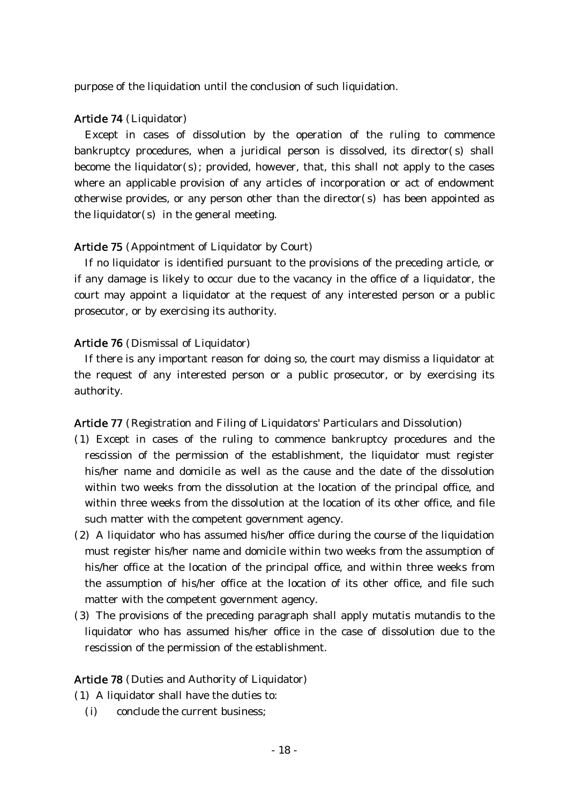purpose of the liquidation until the conclusion of such liquidation.

### Article 74 (Liquidator)

Except in cases of dissolution by the operation of the ruling to commence bankruptcy procedures, when a juridical person is dissolved, its director(s) shall become the liquidator(s); provided, however, that, this shall not apply to the cases where an applicable provision of any articles of incorporation or act of endowment otherwise provides, or any person other than the director( $s$ ) has been appointed as the liquidator( $s$ ) in the general meeting.

### Article 75 (Appointment of Liquidator by Court)

If no liquidator is identified pursuant to the provisions of the preceding article, or if any damage is likely to occur due to the vacancy in the office of a liquidator, the court may appoint a liquidator at the request of any interested person or a public prosecutor, or by exercising its authority.

#### Article 76 (Dismissal of Liquidator)

If there is any important reason for doing so, the court may dismiss a liquidator at the request of any interested person or a public prosecutor, or by exercising its authority.

Article 77 (Registration and Filing of Liquidators' Particulars and Dissolution)

- ( )1 Except in cases of the ruling to commence bankruptcy procedures and the rescission of the permission of the establishment, the liquidator must register his/her name and domicile as well as the cause and the date of the dissolution within two weeks from the dissolution at the location of the principal office, and within three weeks from the dissolution at the location of its other office, and file such matter with the competent government agency.
- $(2)$  A liquidator who has assumed his/her office during the course of the liquidation must register his/her name and domicile within two weeks from the assumption of his/her office at the location of the principal office, and within three weeks from the assumption of his/her office at the location of its other office, and file such matter with the competent government agency.
- ( )3 The provisions of the preceding paragraph shall apply mutatis mutandis to the liquidator who has assumed his/her office in the case of dissolution due to the rescission of the permission of the establishment.

#### Article 78 (Duties and Authority of Liquidator)

- $(1)$  A liquidator shall have the duties to:
	- (i) conclude the current business;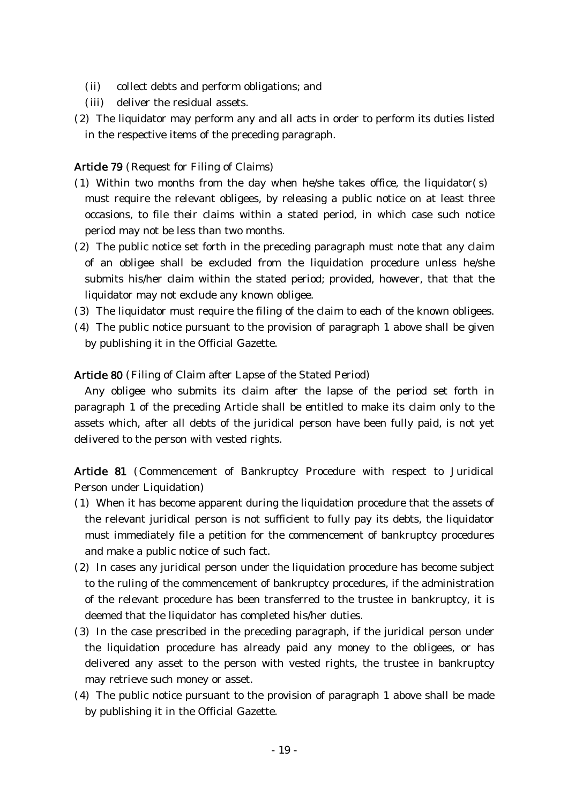- (ii) collect debts and perform obligations; and
- (iii) deliver the residual assets.
- (2) The liquidator may perform any and all acts in order to perform its duties listed in the respective items of the preceding paragraph.

## Article 79 (Request for Filing of Claims)

- (1) Within two months from the day when he/she takes office, the liquidator( $s$ ) must require the relevant obligees, by releasing a public notice on at least three occasions, to file their claims within a stated period, in which case such notice period may not be less than two months.
- $(2)$  The public notice set forth in the preceding paragraph must note that any claim of an obligee shall be excluded from the liquidation procedure unless he/she submits his/her claim within the stated period; provided, however, that that the liquidator may not exclude any known obligee.
- (3) The liquidator must require the filing of the claim to each of the known obligees.
- $(4)$  The public notice pursuant to the provision of paragraph 1 above shall be given by publishing it in the Official Gazette.

### Article 80 (Filing of Claim after Lapse of the Stated Period)

Any obligee who submits its claim after the lapse of the period set forth in paragraph 1 of the preceding Article shall be entitled to make its claim only to the assets which, after all debts of the juridical person have been fully paid, is not yet delivered to the person with vested rights.

Article 81 (Commencement of Bankruptcy Procedure with respect to Juridical Person under Liquidation)

- ( )1 When it has become apparent during the liquidation procedure that the assets of the relevant juridical person is not sufficient to fully pay its debts, the liquidator must immediately file a petition for the commencement of bankruptcy procedures and make a public notice of such fact.
- (2) In cases any juridical person under the liquidation procedure has become subject to the ruling of the commencement of bankruptcy procedures, if the administration of the relevant procedure has been transferred to the trustee in bankruptcy, it is deemed that the liquidator has completed his/her duties.
- ( )3 In the case prescribed in the preceding paragraph, if the juridical person under the liquidation procedure has already paid any money to the obligees, or has delivered any asset to the person with vested rights, the trustee in bankruptcy may retrieve such money or asset.
- $(4)$  The public notice pursuant to the provision of paragraph 1 above shall be made by publishing it in the Official Gazette.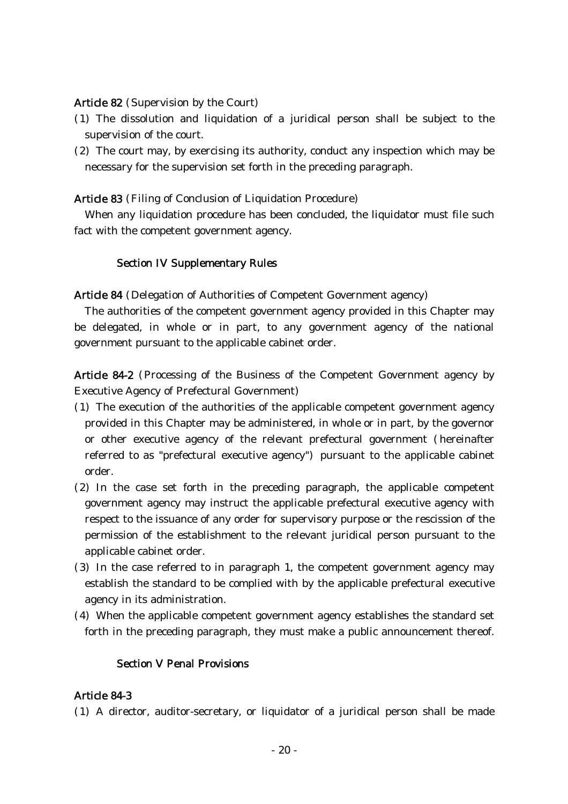## Article 82 (Supervision by the Court)

- ( )1 The dissolution and liquidation of a juridical person shall be subject to the supervision of the court.
- $(2)$  The court may, by exercising its authority, conduct any inspection which may be necessary for the supervision set forth in the preceding paragraph.

## Article 83 (Filing of Conclusion of Liquidation Procedure)

When any liquidation procedure has been concluded, the liquidator must file such fact with the competent government agency.

## Section IV Supplementary Rules

Article 84 (Delegation of Authorities of Competent Government agency)

The authorities of the competent government agency provided in this Chapter may be delegated, in whole or in part, to any government agency of the national government pursuant to the applicable cabinet order.

Article 84-2 (Processing of the Business of the Competent Government agency by Executive Agency of Prefectural Government)

- (1) The execution of the authorities of the applicable competent government agency provided in this Chapter may be administered, in whole or in part, by the governor or other executive agency of the relevant prefectural government (hereinafter referred to as "prefectural executive agency") pursuant to the applicable cabinet order.
- $(2)$  In the case set forth in the preceding paragraph, the applicable competent government agency may instruct the applicable prefectural executive agency with respect to the issuance of any order for supervisory purpose or the rescission of the permission of the establishment to the relevant juridical person pursuant to the applicable cabinet order.
- ( )3 In the case referred to in paragraph 1, the competent government agency may establish the standard to be complied with by the applicable prefectural executive agency in its administration.
- (4) When the applicable competent government agency establishes the standard set forth in the preceding paragraph, they must make a public announcement thereof.

## Section V Penal Provisions

## Article 84-3

( )1 A director, auditor-secretary, or liquidator of a juridical person shall be made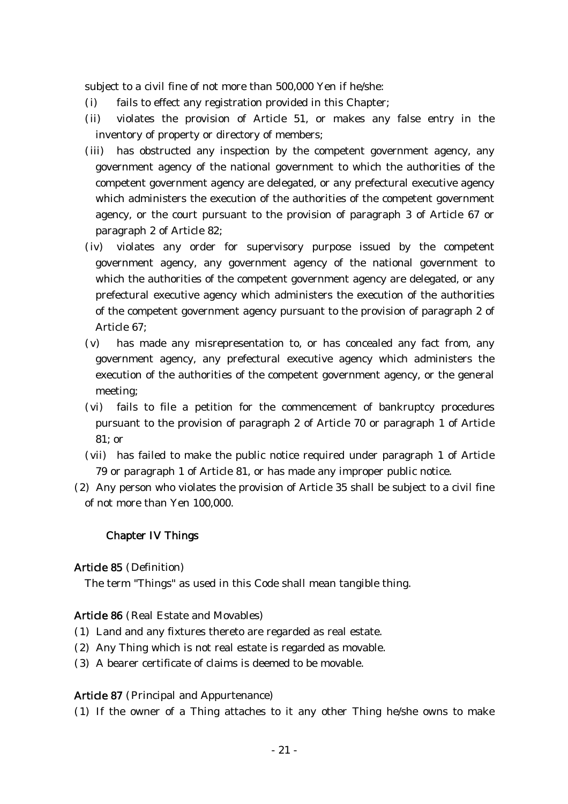subject to a civil fine of not more than 500,000 Yen if he/she:

- (i) fails to effect any registration provided in this Chapter;
- (ii) violates the provision of Article 51, or makes any false entry in the inventory of property or directory of members;
- (iii) has obstructed any inspection by the competent government agency, any government agency of the national government to which the authorities of the competent government agency are delegated, or any prefectural executive agency which administers the execution of the authorities of the competent government agency, or the court pursuant to the provision of paragraph 3 of Article 67 or paragraph 2 of Article 82;
- (iv) violates any order for supervisory purpose issued by the competent government agency, any government agency of the national government to which the authorities of the competent government agency are delegated, or any prefectural executive agency which administers the execution of the authorities of the competent government agency pursuant to the provision of paragraph 2 of Article 67;
- $(v)$  has made any misrepresentation to, or has concealed any fact from, any government agency, any prefectural executive agency which administers the execution of the authorities of the competent government agency, or the general meeting;
- (vi) fails to file a petition for the commencement of bankruptcy procedures pursuant to the provision of paragraph 2 of Article 70 or paragraph 1 of Article 81; or
- (vii) has failed to make the public notice required under paragraph 1 of Article 79 or paragraph 1 of Article 81, or has made any improper public notice.
- $(2)$  Any person who violates the provision of Article 35 shall be subject to a civil fine of not more than Yen 100,000.

### Chapter IV Things

### Article 85 (Definition)

The term "Things" as used in this Code shall mean tangible thing.

### Article 86 (Real Estate and Movables)

- ( )1 Land and any fixtures thereto are regarded as real estate.
- (2) Any Thing which is not real estate is regarded as movable.
- (3) A bearer certificate of claims is deemed to be movable.

## Article 87 (Principal and Appurtenance)

( )1 If the owner of a Thing attaches to it any other Thing he/she owns to make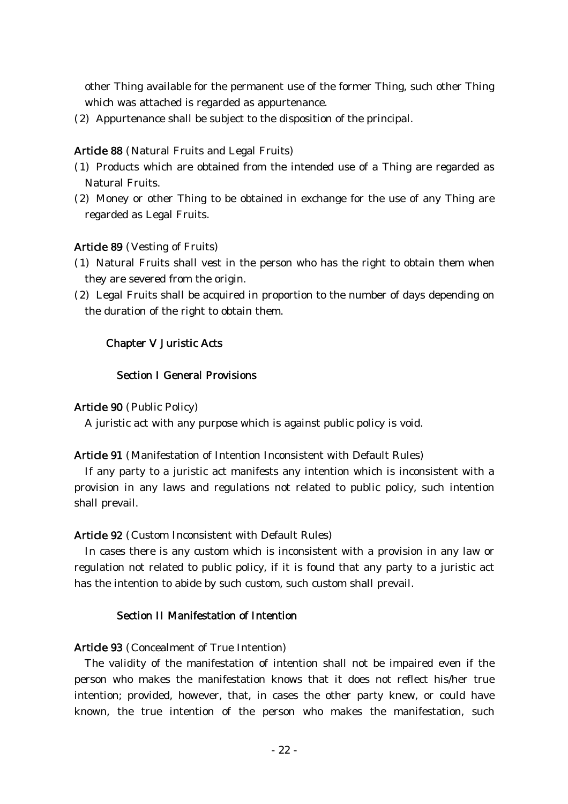other Thing available for the permanent use of the former Thing, such other Thing which was attached is regarded as appurtenance.

 $(2)$  Appurtenance shall be subject to the disposition of the principal.

## Article 88 (Natural Fruits and Legal Fruits)

- ( )1 Products which are obtained from the intended use of a Thing are regarded as Natural Fruits.
- (2) Money or other Thing to be obtained in exchange for the use of any Thing are regarded as Legal Fruits.

## Article 89 (Vesting of Fruits)

- ( )1 Natural Fruits shall vest in the person who has the right to obtain them when they are severed from the origin.
- (2) Legal Fruits shall be acquired in proportion to the number of days depending on the duration of the right to obtain them.

### Chapter V Juristic Acts

## Section I General Provisions

#### Article 90 (Public Policy)

A juristic act with any purpose which is against public policy is void.

### Article 91 (Manifestation of Intention Inconsistent with Default Rules)

If any party to a juristic act manifests any intention which is inconsistent with a provision in any laws and regulations not related to public policy, such intention shall prevail.

#### Article 92 (Custom Inconsistent with Default Rules)

In cases there is any custom which is inconsistent with a provision in any law or regulation not related to public policy, if it is found that any party to a juristic act has the intention to abide by such custom, such custom shall prevail.

### Section II Manifestation of Intention

## Article 93 (Concealment of True Intention)

The validity of the manifestation of intention shall not be impaired even if the person who makes the manifestation knows that it does not reflect his/her true intention; provided, however, that, in cases the other party knew, or could have known, the true intention of the person who makes the manifestation, such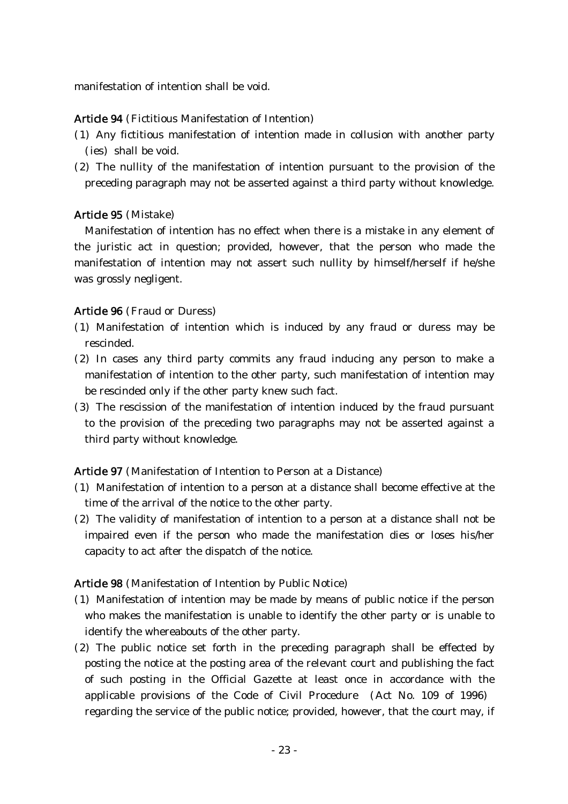manifestation of intention shall be void.

## Article 94 (Fictitious Manifestation of Intention)

- ( )1 Any fictitious manifestation of intention made in collusion with another party (ies) shall be void.
- $(2)$  The nullity of the manifestation of intention pursuant to the provision of the preceding paragraph may not be asserted against a third party without knowledge.

## Article 95 (Mistake)

Manifestation of intention has no effect when there is a mistake in any element of the juristic act in question; provided, however, that the person who made the manifestation of intention may not assert such nullity by himself/herself if he/she was grossly negligent.

## Article 96 (Fraud or Duress)

- ( )1 Manifestation of intention which is induced by any fraud or duress may be rescinded.
- (2) In cases any third party commits any fraud inducing any person to make a manifestation of intention to the other party, such manifestation of intention may be rescinded only if the other party knew such fact.
- (3) The rescission of the manifestation of intention induced by the fraud pursuant to the provision of the preceding two paragraphs may not be asserted against a third party without knowledge.

Article 97 (Manifestation of Intention to Person at a Distance)

- ( )1 Manifestation of intention to a person at a distance shall become effective at the time of the arrival of the notice to the other party.
- $(2)$  The validity of manifestation of intention to a person at a distance shall not be impaired even if the person who made the manifestation dies or loses his/her capacity to act after the dispatch of the notice.

## Article 98 (Manifestation of Intention by Public Notice)

- ( )1 Manifestation of intention may be made by means of public notice if the person who makes the manifestation is unable to identify the other party or is unable to identify the whereabouts of the other party.
- $(2)$  The public notice set forth in the preceding paragraph shall be effected by posting the notice at the posting area of the relevant court and publishing the fact of such posting in the Official Gazette at least once in accordance with the applicable provisions of the Code of Civil Procedure  $(Act No. 109 of 1996)$ regarding the service of the public notice; provided, however, that the court may, if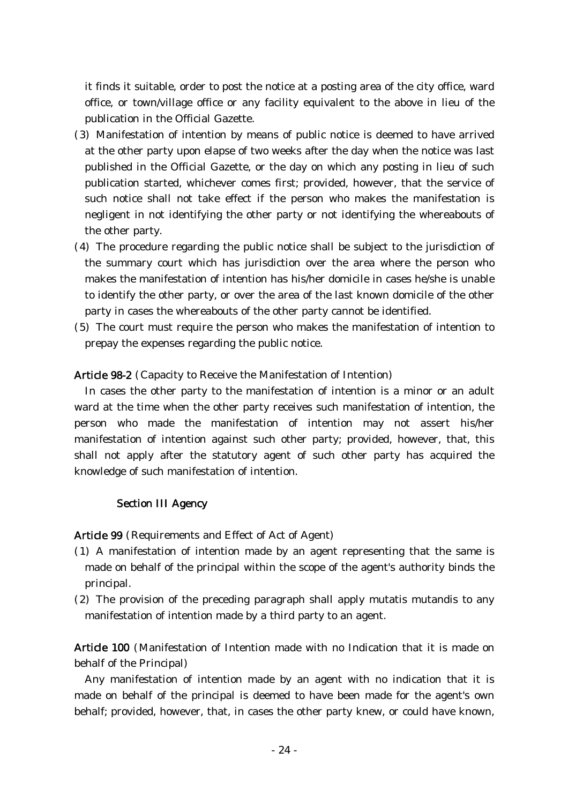it finds it suitable, order to post the notice at a posting area of the city office, ward office, or town/village office or any facility equivalent to the above in lieu of the publication in the Official Gazette.

- (3) Manifestation of intention by means of public notice is deemed to have arrived at the other party upon elapse of two weeks after the day when the notice was last published in the Official Gazette, or the day on which any posting in lieu of such publication started, whichever comes first; provided, however, that the service of such notice shall not take effect if the person who makes the manifestation is negligent in not identifying the other party or not identifying the whereabouts of the other party.
- (4) The procedure regarding the public notice shall be subject to the jurisdiction of the summary court which has jurisdiction over the area where the person who makes the manifestation of intention has his/her domicile in cases he/she is unable to identify the other party, or over the area of the last known domicile of the other party in cases the whereabouts of the other party cannot be identified.
- (5) The court must require the person who makes the manifestation of intention to prepay the expenses regarding the public notice.

## Article 98-2 (Capacity to Receive the Manifestation of Intention)

In cases the other party to the manifestation of intention is a minor or an adult ward at the time when the other party receives such manifestation of intention, the person who made the manifestation of intention may not assert his/her manifestation of intention against such other party; provided, however, that, this shall not apply after the statutory agent of such other party has acquired the knowledge of such manifestation of intention.

### Section III Agency

Article 99 (Requirements and Effect of Act of Agent)

- ( )1 A manifestation of intention made by an agent representing that the same is made on behalf of the principal within the scope of the agent's authority binds the principal.
- $(2)$  The provision of the preceding paragraph shall apply mutatis mutandis to any manifestation of intention made by a third party to an agent.

Article 100 (Manifestation of Intention made with no Indication that it is made on behalf of the Principal)

Any manifestation of intention made by an agent with no indication that it is made on behalf of the principal is deemed to have been made for the agent's own behalf; provided, however, that, in cases the other party knew, or could have known,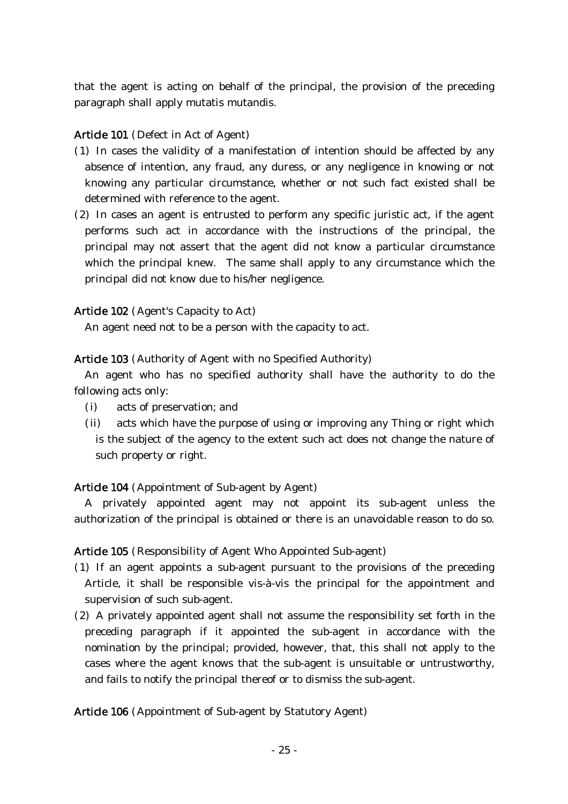that the agent is acting on behalf of the principal, the provision of the preceding paragraph shall apply mutatis mutandis.

## Article 101 (Defect in Act of Agent)

- (1) In cases the validity of a manifestation of intention should be affected by any absence of intention, any fraud, any duress, or any negligence in knowing or not knowing any particular circumstance, whether or not such fact existed shall be determined with reference to the agent.
- $(2)$  In cases an agent is entrusted to perform any specific juristic act, if the agent performs such act in accordance with the instructions of the principal, the principal may not assert that the agent did not know a particular circumstance which the principal knew. The same shall apply to any circumstance which the principal did not know due to his/her negligence.

# Article 102 (Agent's Capacity to Act)

An agent need not to be a person with the capacity to act.

Article 103 (Authority of Agent with no Specified Authority)

An agent who has no specified authority shall have the authority to do the following acts only:

- (i) acts of preservation; and
- (ii) acts which have the purpose of using or improving any Thing or right which is the subject of the agency to the extent such act does not change the nature of such property or right.

# Article 104 (Appointment of Sub-agent by Agent)

A privately appointed agent may not appoint its sub-agent unless the authorization of the principal is obtained or there is an unavoidable reason to do so.

Article 105 (Responsibility of Agent Who Appointed Sub-agent)

- ( )1 If an agent appoints a sub-agent pursuant to the provisions of the preceding Article, it shall be responsible vis-à-vis the principal for the appointment and supervision of such sub-agent.
- $(2)$  A privately appointed agent shall not assume the responsibility set forth in the preceding paragraph if it appointed the sub-agent in accordance with the nomination by the principal; provided, however, that, this shall not apply to the cases where the agent knows that the sub-agent is unsuitable or untrustworthy, and fails to notify the principal thereof or to dismiss the sub-agent.

Article 106 (Appointment of Sub-agent by Statutory Agent)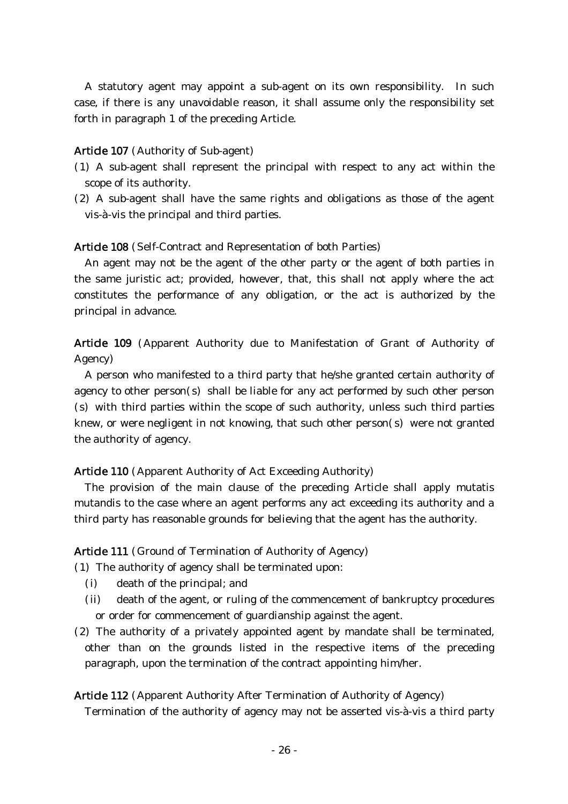A statutory agent may appoint a sub-agent on its own responsibility. In such case, if there is any unavoidable reason, it shall assume only the responsibility set forth in paragraph 1 of the preceding Article.

## Article 107 (Authority of Sub-agent)

- ( )1 A sub-agent shall represent the principal with respect to any act within the scope of its authority.
- $(2)$  A sub-agent shall have the same rights and obligations as those of the agent vis-à-vis the principal and third parties.

### Article 108 (Self-Contract and Representation of both Parties)

An agent may not be the agent of the other party or the agent of both parties in the same juristic act; provided, however, that, this shall not apply where the act constitutes the performance of any obligation, or the act is authorized by the principal in advance.

Article 109 (Apparent Authority due to Manifestation of Grant of Authority of Agency)

A person who manifested to a third party that he/she granted certain authority of agency to other person(s) shall be liable for any act performed by such other person (s) with third parties within the scope of such authority, unless such third parties knew, or were negligent in not knowing, that such other person( $s$ ) were not granted the authority of agency.

### Article 110 (Apparent Authority of Act Exceeding Authority)

The provision of the main clause of the preceding Article shall apply mutatis mutandis to the case where an agent performs any act exceeding its authority and a third party has reasonable grounds for believing that the agent has the authority.

Article 111 (Ground of Termination of Authority of Agency)

- (1) The authority of agency shall be terminated upon:
	- (i) death of the principal; and
	- (ii) death of the agent, or ruling of the commencement of bankruptcy procedures or order for commencement of guardianship against the agent.
- $(2)$  The authority of a privately appointed agent by mandate shall be terminated, other than on the grounds listed in the respective items of the preceding paragraph, upon the termination of the contract appointing him/her.

## Article 112 (Apparent Authority After Termination of Authority of Agency)

Termination of the authority of agency may not be asserted vis-à-vis a third party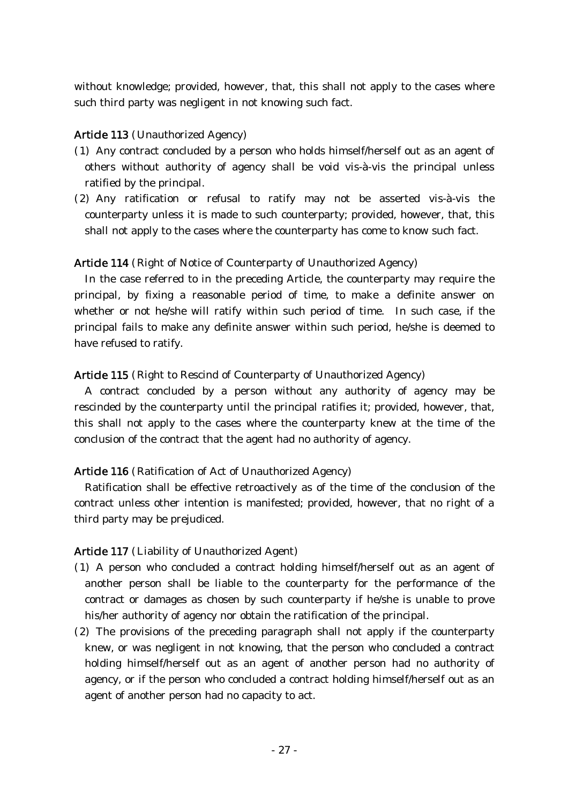without knowledge; provided, however, that, this shall not apply to the cases where such third party was negligent in not knowing such fact.

## Article 113 (Unauthorized Agency)

- (1) Any contract concluded by a person who holds himself/herself out as an agent of others without authority of agency shall be void vis-à-vis the principal unless ratified by the principal.
- (2) Any ratification or refusal to ratify may not be asserted vis-à-vis the counterparty unless it is made to such counterparty; provided, however, that, this shall not apply to the cases where the counterparty has come to know such fact.

## Article 114 (Right of Notice of Counterparty of Unauthorized Agency)

In the case referred to in the preceding Article, the counterparty may require the principal, by fixing a reasonable period of time, to make a definite answer on whether or not he/she will ratify within such period of time. In such case, if the principal fails to make any definite answer within such period, he/she is deemed to have refused to ratify.

## Article 115 (Right to Rescind of Counterparty of Unauthorized Agency)

A contract concluded by a person without any authority of agency may be rescinded by the counterparty until the principal ratifies it; provided, however, that, this shall not apply to the cases where the counterparty knew at the time of the conclusion of the contract that the agent had no authority of agency.

## Article 116 (Ratification of Act of Unauthorized Agency)

Ratification shall be effective retroactively as of the time of the conclusion of the contract unless other intention is manifested; provided, however, that no right of a third party may be prejudiced.

## Article 117 (Liability of Unauthorized Agent)

- ( )1 A person who concluded a contract holding himself/herself out as an agent of another person shall be liable to the counterparty for the performance of the contract or damages as chosen by such counterparty if he/she is unable to prove his/her authority of agency nor obtain the ratification of the principal.
- $(2)$  The provisions of the preceding paragraph shall not apply if the counterparty knew, or was negligent in not knowing, that the person who concluded a contract holding himself/herself out as an agent of another person had no authority of agency, or if the person who concluded a contract holding himself/herself out as an agent of another person had no capacity to act.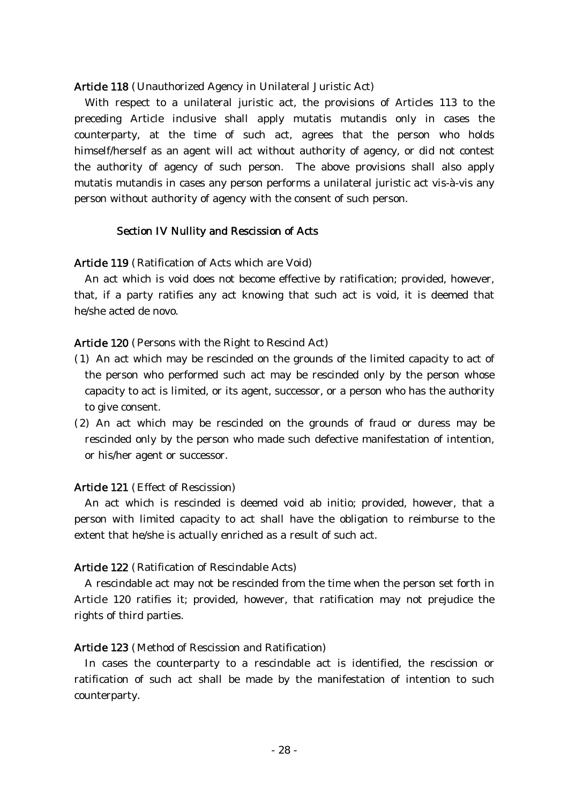### Article 118 (Unauthorized Agency in Unilateral Juristic Act)

With respect to a unilateral juristic act, the provisions of Articles 113 to the preceding Article inclusive shall apply mutatis mutandis only in cases the counterparty, at the time of such act, agrees that the person who holds himself/herself as an agent will act without authority of agency, or did not contest the authority of agency of such person. The above provisions shall also apply mutatis mutandis in cases any person performs a unilateral juristic act vis-à-vis any person without authority of agency with the consent of such person.

## Section IV Nullity and Rescission of Acts

### Article 119 (Ratification of Acts which are Void)

An act which is void does not become effective by ratification; provided, however, that, if a party ratifies any act knowing that such act is void, it is deemed that he/she acted de novo.

#### Article 120 (Persons with the Right to Rescind Act)

- (1) An act which may be rescinded on the grounds of the limited capacity to act of the person who performed such act may be rescinded only by the person whose capacity to act is limited, or its agent, successor, or a person who has the authority to give consent.
- (2) An act which may be rescinded on the grounds of fraud or duress may be rescinded only by the person who made such defective manifestation of intention, or his/her agent or successor.

### Article 121 (Effect of Rescission)

An act which is rescinded is deemed void ab initio; provided, however, that a person with limited capacity to act shall have the obligation to reimburse to the extent that he/she is actually enriched as a result of such act.

#### Article 122 (Ratification of Rescindable Acts)

A rescindable act may not be rescinded from the time when the person set forth in Article 120 ratifies it; provided, however, that ratification may not prejudice the rights of third parties.

### Article 123 (Method of Rescission and Ratification)

In cases the counterparty to a rescindable act is identified, the rescission or ratification of such act shall be made by the manifestation of intention to such counterparty.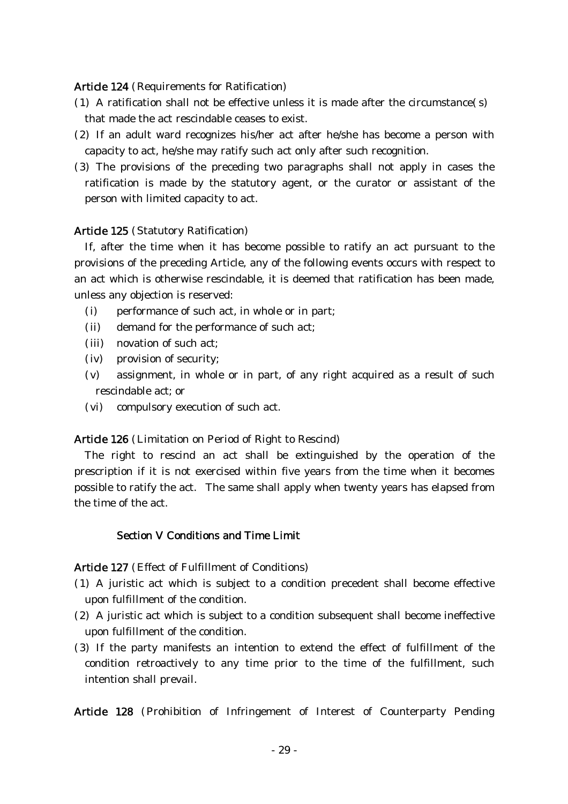## Article 124 (Requirements for Ratification)

- (1) A ratification shall not be effective unless it is made after the circumstance  $(s)$ that made the act rescindable ceases to exist.
- $(2)$  If an adult ward recognizes his/her act after he/she has become a person with capacity to act, he/she may ratify such act only after such recognition.
- (3) The provisions of the preceding two paragraphs shall not apply in cases the ratification is made by the statutory agent, or the curator or assistant of the person with limited capacity to act.

## Article 125 (Statutory Ratification)

If, after the time when it has become possible to ratify an act pursuant to the provisions of the preceding Article, any of the following events occurs with respect to an act which is otherwise rescindable, it is deemed that ratification has been made, unless any objection is reserved:

- (i) performance of such act, in whole or in part;
- (ii) demand for the performance of such act;
- $(iii)$  novation of such act:
- $(iv)$  provision of security;
- $(v)$  assignment, in whole or in part, of any right acquired as a result of such rescindable act; or
- $(vi)$  compulsory execution of such act.

### Article 126 (Limitation on Period of Right to Rescind)

The right to rescind an act shall be extinguished by the operation of the prescription if it is not exercised within five years from the time when it becomes possible to ratify the act. The same shall apply when twenty years has elapsed from the time of the act.

## Section V Conditions and Time Limit

### Article 127 (Effect of Fulfillment of Conditions)

- ( )1 A juristic act which is subject to a condition precedent shall become effective upon fulfillment of the condition.
- $(2)$  A juristic act which is subject to a condition subsequent shall become ineffective upon fulfillment of the condition.
- (3) If the party manifests an intention to extend the effect of fulfillment of the condition retroactively to any time prior to the time of the fulfillment, such intention shall prevail.

Article 128 (Prohibition of Infringement of Interest of Counterparty Pending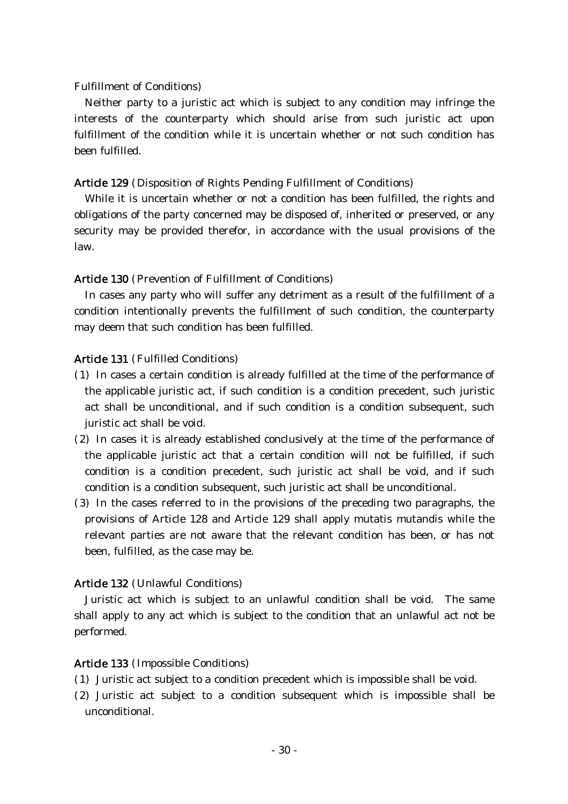### Fulfillment of Conditions)

Neither party to a juristic act which is subject to any condition may infringe the interests of the counterparty which should arise from such juristic act upon fulfillment of the condition while it is uncertain whether or not such condition has been fulfilled.

## Article 129 (Disposition of Rights Pending Fulfillment of Conditions)

While it is uncertain whether or not a condition has been fulfilled, the rights and obligations of the party concerned may be disposed of, inherited or preserved, or any security may be provided therefor, in accordance with the usual provisions of the law.

## Article 130 (Prevention of Fulfillment of Conditions)

In cases any party who will suffer any detriment as a result of the fulfillment of a condition intentionally prevents the fulfillment of such condition, the counterparty may deem that such condition has been fulfilled.

## Article 131 (Fulfilled Conditions)

- ( )1 In cases a certain condition is already fulfilled at the time of the performance of the applicable juristic act, if such condition is a condition precedent, such juristic act shall be unconditional, and if such condition is a condition subsequent, such juristic act shall be void.
- (2) In cases it is already established conclusively at the time of the performance of the applicable juristic act that a certain condition will not be fulfilled, if such condition is a condition precedent, such juristic act shall be void, and if such condition is a condition subsequent, such juristic act shall be unconditional.
- ( )3 In the cases referred to in the provisions of the preceding two paragraphs, the provisions of Article 128 and Article 129 shall apply mutatis mutandis while the relevant parties are not aware that the relevant condition has been, or has not been, fulfilled, as the case may be.

## Article 132 (Unlawful Conditions)

Juristic act which is subject to an unlawful condition shall be void. The same shall apply to any act which is subject to the condition that an unlawful act not be performed.

## Article 133 (Impossible Conditions)

- (1) Juristic act subject to a condition precedent which is impossible shall be void.
- (2) Juristic act subject to a condition subsequent which is impossible shall be unconditional.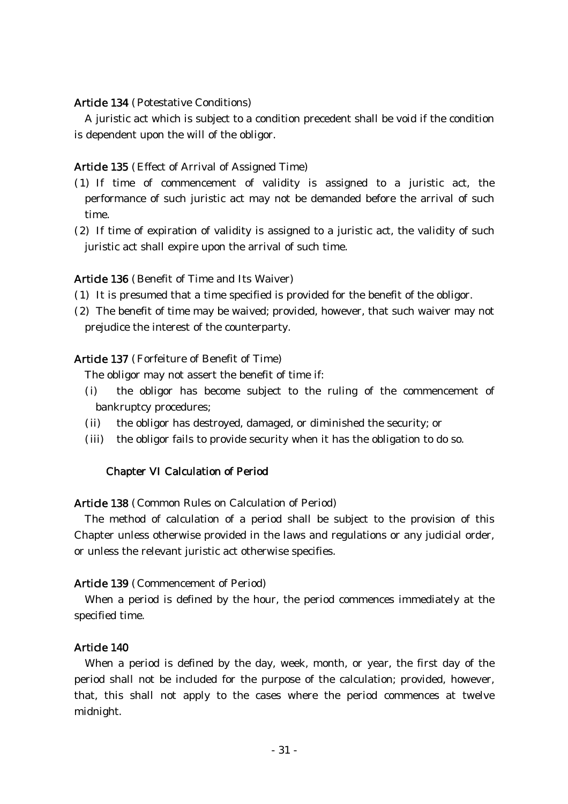## Article 134 (Potestative Conditions)

A juristic act which is subject to a condition precedent shall be void if the condition is dependent upon the will of the obligor.

## Article 135 (Effect of Arrival of Assigned Time)

- ( )1 If time of commencement of validity is assigned to a juristic act, the performance of such juristic act may not be demanded before the arrival of such time.
- $(2)$  If time of expiration of validity is assigned to a juristic act, the validity of such juristic act shall expire upon the arrival of such time.

### Article 136 (Benefit of Time and Its Waiver)

- ( )1 It is presumed that a time specified is provided for the benefit of the obligor.
- (2) The benefit of time may be waived; provided, however, that such waiver may not prejudice the interest of the counterparty.

## Article 137 (Forfeiture of Benefit of Time)

The obligor may not assert the benefit of time if:

- (i) the obligor has become subject to the ruling of the commencement of bankruptcy procedures;
- (ii) the obligor has destroyed, damaged, or diminished the security; or
- (iii) the obligor fails to provide security when it has the obligation to do so.

#### Chapter VI Calculation of Period

Article 138 (Common Rules on Calculation of Period)

The method of calculation of a period shall be subject to the provision of this Chapter unless otherwise provided in the laws and regulations or any judicial order, or unless the relevant juristic act otherwise specifies.

#### Article 139 (Commencement of Period)

When a period is defined by the hour, the period commences immediately at the specified time.

## Article 140

When a period is defined by the day, week, month, or year, the first day of the period shall not be included for the purpose of the calculation; provided, however, that, this shall not apply to the cases where the period commences at twelve midnight.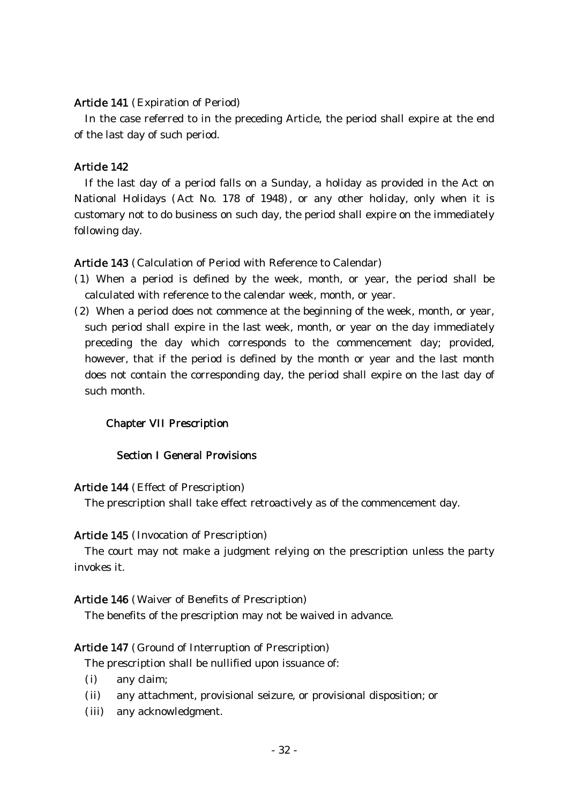## Article 141 (Expiration of Period)

In the case referred to in the preceding Article, the period shall expire at the end of the last day of such period.

## Article 142

If the last day of a period falls on a Sunday, a holiday as provided in the Act on National Holidays (Act No. 178 of 1948), or any other holiday, only when it is customary not to do business on such day, the period shall expire on the immediately following day.

## Article 143 (Calculation of Period with Reference to Calendar)

- ( )1 When a period is defined by the week, month, or year, the period shall be calculated with reference to the calendar week, month, or year.
- (2) When a period does not commence at the beginning of the week, month, or year, such period shall expire in the last week, month, or year on the day immediately preceding the day which corresponds to the commencement day; provided, however, that if the period is defined by the month or year and the last month does not contain the corresponding day, the period shall expire on the last day of such month.

## Chapter VII Prescription

## Section I General Provisions

### Article 144 (Effect of Prescription)

The prescription shall take effect retroactively as of the commencement day.

## Article 145 (Invocation of Prescription)

The court may not make a judgment relying on the prescription unless the party invokes it.

## Article 146 (Waiver of Benefits of Prescription)

The benefits of the prescription may not be waived in advance.

## Article 147 (Ground of Interruption of Prescription)

The prescription shall be nullified upon issuance of:

- $(i)$  any claim;
- (ii) any attachment, provisional seizure, or provisional disposition; or
- (iii) any acknowledgment.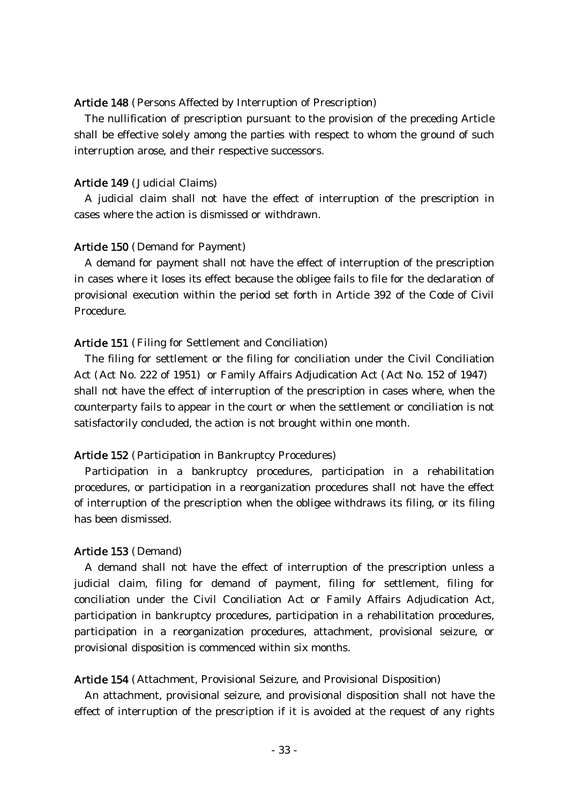## Article 148 (Persons Affected by Interruption of Prescription)

The nullification of prescription pursuant to the provision of the preceding Article shall be effective solely among the parties with respect to whom the ground of such interruption arose, and their respective successors.

#### Article 149 (Judicial Claims)

A judicial claim shall not have the effect of interruption of the prescription in cases where the action is dismissed or withdrawn.

#### Article 150 (Demand for Payment)

A demand for payment shall not have the effect of interruption of the prescription in cases where it loses its effect because the obligee fails to file for the declaration of provisional execution within the period set forth in Article 392 of the Code of Civil Procedure.

#### Article 151 (Filing for Settlement and Conciliation)

The filing for settlement or the filing for conciliation under the Civil Conciliation Act (Act No. 222 of 1951) or Family Affairs Adjudication Act (Act No. 152 of 1947) shall not have the effect of interruption of the prescription in cases where, when the counterparty fails to appear in the court or when the settlement or conciliation is not satisfactorily concluded, the action is not brought within one month.

### Article 152 (Participation in Bankruptcy Procedures)

Participation in a bankruptcy procedures, participation in a rehabilitation procedures, or participation in a reorganization procedures shall not have the effect of interruption of the prescription when the obligee withdraws its filing, or its filing has been dismissed.

### Article 153 (Demand)

A demand shall not have the effect of interruption of the prescription unless a judicial claim, filing for demand of payment, filing for settlement, filing for conciliation under the Civil Conciliation Act or Family Affairs Adjudication Act, participation in bankruptcy procedures, participation in a rehabilitation procedures, participation in a reorganization procedures, attachment, provisional seizure, or provisional disposition is commenced within six months.

### Article 154 (Attachment, Provisional Seizure, and Provisional Disposition)

An attachment, provisional seizure, and provisional disposition shall not have the effect of interruption of the prescription if it is avoided at the request of any rights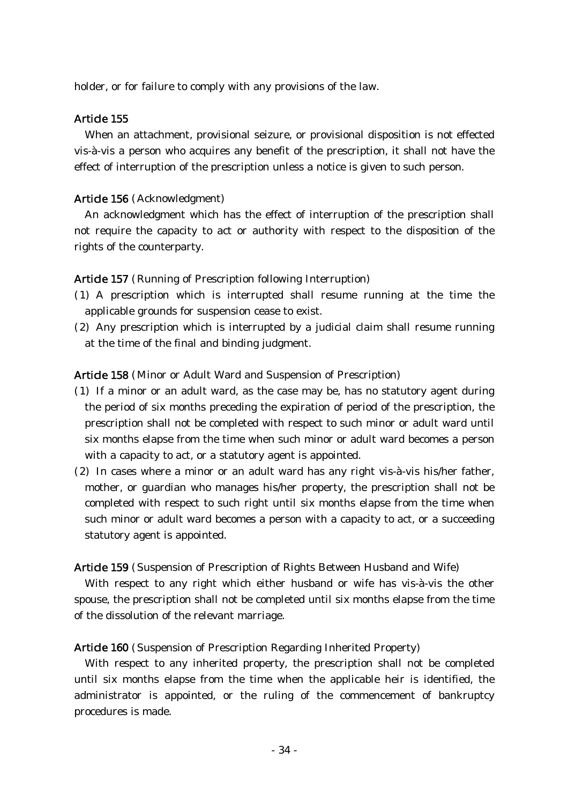holder, or for failure to comply with any provisions of the law.

## Article 155

When an attachment, provisional seizure, or provisional disposition is not effected vis-à-vis a person who acquires any benefit of the prescription, it shall not have the effect of interruption of the prescription unless a notice is given to such person.

## Article 156 (Acknowledgment)

An acknowledgment which has the effect of interruption of the prescription shall not require the capacity to act or authority with respect to the disposition of the rights of the counterparty.

## Article 157 (Running of Prescription following Interruption)

- ( )1 A prescription which is interrupted shall resume running at the time the applicable grounds for suspension cease to exist.
- $(2)$  Any prescription which is interrupted by a judicial claim shall resume running at the time of the final and binding judgment.

### Article 158 (Minor or Adult Ward and Suspension of Prescription)

- (1) If a minor or an adult ward, as the case may be, has no statutory agent during the period of six months preceding the expiration of period of the prescription, the prescription shall not be completed with respect to such minor or adult ward until six months elapse from the time when such minor or adult ward becomes a person with a capacity to act, or a statutory agent is appointed.
- $(2)$  In cases where a minor or an adult ward has any right vis-à-vis his/her father, mother, or guardian who manages his/her property, the prescription shall not be completed with respect to such right until six months elapse from the time when such minor or adult ward becomes a person with a capacity to act, or a succeeding statutory agent is appointed.

### Article 159 (Suspension of Prescription of Rights Between Husband and Wife)

With respect to any right which either husband or wife has vis-à-vis the other spouse, the prescription shall not be completed until six months elapse from the time of the dissolution of the relevant marriage.

### Article 160 (Suspension of Prescription Regarding Inherited Property)

With respect to any inherited property, the prescription shall not be completed until six months elapse from the time when the applicable heir is identified, the administrator is appointed, or the ruling of the commencement of bankruptcy procedures is made.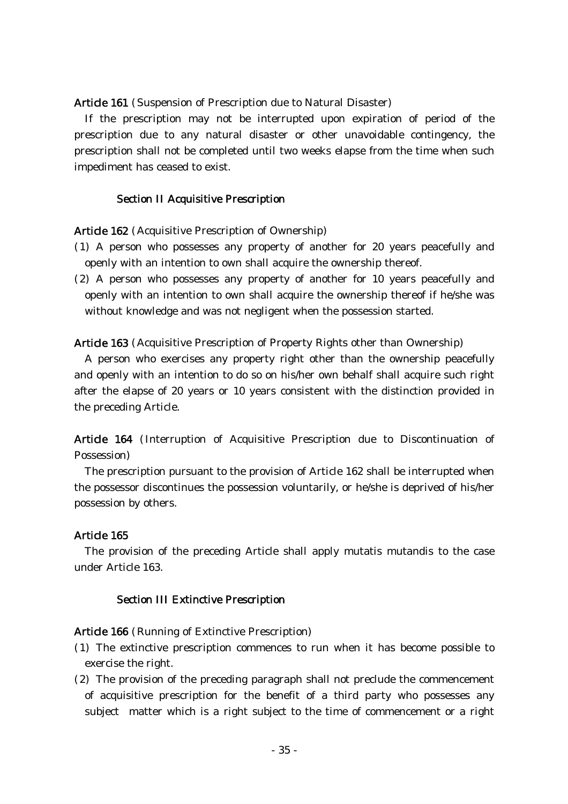Article 161 (Suspension of Prescription due to Natural Disaster)

If the prescription may not be interrupted upon expiration of period of the prescription due to any natural disaster or other unavoidable contingency, the prescription shall not be completed until two weeks elapse from the time when such impediment has ceased to exist.

## Section II Acquisitive Prescription

Article 162 (Acquisitive Prescription of Ownership)

- ( )1 A person who possesses any property of another for 20 years peacefully and openly with an intention to own shall acquire the ownership thereof.
- $(2)$  A person who possesses any property of another for 10 years peacefully and openly with an intention to own shall acquire the ownership thereof if he/she was without knowledge and was not negligent when the possession started.

Article 163 (Acquisitive Prescription of Property Rights other than Ownership)

A person who exercises any property right other than the ownership peacefully and openly with an intention to do so on his/her own behalf shall acquire such right after the elapse of 20 years or 10 years consistent with the distinction provided in the preceding Article.

Article 164 (Interruption of Acquisitive Prescription due to Discontinuation of Possession)

The prescription pursuant to the provision of Article 162 shall be interrupted when the possessor discontinues the possession voluntarily, or he/she is deprived of his/her possession by others.

### Article 165

The provision of the preceding Article shall apply mutatis mutandis to the case under Article 163.

#### Section III Extinctive Prescription

## Article 166 (Running of Extinctive Prescription)

- ( )1 The extinctive prescription commences to run when it has become possible to exercise the right.
- $(2)$  The provision of the preceding paragraph shall not preclude the commencement of acquisitive prescription for the benefit of a third party who possesses any subject matter which is a right subject to the time of commencement or a right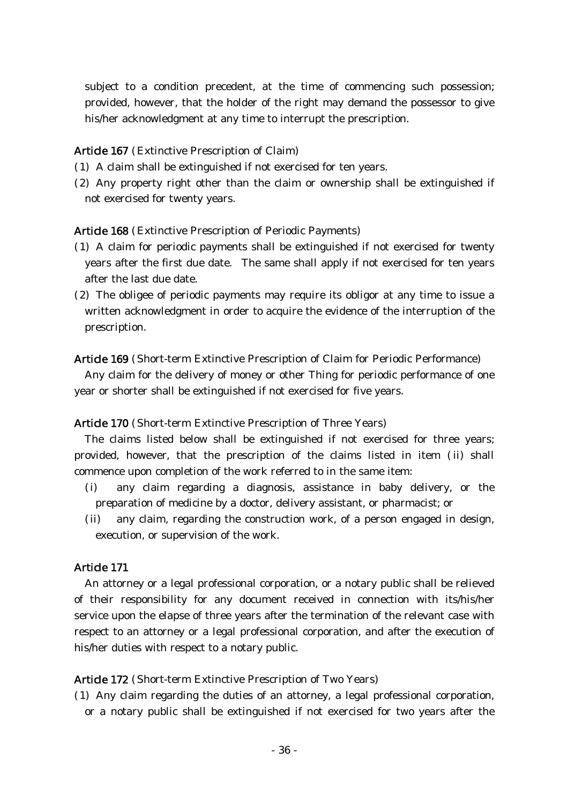subject to a condition precedent, at the time of commencing such possession; provided, however, that the holder of the right may demand the possessor to give his/her acknowledgment at any time to interrupt the prescription.

## Article 167 (Extinctive Prescription of Claim)

- (1) A claim shall be extinguished if not exercised for ten years.
- (2) Any property right other than the claim or ownership shall be extinguished if not exercised for twenty years.

Article 168 (Extinctive Prescription of Periodic Payments)

- ( )1 A claim for periodic payments shall be extinguished if not exercised for twenty years after the first due date. The same shall apply if not exercised for ten years after the last due date.
- (2) The obligee of periodic payments may require its obligor at any time to issue a written acknowledgment in order to acquire the evidence of the interruption of the prescription.

## Article 169 (Short-term Extinctive Prescription of Claim for Periodic Performance)

Any claim for the delivery of money or other Thing for periodic performance of one year or shorter shall be extinguished if not exercised for five years.

### Article 170 (Short-term Extinctive Prescription of Three Years)

The claims listed below shall be extinguished if not exercised for three years; provided, however, that the prescription of the claims listed in item (ii) shall commence upon completion of the work referred to in the same item:

- (i) any claim regarding a diagnosis, assistance in baby delivery, or the preparation of medicine by a doctor, delivery assistant, or pharmacist; or
- (ii) any claim, regarding the construction work, of a person engaged in design, execution, or supervision of the work.

## Article 171

An attorney or a legal professional corporation, or a notary public shall be relieved of their responsibility for any document received in connection with its/his/her service upon the elapse of three years after the termination of the relevant case with respect to an attorney or a legal professional corporation, and after the execution of his/her duties with respect to a notary public.

### Article 172 (Short-term Extinctive Prescription of Two Years)

(1) Any claim regarding the duties of an attorney, a legal professional corporation, or a notary public shall be extinguished if not exercised for two years after the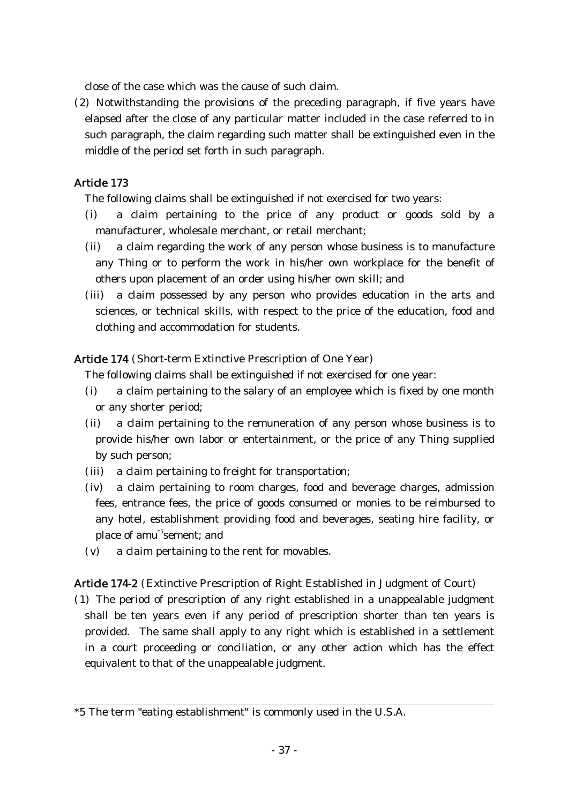close of the case which was the cause of such claim.

(2) Notwithstanding the provisions of the preceding paragraph, if five years have elapsed after the close of any particular matter included in the case referred to in such paragraph, the claim regarding such matter shall be extinguished even in the middle of the period set forth in such paragraph.

# Article 173

- The following claims shall be extinguished if not exercised for two years:
- (i) a claim pertaining to the price of any product or goods sold by a manufacturer, wholesale merchant, or retail merchant;
- (ii) a claim regarding the work of any person whose business is to manufacture any Thing or to perform the work in his/her own workplace for the benefit of others upon placement of an order using his/her own skill; and
- (iii) a claim possessed by any person who provides education in the arts and sciences, or technical skills, with respect to the price of the education, food and clothing and accommodation for students.

Article 174 (Short-term Extinctive Prescription of One Year)

The following claims shall be extinguished if not exercised for one year:

- (i) a claim pertaining to the salary of an employee which is fixed by one month or any shorter period;
- $(i)$  a claim pertaining to the remuneration of any person whose business is to provide his/her own labor or entertainment, or the price of any Thing supplied by such person;
- $(iii)$  a claim pertaining to freight for transportation;
- $(iv)$  a claim pertaining to room charges, food and beverage charges, admission fees, entrance fees, the price of goods consumed or monies to be reimbursed to any hotel, establishment providing food and beverages, seating hire facility, or place of amu<sup>5</sup> sement; and
- $(v)$  a claim pertaining to the rent for movables.

Article 174-2 (Extinctive Prescription of Right Established in Judgment of Court)

( )1 The period of prescription of any right established in a unappealable judgment shall be ten years even if any period of prescription shorter than ten years is provided. The same shall apply to any right which is established in a settlement in a court proceeding or conciliation, or any other action which has the effect equivalent to that of the unappealable judgment.

<sup>\*5</sup> The term "eating establishment" is commonly used in the U.S.A.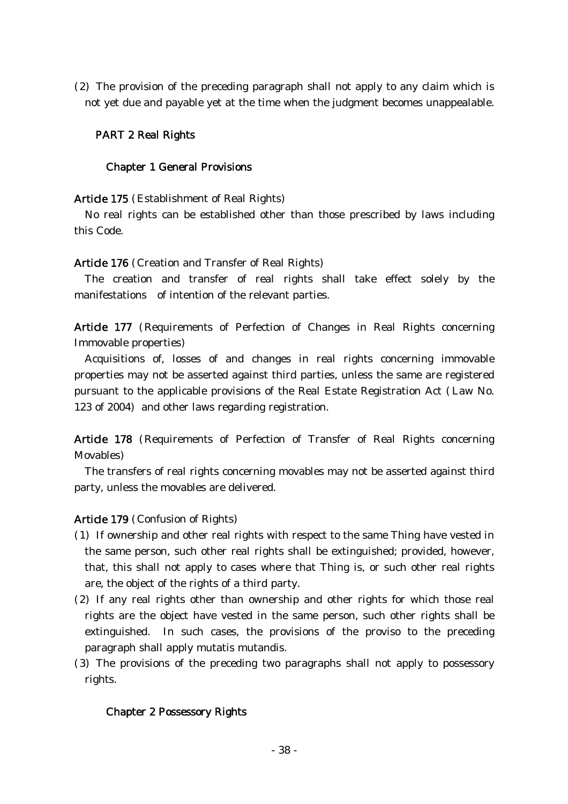$(2)$  The provision of the preceding paragraph shall not apply to any claim which is not yet due and payable yet at the time when the judgment becomes unappealable.

## PART 2 Real Rights

### Chapter 1 General Provisions

Article 175 (Establishment of Real Rights)

No real rights can be established other than those prescribed by laws including this Code.

## Article 176 (Creation and Transfer of Real Rights)

The creation and transfer of real rights shall take effect solely by the manifestations of intention of the relevant parties.

Article 177 (Requirements of Perfection of Changes in Real Rights concerning Immovable properties)

Acquisitions of, losses of and changes in real rights concerning immovable properties may not be asserted against third parties, unless the same are registered pursuant to the applicable provisions of the Real Estate Registration Act (Law No. 123 of 2004) and other laws regarding registration.

Article 178 (Requirements of Perfection of Transfer of Real Rights concerning Movables)

The transfers of real rights concerning movables may not be asserted against third party, unless the movables are delivered.

## Article 179 (Confusion of Rights)

- (1) If ownership and other real rights with respect to the same Thing have vested in the same person, such other real rights shall be extinguished; provided, however, that, this shall not apply to cases where that Thing is, or such other real rights are, the object of the rights of a third party.
- (2) If any real rights other than ownership and other rights for which those real rights are the object have vested in the same person, such other rights shall be extinguished. In such cases, the provisions of the proviso to the preceding paragraph shall apply mutatis mutandis.
- (3) The provisions of the preceding two paragraphs shall not apply to possessory rights.

## Chapter 2 Possessory Rights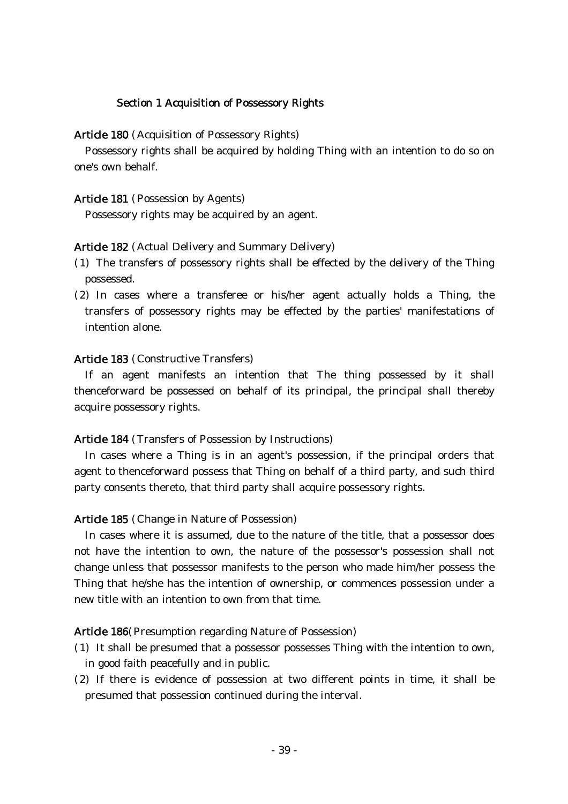#### Section 1 Acquisition of Possessory Rights

### Article 180 (Acquisition of Possessory Rights)

Possessory rights shall be acquired by holding Thing with an intention to do so on one's own behalf.

#### Article 181 (Possession by Agents)

Possessory rights may be acquired by an agent.

### Article 182 (Actual Delivery and Summary Delivery)

- ( )1 The transfers of possessory rights shall be effected by the delivery of the Thing possessed.
- $(2)$  In cases where a transferee or his/her agent actually holds a Thing, the transfers of possessory rights may be effected by the parties' manifestations of intention alone.

#### Article 183 (Constructive Transfers)

If an agent manifests an intention that The thing possessed by it shall thenceforward be possessed on behalf of its principal, the principal shall thereby acquire possessory rights.

#### Article 184 (Transfers of Possession by Instructions)

In cases where a Thing is in an agent's possession, if the principal orders that agent to thenceforward possess that Thing on behalf of a third party, and such third party consents thereto, that third party shall acquire possessory rights.

#### Article 185 (Change in Nature of Possession)

In cases where it is assumed, due to the nature of the title, that a possessor does not have the intention to own, the nature of the possessor's possession shall not change unless that possessor manifests to the person who made him/her possess the Thing that he/she has the intention of ownership, or commences possession under a new title with an intention to own from that time.

### Article 186 (Presumption regarding Nature of Possession)

- ( )1 It shall be presumed that a possessor possesses Thing with the intention to own, in good faith peacefully and in public.
- $(2)$  If there is evidence of possession at two different points in time, it shall be presumed that possession continued during the interval.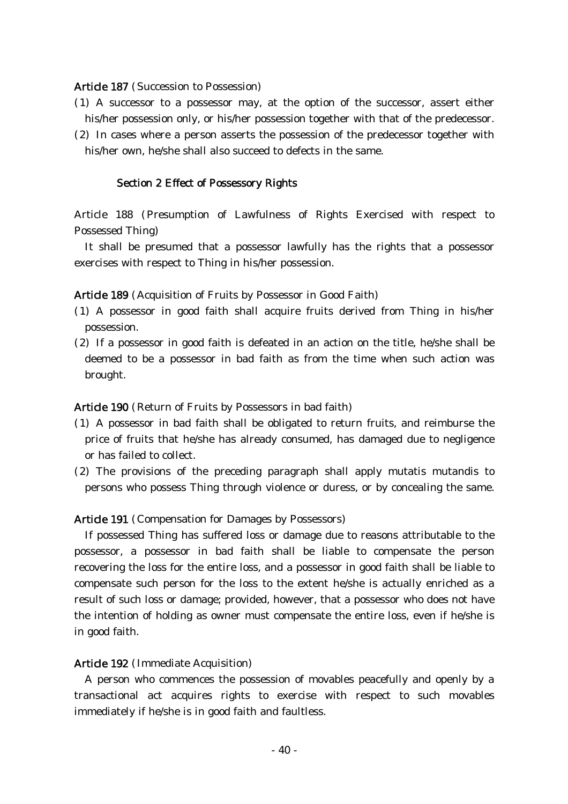#### Article 187 (Succession to Possession)

- (1) A successor to a possessor may, at the option of the successor, assert either his/her possession only, or his/her possession together with that of the predecessor.
- $(2)$  In cases where a person asserts the possession of the predecessor together with his/her own, he/she shall also succeed to defects in the same.

### Section 2 Effect of Possessory Rights

Article 188 (Presumption of Lawfulness of Rights Exercised with respect to Possessed Thing)

It shall be presumed that a possessor lawfully has the rights that a possessor exercises with respect to Thing in his/her possession.

Article 189 (Acquisition of Fruits by Possessor in Good Faith)

- ( )1 A possessor in good faith shall acquire fruits derived from Thing in his/her possession.
- $(2)$  If a possessor in good faith is defeated in an action on the title, he/she shall be deemed to be a possessor in bad faith as from the time when such action was brought.

#### Article 190 (Return of Fruits by Possessors in bad faith)

- ( )1 A possessor in bad faith shall be obligated to return fruits, and reimburse the price of fruits that he/she has already consumed, has damaged due to negligence or has failed to collect.
- (2) The provisions of the preceding paragraph shall apply mutatis mutandis to persons who possess Thing through violence or duress, or by concealing the same.

### Article 191 (Compensation for Damages by Possessors)

If possessed Thing has suffered loss or damage due to reasons attributable to the possessor, a possessor in bad faith shall be liable to compensate the person recovering the loss for the entire loss, and a possessor in good faith shall be liable to compensate such person for the loss to the extent he/she is actually enriched as a result of such loss or damage; provided, however, that a possessor who does not have the intention of holding as owner must compensate the entire loss, even if he/she is in good faith.

#### Article 192 (Immediate Acquisition)

A person who commences the possession of movables peacefully and openly by a transactional act acquires rights to exercise with respect to such movables immediately if he/she is in good faith and faultless.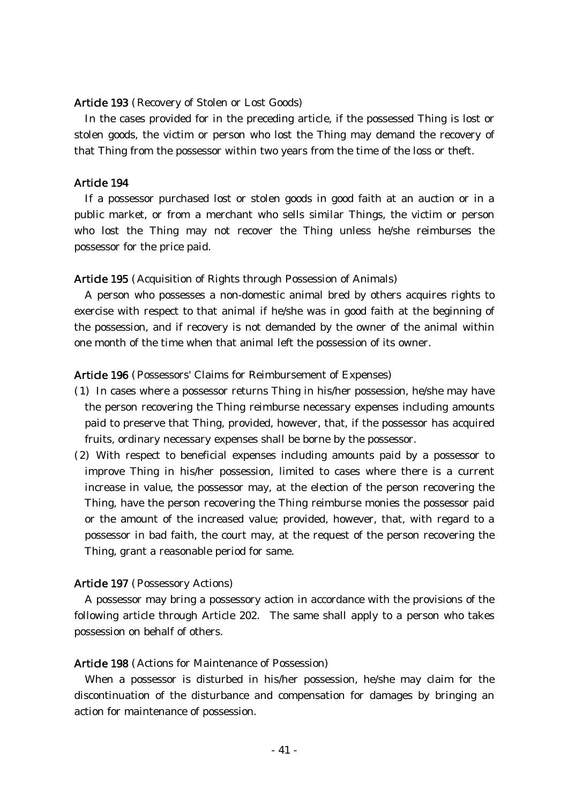### Article 193 (Recovery of Stolen or Lost Goods)

In the cases provided for in the preceding article, if the possessed Thing is lost or stolen goods, the victim or person who lost the Thing may demand the recovery of that Thing from the possessor within two years from the time of the loss or theft.

### Article 194

If a possessor purchased lost or stolen goods in good faith at an auction or in a public market, or from a merchant who sells similar Things, the victim or person who lost the Thing may not recover the Thing unless he/she reimburses the possessor for the price paid.

#### Article 195 (Acquisition of Rights through Possession of Animals)

A person who possesses a non-domestic animal bred by others acquires rights to exercise with respect to that animal if he/she was in good faith at the beginning of the possession, and if recovery is not demanded by the owner of the animal within one month of the time when that animal left the possession of its owner.

#### Article 196 (Possessors' Claims for Reimbursement of Expenses)

- ( )1 In cases where a possessor returns Thing in his/her possession, he/she may have the person recovering the Thing reimburse necessary expenses including amounts paid to preserve that Thing, provided, however, that, if the possessor has acquired fruits, ordinary necessary expenses shall be borne by the possessor.
- $(2)$  With respect to beneficial expenses including amounts paid by a possessor to improve Thing in his/her possession, limited to cases where there is a current increase in value, the possessor may, at the election of the person recovering the Thing, have the person recovering the Thing reimburse monies the possessor paid or the amount of the increased value; provided, however, that, with regard to a possessor in bad faith, the court may, at the request of the person recovering the Thing, grant a reasonable period for same.

#### Article 197 (Possessory Actions)

A possessor may bring a possessory action in accordance with the provisions of the following article through Article 202. The same shall apply to a person who takes possession on behalf of others.

#### Article 198 (Actions for Maintenance of Possession)

When a possessor is disturbed in his/her possession, he/she may claim for the discontinuation of the disturbance and compensation for damages by bringing an action for maintenance of possession.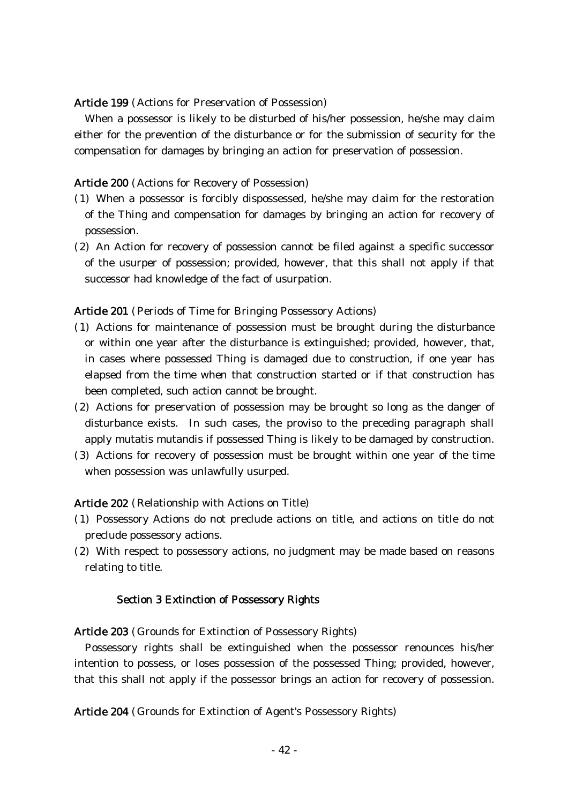### Article 199 (Actions for Preservation of Possession)

When a possessor is likely to be disturbed of his/her possession, he/she may claim either for the prevention of the disturbance or for the submission of security for the compensation for damages by bringing an action for preservation of possession.

### Article 200 (Actions for Recovery of Possession)

- $(1)$  When a possessor is forcibly dispossessed, he/she may claim for the restoration of the Thing and compensation for damages by bringing an action for recovery of possession.
- (2) An Action for recovery of possession cannot be filed against a specific successor of the usurper of possession; provided, however, that this shall not apply if that successor had knowledge of the fact of usurpation.

Article 201 (Periods of Time for Bringing Possessory Actions)

- ( )1 Actions for maintenance of possession must be brought during the disturbance or within one year after the disturbance is extinguished; provided, however, that, in cases where possessed Thing is damaged due to construction, if one year has elapsed from the time when that construction started or if that construction has been completed, such action cannot be brought.
- (2) Actions for preservation of possession may be brought so long as the danger of disturbance exists. In such cases, the proviso to the preceding paragraph shall apply mutatis mutandis if possessed Thing is likely to be damaged by construction.
- ( )3 Actions for recovery of possession must be brought within one year of the time when possession was unlawfully usurped.

Article 202 (Relationship with Actions on Title)

- ( )1 Possessory Actions do not preclude actions on title, and actions on title do not preclude possessory actions.
- (2) With respect to possessory actions, no judgment may be made based on reasons relating to title.

#### Section 3 Extinction of Possessory Rights

Article 203 (Grounds for Extinction of Possessory Rights)

Possessory rights shall be extinguished when the possessor renounces his/her intention to possess, or loses possession of the possessed Thing; provided, however, that this shall not apply if the possessor brings an action for recovery of possession.

Article 204 (Grounds for Extinction of Agent's Possessory Rights)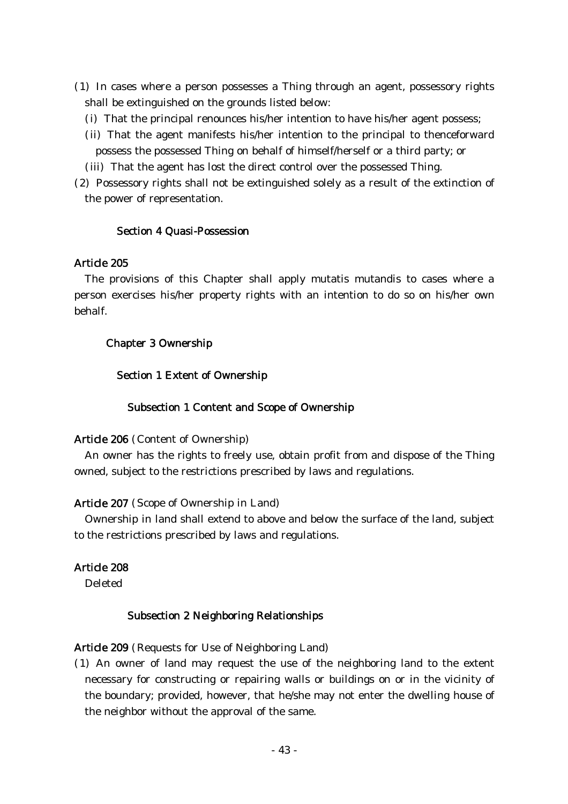- ( )1 In cases where a person possesses a Thing through an agent, possessory rights shall be extinguished on the grounds listed below:
	- (i) That the principal renounces his/her intention to have his/her agent possess;
	- (ii) That the agent manifests his/her intention to the principal to thenceforward possess the possessed Thing on behalf of himself/herself or a third party; or
	- (iii) That the agent has lost the direct control over the possessed Thing.
- (2) Possessory rights shall not be extinguished solely as a result of the extinction of the power of representation.

## Section 4 Quasi-Possession

## Article 205

The provisions of this Chapter shall apply mutatis mutandis to cases where a person exercises his/her property rights with an intention to do so on his/her own behalf.

## Chapter 3 Ownership

# Section 1 Extent of Ownership

## Subsection 1 Content and Scope of Ownership

# Article 206 (Content of Ownership)

An owner has the rights to freely use, obtain profit from and dispose of the Thing owned, subject to the restrictions prescribed by laws and regulations.

## Article 207 (Scope of Ownership in Land)

Ownership in land shall extend to above and below the surface of the land, subject to the restrictions prescribed by laws and regulations.

# Article 208

Deleted

## Subsection 2 Neighboring Relationships

## Article 209 (Requests for Use of Neighboring Land)

( )1 An owner of land may request the use of the neighboring land to the extent necessary for constructing or repairing walls or buildings on or in the vicinity of the boundary; provided, however, that he/she may not enter the dwelling house of the neighbor without the approval of the same.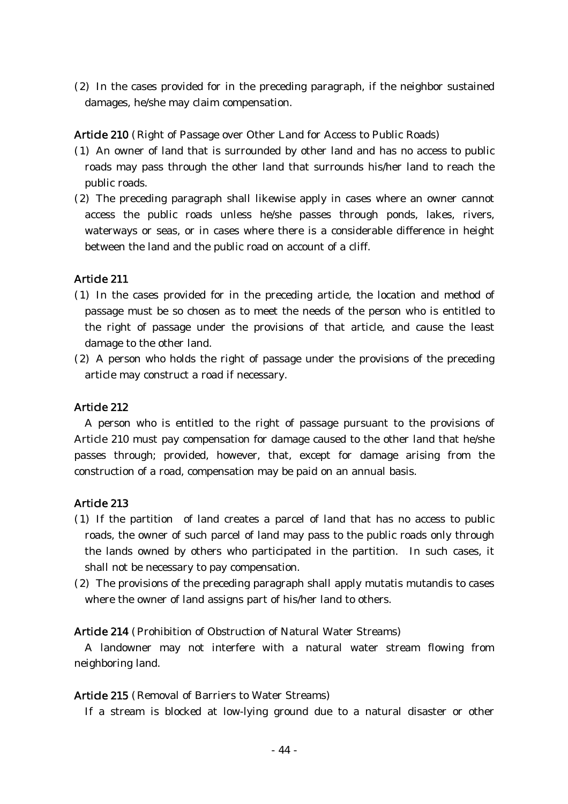$(2)$  In the cases provided for in the preceding paragraph, if the neighbor sustained damages, he/she may claim compensation.

Article 210 (Right of Passage over Other Land for Access to Public Roads)

- (1) An owner of land that is surrounded by other land and has no access to public roads may pass through the other land that surrounds his/her land to reach the public roads.
- $(2)$  The preceding paragraph shall likewise apply in cases where an owner cannot access the public roads unless he/she passes through ponds, lakes, rivers, waterways or seas, or in cases where there is a considerable difference in height between the land and the public road on account of a cliff.

# Article 211

- ( )1 In the cases provided for in the preceding article, the location and method of passage must be so chosen as to meet the needs of the person who is entitled to the right of passage under the provisions of that article, and cause the least damage to the other land.
- $(2)$  A person who holds the right of passage under the provisions of the preceding article may construct a road if necessary.

## Article 212

A person who is entitled to the right of passage pursuant to the provisions of Article 210 must pay compensation for damage caused to the other land that he/she passes through; provided, however, that, except for damage arising from the construction of a road, compensation may be paid on an annual basis.

# Article 213

- ( )1 If the partition of land creates a parcel of land that has no access to public roads, the owner of such parcel of land may pass to the public roads only through the lands owned by others who participated in the partition. In such cases, it shall not be necessary to pay compensation.
- (2) The provisions of the preceding paragraph shall apply mutatis mutandis to cases where the owner of land assigns part of his/her land to others.

## Article 214 (Prohibition of Obstruction of Natural Water Streams)

A landowner may not interfere with a natural water stream flowing from neighboring land.

## Article 215 (Removal of Barriers to Water Streams)

If a stream is blocked at low-lying ground due to a natural disaster or other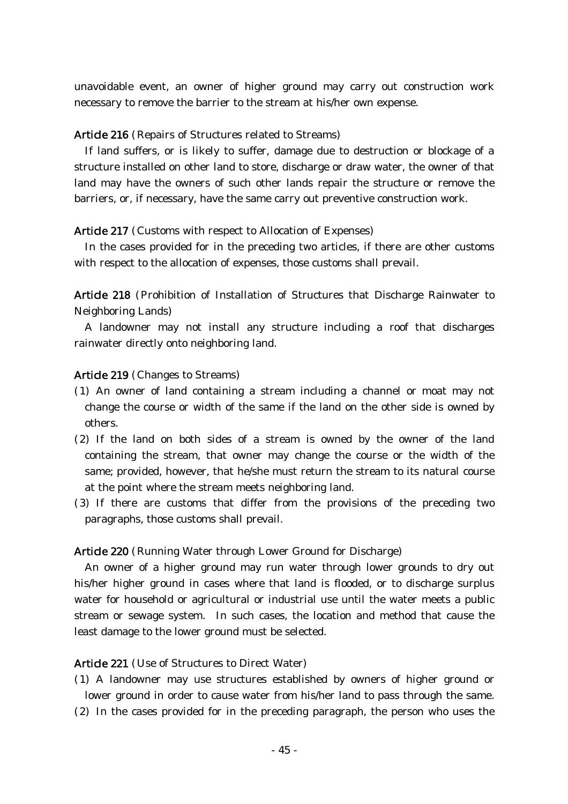unavoidable event, an owner of higher ground may carry out construction work necessary to remove the barrier to the stream at his/her own expense.

## Article 216 (Repairs of Structures related to Streams)

If land suffers, or is likely to suffer, damage due to destruction or blockage of a structure installed on other land to store, discharge or draw water, the owner of that land may have the owners of such other lands repair the structure or remove the barriers, or, if necessary, have the same carry out preventive construction work.

### Article 217 (Customs with respect to Allocation of Expenses)

In the cases provided for in the preceding two articles, if there are other customs with respect to the allocation of expenses, those customs shall prevail.

Article 218 (Prohibition of Installation of Structures that Discharge Rainwater to Neighboring Lands)

A landowner may not install any structure including a roof that discharges rainwater directly onto neighboring land.

## Article 219 (Changes to Streams)

- (1) An owner of land containing a stream including a channel or moat may not change the course or width of the same if the land on the other side is owned by others.
- $(2)$  If the land on both sides of a stream is owned by the owner of the land containing the stream, that owner may change the course or the width of the same; provided, however, that he/she must return the stream to its natural course at the point where the stream meets neighboring land.
- ( )3 If there are customs that differ from the provisions of the preceding two paragraphs, those customs shall prevail.

Article 220 (Running Water through Lower Ground for Discharge)

An owner of a higher ground may run water through lower grounds to dry out his/her higher ground in cases where that land is flooded, or to discharge surplus water for household or agricultural or industrial use until the water meets a public stream or sewage system. In such cases, the location and method that cause the least damage to the lower ground must be selected.

#### Article 221 (Use of Structures to Direct Water)

- ( )1 A landowner may use structures established by owners of higher ground or lower ground in order to cause water from his/her land to pass through the same.
- $(2)$  In the cases provided for in the preceding paragraph, the person who uses the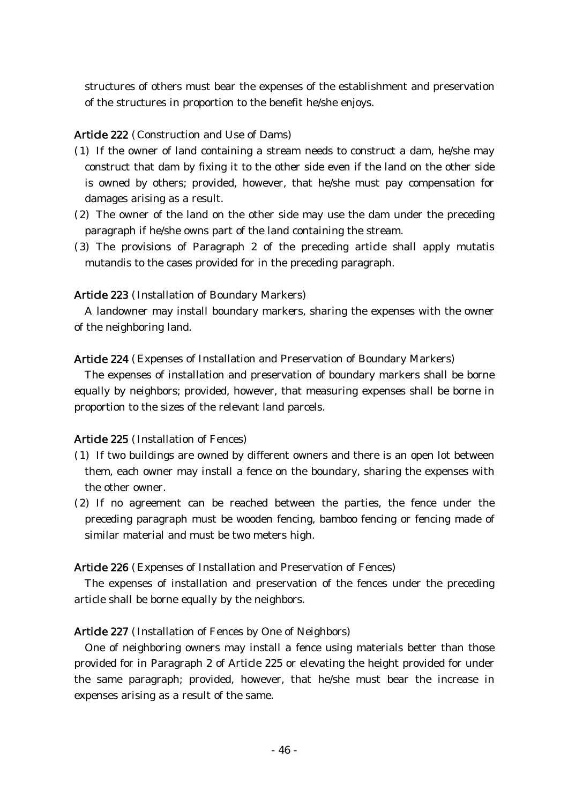structures of others must bear the expenses of the establishment and preservation of the structures in proportion to the benefit he/she enjoys.

## Article 222 (Construction and Use of Dams)

- (1) If the owner of land containing a stream needs to construct a dam, he/she may construct that dam by fixing it to the other side even if the land on the other side is owned by others; provided, however, that he/she must pay compensation for damages arising as a result.
- $(2)$  The owner of the land on the other side may use the dam under the preceding paragraph if he/she owns part of the land containing the stream.
- (3) The provisions of Paragraph 2 of the preceding article shall apply mutatis mutandis to the cases provided for in the preceding paragraph.

## Article 223 (Installation of Boundary Markers)

A landowner may install boundary markers, sharing the expenses with the owner of the neighboring land.

## Article 224 (Expenses of Installation and Preservation of Boundary Markers)

The expenses of installation and preservation of boundary markers shall be borne equally by neighbors; provided, however, that measuring expenses shall be borne in proportion to the sizes of the relevant land parcels.

# Article 225 (Installation of Fences)

- (1) If two buildings are owned by different owners and there is an open lot between them, each owner may install a fence on the boundary, sharing the expenses with the other owner.
- $(2)$  If no agreement can be reached between the parties, the fence under the preceding paragraph must be wooden fencing, bamboo fencing or fencing made of similar material and must be two meters high.

## Article 226 (Expenses of Installation and Preservation of Fences)

The expenses of installation and preservation of the fences under the preceding article shall be borne equally by the neighbors.

# Article 227 (Installation of Fences by One of Neighbors)

One of neighboring owners may install a fence using materials better than those provided for in Paragraph 2 of Article 225 or elevating the height provided for under the same paragraph; provided, however, that he/she must bear the increase in expenses arising as a result of the same.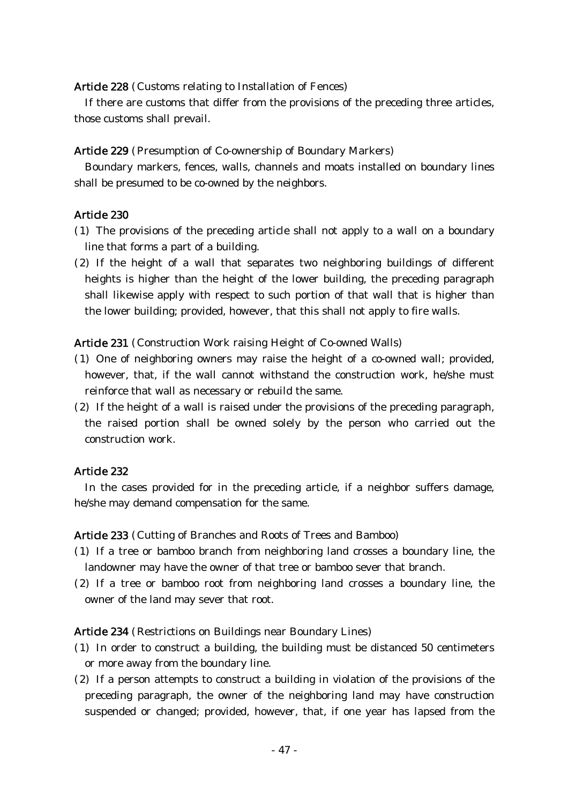Article 228 (Customs relating to Installation of Fences)

If there are customs that differ from the provisions of the preceding three articles, those customs shall prevail.

Article 229 (Presumption of Co-ownership of Boundary Markers)

Boundary markers, fences, walls, channels and moats installed on boundary lines shall be presumed to be co-owned by the neighbors.

### Article 230

- (1) The provisions of the preceding article shall not apply to a wall on a boundary line that forms a part of a building.
- $(2)$  If the height of a wall that separates two neighboring buildings of different heights is higher than the height of the lower building, the preceding paragraph shall likewise apply with respect to such portion of that wall that is higher than the lower building; provided, however, that this shall not apply to fire walls.

Article 231 (Construction Work raising Height of Co-owned Walls)

- ( )1 One of neighboring owners may raise the height of a co-owned wall; provided, however, that, if the wall cannot withstand the construction work, he/she must reinforce that wall as necessary or rebuild the same.
- $(2)$  If the height of a wall is raised under the provisions of the preceding paragraph, the raised portion shall be owned solely by the person who carried out the construction work.

#### Article 232

In the cases provided for in the preceding article, if a neighbor suffers damage, he/she may demand compensation for the same.

Article 233 (Cutting of Branches and Roots of Trees and Bamboo)

- ( )1 If a tree or bamboo branch from neighboring land crosses a boundary line, the landowner may have the owner of that tree or bamboo sever that branch.
- (2) If a tree or bamboo root from neighboring land crosses a boundary line, the owner of the land may sever that root.

Article 234 (Restrictions on Buildings near Boundary Lines)

- ( )1 In order to construct a building, the building must be distanced 50 centimeters or more away from the boundary line.
- $(2)$  If a person attempts to construct a building in violation of the provisions of the preceding paragraph, the owner of the neighboring land may have construction suspended or changed; provided, however, that, if one year has lapsed from the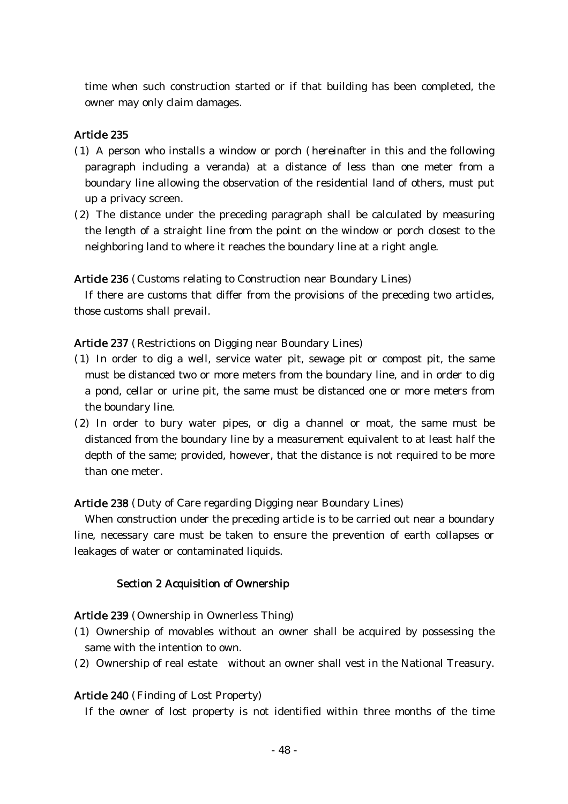time when such construction started or if that building has been completed, the owner may only claim damages.

## Article 235

- $(1)$  A person who installs a window or porch (hereinafter in this and the following paragraph including a veranda) at a distance of less than one meter from a boundary line allowing the observation of the residential land of others, must put up a privacy screen.
- $(2)$  The distance under the preceding paragraph shall be calculated by measuring the length of a straight line from the point on the window or porch closest to the neighboring land to where it reaches the boundary line at a right angle.

Article 236 (Customs relating to Construction near Boundary Lines)

If there are customs that differ from the provisions of the preceding two articles, those customs shall prevail.

Article 237 (Restrictions on Digging near Boundary Lines)

- (1) In order to dig a well, service water pit, sewage pit or compost pit, the same must be distanced two or more meters from the boundary line, and in order to dig a pond, cellar or urine pit, the same must be distanced one or more meters from the boundary line.
- $(2)$  In order to bury water pipes, or dig a channel or moat, the same must be distanced from the boundary line by a measurement equivalent to at least half the depth of the same; provided, however, that the distance is not required to be more than one meter.

Article 238 (Duty of Care regarding Digging near Boundary Lines)

When construction under the preceding article is to be carried out near a boundary line, necessary care must be taken to ensure the prevention of earth collapses or leakages of water or contaminated liquids.

## Section 2 Acquisition of Ownership

## Article 239 (Ownership in Ownerless Thing)

- ( )1 Ownership of movables without an owner shall be acquired by possessing the same with the intention to own.
- (2) Ownership of real estate without an owner shall vest in the National Treasury.

## Article 240 (Finding of Lost Property)

If the owner of lost property is not identified within three months of the time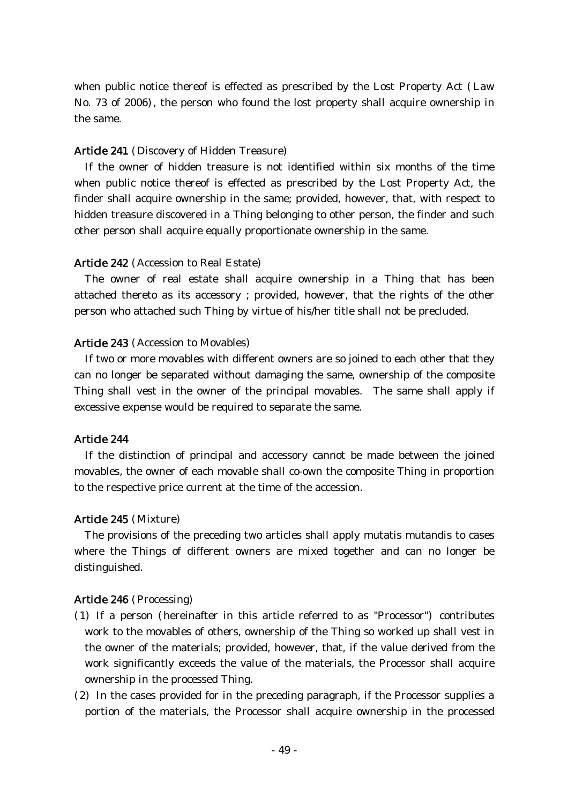when public notice thereof is effected as prescribed by the Lost Property Act (Law No. 73 of 2006), the person who found the lost property shall acquire ownership in the same.

## Article 241 (Discovery of Hidden Treasure)

If the owner of hidden treasure is not identified within six months of the time when public notice thereof is effected as prescribed by the Lost Property Act, the finder shall acquire ownership in the same; provided, however, that, with respect to hidden treasure discovered in a Thing belonging to other person, the finder and such other person shall acquire equally proportionate ownership in the same.

### Article 242 (Accession to Real Estate)

The owner of real estate shall acquire ownership in a Thing that has been attached thereto as its accessory ; provided, however, that the rights of the other person who attached such Thing by virtue of his/her title shall not be precluded.

### Article 243 (Accession to Movables)

If two or more movables with different owners are so joined to each other that they can no longer be separated without damaging the same, ownership of the composite Thing shall vest in the owner of the principal movables. The same shall apply if excessive expense would be required to separate the same.

#### Article 244

If the distinction of principal and accessory cannot be made between the joined movables, the owner of each movable shall co-own the composite Thing in proportion to the respective price current at the time of the accession.

## Article 245 (Mixture)

The provisions of the preceding two articles shall apply mutatis mutandis to cases where the Things of different owners are mixed together and can no longer be distinguished.

## Article 246 (Processing)

- $(1)$  If a person (hereinafter in this article referred to as "Processor") contributes work to the movables of others, ownership of the Thing so worked up shall vest in the owner of the materials; provided, however, that, if the value derived from the work significantly exceeds the value of the materials, the Processor shall acquire ownership in the processed Thing.
- $(2)$  In the cases provided for in the preceding paragraph, if the Processor supplies a portion of the materials, the Processor shall acquire ownership in the processed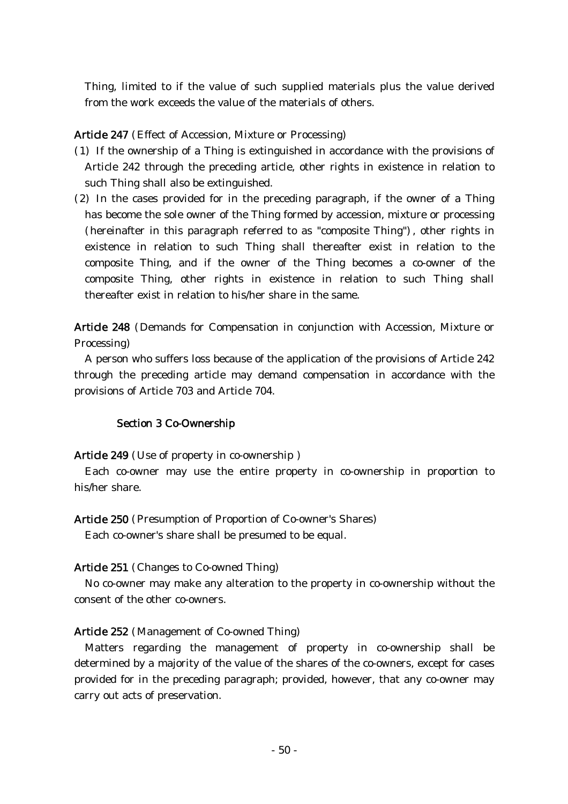Thing, limited to if the value of such supplied materials plus the value derived from the work exceeds the value of the materials of others.

# Article 247 (Effect of Accession, Mixture or Processing)

- (1) If the ownership of a Thing is extinguished in accordance with the provisions of Article 242 through the preceding article, other rights in existence in relation to such Thing shall also be extinguished.
- $(2)$  In the cases provided for in the preceding paragraph, if the owner of a Thing has become the sole owner of the Thing formed by accession, mixture or processing (hereinafter in this paragraph referred to as "composite Thing"), other rights in existence in relation to such Thing shall thereafter exist in relation to the composite Thing, and if the owner of the Thing becomes a co-owner of the composite Thing, other rights in existence in relation to such Thing shall thereafter exist in relation to his/her share in the same.

Article 248 (Demands for Compensation in conjunction with Accession, Mixture or Processing)

A person who suffers loss because of the application of the provisions of Article 242 through the preceding article may demand compensation in accordance with the provisions of Article 703 and Article 704.

## Section 3 Co-Ownership

Article 249 (Use of property in co-ownership)

Each co-owner may use the entire property in co-ownership in proportion to his/her share.

Article 250 (Presumption of Proportion of Co-owner's Shares)

Each co-owner's share shall be presumed to be equal.

# Article  $251$  (Changes to Co-owned Thing)

No co-owner may make any alteration to the property in co-ownership without the consent of the other co-owners.

# Article 252 (Management of Co-owned Thing)

Matters regarding the management of property in co-ownership shall be determined by a majority of the value of the shares of the co-owners, except for cases provided for in the preceding paragraph; provided, however, that any co-owner may carry out acts of preservation.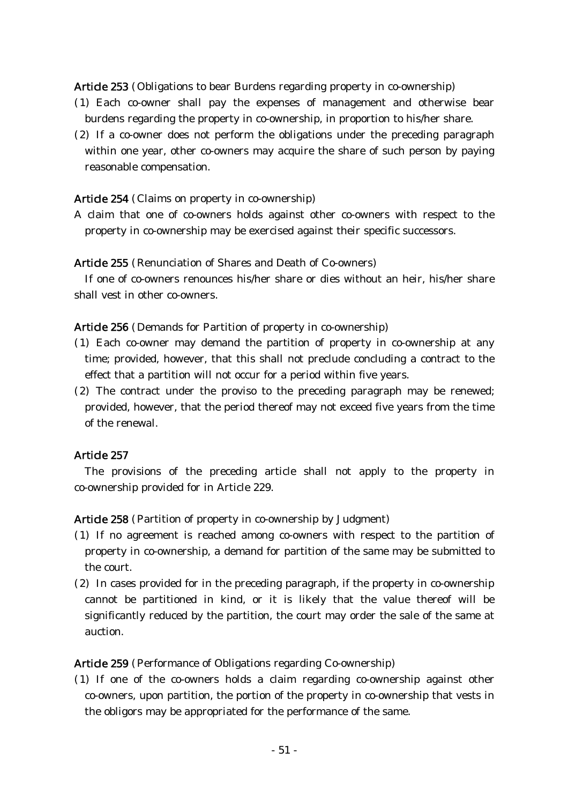Article 253 (Obligations to bear Burdens regarding property in co-ownership)

- ( )1 Each co-owner shall pay the expenses of management and otherwise bear burdens regarding the property in co-ownership, in proportion to his/her share.
- $(2)$  If a co-owner does not perform the obligations under the preceding paragraph within one year, other co-owners may acquire the share of such person by paying reasonable compensation.

### Article 254 (Claims on property in co-ownership)

A claim that one of co-owners holds against other co-owners with respect to the property in co-ownership may be exercised against their specific successors.

#### Article 255 (Renunciation of Shares and Death of Co-owners)

If one of co-owners renounces his/her share or dies without an heir, his/her share shall vest in other co-owners.

### Article 256 (Demands for Partition of property in co-ownership)

- ( )1 Each co-owner may demand the partition of property in co-ownership at any time; provided, however, that this shall not preclude concluding a contract to the effect that a partition will not occur for a period within five years.
- $(2)$  The contract under the proviso to the preceding paragraph may be renewed; provided, however, that the period thereof may not exceed five years from the time of the renewal.

### Article 257

The provisions of the preceding article shall not apply to the property in co-ownership provided for in Article 229.

Article 258 (Partition of property in co-ownership by Judgment)

- ( )1 If no agreement is reached among co-owners with respect to the partition of property in co-ownership, a demand for partition of the same may be submitted to the court.
- $(2)$  In cases provided for in the preceding paragraph, if the property in co-ownership cannot be partitioned in kind, or it is likely that the value thereof will be significantly reduced by the partition, the court may order the sale of the same at auction.

#### Article 259 (Performance of Obligations regarding Co-ownership)

( )1 If one of the co-owners holds a claim regarding co-ownership against other co-owners, upon partition, the portion of the property in co-ownership that vests in the obligors may be appropriated for the performance of the same.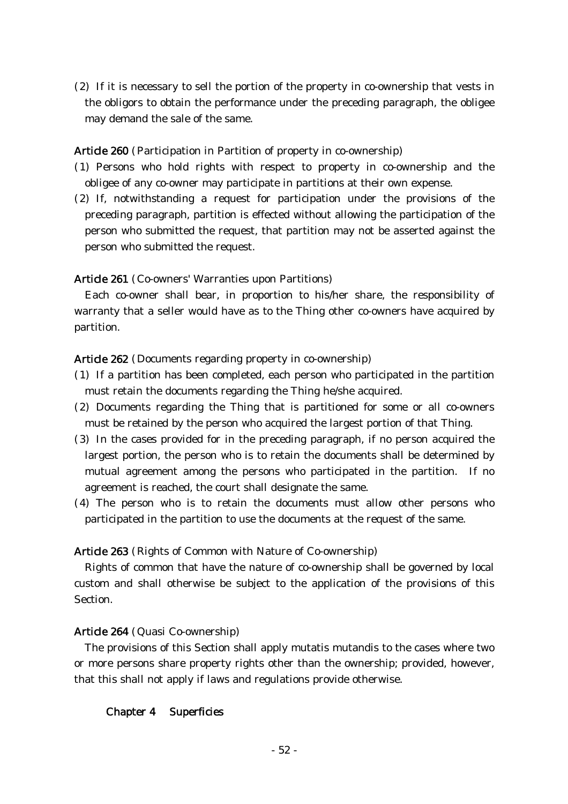$(2)$  If it is necessary to sell the portion of the property in co-ownership that vests in the obligors to obtain the performance under the preceding paragraph, the obligee may demand the sale of the same.

## Article 260 (Participation in Partition of property in co-ownership)

- ( )1 Persons who hold rights with respect to property in co-ownership and the obligee of any co-owner may participate in partitions at their own expense.
- (2) If, notwithstanding a request for participation under the provisions of the preceding paragraph, partition is effected without allowing the participation of the person who submitted the request, that partition may not be asserted against the person who submitted the request.

# Article 261 (Co-owners' Warranties upon Partitions)

Each co-owner shall bear, in proportion to his/her share, the responsibility of warranty that a seller would have as to the Thing other co-owners have acquired by partition.

## Article 262 (Documents regarding property in co-ownership)

- ( )1 If a partition has been completed, each person who participated in the partition must retain the documents regarding the Thing he/she acquired.
- (2) Documents regarding the Thing that is partitioned for some or all co-owners must be retained by the person who acquired the largest portion of that Thing.
- ( )3 In the cases provided for in the preceding paragraph, if no person acquired the largest portion, the person who is to retain the documents shall be determined by mutual agreement among the persons who participated in the partition. If no agreement is reached, the court shall designate the same.
- (4) The person who is to retain the documents must allow other persons who participated in the partition to use the documents at the request of the same.

# Article 263 (Rights of Common with Nature of Co-ownership)

Rights of common that have the nature of co-ownership shall be governed by local custom and shall otherwise be subject to the application of the provisions of this Section.

# Article 264 (Quasi Co-ownership)

The provisions of this Section shall apply mutatis mutandis to the cases where two or more persons share property rights other than the ownership; provided, however, that this shall not apply if laws and regulations provide otherwise.

# Chapter 4 Superficies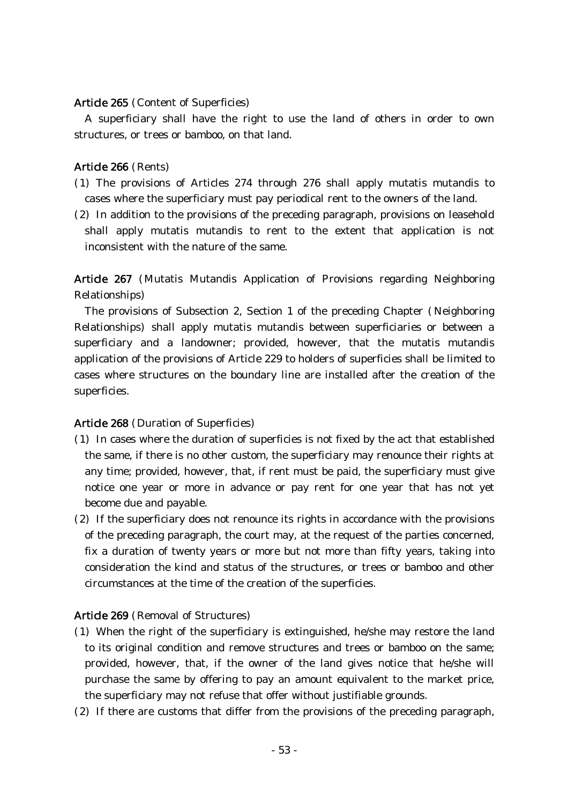### Article 265 (Content of Superficies)

A superficiary shall have the right to use the land of others in order to own structures, or trees or bamboo, on that land.

### Article 266 (Rents)

- ( )1 The provisions of Articles 274 through 276 shall apply mutatis mutandis to cases where the superficiary must pay periodical rent to the owners of the land.
- $(2)$  In addition to the provisions of the preceding paragraph, provisions on leasehold shall apply mutatis mutandis to rent to the extent that application is not inconsistent with the nature of the same.

Article 267 (Mutatis Mutandis Application of Provisions regarding Neighboring Relationships)

The provisions of Subsection 2, Section 1 of the preceding Chapter (Neighboring Relationships) shall apply mutatis mutandis between superficiaries or between a superficiary and a landowner; provided, however, that the mutatis mutandis application of the provisions of Article 229 to holders of superficies shall be limited to cases where structures on the boundary line are installed after the creation of the superficies.

#### Article 268 (Duration of Superficies)

- ( )1 In cases where the duration of superficies is not fixed by the act that established the same, if there is no other custom, the superficiary may renounce their rights at any time; provided, however, that, if rent must be paid, the superficiary must give notice one year or more in advance or pay rent for one year that has not yet become due and payable.
- $(2)$  If the superficiary does not renounce its rights in accordance with the provisions of the preceding paragraph, the court may, at the request of the parties concerned, fix a duration of twenty years or more but not more than fifty years, taking into consideration the kind and status of the structures, or trees or bamboo and other circumstances at the time of the creation of the superficies.

### Article 269 (Removal of Structures)

- ( )1 When the right of the superficiary is extinguished, he/she may restore the land to its original condition and remove structures and trees or bamboo on the same; provided, however, that, if the owner of the land gives notice that he/she will purchase the same by offering to pay an amount equivalent to the market price, the superficiary may not refuse that offer without justifiable grounds.
- $(2)$  If there are customs that differ from the provisions of the preceding paragraph,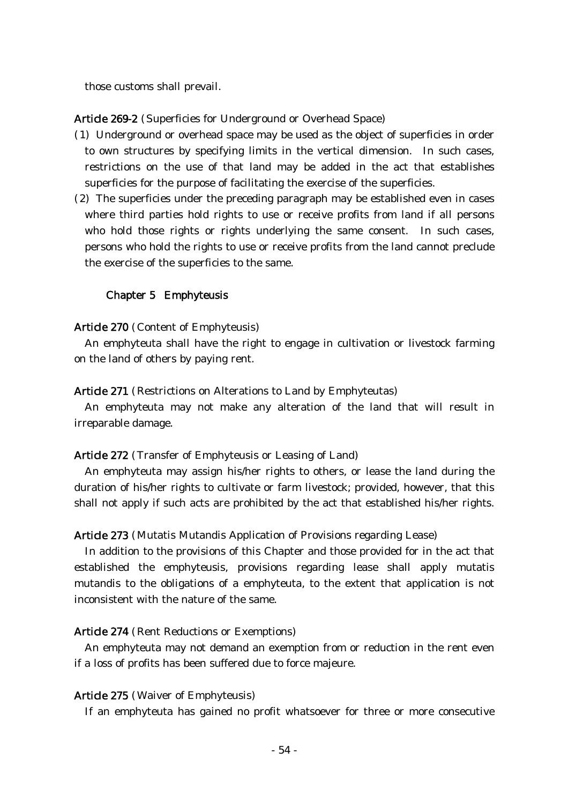those customs shall prevail.

Article 269-2 (Superficies for Underground or Overhead Space)

- ( )1 Underground or overhead space may be used as the object of superficies in order to own structures by specifying limits in the vertical dimension. In such cases, restrictions on the use of that land may be added in the act that establishes superficies for the purpose of facilitating the exercise of the superficies.
- $(2)$  The superficies under the preceding paragraph may be established even in cases where third parties hold rights to use or receive profits from land if all persons who hold those rights or rights underlying the same consent. In such cases, persons who hold the rights to use or receive profits from the land cannot preclude the exercise of the superficies to the same.

#### Chapter 5 Emphyteusis

#### Article 270 (Content of Emphyteusis)

An emphyteuta shall have the right to engage in cultivation or livestock farming on the land of others by paying rent.

#### Article 271 (Restrictions on Alterations to Land by Emphyteutas)

An emphyteuta may not make any alteration of the land that will result in irreparable damage.

#### Article 272 (Transfer of Emphyteusis or Leasing of Land)

An emphyteuta may assign his/her rights to others, or lease the land during the duration of his/her rights to cultivate or farm livestock; provided, however, that this shall not apply if such acts are prohibited by the act that established his/her rights.

#### Article 273 (Mutatis Mutandis Application of Provisions regarding Lease)

In addition to the provisions of this Chapter and those provided for in the act that established the emphyteusis, provisions regarding lease shall apply mutatis mutandis to the obligations of a emphyteuta, to the extent that application is not inconsistent with the nature of the same.

#### Article 274 (Rent Reductions or Exemptions)

An emphyteuta may not demand an exemption from or reduction in the rent even if a loss of profits has been suffered due to force majeure.

## Article 275 (Waiver of Emphyteusis)

If an emphyteuta has gained no profit whatsoever for three or more consecutive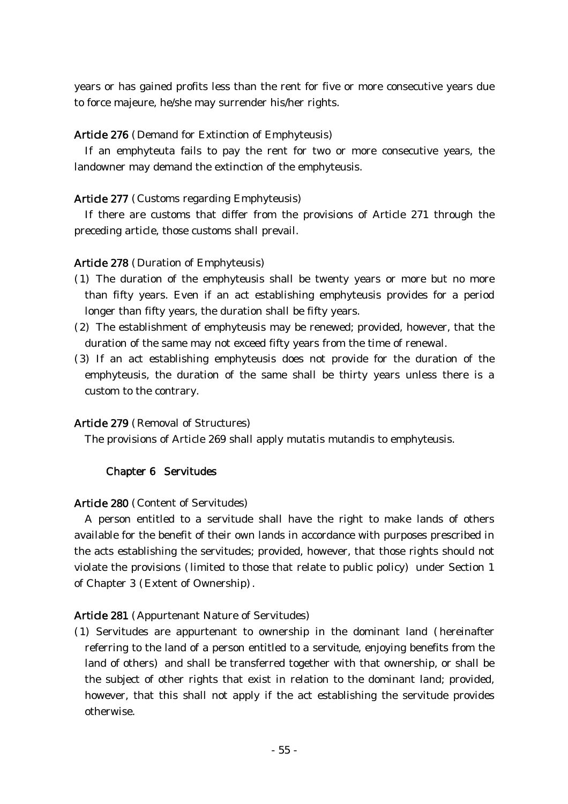years or has gained profits less than the rent for five or more consecutive years due to force majeure, he/she may surrender his/her rights.

## Article 276 (Demand for Extinction of Emphyteusis)

If an emphyteuta fails to pay the rent for two or more consecutive years, the landowner may demand the extinction of the emphyteusis.

# Article 277 (Customs regarding Emphyteusis)

If there are customs that differ from the provisions of Article 271 through the preceding article, those customs shall prevail.

# Article 278 (Duration of Emphyteusis)

- (1) The duration of the emphyteusis shall be twenty years or more but no more than fifty years. Even if an act establishing emphyteusis provides for a period longer than fifty years, the duration shall be fifty years.
- (2) The establishment of emphyteusis may be renewed; provided, however, that the duration of the same may not exceed fifty years from the time of renewal.
- (3) If an act establishing emphyteusis does not provide for the duration of the emphyteusis, the duration of the same shall be thirty years unless there is a custom to the contrary.

# Article 279 (Removal of Structures)

The provisions of Article 269 shall apply mutatis mutandis to emphyteusis.

# Chapter 6 Servitudes

## Article 280 (Content of Servitudes)

A person entitled to a servitude shall have the right to make lands of others available for the benefit of their own lands in accordance with purposes prescribed in the acts establishing the servitudes; provided, however, that those rights should not violate the provisions (limited to those that relate to public policy) under Section  $1$ of Chapter 3 (Extent of Ownership).

# Article 281 (Appurtenant Nature of Servitudes)

 $(1)$  Servitudes are appurtenant to ownership in the dominant land (hereinafter referring to the land of a person entitled to a servitude, enjoying benefits from the land of others) and shall be transferred together with that ownership, or shall be the subject of other rights that exist in relation to the dominant land; provided, however, that this shall not apply if the act establishing the servitude provides otherwise.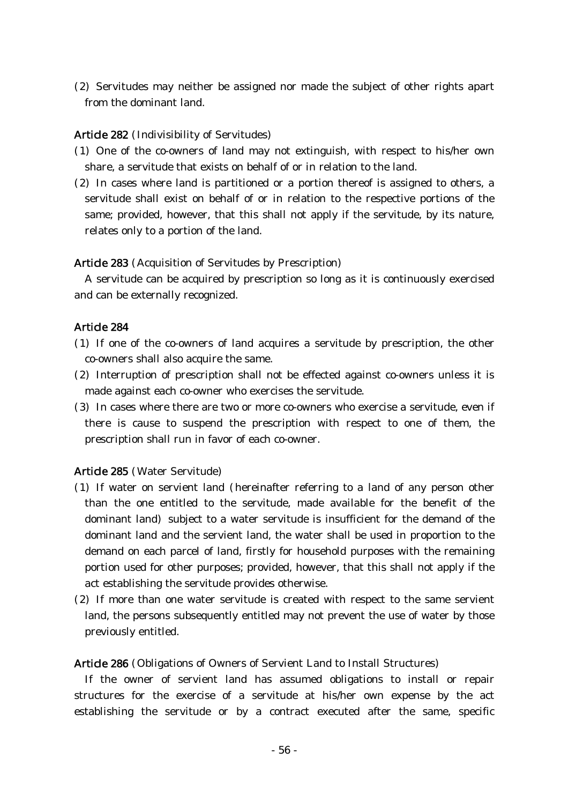(2) Servitudes may neither be assigned nor made the subject of other rights apart from the dominant land.

## Article 282 (Indivisibility of Servitudes)

- ( )1 One of the co-owners of land may not extinguish, with respect to his/her own share, a servitude that exists on behalf of or in relation to the land.
- $(2)$  In cases where land is partitioned or a portion thereof is assigned to others, a servitude shall exist on behalf of or in relation to the respective portions of the same; provided, however, that this shall not apply if the servitude, by its nature, relates only to a portion of the land.

# Article 283 (Acquisition of Servitudes by Prescription)

A servitude can be acquired by prescription so long as it is continuously exercised and can be externally recognized.

## Article 284

- ( )1 If one of the co-owners of land acquires a servitude by prescription, the other co-owners shall also acquire the same.
- (2) Interruption of prescription shall not be effected against co-owners unless it is made against each co-owner who exercises the servitude.
- ( )3 In cases where there are two or more co-owners who exercise a servitude, even if there is cause to suspend the prescription with respect to one of them, the prescription shall run in favor of each co-owner.

# Article 285 (Water Servitude)

- (1) If water on servient land (hereinafter referring to a land of any person other than the one entitled to the servitude, made available for the benefit of the dominant land) subject to a water servitude is insufficient for the demand of the dominant land and the servient land, the water shall be used in proportion to the demand on each parcel of land, firstly for household purposes with the remaining portion used for other purposes; provided, however, that this shall not apply if the act establishing the servitude provides otherwise.
- $(2)$  If more than one water servitude is created with respect to the same servient land, the persons subsequently entitled may not prevent the use of water by those previously entitled.

## Article 286 (Obligations of Owners of Servient Land to Install Structures)

If the owner of servient land has assumed obligations to install or repair structures for the exercise of a servitude at his/her own expense by the act establishing the servitude or by a contract executed after the same, specific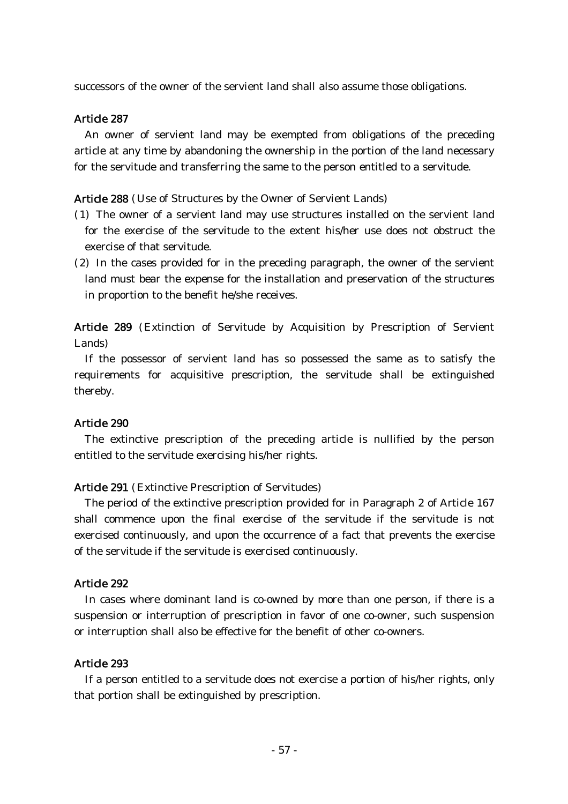successors of the owner of the servient land shall also assume those obligations.

### Article 287

An owner of servient land may be exempted from obligations of the preceding article at any time by abandoning the ownership in the portion of the land necessary for the servitude and transferring the same to the person entitled to a servitude.

Article 288 (Use of Structures by the Owner of Servient Lands)

- ( )1 The owner of a servient land may use structures installed on the servient land for the exercise of the servitude to the extent his/her use does not obstruct the exercise of that servitude.
- $(2)$  In the cases provided for in the preceding paragraph, the owner of the servient land must bear the expense for the installation and preservation of the structures in proportion to the benefit he/she receives.

Article 289 (Extinction of Servitude by Acquisition by Prescription of Servient Lands)

If the possessor of servient land has so possessed the same as to satisfy the requirements for acquisitive prescription, the servitude shall be extinguished thereby.

#### Article 290

The extinctive prescription of the preceding article is nullified by the person entitled to the servitude exercising his/her rights.

#### Article 291 (Extinctive Prescription of Servitudes)

The period of the extinctive prescription provided for in Paragraph 2 of Article 167 shall commence upon the final exercise of the servitude if the servitude is not exercised continuously, and upon the occurrence of a fact that prevents the exercise of the servitude if the servitude is exercised continuously.

## Article 292

In cases where dominant land is co-owned by more than one person, if there is a suspension or interruption of prescription in favor of one co-owner, such suspension or interruption shall also be effective for the benefit of other co-owners.

### Article 293

If a person entitled to a servitude does not exercise a portion of his/her rights, only that portion shall be extinguished by prescription.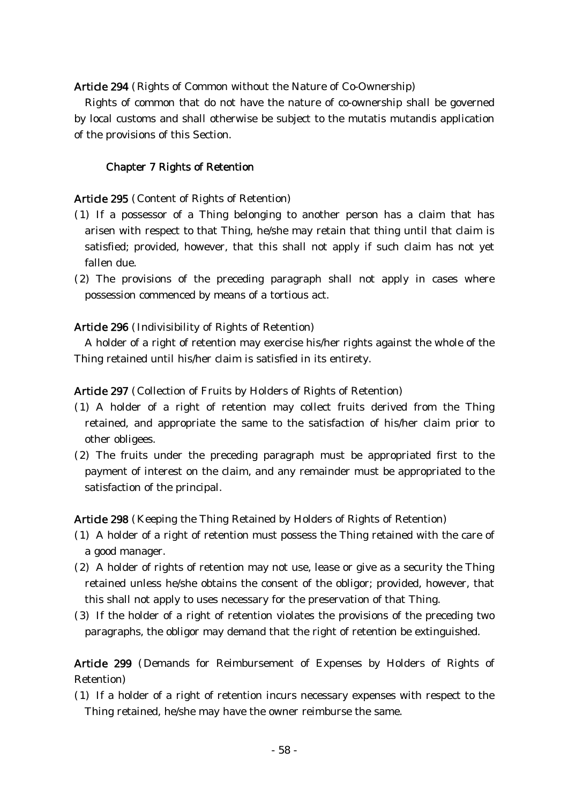Article 294 (Rights of Common without the Nature of Co-Ownership)

Rights of common that do not have the nature of co-ownership shall be governed by local customs and shall otherwise be subject to the mutatis mutandis application of the provisions of this Section.

## Chapter 7 Rights of Retention

Article 295 (Content of Rights of Retention)

- ( )1 If a possessor of a Thing belonging to another person has a claim that has arisen with respect to that Thing, he/she may retain that thing until that claim is satisfied; provided, however, that this shall not apply if such claim has not yet fallen due.
- $(2)$  The provisions of the preceding paragraph shall not apply in cases where possession commenced by means of a tortious act.

### Article 296 (Indivisibility of Rights of Retention)

A holder of a right of retention may exercise his/her rights against the whole of the Thing retained until his/her claim is satisfied in its entirety.

Article 297 (Collection of Fruits by Holders of Rights of Retention)

- ( )1 A holder of a right of retention may collect fruits derived from the Thing retained, and appropriate the same to the satisfaction of his/her claim prior to other obligees.
- (2) The fruits under the preceding paragraph must be appropriated first to the payment of interest on the claim, and any remainder must be appropriated to the satisfaction of the principal.

Article 298 (Keeping the Thing Retained by Holders of Rights of Retention)

- (1) A holder of a right of retention must possess the Thing retained with the care of a good manager.
- $(2)$  A holder of rights of retention may not use, lease or give as a security the Thing retained unless he/she obtains the consent of the obligor; provided, however, that this shall not apply to uses necessary for the preservation of that Thing.
- (3) If the holder of a right of retention violates the provisions of the preceding two paragraphs, the obligor may demand that the right of retention be extinguished.

# Article 299 (Demands for Reimbursement of Expenses by Holders of Rights of Retention)

(1) If a holder of a right of retention incurs necessary expenses with respect to the Thing retained, he/she may have the owner reimburse the same.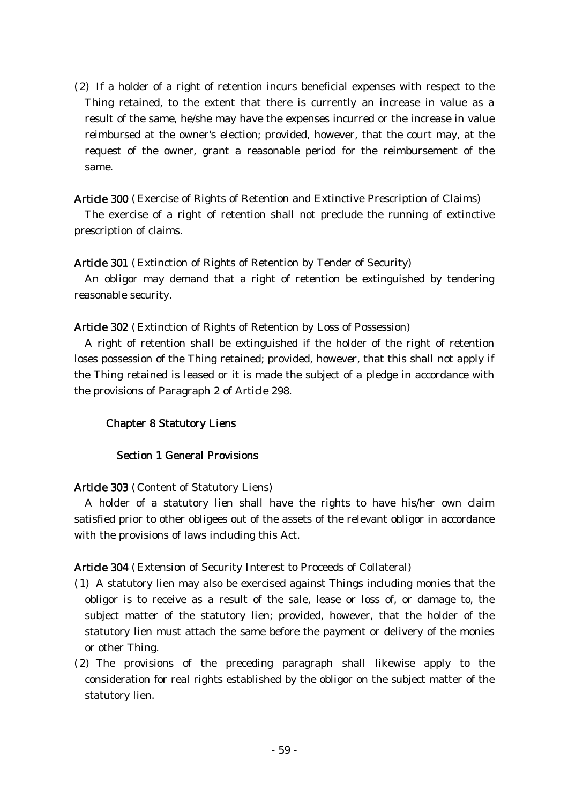$(2)$  If a holder of a right of retention incurs beneficial expenses with respect to the Thing retained, to the extent that there is currently an increase in value as a result of the same, he/she may have the expenses incurred or the increase in value reimbursed at the owner's election; provided, however, that the court may, at the request of the owner, grant a reasonable period for the reimbursement of the same.

Article 300 (Exercise of Rights of Retention and Extinctive Prescription of Claims)

The exercise of a right of retention shall not preclude the running of extinctive prescription of claims.

Article 301 (Extinction of Rights of Retention by Tender of Security)

An obligor may demand that a right of retention be extinguished by tendering reasonable security.

Article 302 (Extinction of Rights of Retention by Loss of Possession)

A right of retention shall be extinguished if the holder of the right of retention loses possession of the Thing retained; provided, however, that this shall not apply if the Thing retained is leased or it is made the subject of a pledge in accordance with the provisions of Paragraph 2 of Article 298.

# Chapter 8 Statutory Liens

## Section 1 General Provisions

Article 303 (Content of Statutory Liens)

A holder of a statutory lien shall have the rights to have his/her own claim satisfied prior to other obligees out of the assets of the relevant obligor in accordance with the provisions of laws including this Act.

Article 304 (Extension of Security Interest to Proceeds of Collateral)

- ( )1 A statutory lien may also be exercised against Things including monies that the obligor is to receive as a result of the sale, lease or loss of, or damage to, the subject matter of the statutory lien; provided, however, that the holder of the statutory lien must attach the same before the payment or delivery of the monies or other Thing.
- $(2)$  The provisions of the preceding paragraph shall likewise apply to the consideration for real rights established by the obligor on the subject matter of the statutory lien.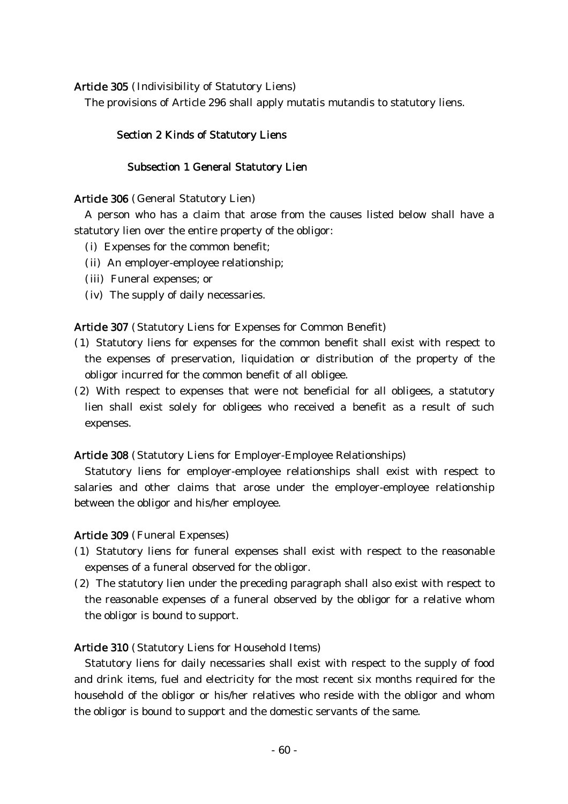### Article 305 (Indivisibility of Statutory Liens)

The provisions of Article 296 shall apply mutatis mutandis to statutory liens.

### Section 2 Kinds of Statutory Liens

#### Subsection 1 General Statutory Lien

Article 306 (General Statutory Lien)

A person who has a claim that arose from the causes listed below shall have a statutory lien over the entire property of the obligor:

- (i) Expenses for the common benefit;
- (ii) An employer-employee relationship;
- (iii) Funeral expenses; or
- (iv) The supply of daily necessaries.

Article 307 (Statutory Liens for Expenses for Common Benefit)

- ( )1 Statutory liens for expenses for the common benefit shall exist with respect to the expenses of preservation, liquidation or distribution of the property of the obligor incurred for the common benefit of all obligee.
- (2) With respect to expenses that were not beneficial for all obligees, a statutory lien shall exist solely for obligees who received a benefit as a result of such expenses.

Article 308 (Statutory Liens for Employer-Employee Relationships)

Statutory liens for employer-employee relationships shall exist with respect to salaries and other claims that arose under the employer-employee relationship between the obligor and his/her employee.

#### Article 309 (Funeral Expenses)

- ( )1 Statutory liens for funeral expenses shall exist with respect to the reasonable expenses of a funeral observed for the obligor.
- $(2)$  The statutory lien under the preceding paragraph shall also exist with respect to the reasonable expenses of a funeral observed by the obligor for a relative whom the obligor is bound to support.

#### Article 310 (Statutory Liens for Household Items)

Statutory liens for daily necessaries shall exist with respect to the supply of food and drink items, fuel and electricity for the most recent six months required for the household of the obligor or his/her relatives who reside with the obligor and whom the obligor is bound to support and the domestic servants of the same.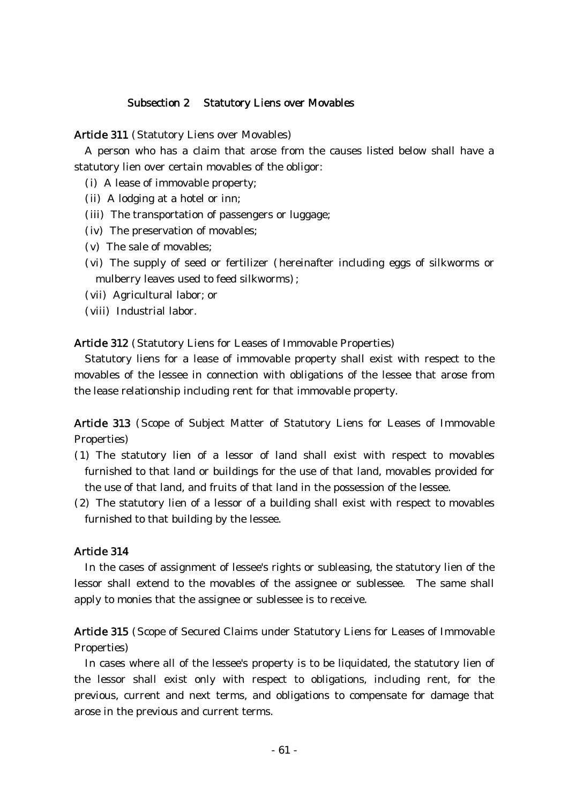### Subsection 2 Statutory Liens over Movables

Article 311 (Statutory Liens over Movables)

A person who has a claim that arose from the causes listed below shall have a statutory lien over certain movables of the obligor:

- (i) A lease of immovable property;
- $(iii)$  A lodging at a hotel or inn;
- (iii) The transportation of passengers or luggage;
- (iv) The preservation of movables;
- $(v)$  The sale of movables;
- (vi) The supply of seed or fertilizer (hereinafter including eggs of silkworms or mulberry leaves used to feed silkworms);
- (vii) Agricultural labor; or
- (viii) Industrial labor.

Article 312 (Statutory Liens for Leases of Immovable Properties)

Statutory liens for a lease of immovable property shall exist with respect to the movables of the lessee in connection with obligations of the lessee that arose from the lease relationship including rent for that immovable property.

Article 313 (Scope of Subject Matter of Statutory Liens for Leases of Immovable Properties)

- ( )1 The statutory lien of a lessor of land shall exist with respect to movables furnished to that land or buildings for the use of that land, movables provided for the use of that land, and fruits of that land in the possession of the lessee.
- $(2)$  The statutory lien of a lessor of a building shall exist with respect to movables furnished to that building by the lessee.

### Article 314

In the cases of assignment of lessee's rights or subleasing, the statutory lien of the lessor shall extend to the movables of the assignee or sublessee. The same shall apply to monies that the assignee or sublessee is to receive.

Article 315 (Scope of Secured Claims under Statutory Liens for Leases of Immovable Properties)

In cases where all of the lessee's property is to be liquidated, the statutory lien of the lessor shall exist only with respect to obligations, including rent, for the previous, current and next terms, and obligations to compensate for damage that arose in the previous and current terms.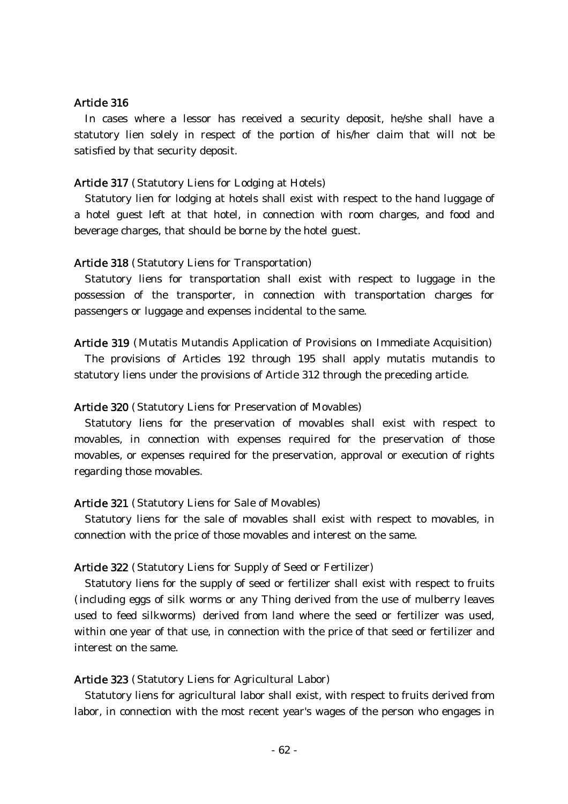## Article 316

In cases where a lessor has received a security deposit, he/she shall have a statutory lien solely in respect of the portion of his/her claim that will not be satisfied by that security deposit.

#### Article 317 (Statutory Liens for Lodging at Hotels)

Statutory lien for lodging at hotels shall exist with respect to the hand luggage of a hotel guest left at that hotel, in connection with room charges, and food and beverage charges, that should be borne by the hotel guest.

#### Article 318 (Statutory Liens for Transportation)

Statutory liens for transportation shall exist with respect to luggage in the possession of the transporter, in connection with transportation charges for passengers or luggage and expenses incidental to the same.

Article 319 (Mutatis Mutandis Application of Provisions on Immediate Acquisition)

The provisions of Articles 192 through 195 shall apply mutatis mutandis to statutory liens under the provisions of Article 312 through the preceding article.

#### Article 320 (Statutory Liens for Preservation of Movables)

Statutory liens for the preservation of movables shall exist with respect to movables, in connection with expenses required for the preservation of those movables, or expenses required for the preservation, approval or execution of rights regarding those movables.

#### Article 321 (Statutory Liens for Sale of Movables)

Statutory liens for the sale of movables shall exist with respect to movables, in connection with the price of those movables and interest on the same.

#### Article 322 (Statutory Liens for Supply of Seed or Fertilizer)

Statutory liens for the supply of seed or fertilizer shall exist with respect to fruits (including eggs of silk worms or any Thing derived from the use of mulberry leaves used to feed silkworms) derived from land where the seed or fertilizer was used, within one year of that use, in connection with the price of that seed or fertilizer and interest on the same.

#### Article 323 (Statutory Liens for Agricultural Labor)

Statutory liens for agricultural labor shall exist, with respect to fruits derived from labor, in connection with the most recent year's wages of the person who engages in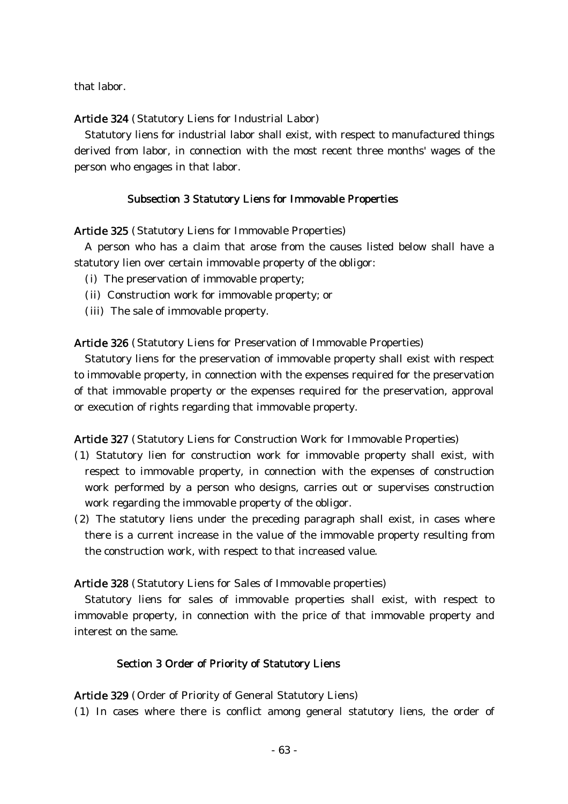that labor.

Article 324 (Statutory Liens for Industrial Labor)

Statutory liens for industrial labor shall exist, with respect to manufactured things derived from labor, in connection with the most recent three months' wages of the person who engages in that labor.

#### Subsection 3 Statutory Liens for Immovable Properties

Article 325 (Statutory Liens for Immovable Properties)

A person who has a claim that arose from the causes listed below shall have a statutory lien over certain immovable property of the obligor:

- (i) The preservation of immovable property;
- (ii) Construction work for immovable property; or
- (iii) The sale of immovable property.

Article 326 (Statutory Liens for Preservation of Immovable Properties)

Statutory liens for the preservation of immovable property shall exist with respect to immovable property, in connection with the expenses required for the preservation of that immovable property or the expenses required for the preservation, approval or execution of rights regarding that immovable property.

Article 327 (Statutory Liens for Construction Work for Immovable Properties)

- (1) Statutory lien for construction work for immovable property shall exist, with respect to immovable property, in connection with the expenses of construction work performed by a person who designs, carries out or supervises construction work regarding the immovable property of the obligor.
- $(2)$  The statutory liens under the preceding paragraph shall exist, in cases where there is a current increase in the value of the immovable property resulting from the construction work, with respect to that increased value.

Article 328 (Statutory Liens for Sales of Immovable properties)

Statutory liens for sales of immovable properties shall exist, with respect to immovable property, in connection with the price of that immovable property and interest on the same.

### Section 3 Order of Priority of Statutory Liens

Article 329 (Order of Priority of General Statutory Liens)

( )1 In cases where there is conflict among general statutory liens, the order of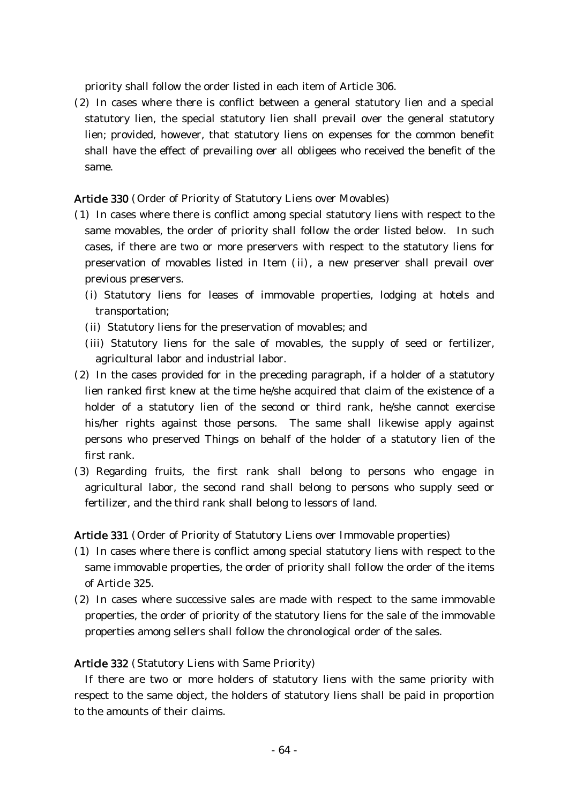priority shall follow the order listed in each item of Article 306.

 $(2)$  In cases where there is conflict between a general statutory lien and a special statutory lien, the special statutory lien shall prevail over the general statutory lien; provided, however, that statutory liens on expenses for the common benefit shall have the effect of prevailing over all obligees who received the benefit of the same.

Article 330 (Order of Priority of Statutory Liens over Movables)

- ( )1 In cases where there is conflict among special statutory liens with respect to the same movables, the order of priority shall follow the order listed below. In such cases, if there are two or more preservers with respect to the statutory liens for preservation of movables listed in Item (ii), a new preserver shall prevail over previous preservers.
	- (i) Statutory liens for leases of immovable properties, lodging at hotels and transportation;
	- (ii) Statutory liens for the preservation of movables; and
	- (iii) Statutory liens for the sale of movables, the supply of seed or fertilizer, agricultural labor and industrial labor.
- $(2)$  In the cases provided for in the preceding paragraph, if a holder of a statutory lien ranked first knew at the time he/she acquired that claim of the existence of a holder of a statutory lien of the second or third rank, he/she cannot exercise his/her rights against those persons. The same shall likewise apply against persons who preserved Things on behalf of the holder of a statutory lien of the first rank.
- (3) Regarding fruits, the first rank shall belong to persons who engage in agricultural labor, the second rand shall belong to persons who supply seed or fertilizer, and the third rank shall belong to lessors of land.

Article 331 (Order of Priority of Statutory Liens over Immovable properties)

- ( )1 In cases where there is conflict among special statutory liens with respect to the same immovable properties, the order of priority shall follow the order of the items of Article 325.
- (2) In cases where successive sales are made with respect to the same immovable properties, the order of priority of the statutory liens for the sale of the immovable properties among sellers shall follow the chronological order of the sales.

# Article 332 (Statutory Liens with Same Priority)

If there are two or more holders of statutory liens with the same priority with respect to the same object, the holders of statutory liens shall be paid in proportion to the amounts of their claims.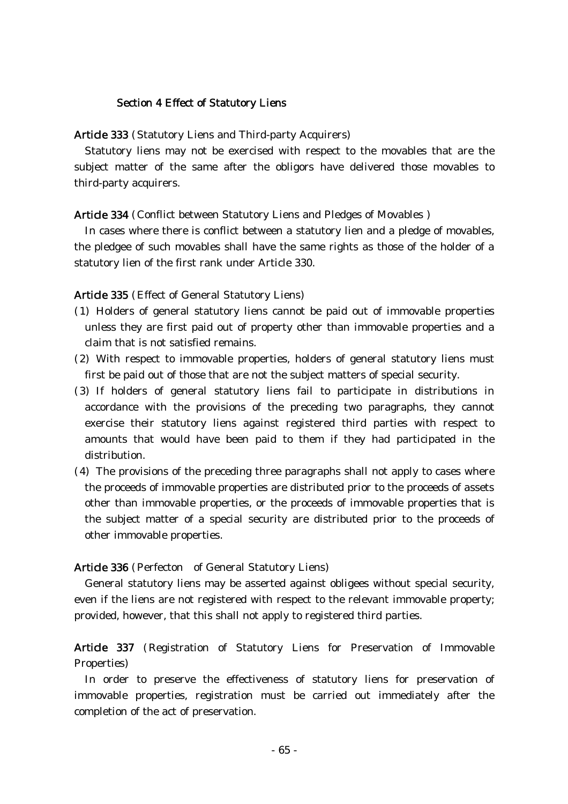#### Section 4 Effect of Statutory Liens

Article 333 (Statutory Liens and Third-party Acquirers)

Statutory liens may not be exercised with respect to the movables that are the subject matter of the same after the obligors have delivered those movables to third-party acquirers.

Article 334 (Conflict between Statutory Liens and Pledges of Movables)

In cases where there is conflict between a statutory lien and a pledge of movables, the pledgee of such movables shall have the same rights as those of the holder of a statutory lien of the first rank under Article 330.

Article 335 (Effect of General Statutory Liens)

- ( )1 Holders of general statutory liens cannot be paid out of immovable properties unless they are first paid out of property other than immovable properties and a claim that is not satisfied remains.
- (2) With respect to immovable properties, holders of general statutory liens must first be paid out of those that are not the subject matters of special security.
- ( )3 If holders of general statutory liens fail to participate in distributions in accordance with the provisions of the preceding two paragraphs, they cannot exercise their statutory liens against registered third parties with respect to amounts that would have been paid to them if they had participated in the distribution.
- $(4)$  The provisions of the preceding three paragraphs shall not apply to cases where the proceeds of immovable properties are distributed prior to the proceeds of assets other than immovable properties, or the proceeds of immovable properties that is the subject matter of a special security are distributed prior to the proceeds of other immovable properties.

#### Article 336 (Perfecton of General Statutory Liens)

General statutory liens may be asserted against obligees without special security, even if the liens are not registered with respect to the relevant immovable property; provided, however, that this shall not apply to registered third parties.

# Article 337 (Registration of Statutory Liens for Preservation of Immovable Properties)

In order to preserve the effectiveness of statutory liens for preservation of immovable properties, registration must be carried out immediately after the completion of the act of preservation.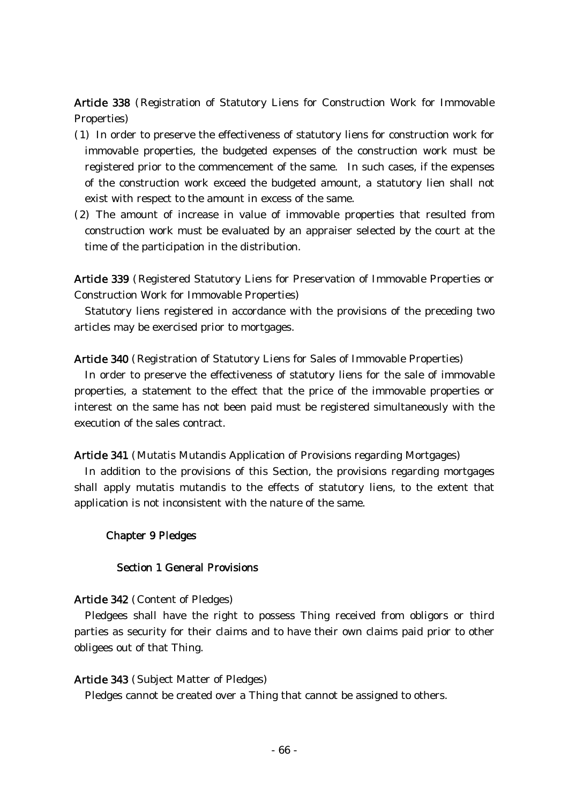Article 338 (Registration of Statutory Liens for Construction Work for Immovable Properties)

- ( )1 In order to preserve the effectiveness of statutory liens for construction work for immovable properties, the budgeted expenses of the construction work must be registered prior to the commencement of the same. In such cases, if the expenses of the construction work exceed the budgeted amount, a statutory lien shall not exist with respect to the amount in excess of the same.
- (2) The amount of increase in value of immovable properties that resulted from construction work must be evaluated by an appraiser selected by the court at the time of the participation in the distribution.

Article 339 (Registered Statutory Liens for Preservation of Immovable Properties or Construction Work for Immovable Properties)

Statutory liens registered in accordance with the provisions of the preceding two articles may be exercised prior to mortgages.

Article 340 (Registration of Statutory Liens for Sales of Immovable Properties)

In order to preserve the effectiveness of statutory liens for the sale of immovable properties, a statement to the effect that the price of the immovable properties or interest on the same has not been paid must be registered simultaneously with the execution of the sales contract.

Article 341 (Mutatis Mutandis Application of Provisions regarding Mortgages)

In addition to the provisions of this Section, the provisions regarding mortgages shall apply mutatis mutandis to the effects of statutory liens, to the extent that application is not inconsistent with the nature of the same.

#### Chapter 9 Pledges

#### Section 1 General Provisions

## Article 342 (Content of Pledges)

Pledgees shall have the right to possess Thing received from obligors or third parties as security for their claims and to have their own claims paid prior to other obligees out of that Thing.

#### Article 343 (Subject Matter of Pledges)

Pledges cannot be created over a Thing that cannot be assigned to others.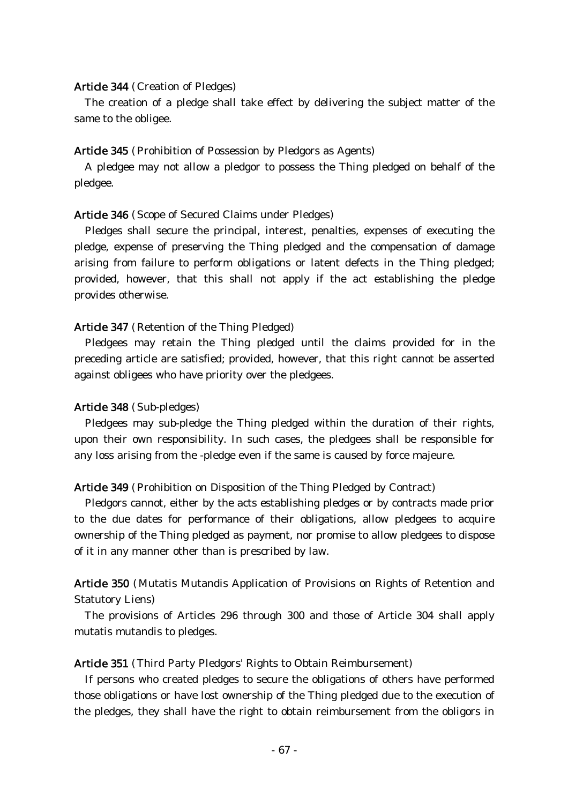#### Article 344 (Creation of Pledges)

The creation of a pledge shall take effect by delivering the subject matter of the same to the obligee.

### Article 345 (Prohibition of Possession by Pledgors as Agents)

A pledgee may not allow a pledgor to possess the Thing pledged on behalf of the pledgee.

### Article 346 (Scope of Secured Claims under Pledges)

Pledges shall secure the principal, interest, penalties, expenses of executing the pledge, expense of preserving the Thing pledged and the compensation of damage arising from failure to perform obligations or latent defects in the Thing pledged; provided, however, that this shall not apply if the act establishing the pledge provides otherwise.

#### Article 347 (Retention of the Thing Pledged)

Pledgees may retain the Thing pledged until the claims provided for in the preceding article are satisfied; provided, however, that this right cannot be asserted against obligees who have priority over the pledgees.

#### Article 348 (Sub-pledges)

Pledgees may sub-pledge the Thing pledged within the duration of their rights, upon their own responsibility. In such cases, the pledgees shall be responsible for any loss arising from the -pledge even if the same is caused by force majeure.

#### Article 349 (Prohibition on Disposition of the Thing Pledged by Contract)

Pledgors cannot, either by the acts establishing pledges or by contracts made prior to the due dates for performance of their obligations, allow pledgees to acquire ownership of the Thing pledged as payment, nor promise to allow pledgees to dispose of it in any manner other than is prescribed by law.

Article 350 (Mutatis Mutandis Application of Provisions on Rights of Retention and Statutory Liens)

The provisions of Articles 296 through 300 and those of Article 304 shall apply mutatis mutandis to pledges.

#### Article 351 (Third Party Pledgors' Rights to Obtain Reimbursement)

If persons who created pledges to secure the obligations of others have performed those obligations or have lost ownership of the Thing pledged due to the execution of the pledges, they shall have the right to obtain reimbursement from the obligors in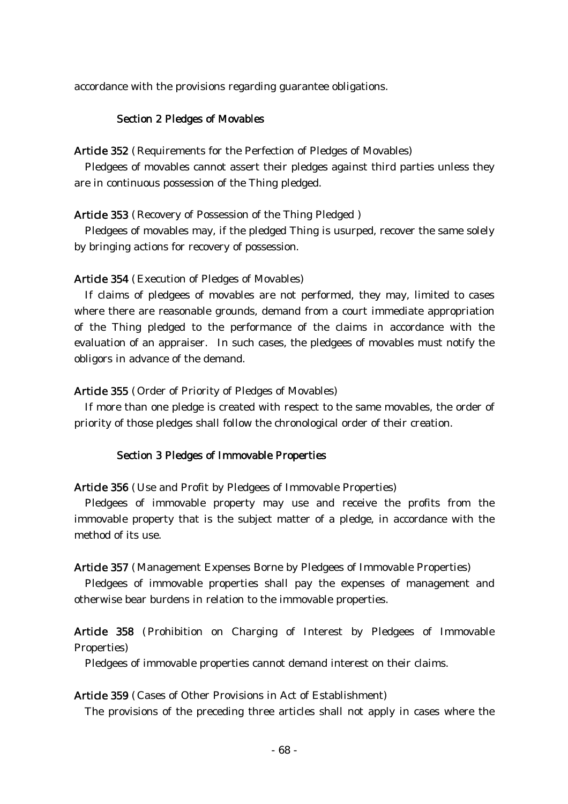accordance with the provisions regarding guarantee obligations.

#### Section 2 Pledges of Movables

#### Article 352 (Requirements for the Perfection of Pledges of Movables)

Pledgees of movables cannot assert their pledges against third parties unless they are in continuous possession of the Thing pledged.

#### Article 353 (Recovery of Possession of the Thing Pledged)

Pledgees of movables may, if the pledged Thing is usurped, recover the same solely by bringing actions for recovery of possession.

#### Article 354 (Execution of Pledges of Movables)

If claims of pledgees of movables are not performed, they may, limited to cases where there are reasonable grounds, demand from a court immediate appropriation of the Thing pledged to the performance of the claims in accordance with the evaluation of an appraiser. In such cases, the pledgees of movables must notify the obligors in advance of the demand.

#### Article 355 (Order of Priority of Pledges of Movables)

If more than one pledge is created with respect to the same movables, the order of priority of those pledges shall follow the chronological order of their creation.

### Section 3 Pledges of Immovable Properties

Article 356 (Use and Profit by Pledgees of Immovable Properties)

Pledgees of immovable property may use and receive the profits from the immovable property that is the subject matter of a pledge, in accordance with the method of its use.

Article 357 (Management Expenses Borne by Pledgees of Immovable Properties)

Pledgees of immovable properties shall pay the expenses of management and otherwise bear burdens in relation to the immovable properties.

Article 358 (Prohibition on Charging of Interest by Pledgees of Immovable Properties)

Pledgees of immovable properties cannot demand interest on their claims.

## Article 359 (Cases of Other Provisions in Act of Establishment)

The provisions of the preceding three articles shall not apply in cases where the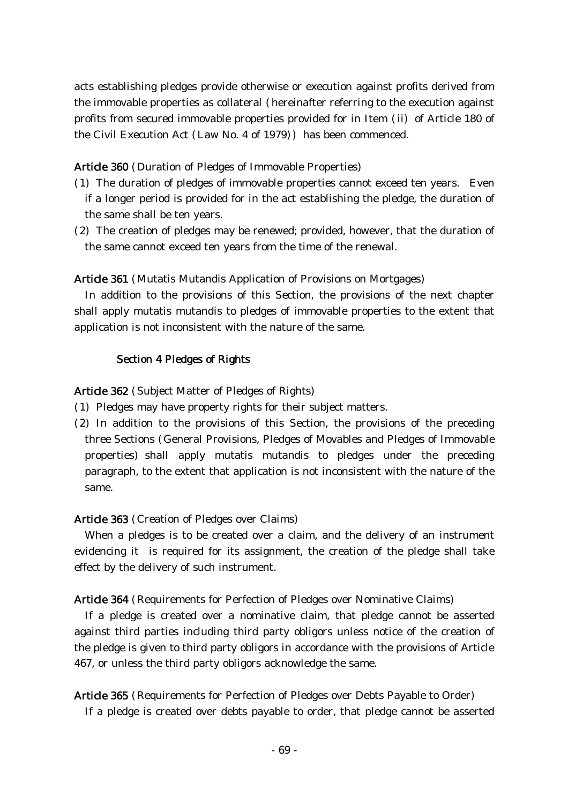acts establishing pledges provide otherwise or execution against profits derived from the immovable properties as collateral (hereinafter referring to the execution against profits from secured immovable properties provided for in Item (ii) of Article 180 of the Civil Execution Act (Law No. 4 of 1979)) has been commenced.

## Article 360 (Duration of Pledges of Immovable Properties)

- (1) The duration of pledges of immovable properties cannot exceed ten years. Even if a longer period is provided for in the act establishing the pledge, the duration of the same shall be ten years.
- (2) The creation of pledges may be renewed; provided, however, that the duration of the same cannot exceed ten years from the time of the renewal.

## Article 361 (Mutatis Mutandis Application of Provisions on Mortgages)

In addition to the provisions of this Section, the provisions of the next chapter shall apply mutatis mutandis to pledges of immovable properties to the extent that application is not inconsistent with the nature of the same.

## Section 4 Pledges of Rights

Article 362 (Subject Matter of Pledges of Rights)

- (1) Pledges may have property rights for their subject matters.
- $(2)$  In addition to the provisions of this Section, the provisions of the preceding three Sections (General Provisions, Pledges of Movables and Pledges of Immovable properties) shall apply mutatis mutandis to pledges under the preceding paragraph, to the extent that application is not inconsistent with the nature of the same.

# Article 363 (Creation of Pledges over Claims)

When a pledges is to be created over a claim, and the delivery of an instrument evidencing it is required for its assignment, the creation of the pledge shall take effect by the delivery of such instrument.

Article 364 (Requirements for Perfection of Pledges over Nominative Claims)

If a pledge is created over a nominative claim, that pledge cannot be asserted against third parties including third party obligors unless notice of the creation of the pledge is given to third party obligors in accordance with the provisions of Article 467, or unless the third party obligors acknowledge the same.

Article 365 (Requirements for Perfection of Pledges over Debts Payable to Order) If a pledge is created over debts payable to order, that pledge cannot be asserted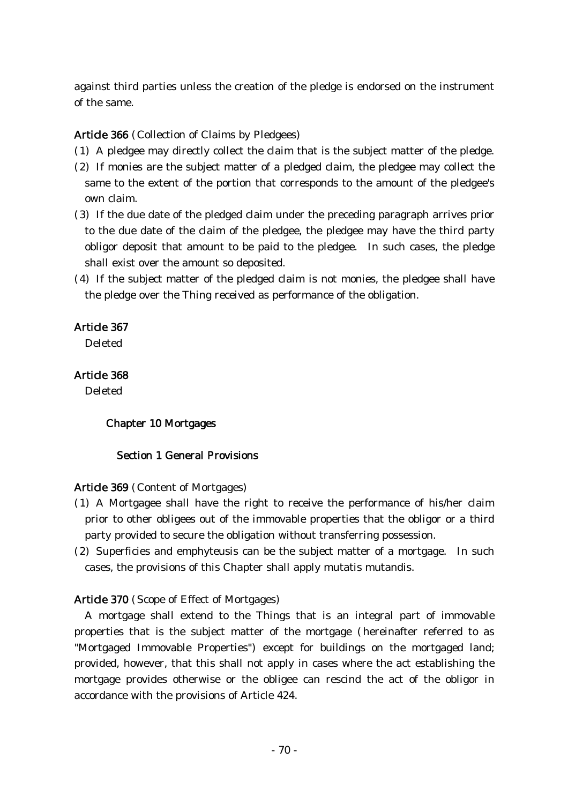against third parties unless the creation of the pledge is endorsed on the instrument of the same.

# Article 366 (Collection of Claims by Pledgees)

- (1) A pledgee may directly collect the claim that is the subject matter of the pledge.
- $(2)$  If monies are the subject matter of a pledged claim, the pledgee may collect the same to the extent of the portion that corresponds to the amount of the pledgee's own claim.
- (3) If the due date of the pledged claim under the preceding paragraph arrives prior to the due date of the claim of the pledgee, the pledgee may have the third party obligor deposit that amount to be paid to the pledgee. In such cases, the pledge shall exist over the amount so deposited.
- (4) If the subject matter of the pledged claim is not monies, the pledgee shall have the pledge over the Thing received as performance of the obligation.

# Article 367

Deleted

# Article 368

Deleted

# Chapter 10 Mortgages

# Section 1 General Provisions

# Article 369 (Content of Mortgages)

- ( )1 A Mortgagee shall have the right to receive the performance of his/her claim prior to other obligees out of the immovable properties that the obligor or a third party provided to secure the obligation without transferring possession.
- $(2)$  Superficies and emphyteusis can be the subject matter of a mortgage. In such cases, the provisions of this Chapter shall apply mutatis mutandis.

# Article 370 (Scope of Effect of Mortgages)

A mortgage shall extend to the Things that is an integral part of immovable properties that is the subject matter of the mortgage (hereinafter referred to as "Mortgaged Immovable Properties") except for buildings on the mortgaged land; provided, however, that this shall not apply in cases where the act establishing the mortgage provides otherwise or the obligee can rescind the act of the obligor in accordance with the provisions of Article 424.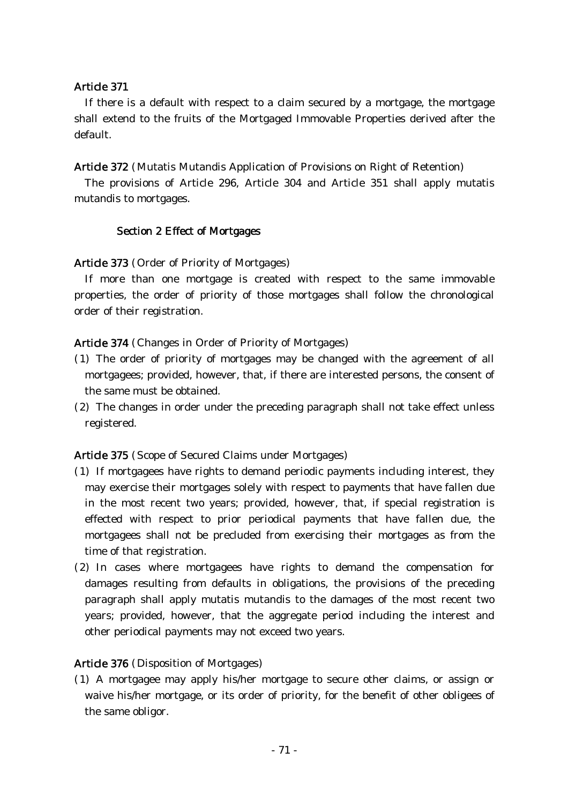## Article 371

If there is a default with respect to a claim secured by a mortgage, the mortgage shall extend to the fruits of the Mortgaged Immovable Properties derived after the default.

## Article 372 (Mutatis Mutandis Application of Provisions on Right of Retention)

The provisions of Article 296, Article 304 and Article 351 shall apply mutatis mutandis to mortgages.

## Section 2 Effect of Mortgages

## Article 373 (Order of Priority of Mortgages)

If more than one mortgage is created with respect to the same immovable properties, the order of priority of those mortgages shall follow the chronological order of their registration.

## Article 374 (Changes in Order of Priority of Mortgages)

- ( )1 The order of priority of mortgages may be changed with the agreement of all mortgagees; provided, however, that, if there are interested persons, the consent of the same must be obtained.
- $(2)$  The changes in order under the preceding paragraph shall not take effect unless registered.

Article 375 (Scope of Secured Claims under Mortgages)

- ( )1 If mortgagees have rights to demand periodic payments including interest, they may exercise their mortgages solely with respect to payments that have fallen due in the most recent two years; provided, however, that, if special registration is effected with respect to prior periodical payments that have fallen due, the mortgagees shall not be precluded from exercising their mortgages as from the time of that registration.
- (2) In cases where mortgagees have rights to demand the compensation for damages resulting from defaults in obligations, the provisions of the preceding paragraph shall apply mutatis mutandis to the damages of the most recent two years; provided, however, that the aggregate period including the interest and other periodical payments may not exceed two years.

# Article 376 (Disposition of Mortgages)

( )1 A mortgagee may apply his/her mortgage to secure other claims, or assign or waive his/her mortgage, or its order of priority, for the benefit of other obligees of the same obligor.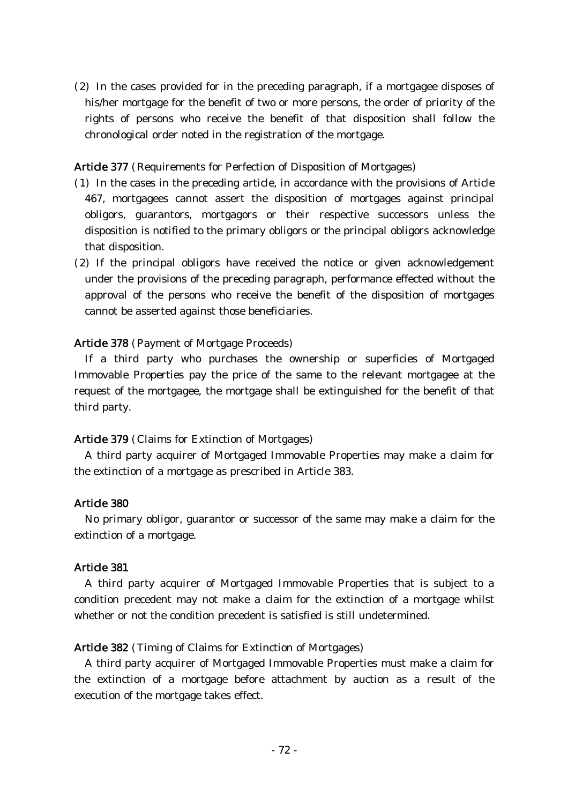$(2)$  In the cases provided for in the preceding paragraph, if a mortgagee disposes of his/her mortgage for the benefit of two or more persons, the order of priority of the rights of persons who receive the benefit of that disposition shall follow the chronological order noted in the registration of the mortgage.

Article 377 (Requirements for Perfection of Disposition of Mortgages)

- ( )1 In the cases in the preceding article, in accordance with the provisions of Article 467, mortgagees cannot assert the disposition of mortgages against principal obligors, guarantors, mortgagors or their respective successors unless the disposition is notified to the primary obligors or the principal obligors acknowledge that disposition.
- (2) If the principal obligors have received the notice or given acknowledgement under the provisions of the preceding paragraph, performance effected without the approval of the persons who receive the benefit of the disposition of mortgages cannot be asserted against those beneficiaries.

# Article 378 (Payment of Mortgage Proceeds)

If a third party who purchases the ownership or superficies of Mortgaged Immovable Properties pay the price of the same to the relevant mortgagee at the request of the mortgagee, the mortgage shall be extinguished for the benefit of that third party.

# Article 379 (Claims for Extinction of Mortgages)

A third party acquirer of Mortgaged Immovable Properties may make a claim for the extinction of a mortgage as prescribed in Article 383.

# Article 380

No primary obligor, guarantor or successor of the same may make a claim for the extinction of a mortgage.

# Article 381

A third party acquirer of Mortgaged Immovable Properties that is subject to a condition precedent may not make a claim for the extinction of a mortgage whilst whether or not the condition precedent is satisfied is still undetermined.

# Article 382 (Timing of Claims for Extinction of Mortgages)

A third party acquirer of Mortgaged Immovable Properties must make a claim for the extinction of a mortgage before attachment by auction as a result of the execution of the mortgage takes effect.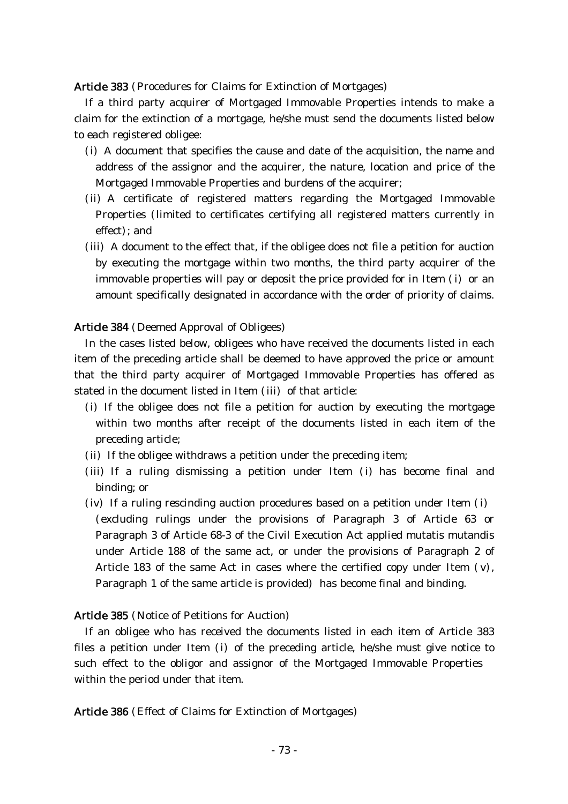Article 383 (Procedures for Claims for Extinction of Mortgages)

If a third party acquirer of Mortgaged Immovable Properties intends to make a claim for the extinction of a mortgage, he/she must send the documents listed below to each registered obligee:

- (i) A document that specifies the cause and date of the acquisition, the name and address of the assignor and the acquirer, the nature, location and price of the Mortgaged Immovable Properties and burdens of the acquirer;
- (ii) A certificate of registered matters regarding the Mortgaged Immovable Properties (limited to certificates certifying all registered matters currently in effect) ; and
- (iii) A document to the effect that, if the obligee does not file a petition for auction by executing the mortgage within two months, the third party acquirer of the immovable properties will pay or deposit the price provided for in Item (i) or an amount specifically designated in accordance with the order of priority of claims.

### Article 384 (Deemed Approval of Obligees)

In the cases listed below, obligees who have received the documents listed in each item of the preceding article shall be deemed to have approved the price or amount that the third party acquirer of Mortgaged Immovable Properties has offered as stated in the document listed in Item (iii) of that article:

- (i) If the obligee does not file a petition for auction by executing the mortgage within two months after receipt of the documents listed in each item of the preceding article;
- (ii) If the obligee withdraws a petition under the preceding item;
- (iii) If a ruling dismissing a petition under Item (i) has become final and binding; or
- $(iv)$  If a ruling rescinding auction procedures based on a petition under Item  $(i)$ (excluding rulings under the provisions of Paragraph 3 of Article 63 or Paragraph 3 of Article 68-3 of the Civil Execution Act applied mutatis mutandis under Article 188 of the same act, or under the provisions of Paragraph 2 of Article 183 of the same Act in cases where the certified copy under Item  $(v)$ , Paragraph 1 of the same article is provided) has become final and binding.

### Article 385 (Notice of Petitions for Auction)

If an obligee who has received the documents listed in each item of Article 383 files a petition under Item (i) of the preceding article, he/she must give notice to such effect to the obligor and assignor of the Mortgaged Immovable Properties within the period under that item.

Article 386 (Effect of Claims for Extinction of Mortgages)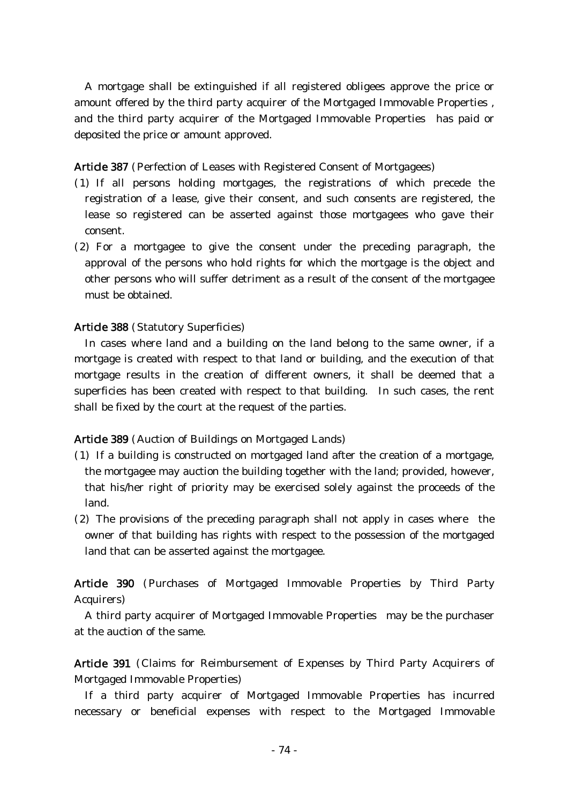A mortgage shall be extinguished if all registered obligees approve the price or amount offered by the third party acquirer of the Mortgaged Immovable Properties , and the third party acquirer of the Mortgaged Immovable Properties has paid or deposited the price or amount approved.

Article 387 (Perfection of Leases with Registered Consent of Mortgagees)

- ( )1 If all persons holding mortgages, the registrations of which precede the registration of a lease, give their consent, and such consents are registered, the lease so registered can be asserted against those mortgagees who gave their consent.
- $(2)$  For a mortgagee to give the consent under the preceding paragraph, the approval of the persons who hold rights for which the mortgage is the object and other persons who will suffer detriment as a result of the consent of the mortgagee must be obtained.

# Article 388 (Statutory Superficies)

In cases where land and a building on the land belong to the same owner, if a mortgage is created with respect to that land or building, and the execution of that mortgage results in the creation of different owners, it shall be deemed that a superficies has been created with respect to that building. In such cases, the rent shall be fixed by the court at the request of the parties.

# Article 389 (Auction of Buildings on Mortgaged Lands)

- $(1)$  If a building is constructed on mortgaged land after the creation of a mortgage, the mortgagee may auction the building together with the land; provided, however, that his/her right of priority may be exercised solely against the proceeds of the land.
- $(2)$  The provisions of the preceding paragraph shall not apply in cases where the owner of that building has rights with respect to the possession of the mortgaged land that can be asserted against the mortgagee.

Article 390 (Purchases of Mortgaged Immovable Properties by Third Party Acquirers)

A third party acquirer of Mortgaged Immovable Properties may be the purchaser at the auction of the same.

Article 391 (Claims for Reimbursement of Expenses by Third Party Acquirers of Mortgaged Immovable Properties)

If a third party acquirer of Mortgaged Immovable Properties has incurred necessary or beneficial expenses with respect to the Mortgaged Immovable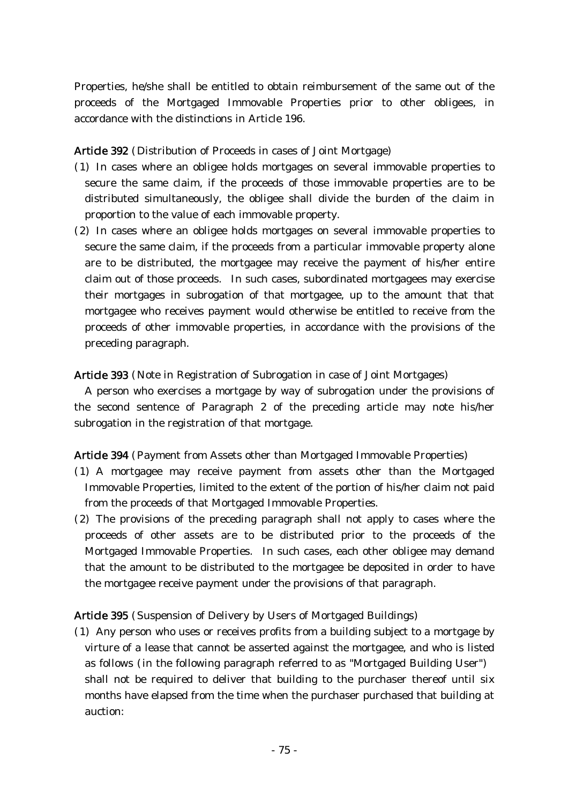Properties, he/she shall be entitled to obtain reimbursement of the same out of the proceeds of the Mortgaged Immovable Properties prior to other obligees, in accordance with the distinctions in Article 196.

Article 392 (Distribution of Proceeds in cases of Joint Mortgage)

- ( )1 In cases where an obligee holds mortgages on several immovable properties to secure the same claim, if the proceeds of those immovable properties are to be distributed simultaneously, the obligee shall divide the burden of the claim in proportion to the value of each immovable property.
- (2) In cases where an obligee holds mortgages on several immovable properties to secure the same claim, if the proceeds from a particular immovable property alone are to be distributed, the mortgagee may receive the payment of his/her entire claim out of those proceeds. In such cases, subordinated mortgagees may exercise their mortgages in subrogation of that mortgagee, up to the amount that that mortgagee who receives payment would otherwise be entitled to receive from the proceeds of other immovable properties, in accordance with the provisions of the preceding paragraph.

# Article 393 (Note in Registration of Subrogation in case of Joint Mortgages)

A person who exercises a mortgage by way of subrogation under the provisions of the second sentence of Paragraph 2 of the preceding article may note his/her subrogation in the registration of that mortgage.

Article 394 (Payment from Assets other than Mortgaged Immovable Properties)

- ( )1 A mortgagee may receive payment from assets other than the Mortgaged Immovable Properties, limited to the extent of the portion of his/her claim not paid from the proceeds of that Mortgaged Immovable Properties.
- (2) The provisions of the preceding paragraph shall not apply to cases where the proceeds of other assets are to be distributed prior to the proceeds of the Mortgaged Immovable Properties. In such cases, each other obligee may demand that the amount to be distributed to the mortgagee be deposited in order to have the mortgagee receive payment under the provisions of that paragraph.

Article 395 (Suspension of Delivery by Users of Mortgaged Buildings)

( )1 Any person who uses or receives profits from a building subject to a mortgage by virture of a lease that cannot be asserted against the mortgagee, and who is listed as follows (in the following paragraph referred to as "Mortgaged Building User") shall not be required to deliver that building to the purchaser thereof until six months have elapsed from the time when the purchaser purchased that building at auction: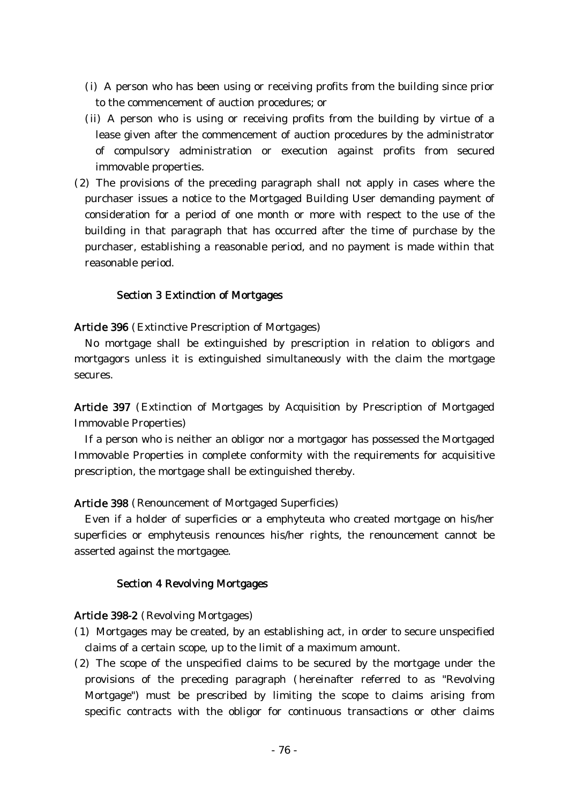- (i) A person who has been using or receiving profits from the building since prior to the commencement of auction procedures; or
- (ii) A person who is using or receiving profits from the building by virtue of a lease given after the commencement of auction procedures by the administrator of compulsory administration or execution against profits from secured immovable properties.
- $(2)$  The provisions of the preceding paragraph shall not apply in cases where the purchaser issues a notice to the Mortgaged Building User demanding payment of consideration for a period of one month or more with respect to the use of the building in that paragraph that has occurred after the time of purchase by the purchaser, establishing a reasonable period, and no payment is made within that reasonable period.

### Section 3 Extinction of Mortgages

Article 396 (Extinctive Prescription of Mortgages)

No mortgage shall be extinguished by prescription in relation to obligors and mortgagors unless it is extinguished simultaneously with the claim the mortgage secures.

Article 397 (Extinction of Mortgages by Acquisition by Prescription of Mortgaged Immovable Properties)

If a person who is neither an obligor nor a mortgagor has possessed the Mortgaged Immovable Properties in complete conformity with the requirements for acquisitive prescription, the mortgage shall be extinguished thereby.

### Article 398 (Renouncement of Mortgaged Superficies)

Even if a holder of superficies or a emphyteuta who created mortgage on his/her superficies or emphyteusis renounces his/her rights, the renouncement cannot be asserted against the mortgagee.

#### Section 4 Revolving Mortgages

#### Article 398-2 (Revolving Mortgages)

- ( )1 Mortgages may be created, by an establishing act, in order to secure unspecified claims of a certain scope, up to the limit of a maximum amount.
- $(2)$  The scope of the unspecified claims to be secured by the mortgage under the provisions of the preceding paragraph (hereinafter referred to as "Revolving") Mortgage") must be prescribed by limiting the scope to claims arising from specific contracts with the obligor for continuous transactions or other claims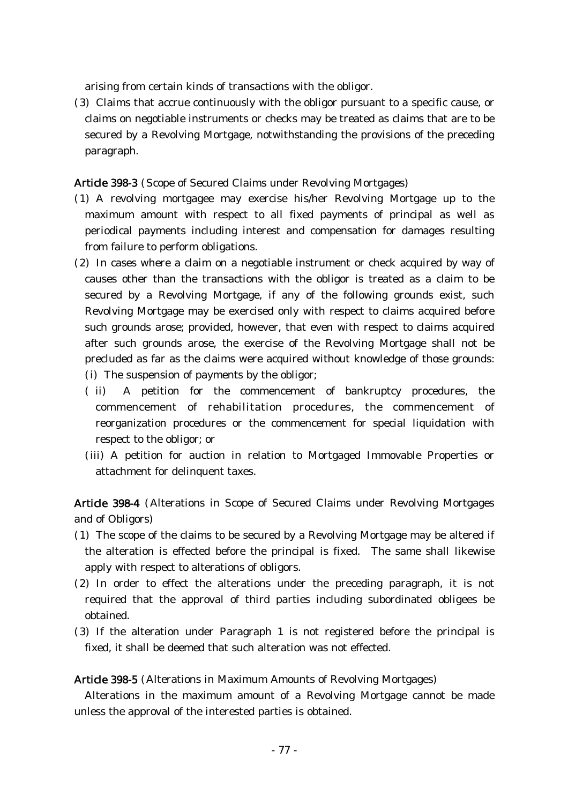arising from certain kinds of transactions with the obligor.

(3) Claims that accrue continuously with the obligor pursuant to a specific cause, or claims on negotiable instruments or checks may be treated as claims that are to be secured by a Revolving Mortgage, notwithstanding the provisions of the preceding paragraph.

Article 398-3 (Scope of Secured Claims under Revolving Mortgages)

- ( )1 A revolving mortgagee may exercise his/her Revolving Mortgage up to the maximum amount with respect to all fixed payments of principal as well as periodical payments including interest and compensation for damages resulting from failure to perform obligations.
- (2) In cases where a claim on a negotiable instrument or check acquired by way of causes other than the transactions with the obligor is treated as a claim to be secured by a Revolving Mortgage, if any of the following grounds exist, such Revolving Mortgage may be exercised only with respect to claims acquired before such grounds arose; provided, however, that even with respect to claims acquired after such grounds arose, the exercise of the Revolving Mortgage shall not be precluded as far as the claims were acquired without knowledge of those grounds:  $(i)$  The suspension of payments by the obligor;
	- (ii) A petition for the commencement of bankruptcy procedures, the commencement of rehabilitation procedures, the commencement of reorganization procedures or the commencement for special liquidation with respect to the obligor; or
	- (iii) A petition for auction in relation to Mortgaged Immovable Properties or attachment for delinquent taxes.

Article 398-4 (Alterations in Scope of Secured Claims under Revolving Mortgages and of Obligors)

- (1) The scope of the claims to be secured by a Revolving Mortgage may be altered if the alteration is effected before the principal is fixed. The same shall likewise apply with respect to alterations of obligors.
- (2) In order to effect the alterations under the preceding paragraph, it is not required that the approval of third parties including subordinated obligees be obtained.
- (3) If the alteration under Paragraph 1 is not registered before the principal is fixed, it shall be deemed that such alteration was not effected.

Article 398-5 (Alterations in Maximum Amounts of Revolving Mortgages)

Alterations in the maximum amount of a Revolving Mortgage cannot be made unless the approval of the interested parties is obtained.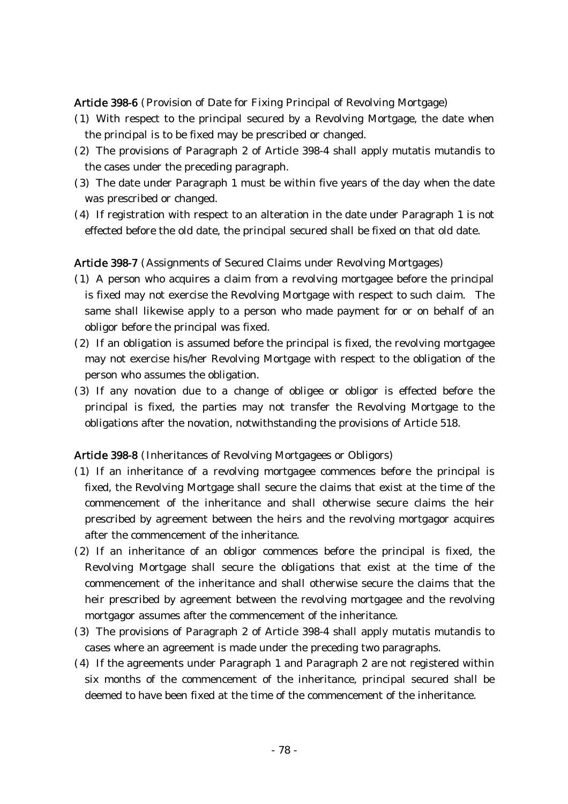Article 398-6 (Provision of Date for Fixing Principal of Revolving Mortgage)

- ( )1 With respect to the principal secured by a Revolving Mortgage, the date when the principal is to be fixed may be prescribed or changed.
- (2) The provisions of Paragraph 2 of Article 398-4 shall apply mutatis mutandis to the cases under the preceding paragraph.
- (3) The date under Paragraph 1 must be within five years of the day when the date was prescribed or changed.
- $(4)$  If registration with respect to an alteration in the date under Paragraph 1 is not effected before the old date, the principal secured shall be fixed on that old date.

Article 398-7 (Assignments of Secured Claims under Revolving Mortgages)

- ( )1 A person who acquires a claim from a revolving mortgagee before the principal is fixed may not exercise the Revolving Mortgage with respect to such claim. The same shall likewise apply to a person who made payment for or on behalf of an obligor before the principal was fixed.
- $(2)$  If an obligation is assumed before the principal is fixed, the revolving mortgagee may not exercise his/her Revolving Mortgage with respect to the obligation of the person who assumes the obligation.
- (3) If any novation due to a change of obligee or obligor is effected before the principal is fixed, the parties may not transfer the Revolving Mortgage to the obligations after the novation, notwithstanding the provisions of Article 518.

Article 398-8 (Inheritances of Revolving Mortgagees or Obligors)

- ( )1 If an inheritance of a revolving mortgagee commences before the principal is fixed, the Revolving Mortgage shall secure the claims that exist at the time of the commencement of the inheritance and shall otherwise secure claims the heir prescribed by agreement between the heirs and the revolving mortgagor acquires after the commencement of the inheritance.
- $(2)$  If an inheritance of an obligor commences before the principal is fixed, the Revolving Mortgage shall secure the obligations that exist at the time of the commencement of the inheritance and shall otherwise secure the claims that the heir prescribed by agreement between the revolving mortgagee and the revolving mortgagor assumes after the commencement of the inheritance.
- (3) The provisions of Paragraph 2 of Article 398-4 shall apply mutatis mutandis to cases where an agreement is made under the preceding two paragraphs.
- $(4)$  If the agreements under Paragraph 1 and Paragraph 2 are not registered within six months of the commencement of the inheritance, principal secured shall be deemed to have been fixed at the time of the commencement of the inheritance.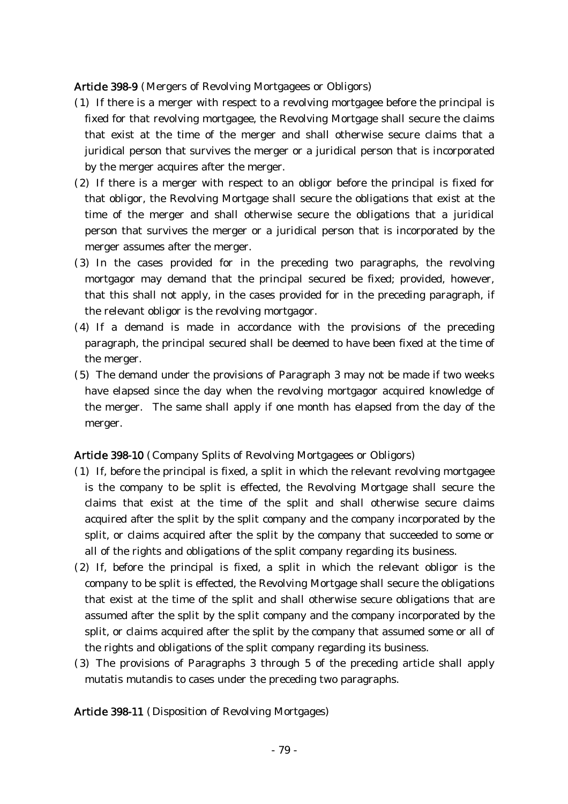Article 398-9 (Mergers of Revolving Mortgagees or Obligors)

- ( )1 If there is a merger with respect to a revolving mortgagee before the principal is fixed for that revolving mortgagee, the Revolving Mortgage shall secure the claims that exist at the time of the merger and shall otherwise secure claims that a juridical person that survives the merger or a juridical person that is incorporated by the merger acquires after the merger.
- $(2)$  If there is a merger with respect to an obligor before the principal is fixed for that obligor, the Revolving Mortgage shall secure the obligations that exist at the time of the merger and shall otherwise secure the obligations that a juridical person that survives the merger or a juridical person that is incorporated by the merger assumes after the merger.
- (3) In the cases provided for in the preceding two paragraphs, the revolving mortgagor may demand that the principal secured be fixed; provided, however, that this shall not apply, in the cases provided for in the preceding paragraph, if the relevant obligor is the revolving mortgagor.
- $(4)$  If a demand is made in accordance with the provisions of the preceding paragraph, the principal secured shall be deemed to have been fixed at the time of the merger.
- (5) The demand under the provisions of Paragraph 3 may not be made if two weeks have elapsed since the day when the revolving mortgagor acquired knowledge of the merger. The same shall apply if one month has elapsed from the day of the merger.

Article 398-10 (Company Splits of Revolving Mortgagees or Obligors)

- $(1)$  If, before the principal is fixed, a split in which the relevant revolving mortgagee is the company to be split is effected, the Revolving Mortgage shall secure the claims that exist at the time of the split and shall otherwise secure claims acquired after the split by the split company and the company incorporated by the split, or claims acquired after the split by the company that succeeded to some or all of the rights and obligations of the split company regarding its business.
- $(2)$  If, before the principal is fixed, a split in which the relevant obligor is the company to be split is effected, the Revolving Mortgage shall secure the obligations that exist at the time of the split and shall otherwise secure obligations that are assumed after the split by the split company and the company incorporated by the split, or claims acquired after the split by the company that assumed some or all of the rights and obligations of the split company regarding its business.
- ( )3 The provisions of Paragraphs 3 through 5 of the preceding article shall apply mutatis mutandis to cases under the preceding two paragraphs.

Article 398-11 (Disposition of Revolving Mortgages)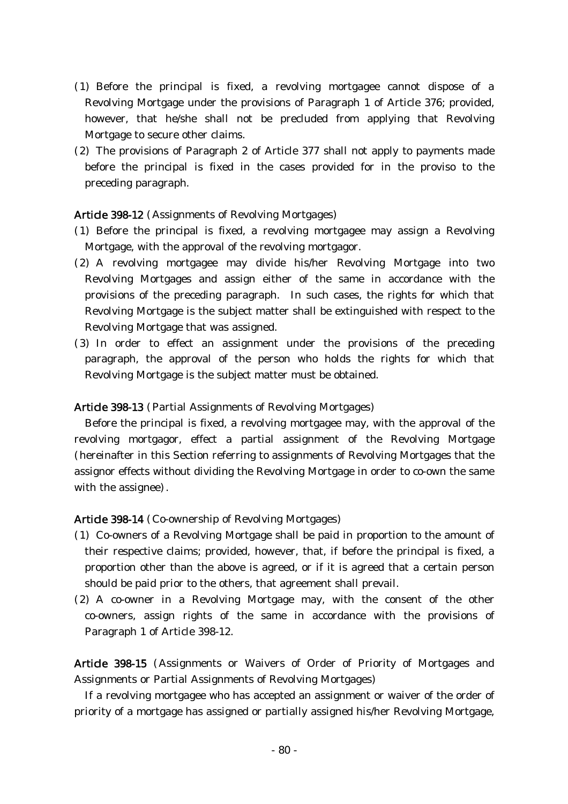- ( )1 Before the principal is fixed, a revolving mortgagee cannot dispose of a Revolving Mortgage under the provisions of Paragraph 1 of Article 376; provided, however, that he/she shall not be precluded from applying that Revolving Mortgage to secure other claims.
- $(2)$  The provisions of Paragraph 2 of Article 377 shall not apply to payments made before the principal is fixed in the cases provided for in the proviso to the preceding paragraph.

## Article 398-12 (Assignments of Revolving Mortgages)

- ( )1 Before the principal is fixed, a revolving mortgagee may assign a Revolving Mortgage, with the approval of the revolving mortgagor.
- (2) A revolving mortgagee may divide his/her Revolving Mortgage into two Revolving Mortgages and assign either of the same in accordance with the provisions of the preceding paragraph. In such cases, the rights for which that Revolving Mortgage is the subject matter shall be extinguished with respect to the Revolving Mortgage that was assigned.
- (3) In order to effect an assignment under the provisions of the preceding paragraph, the approval of the person who holds the rights for which that Revolving Mortgage is the subject matter must be obtained.

# Article 398-13 (Partial Assignments of Revolving Mortgages)

Before the principal is fixed, a revolving mortgagee may, with the approval of the revolving mortgagor, effect a partial assignment of the Revolving Mortgage (hereinafter in this Section referring to assignments of Revolving Mortgages that the assignor effects without dividing the Revolving Mortgage in order to co-own the same with the assignee).

# Article 398-14 (Co-ownership of Revolving Mortgages)

- ( )1 Co-owners of a Revolving Mortgage shall be paid in proportion to the amount of their respective claims; provided, however, that, if before the principal is fixed, a proportion other than the above is agreed, or if it is agreed that a certain person should be paid prior to the others, that agreement shall prevail.
- $(2)$  A co-owner in a Revolving Mortgage may, with the consent of the other co-owners, assign rights of the same in accordance with the provisions of Paragraph 1 of Article 398-12.

Article 398-15 (Assignments or Waivers of Order of Priority of Mortgages and Assignments or Partial Assignments of Revolving Mortgages)

If a revolving mortgagee who has accepted an assignment or waiver of the order of priority of a mortgage has assigned or partially assigned his/her Revolving Mortgage,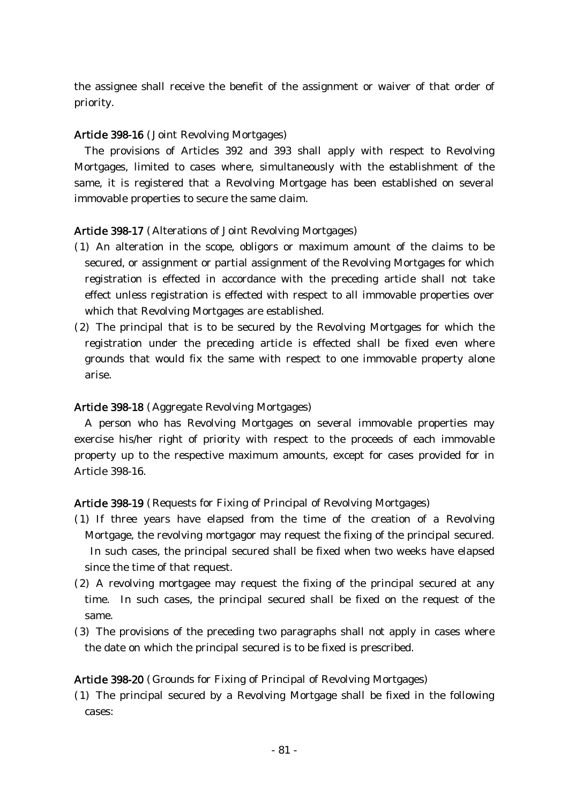the assignee shall receive the benefit of the assignment or waiver of that order of priority.

# Article 398-16 (Joint Revolving Mortgages)

The provisions of Articles 392 and 393 shall apply with respect to Revolving Mortgages, limited to cases where, simultaneously with the establishment of the same, it is registered that a Revolving Mortgage has been established on several immovable properties to secure the same claim.

# Article 398-17 (Alterations of Joint Revolving Mortgages)

- ( )1 An alteration in the scope, obligors or maximum amount of the claims to be secured, or assignment or partial assignment of the Revolving Mortgages for which registration is effected in accordance with the preceding article shall not take effect unless registration is effected with respect to all immovable properties over which that Revolving Mortgages are established.
- (2) The principal that is to be secured by the Revolving Mortgages for which the registration under the preceding article is effected shall be fixed even where grounds that would fix the same with respect to one immovable property alone arise.

# Article 398-18 (Aggregate Revolving Mortgages)

A person who has Revolving Mortgages on several immovable properties may exercise his/her right of priority with respect to the proceeds of each immovable property up to the respective maximum amounts, except for cases provided for in Article 398-16.

Article 398-19 (Requests for Fixing of Principal of Revolving Mortgages)

- ( )1 If three years have elapsed from the time of the creation of a Revolving Mortgage, the revolving mortgagor may request the fixing of the principal secured. In such cases, the principal secured shall be fixed when two weeks have elapsed since the time of that request.
- $(2)$  A revolving mortgagee may request the fixing of the principal secured at any time. In such cases, the principal secured shall be fixed on the request of the same.
- (3) The provisions of the preceding two paragraphs shall not apply in cases where the date on which the principal secured is to be fixed is prescribed.

Article 398-20 (Grounds for Fixing of Principal of Revolving Mortgages)

( )1 The principal secured by a Revolving Mortgage shall be fixed in the following cases: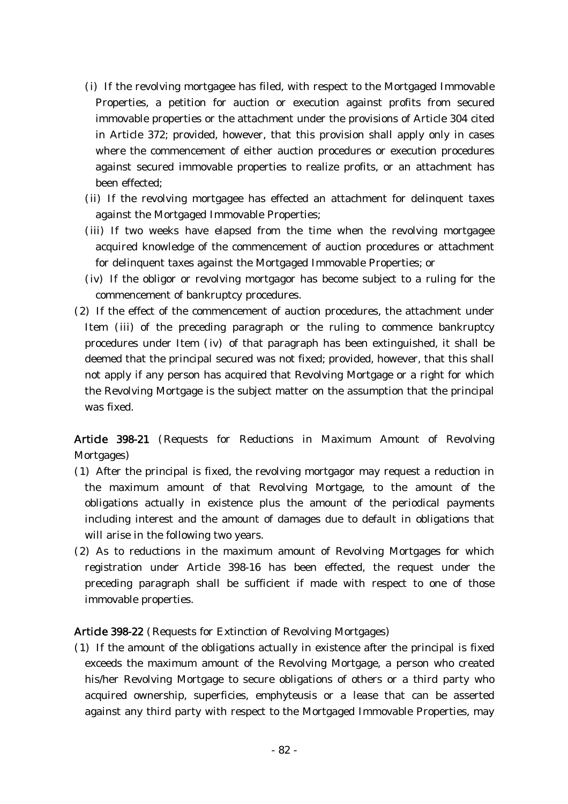- (i) If the revolving mortgagee has filed, with respect to the Mortgaged Immovable Properties, a petition for auction or execution against profits from secured immovable properties or the attachment under the provisions of Article 304 cited in Article 372; provided, however, that this provision shall apply only in cases where the commencement of either auction procedures or execution procedures against secured immovable properties to realize profits, or an attachment has been effected;
- (ii) If the revolving mortgagee has effected an attachment for delinquent taxes against the Mortgaged Immovable Properties;
- (iii) If two weeks have elapsed from the time when the revolving mortgagee acquired knowledge of the commencement of auction procedures or attachment for delinquent taxes against the Mortgaged Immovable Properties; or
- (iv) If the obligor or revolving mortgagor has become subject to a ruling for the commencement of bankruptcy procedures.
- (2) If the effect of the commencement of auction procedures, the attachment under Item (iii) of the preceding paragraph or the ruling to commence bankruptcy procedures under Item (iv) of that paragraph has been extinguished, it shall be deemed that the principal secured was not fixed; provided, however, that this shall not apply if any person has acquired that Revolving Mortgage or a right for which the Revolving Mortgage is the subject matter on the assumption that the principal was fixed.

Article 398-21 (Requests for Reductions in Maximum Amount of Revolving Mortgages)

- ( )1 After the principal is fixed, the revolving mortgagor may request a reduction in the maximum amount of that Revolving Mortgage, to the amount of the obligations actually in existence plus the amount of the periodical payments including interest and the amount of damages due to default in obligations that will arise in the following two years.
- $(2)$  As to reductions in the maximum amount of Revolving Mortgages for which registration under Article 398-16 has been effected, the request under the preceding paragraph shall be sufficient if made with respect to one of those immovable properties.

Article 398-22 (Requests for Extinction of Revolving Mortgages)

( )1 If the amount of the obligations actually in existence after the principal is fixed exceeds the maximum amount of the Revolving Mortgage, a person who created his/her Revolving Mortgage to secure obligations of others or a third party who acquired ownership, superficies, emphyteusis or a lease that can be asserted against any third party with respect to the Mortgaged Immovable Properties, may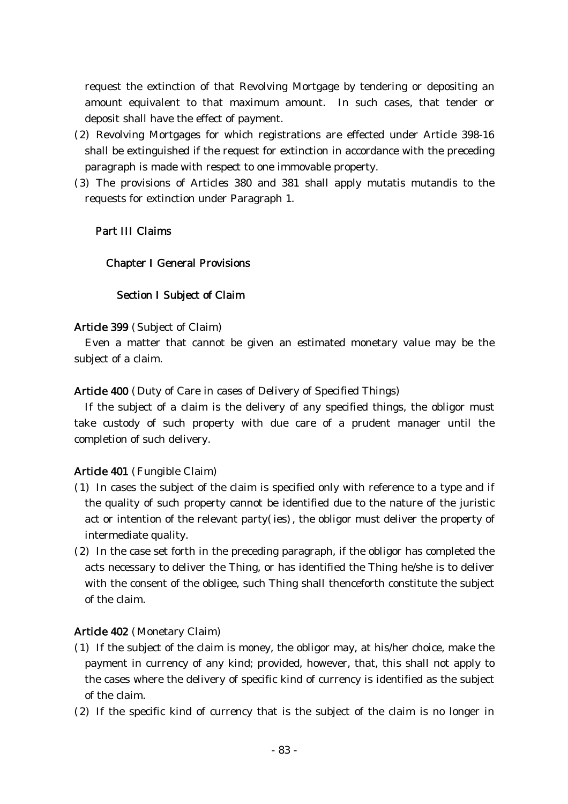request the extinction of that Revolving Mortgage by tendering or depositing an amount equivalent to that maximum amount. In such cases, that tender or deposit shall have the effect of payment.

- (2) Revolving Mortgages for which registrations are effected under Article 398-16 shall be extinguished if the request for extinction in accordance with the preceding paragraph is made with respect to one immovable property.
- (3) The provisions of Articles 380 and 381 shall apply mutatis mutandis to the requests for extinction under Paragraph 1.

## Part III Claims

### Chapter I General Provisions

### Section I Subject of Claim

### Article 399 (Subject of Claim)

Even a matter that cannot be given an estimated monetary value may be the subject of a claim.

### Article 400 (Duty of Care in cases of Delivery of Specified Things)

If the subject of a claim is the delivery of any specified things, the obligor must take custody of such property with due care of a prudent manager until the completion of such delivery.

### Article 401 (Fungible Claim)

- (1) In cases the subject of the claim is specified only with reference to a type and if the quality of such property cannot be identified due to the nature of the juristic act or intention of the relevant party  $(ies)$ , the obligor must deliver the property of intermediate quality.
- $(2)$  In the case set forth in the preceding paragraph, if the obligor has completed the acts necessary to deliver the Thing, or has identified the Thing he/she is to deliver with the consent of the obligee, such Thing shall thenceforth constitute the subject of the claim.

### Article 402 (Monetary Claim)

- (1) If the subject of the claim is money, the obligor may, at his/her choice, make the payment in currency of any kind; provided, however, that, this shall not apply to the cases where the delivery of specific kind of currency is identified as the subject of the claim.
- $(2)$  If the specific kind of currency that is the subject of the claim is no longer in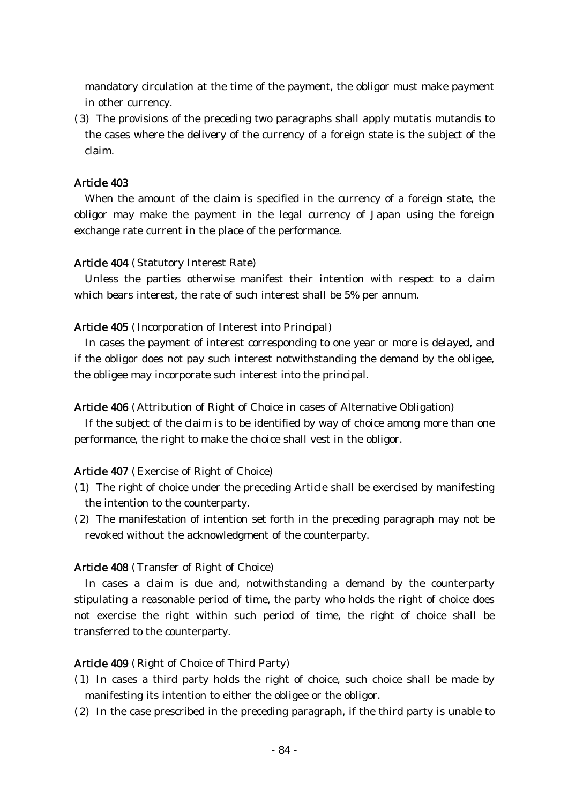mandatory circulation at the time of the payment, the obligor must make payment in other currency.

(3) The provisions of the preceding two paragraphs shall apply mutatis mutandis to the cases where the delivery of the currency of a foreign state is the subject of the claim.

### Article 403

When the amount of the claim is specified in the currency of a foreign state, the obligor may make the payment in the legal currency of Japan using the foreign exchange rate current in the place of the performance.

### Article 404 (Statutory Interest Rate)

Unless the parties otherwise manifest their intention with respect to a claim which bears interest, the rate of such interest shall be 5% per annum.

## Article 405 (Incorporation of Interest into Principal)

In cases the payment of interest corresponding to one year or more is delayed, and if the obligor does not pay such interest notwithstanding the demand by the obligee, the obligee may incorporate such interest into the principal.

### Article 406 (Attribution of Right of Choice in cases of Alternative Obligation)

If the subject of the claim is to be identified by way of choice among more than one performance, the right to make the choice shall vest in the obligor.

### Article 407 (Exercise of Right of Choice)

- ( )1 The right of choice under the preceding Article shall be exercised by manifesting the intention to the counterparty.
- $(2)$  The manifestation of intention set forth in the preceding paragraph may not be revoked without the acknowledgment of the counterparty.

### Article 408 (Transfer of Right of Choice)

In cases a claim is due and, notwithstanding a demand by the counterparty stipulating a reasonable period of time, the party who holds the right of choice does not exercise the right within such period of time, the right of choice shall be transferred to the counterparty.

### Article 409 (Right of Choice of Third Party)

- ( )1 In cases a third party holds the right of choice, such choice shall be made by manifesting its intention to either the obligee or the obligor.
- $(2)$  In the case prescribed in the preceding paragraph, if the third party is unable to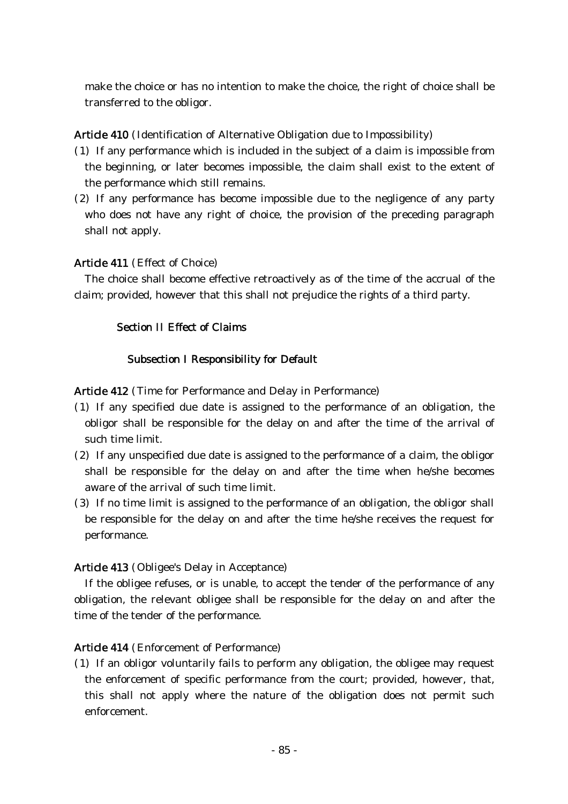make the choice or has no intention to make the choice, the right of choice shall be transferred to the obligor.

# Article 410 (Identification of Alternative Obligation due to Impossibility)

- $(1)$  If any performance which is included in the subject of a claim is impossible from the beginning, or later becomes impossible, the claim shall exist to the extent of the performance which still remains.
- $(2)$  If any performance has become impossible due to the negligence of any party who does not have any right of choice, the provision of the preceding paragraph shall not apply.

# Article 411 (Effect of Choice)

The choice shall become effective retroactively as of the time of the accrual of the claim; provided, however that this shall not prejudice the rights of a third party.

## Section II Effect of Claims

### Subsection I Responsibility for Default

Article 412 (Time for Performance and Delay in Performance)

- ( )1 If any specified due date is assigned to the performance of an obligation, the obligor shall be responsible for the delay on and after the time of the arrival of such time limit.
- (2) If any unspecified due date is assigned to the performance of a claim, the obligor shall be responsible for the delay on and after the time when he/she becomes aware of the arrival of such time limit.
- (3) If no time limit is assigned to the performance of an obligation, the obligor shall be responsible for the delay on and after the time he/she receives the request for performance.

### Article 413 (Obligee's Delay in Acceptance)

If the obligee refuses, or is unable, to accept the tender of the performance of any obligation, the relevant obligee shall be responsible for the delay on and after the time of the tender of the performance.

# Article 414 (Enforcement of Performance)

(1) If an obligor voluntarily fails to perform any obligation, the obligee may request the enforcement of specific performance from the court; provided, however, that, this shall not apply where the nature of the obligation does not permit such enforcement.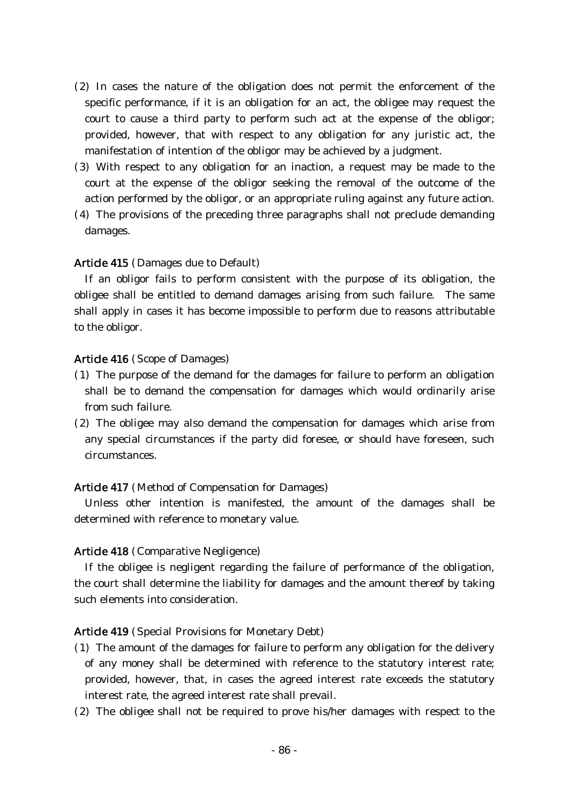- $(2)$  In cases the nature of the obligation does not permit the enforcement of the specific performance, if it is an obligation for an act, the obligee may request the court to cause a third party to perform such act at the expense of the obligor; provided, however, that with respect to any obligation for any juristic act, the manifestation of intention of the obligor may be achieved by a judgment.
- ( )3 With respect to any obligation for an inaction, a request may be made to the court at the expense of the obligor seeking the removal of the outcome of the action performed by the obligor, or an appropriate ruling against any future action.
- (4) The provisions of the preceding three paragraphs shall not preclude demanding damages.

### Article 415 (Damages due to Default)

If an obligor fails to perform consistent with the purpose of its obligation, the obligee shall be entitled to demand damages arising from such failure. The same shall apply in cases it has become impossible to perform due to reasons attributable to the obligor.

### Article 416 (Scope of Damages)

- ( )1 The purpose of the demand for the damages for failure to perform an obligation shall be to demand the compensation for damages which would ordinarily arise from such failure.
- (2) The obligee may also demand the compensation for damages which arise from any special circumstances if the party did foresee, or should have foreseen, such circumstances.

#### Article 417 (Method of Compensation for Damages)

Unless other intention is manifested, the amount of the damages shall be determined with reference to monetary value.

#### Article 418 (Comparative Negligence)

If the obligee is negligent regarding the failure of performance of the obligation, the court shall determine the liability for damages and the amount thereof by taking such elements into consideration.

### Article 419 (Special Provisions for Monetary Debt)

- ( )1 The amount of the damages for failure to perform any obligation for the delivery of any money shall be determined with reference to the statutory interest rate; provided, however, that, in cases the agreed interest rate exceeds the statutory interest rate, the agreed interest rate shall prevail.
- $(2)$  The obligee shall not be required to prove his/her damages with respect to the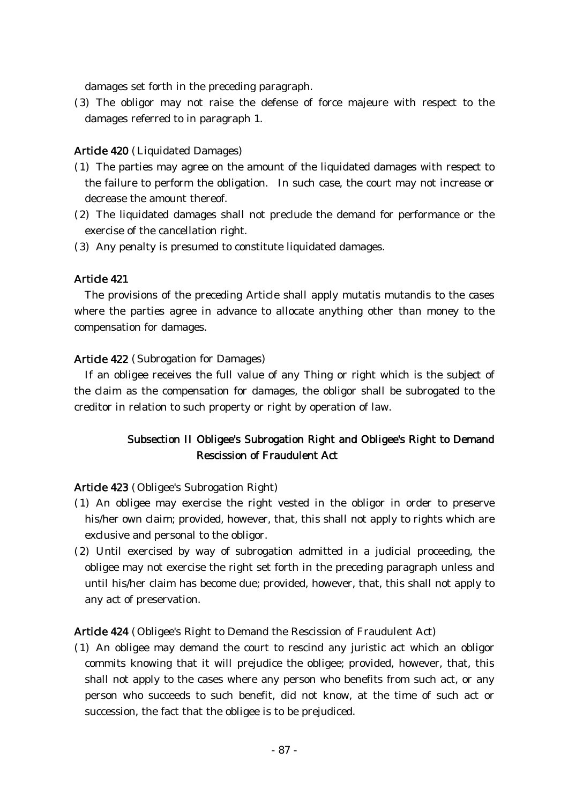damages set forth in the preceding paragraph.

(3) The obligor may not raise the defense of force majeure with respect to the damages referred to in paragraph 1.

## Article 420 (Liquidated Damages)

- ( )1 The parties may agree on the amount of the liquidated damages with respect to the failure to perform the obligation. In such case, the court may not increase or decrease the amount thereof.
- (2) The liquidated damages shall not preclude the demand for performance or the exercise of the cancellation right.
- (3) Any penalty is presumed to constitute liquidated damages.

### Article 421

The provisions of the preceding Article shall apply mutatis mutandis to the cases where the parties agree in advance to allocate anything other than money to the compensation for damages.

## Article 422 (Subrogation for Damages)

If an obligee receives the full value of any Thing or right which is the subject of the claim as the compensation for damages, the obligor shall be subrogated to the creditor in relation to such property or right by operation of law.

# Subsection II Obligee's Subrogation Right and Obligee's Right to Demand Rescission of Fraudulent Act

### Article 423 (Obligee's Subrogation Right)

- ( )1 An obligee may exercise the right vested in the obligor in order to preserve his/her own claim; provided, however, that, this shall not apply to rights which are exclusive and personal to the obligor.
- $(2)$  Until exercised by way of subrogation admitted in a judicial proceeding, the obligee may not exercise the right set forth in the preceding paragraph unless and until his/her claim has become due; provided, however, that, this shall not apply to any act of preservation.

Article 424 (Obligee's Right to Demand the Rescission of Fraudulent Act)

( )1 An obligee may demand the court to rescind any juristic act which an obligor commits knowing that it will prejudice the obligee; provided, however, that, this shall not apply to the cases where any person who benefits from such act, or any person who succeeds to such benefit, did not know, at the time of such act or succession, the fact that the obligee is to be prejudiced.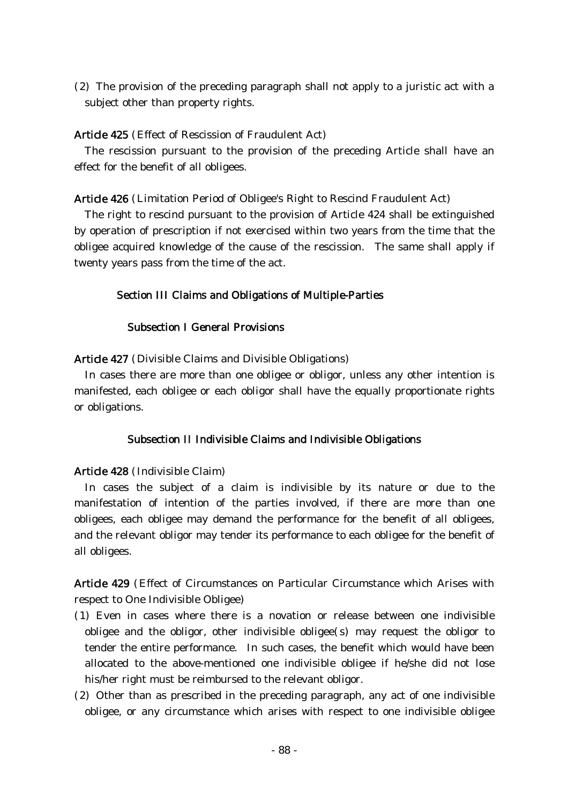$(2)$  The provision of the preceding paragraph shall not apply to a juristic act with a subject other than property rights.

## Article 425 (Effect of Rescission of Fraudulent Act)

The rescission pursuant to the provision of the preceding Article shall have an effect for the benefit of all obligees.

## Article 426 (Limitation Period of Obligee's Right to Rescind Fraudulent Act)

The right to rescind pursuant to the provision of Article 424 shall be extinguished by operation of prescription if not exercised within two years from the time that the obligee acquired knowledge of the cause of the rescission. The same shall apply if twenty years pass from the time of the act.

# Section III Claims and Obligations of Multiple-Parties

# Subsection I General Provisions

Article 427 (Divisible Claims and Divisible Obligations)

In cases there are more than one obligee or obligor, unless any other intention is manifested, each obligee or each obligor shall have the equally proportionate rights or obligations.

# Subsection II Indivisible Claims and Indivisible Obligations

# Article 428 (Indivisible Claim)

In cases the subject of a claim is indivisible by its nature or due to the manifestation of intention of the parties involved, if there are more than one obligees, each obligee may demand the performance for the benefit of all obligees, and the relevant obligor may tender its performance to each obligee for the benefit of all obligees.

Article 429 (Effect of Circumstances on Particular Circumstance which Arises with respect to One Indivisible Obligee)

- ( )1 Even in cases where there is a novation or release between one indivisible obligee and the obligor, other indivisible obligee( $s$ ) may request the obligor to tender the entire performance. In such cases, the benefit which would have been allocated to the above-mentioned one indivisible obligee if he/she did not lose his/her right must be reimbursed to the relevant obligor.
- $(2)$  Other than as prescribed in the preceding paragraph, any act of one indivisible obligee, or any circumstance which arises with respect to one indivisible obligee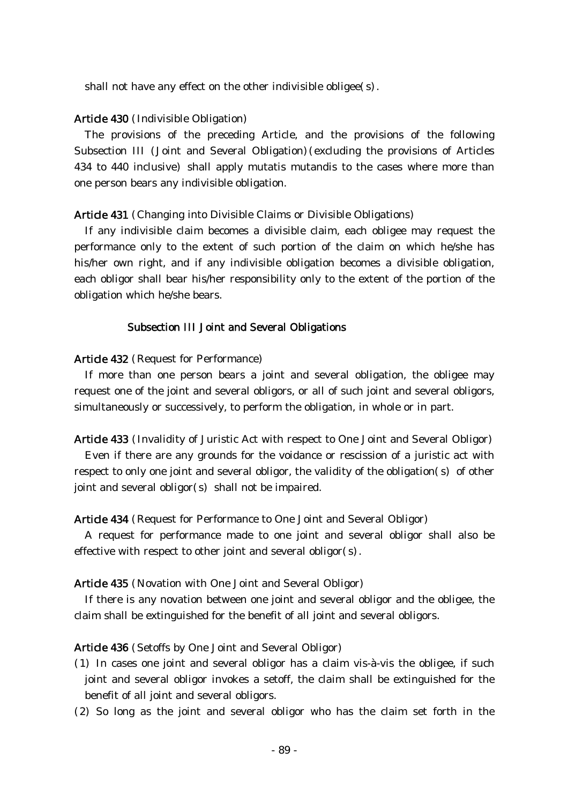shall not have any effect on the other indivisible obligee $(s)$ .

#### Article 430 (Indivisible Obligation)

The provisions of the preceding Article, and the provisions of the following Subsection III (Joint and Several Obligation) (excluding the provisions of Articles 434 to 440 inclusive) shall apply mutatis mutandis to the cases where more than one person bears any indivisible obligation.

### Article 431 (Changing into Divisible Claims or Divisible Obligations)

If any indivisible claim becomes a divisible claim, each obligee may request the performance only to the extent of such portion of the claim on which he/she has his/her own right, and if any indivisible obligation becomes a divisible obligation, each obligor shall bear his/her responsibility only to the extent of the portion of the obligation which he/she bears.

#### Subsection III Joint and Several Obligations

#### Article 432 (Request for Performance)

If more than one person bears a joint and several obligation, the obligee may request one of the joint and several obligors, or all of such joint and several obligors, simultaneously or successively, to perform the obligation, in whole or in part.

Article 433 (Invalidity of Juristic Act with respect to One Joint and Several Obligor) Even if there are any grounds for the voidance or rescission of a juristic act with respect to only one joint and several obligor, the validity of the obligation  $(s)$  of other joint and several obligor( $s$ ) shall not be impaired.

#### Article 434 (Request for Performance to One Joint and Several Obligor)

A request for performance made to one joint and several obligor shall also be effective with respect to other joint and several obligor  $(s)$ .

#### Article 435 (Novation with One Joint and Several Obligor)

If there is any novation between one joint and several obligor and the obligee, the claim shall be extinguished for the benefit of all joint and several obligors.

#### Article 436 (Setoffs by One Joint and Several Obligor)

- ( )1 In cases one joint and several obligor has a claim vis-à-vis the obligee, if such joint and several obligor invokes a setoff, the claim shall be extinguished for the benefit of all joint and several obligors.
- (2) So long as the joint and several obligor who has the claim set forth in the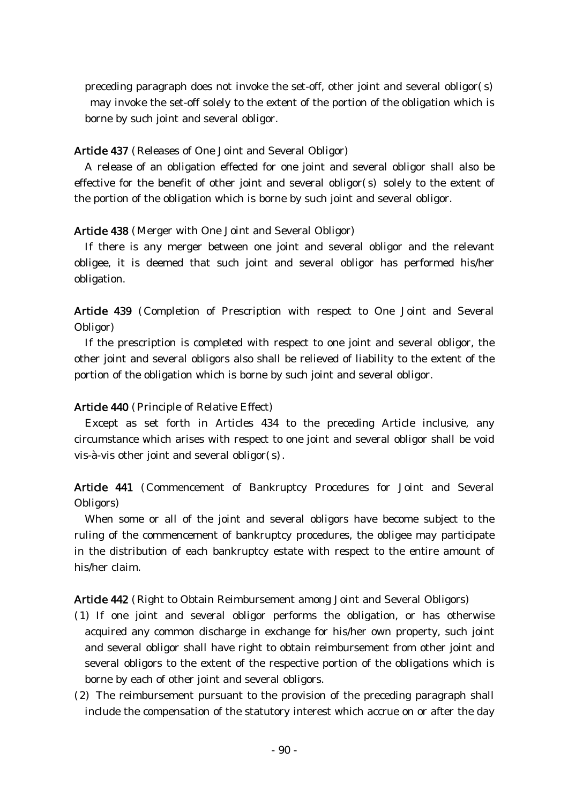preceding paragraph does not invoke the set-off, other joint and several obligor( $\mathbf{s}$ ) may invoke the set-off solely to the extent of the portion of the obligation which is borne by such joint and several obligor.

### Article 437 (Releases of One Joint and Several Obligor)

A release of an obligation effected for one joint and several obligor shall also be effective for the benefit of other joint and several obligor( $s$ ) solely to the extent of the portion of the obligation which is borne by such joint and several obligor.

### Article 438 (Merger with One Joint and Several Obligor)

If there is any merger between one joint and several obligor and the relevant obligee, it is deemed that such joint and several obligor has performed his/her obligation.

Article 439 (Completion of Prescription with respect to One Joint and Several Obligor)

If the prescription is completed with respect to one joint and several obligor, the other joint and several obligors also shall be relieved of liability to the extent of the portion of the obligation which is borne by such joint and several obligor.

### Article 440 (Principle of Relative Effect)

Except as set forth in Articles 434 to the preceding Article inclusive, any circumstance which arises with respect to one joint and several obligor shall be void vis-à-vis other joint and several obligor $(s)$ .

Article 441 (Commencement of Bankruptcy Procedures for Joint and Several Obligors)

When some or all of the joint and several obligors have become subject to the ruling of the commencement of bankruptcy procedures, the obligee may participate in the distribution of each bankruptcy estate with respect to the entire amount of his/her claim.

### Article 442 (Right to Obtain Reimbursement among Joint and Several Obligors)

- ( )1 If one joint and several obligor performs the obligation, or has otherwise acquired any common discharge in exchange for his/her own property, such joint and several obligor shall have right to obtain reimbursement from other joint and several obligors to the extent of the respective portion of the obligations which is borne by each of other joint and several obligors.
- $(2)$  The reimbursement pursuant to the provision of the preceding paragraph shall include the compensation of the statutory interest which accrue on or after the day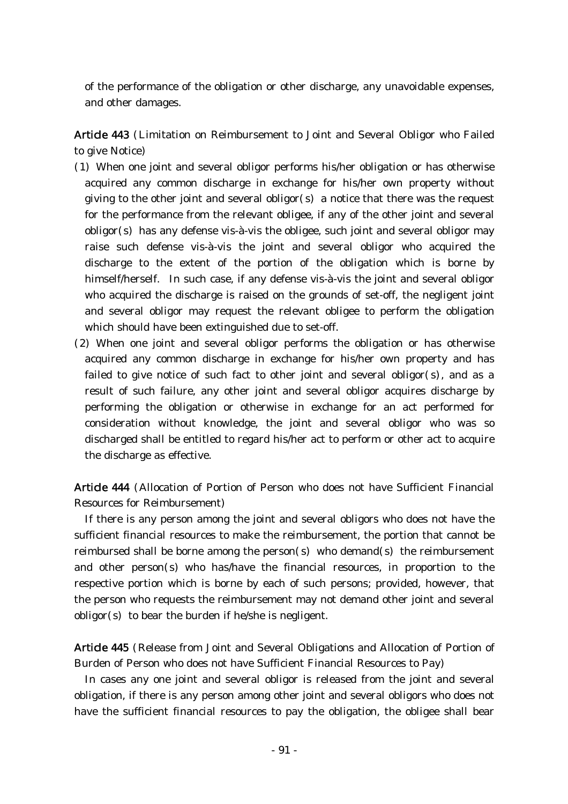of the performance of the obligation or other discharge, any unavoidable expenses, and other damages.

Article 443 (Limitation on Reimbursement to Joint and Several Obligor who Failed to give Notice)

- (1) When one joint and several obligor performs his/her obligation or has otherwise acquired any common discharge in exchange for his/her own property without giving to the other joint and several obligor(s) a notice that there was the request for the performance from the relevant obligee, if any of the other joint and several  $obligor(s)$  has any defense vis-à-vis the obligee, such joint and several obligor may raise such defense vis-à-vis the joint and several obligor who acquired the discharge to the extent of the portion of the obligation which is borne by himself/herself. In such case, if any defense vis-à-vis the joint and several obligor who acquired the discharge is raised on the grounds of set-off, the negligent joint and several obligor may request the relevant obligee to perform the obligation which should have been extinguished due to set-off.
- $(2)$  When one joint and several obligor performs the obligation or has otherwise acquired any common discharge in exchange for his/her own property and has failed to give notice of such fact to other joint and several obligor( $s$ ), and as a result of such failure, any other joint and several obligor acquires discharge by performing the obligation or otherwise in exchange for an act performed for consideration without knowledge, the joint and several obligor who was so discharged shall be entitled to regard his/her act to perform or other act to acquire the discharge as effective.

Article 444 (Allocation of Portion of Person who does not have Sufficient Financial Resources for Reimbursement)

If there is any person among the joint and several obligors who does not have the sufficient financial resources to make the reimbursement, the portion that cannot be reimbursed shall be borne among the person(s) who demand(s) the reimbursement and other person(s) who has/have the financial resources, in proportion to the respective portion which is borne by each of such persons; provided, however, that the person who requests the reimbursement may not demand other joint and several obligor(s) to bear the burden if he/she is negligent.

Article 445 (Release from Joint and Several Obligations and Allocation of Portion of Burden of Person who does not have Sufficient Financial Resources to Pay)

In cases any one joint and several obligor is released from the joint and several obligation, if there is any person among other joint and several obligors who does not have the sufficient financial resources to pay the obligation, the obligee shall bear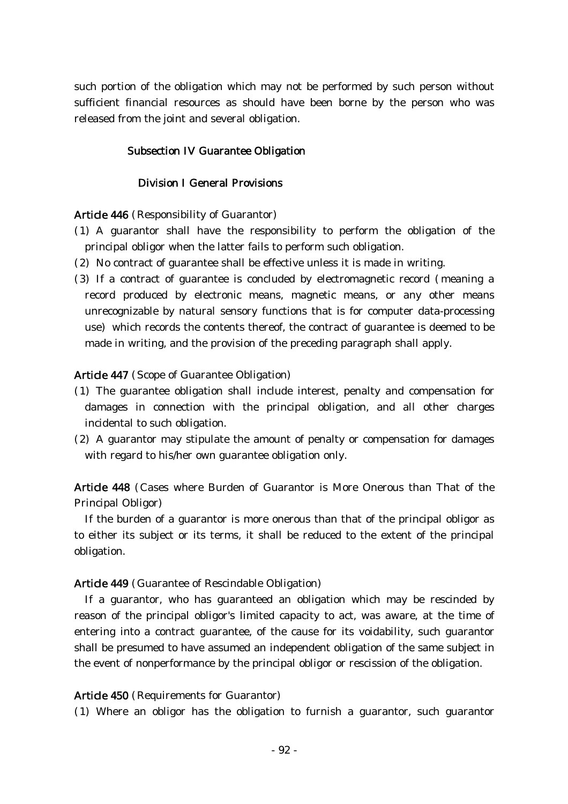such portion of the obligation which may not be performed by such person without sufficient financial resources as should have been borne by the person who was released from the joint and several obligation.

### Subsection IV Guarantee Obligation

### Division I General Provisions

## Article 446 (Responsibility of Guarantor)

- ( )1 A guarantor shall have the responsibility to perform the obligation of the principal obligor when the latter fails to perform such obligation.
- (2) No contract of guarantee shall be effective unless it is made in writing.
- $(3)$  If a contract of guarantee is concluded by electromagnetic record (meaning a record produced by electronic means, magnetic means, or any other means unrecognizable by natural sensory functions that is for computer data-processing use) which records the contents thereof, the contract of guarantee is deemed to be made in writing, and the provision of the preceding paragraph shall apply.

#### Article 447 (Scope of Guarantee Obligation)

- ( )1 The guarantee obligation shall include interest, penalty and compensation for damages in connection with the principal obligation, and all other charges incidental to such obligation.
- $(2)$  A guarantor may stipulate the amount of penalty or compensation for damages with regard to his/her own guarantee obligation only.

Article 448 (Cases where Burden of Guarantor is More Onerous than That of the Principal Obligor)

If the burden of a guarantor is more onerous than that of the principal obligor as to either its subject or its terms, it shall be reduced to the extent of the principal obligation.

#### Article 449 (Guarantee of Rescindable Obligation)

If a guarantor, who has guaranteed an obligation which may be rescinded by reason of the principal obligor's limited capacity to act, was aware, at the time of entering into a contract guarantee, of the cause for its voidability, such guarantor shall be presumed to have assumed an independent obligation of the same subject in the event of nonperformance by the principal obligor or rescission of the obligation.

#### Article 450 (Requirements for Guarantor)

( )1 Where an obligor has the obligation to furnish a guarantor, such guarantor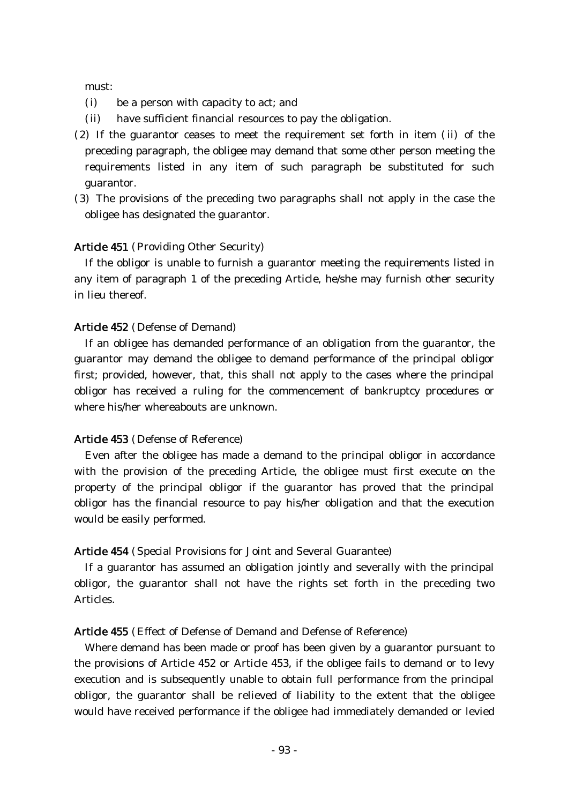must:

- (i) be a person with capacity to act; and
- $(i)$  have sufficient financial resources to pay the obligation.
- $( 2)$  If the guarantor ceases to meet the requirement set forth in item (ii) of the preceding paragraph, the obligee may demand that some other person meeting the requirements listed in any item of such paragraph be substituted for such guarantor.
- (3) The provisions of the preceding two paragraphs shall not apply in the case the obligee has designated the guarantor.

### Article 451 (Providing Other Security)

If the obligor is unable to furnish a guarantor meeting the requirements listed in any item of paragraph 1 of the preceding Article, he/she may furnish other security in lieu thereof.

#### Article 452 (Defense of Demand)

If an obligee has demanded performance of an obligation from the guarantor, the guarantor may demand the obligee to demand performance of the principal obligor first; provided, however, that, this shall not apply to the cases where the principal obligor has received a ruling for the commencement of bankruptcy procedures or where his/her whereabouts are unknown.

#### Article 453 (Defense of Reference)

Even after the obligee has made a demand to the principal obligor in accordance with the provision of the preceding Article, the obligee must first execute on the property of the principal obligor if the guarantor has proved that the principal obligor has the financial resource to pay his/her obligation and that the execution would be easily performed.

#### Article 454 (Special Provisions for Joint and Several Guarantee)

If a guarantor has assumed an obligation jointly and severally with the principal obligor, the guarantor shall not have the rights set forth in the preceding two Articles.

#### Article 455 (Effect of Defense of Demand and Defense of Reference)

Where demand has been made or proof has been given by a guarantor pursuant to the provisions of Article 452 or Article 453, if the obligee fails to demand or to levy execution and is subsequently unable to obtain full performance from the principal obligor, the guarantor shall be relieved of liability to the extent that the obligee would have received performance if the obligee had immediately demanded or levied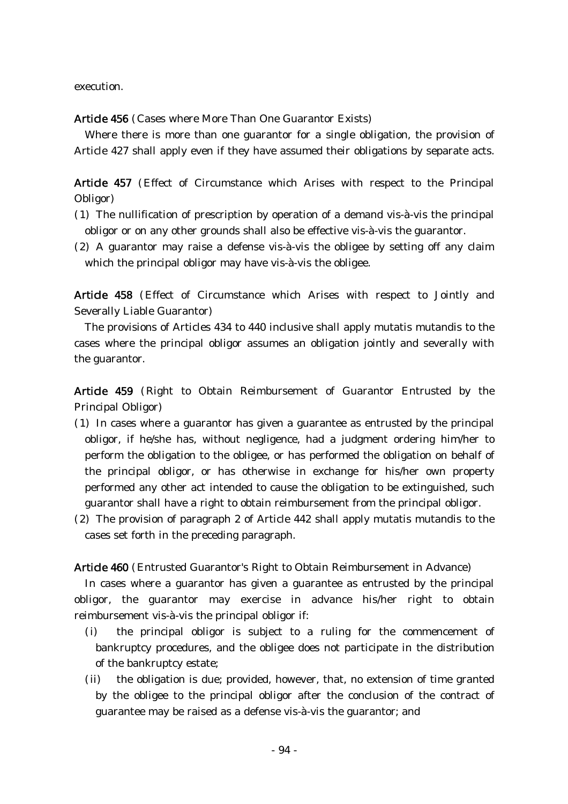execution.

Article 456 (Cases where More Than One Guarantor Exists)

Where there is more than one guarantor for a single obligation, the provision of Article 427 shall apply even if they have assumed their obligations by separate acts.

Article 457 (Effect of Circumstance which Arises with respect to the Principal Obligor)

- $(1)$  The nullification of prescription by operation of a demand vis-à-vis the principal obligor or on any other grounds shall also be effective vis-à-vis the guarantor.
- $(2)$  A guarantor may raise a defense vis-à-vis the obligee by setting off any claim which the principal obligor may have vis-à-vis the obligee.

Article 458 (Effect of Circumstance which Arises with respect to Jointly and Severally Liable Guarantor)

The provisions of Articles 434 to 440 inclusive shall apply mutatis mutandis to the cases where the principal obligor assumes an obligation jointly and severally with the guarantor.

Article 459 (Right to Obtain Reimbursement of Guarantor Entrusted by the Principal Obligor)

- $(1)$  In cases where a guarantor has given a guarantee as entrusted by the principal obligor, if he/she has, without negligence, had a judgment ordering him/her to perform the obligation to the obligee, or has performed the obligation on behalf of the principal obligor, or has otherwise in exchange for his/her own property performed any other act intended to cause the obligation to be extinguished, such guarantor shall have a right to obtain reimbursement from the principal obligor.
- $(2)$  The provision of paragraph 2 of Article 442 shall apply mutatis mutandis to the cases set forth in the preceding paragraph.

#### Article 460 (Entrusted Guarantor's Right to Obtain Reimbursement in Advance)

In cases where a guarantor has given a guarantee as entrusted by the principal obligor, the guarantor may exercise in advance his/her right to obtain reimbursement vis-à-vis the principal obligor if:

- (i) the principal obligor is subject to a ruling for the commencement of bankruptcy procedures, and the obligee does not participate in the distribution of the bankruptcy estate;
- (ii) the obligation is due; provided, however, that, no extension of time granted by the obligee to the principal obligor after the conclusion of the contract of guarantee may be raised as a defense vis-à-vis the guarantor; and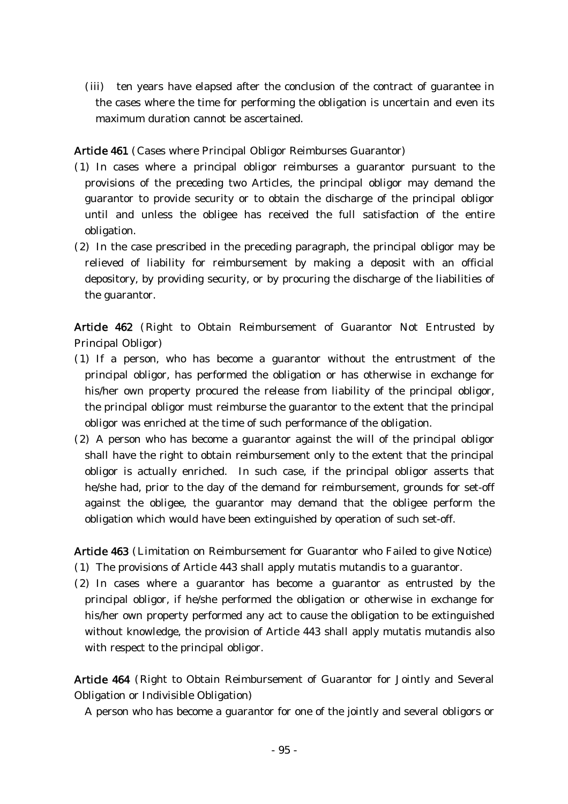(iii) ten years have elapsed after the conclusion of the contract of guarantee in the cases where the time for performing the obligation is uncertain and even its maximum duration cannot be ascertained.

Article 461 (Cases where Principal Obligor Reimburses Guarantor)

- ( )1 In cases where a principal obligor reimburses a guarantor pursuant to the provisions of the preceding two Articles, the principal obligor may demand the guarantor to provide security or to obtain the discharge of the principal obligor until and unless the obligee has received the full satisfaction of the entire obligation.
- $(2)$  In the case prescribed in the preceding paragraph, the principal obligor may be relieved of liability for reimbursement by making a deposit with an official depository, by providing security, or by procuring the discharge of the liabilities of the guarantor.

Article 462 (Right to Obtain Reimbursement of Guarantor Not Entrusted by Principal Obligor)

- (1) If a person, who has become a guarantor without the entrustment of the principal obligor, has performed the obligation or has otherwise in exchange for his/her own property procured the release from liability of the principal obligor, the principal obligor must reimburse the guarantor to the extent that the principal obligor was enriched at the time of such performance of the obligation.
- $(2)$  A person who has become a guarantor against the will of the principal obligor shall have the right to obtain reimbursement only to the extent that the principal obligor is actually enriched. In such case, if the principal obligor asserts that he/she had, prior to the day of the demand for reimbursement, grounds for set-off against the obligee, the guarantor may demand that the obligee perform the obligation which would have been extinguished by operation of such set-off.

Article 463 (Limitation on Reimbursement for Guarantor who Failed to give Notice)

- ( )1 The provisions of Article 443 shall apply mutatis mutandis to a guarantor.
- $(2)$  In cases where a guarantor has become a guarantor as entrusted by the principal obligor, if he/she performed the obligation or otherwise in exchange for his/her own property performed any act to cause the obligation to be extinguished without knowledge, the provision of Article 443 shall apply mutatis mutandis also with respect to the principal obligor.

Article 464 (Right to Obtain Reimbursement of Guarantor for Jointly and Several Obligation or Indivisible Obligation)

A person who has become a guarantor for one of the jointly and several obligors or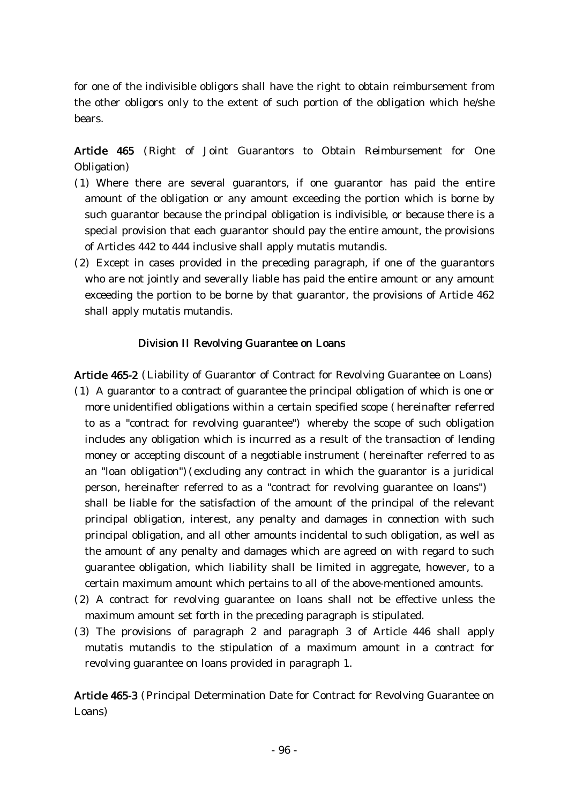for one of the indivisible obligors shall have the right to obtain reimbursement from the other obligors only to the extent of such portion of the obligation which he/she bears.

Article 465 (Right of Joint Guarantors to Obtain Reimbursement for One Obligation)

- ( )1 Where there are several guarantors, if one guarantor has paid the entire amount of the obligation or any amount exceeding the portion which is borne by such guarantor because the principal obligation is indivisible, or because there is a special provision that each guarantor should pay the entire amount, the provisions of Articles 442 to 444 inclusive shall apply mutatis mutandis.
- $(2)$  Except in cases provided in the preceding paragraph, if one of the guarantors who are not jointly and severally liable has paid the entire amount or any amount exceeding the portion to be borne by that guarantor, the provisions of Article 462 shall apply mutatis mutandis.

## Division II Revolving Guarantee on Loans

Article 465-2 (Liability of Guarantor of Contract for Revolving Guarantee on Loans) ( )1 A guarantor to a contract of guarantee the principal obligation of which is one or more unidentified obligations within a certain specified scope (hereinafter referred to as a "contract for revolving guarantee") whereby the scope of such obligation includes any obligation which is incurred as a result of the transaction of lending money or accepting discount of a negotiable instrument (hereinafter referred to as an "loan obligation") (excluding any contract in which the guarantor is a juridical person, hereinafter referred to as a "contract for revolving guarantee on loans") shall be liable for the satisfaction of the amount of the principal of the relevant principal obligation, interest, any penalty and damages in connection with such principal obligation, and all other amounts incidental to such obligation, as well as the amount of any penalty and damages which are agreed on with regard to such guarantee obligation, which liability shall be limited in aggregate, however, to a certain maximum amount which pertains to all of the above-mentioned amounts.

- (2) A contract for revolving guarantee on loans shall not be effective unless the maximum amount set forth in the preceding paragraph is stipulated.
- (3) The provisions of paragraph 2 and paragraph 3 of Article 446 shall apply mutatis mutandis to the stipulation of a maximum amount in a contract for revolving guarantee on loans provided in paragraph 1.

Article 465-3 (Principal Determination Date for Contract for Revolving Guarantee on Loans)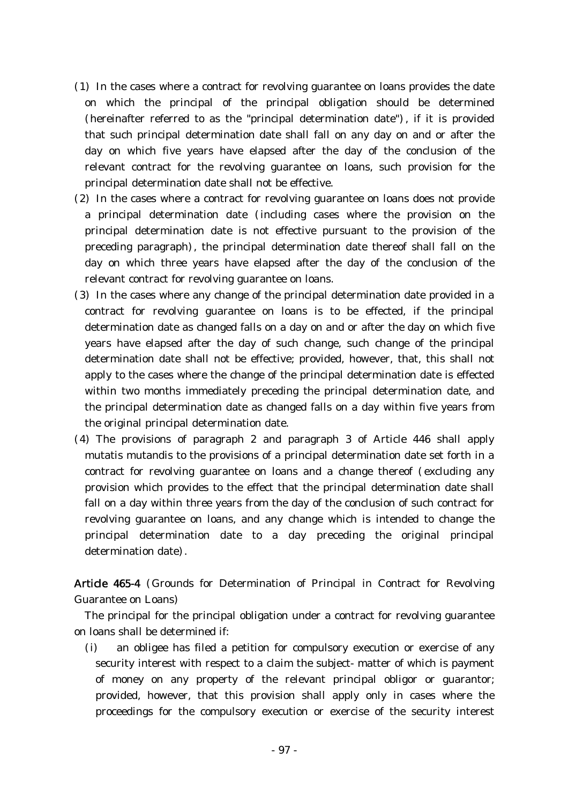- ( )1 In the cases where a contract for revolving guarantee on loans provides the date on which the principal of the principal obligation should be determined (hereinafter referred to as the "principal determination date"), if it is provided that such principal determination date shall fall on any day on and or after the day on which five years have elapsed after the day of the conclusion of the relevant contract for the revolving guarantee on loans, such provision for the principal determination date shall not be effective.
- (2) In the cases where a contract for revolving guarantee on loans does not provide a principal determination date (including cases where the provision on the principal determination date is not effective pursuant to the provision of the preceding paragraph), the principal determination date thereof shall fall on the day on which three years have elapsed after the day of the conclusion of the relevant contract for revolving guarantee on loans.
- ( )3 In the cases where any change of the principal determination date provided in a contract for revolving guarantee on loans is to be effected, if the principal determination date as changed falls on a day on and or after the day on which five years have elapsed after the day of such change, such change of the principal determination date shall not be effective; provided, however, that, this shall not apply to the cases where the change of the principal determination date is effected within two months immediately preceding the principal determination date, and the principal determination date as changed falls on a day within five years from the original principal determination date.
- $(4)$  The provisions of paragraph 2 and paragraph 3 of Article 446 shall apply mutatis mutandis to the provisions of a principal determination date set forth in a contract for revolving guarantee on loans and a change thereof (excluding any provision which provides to the effect that the principal determination date shall fall on a day within three years from the day of the conclusion of such contract for revolving guarantee on loans, and any change which is intended to change the principal determination date to a day preceding the original principal determination date).

Article 465-4 (Grounds for Determination of Principal in Contract for Revolving Guarantee on Loans)

The principal for the principal obligation under a contract for revolving guarantee on loans shall be determined if:

(i) an obligee has filed a petition for compulsory execution or exercise of any security interest with respect to a claim the subject- matter of which is payment of money on any property of the relevant principal obligor or guarantor; provided, however, that this provision shall apply only in cases where the proceedings for the compulsory execution or exercise of the security interest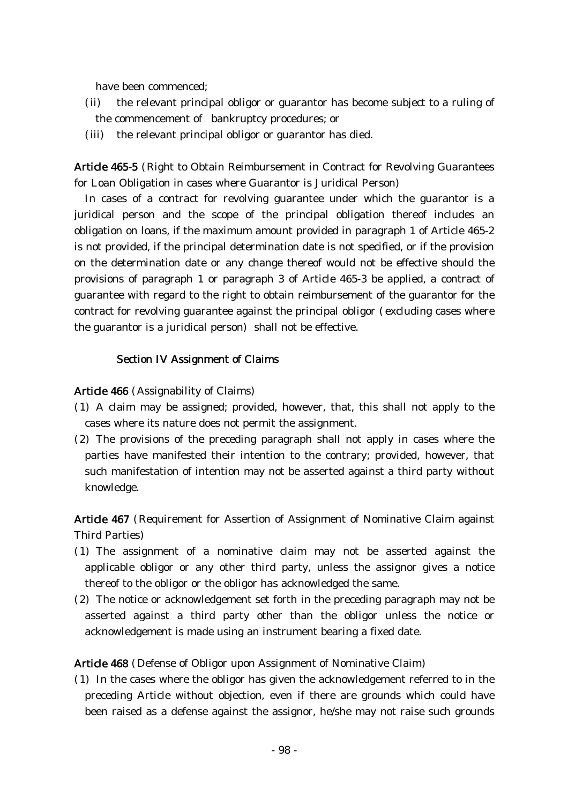have been commenced;

- (ii) the relevant principal obligor or guarantor has become subject to a ruling of the commencement of bankruptcy procedures; or
- (iii) the relevant principal obligor or guarantor has died.

Article 465-5 (Right to Obtain Reimbursement in Contract for Revolving Guarantees for Loan Obligation in cases where Guarantor is Juridical Person)

In cases of a contract for revolving guarantee under which the guarantor is a juridical person and the scope of the principal obligation thereof includes an obligation on loans, if the maximum amount provided in paragraph 1 of Article 465-2 is not provided, if the principal determination date is not specified, or if the provision on the determination date or any change thereof would not be effective should the provisions of paragraph 1 or paragraph 3 of Article 465-3 be applied, a contract of guarantee with regard to the right to obtain reimbursement of the guarantor for the contract for revolving guarantee against the principal obligor (excluding cases where the guarantor is a juridical person) shall not be effective.

#### Section IV Assignment of Claims

### Article 466 (Assignability of Claims)

- ( )1 A claim may be assigned; provided, however, that, this shall not apply to the cases where its nature does not permit the assignment.
- (2) The provisions of the preceding paragraph shall not apply in cases where the parties have manifested their intention to the contrary; provided, however, that such manifestation of intention may not be asserted against a third party without knowledge.

Article 467 (Requirement for Assertion of Assignment of Nominative Claim against Third Parties)

- ( )1 The assignment of a nominative claim may not be asserted against the applicable obligor or any other third party, unless the assignor gives a notice thereof to the obligor or the obligor has acknowledged the same.
- $(2)$  The notice or acknowledgement set forth in the preceding paragraph may not be asserted against a third party other than the obligor unless the notice or acknowledgement is made using an instrument bearing a fixed date.

#### Article 468 (Defense of Obligor upon Assignment of Nominative Claim)

( )1 In the cases where the obligor has given the acknowledgement referred to in the preceding Article without objection, even if there are grounds which could have been raised as a defense against the assignor, he/she may not raise such grounds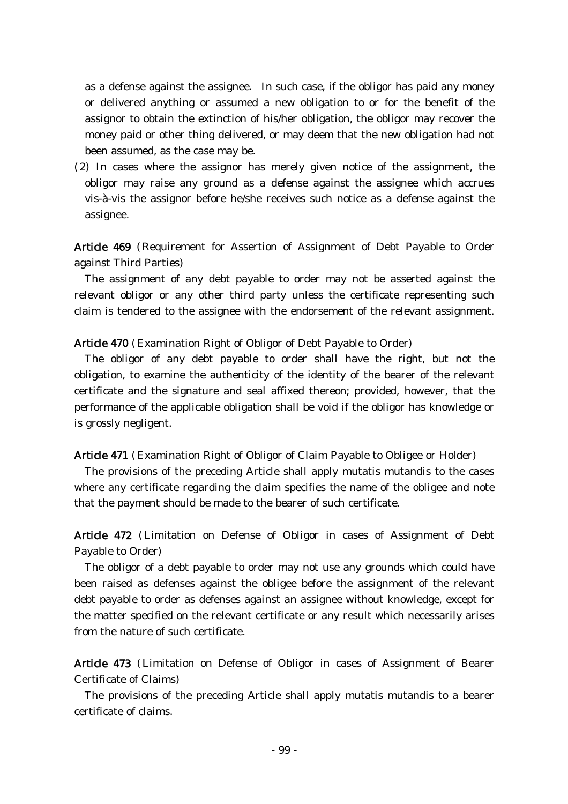as a defense against the assignee. In such case, if the obligor has paid any money or delivered anything or assumed a new obligation to or for the benefit of the assignor to obtain the extinction of his/her obligation, the obligor may recover the money paid or other thing delivered, or may deem that the new obligation had not been assumed, as the case may be.

(2) In cases where the assignor has merely given notice of the assignment, the obligor may raise any ground as a defense against the assignee which accrues vis-à-vis the assignor before he/she receives such notice as a defense against the assignee.

Article 469 (Requirement for Assertion of Assignment of Debt Payable to Order against Third Parties)

The assignment of any debt payable to order may not be asserted against the relevant obligor or any other third party unless the certificate representing such claim is tendered to the assignee with the endorsement of the relevant assignment.

Article 470 (Examination Right of Obligor of Debt Payable to Order)

The obligor of any debt payable to order shall have the right, but not the obligation, to examine the authenticity of the identity of the bearer of the relevant certificate and the signature and seal affixed thereon; provided, however, that the performance of the applicable obligation shall be void if the obligor has knowledge or is grossly negligent.

Article 471 (Examination Right of Obligor of Claim Payable to Obligee or Holder)

The provisions of the preceding Article shall apply mutatis mutandis to the cases where any certificate regarding the claim specifies the name of the obligee and note that the payment should be made to the bearer of such certificate.

Article 472 (Limitation on Defense of Obligor in cases of Assignment of Debt Payable to Order)

The obligor of a debt payable to order may not use any grounds which could have been raised as defenses against the obligee before the assignment of the relevant debt payable to order as defenses against an assignee without knowledge, except for the matter specified on the relevant certificate or any result which necessarily arises from the nature of such certificate.

Article 473 (Limitation on Defense of Obligor in cases of Assignment of Bearer Certificate of Claims)

The provisions of the preceding Article shall apply mutatis mutandis to a bearer certificate of claims.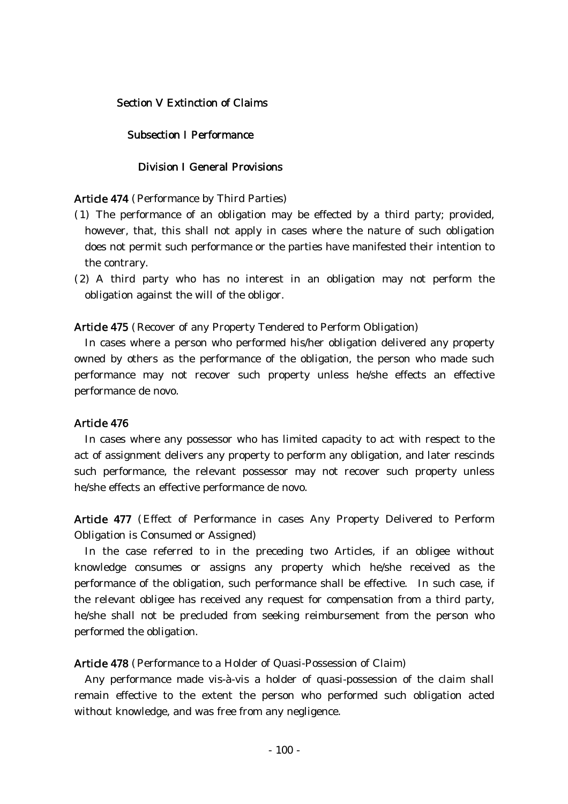### Section V Extinction of Claims

### Subsection I Performance

#### Division I General Provisions

### Article 474 (Performance by Third Parties)

- ( )1 The performance of an obligation may be effected by a third party; provided, however, that, this shall not apply in cases where the nature of such obligation does not permit such performance or the parties have manifested their intention to the contrary.
- $(2)$  A third party who has no interest in an obligation may not perform the obligation against the will of the obligor.

Article 475 (Recover of any Property Tendered to Perform Obligation)

In cases where a person who performed his/her obligation delivered any property owned by others as the performance of the obligation, the person who made such performance may not recover such property unless he/she effects an effective performance de novo.

### Article 476

In cases where any possessor who has limited capacity to act with respect to the act of assignment delivers any property to perform any obligation, and later rescinds such performance, the relevant possessor may not recover such property unless he/she effects an effective performance de novo.

Article 477 (Effect of Performance in cases Any Property Delivered to Perform Obligation is Consumed or Assigned)

In the case referred to in the preceding two Articles, if an obligee without knowledge consumes or assigns any property which he/she received as the performance of the obligation, such performance shall be effective. In such case, if the relevant obligee has received any request for compensation from a third party, he/she shall not be precluded from seeking reimbursement from the person who performed the obligation.

### Article 478 (Performance to a Holder of Quasi-Possession of Claim)

Any performance made vis-à-vis a holder of quasi-possession of the claim shall remain effective to the extent the person who performed such obligation acted without knowledge, and was free from any negligence.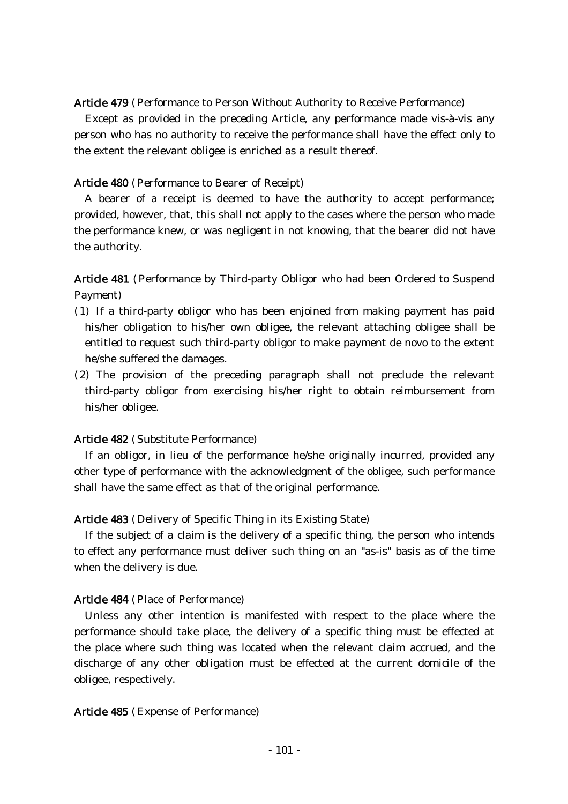Article 479 (Performance to Person Without Authority to Receive Performance)

Except as provided in the preceding Article, any performance made vis-à-vis any person who has no authority to receive the performance shall have the effect only to the extent the relevant obligee is enriched as a result thereof.

### Article 480 (Performance to Bearer of Receipt)

A bearer of a receipt is deemed to have the authority to accept performance; provided, however, that, this shall not apply to the cases where the person who made the performance knew, or was negligent in not knowing, that the bearer did not have the authority.

Article 481 (Performance by Third-party Obligor who had been Ordered to Suspend Payment)

- ( )1 If a third-party obligor who has been enjoined from making payment has paid his/her obligation to his/her own obligee, the relevant attaching obligee shall be entitled to request such third-party obligor to make payment de novo to the extent he/she suffered the damages.
- (2) The provision of the preceding paragraph shall not preclude the relevant third-party obligor from exercising his/her right to obtain reimbursement from his/her obligee.

### Article 482 (Substitute Performance)

If an obligor, in lieu of the performance he/she originally incurred, provided any other type of performance with the acknowledgment of the obligee, such performance shall have the same effect as that of the original performance.

### Article 483 (Delivery of Specific Thing in its Existing State)

If the subject of a claim is the delivery of a specific thing, the person who intends to effect any performance must deliver such thing on an "as-is" basis as of the time when the delivery is due.

### Article 484 (Place of Performance)

Unless any other intention is manifested with respect to the place where the performance should take place, the delivery of a specific thing must be effected at the place where such thing was located when the relevant claim accrued, and the discharge of any other obligation must be effected at the current domicile of the obligee, respectively.

#### Article 485 (Expense of Performance)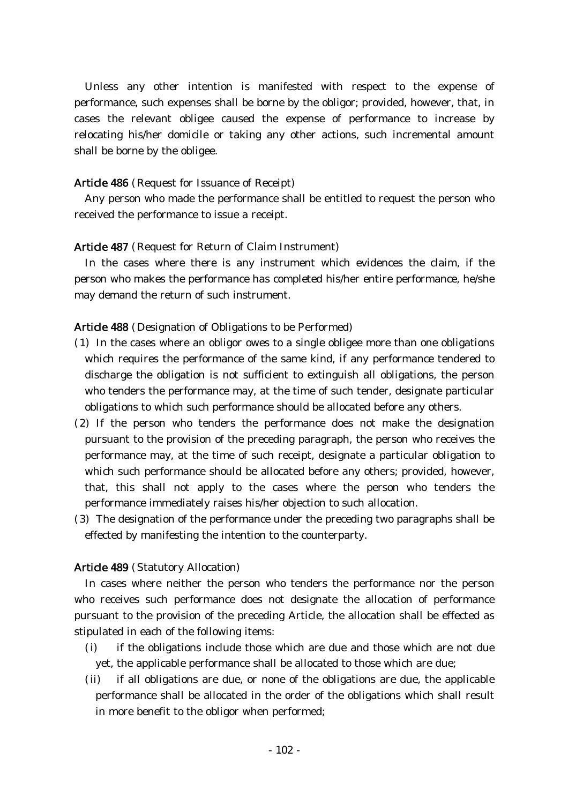Unless any other intention is manifested with respect to the expense of performance, such expenses shall be borne by the obligor; provided, however, that, in cases the relevant obligee caused the expense of performance to increase by relocating his/her domicile or taking any other actions, such incremental amount shall be borne by the obligee.

### Article 486 (Request for Issuance of Receipt)

Any person who made the performance shall be entitled to request the person who received the performance to issue a receipt.

### Article 487 (Request for Return of Claim Instrument)

In the cases where there is any instrument which evidences the claim, if the person who makes the performance has completed his/her entire performance, he/she may demand the return of such instrument.

### Article 488 (Designation of Obligations to be Performed)

- ( )1 In the cases where an obligor owes to a single obligee more than one obligations which requires the performance of the same kind, if any performance tendered to discharge the obligation is not sufficient to extinguish all obligations, the person who tenders the performance may, at the time of such tender, designate particular obligations to which such performance should be allocated before any others.
- $(2)$  If the person who tenders the performance does not make the designation pursuant to the provision of the preceding paragraph, the person who receives the performance may, at the time of such receipt, designate a particular obligation to which such performance should be allocated before any others; provided, however, that, this shall not apply to the cases where the person who tenders the performance immediately raises his/her objection to such allocation.
- (3) The designation of the performance under the preceding two paragraphs shall be effected by manifesting the intention to the counterparty.

### Article 489 (Statutory Allocation)

In cases where neither the person who tenders the performance nor the person who receives such performance does not designate the allocation of performance pursuant to the provision of the preceding Article, the allocation shall be effected as stipulated in each of the following items:

- (i) if the obligations include those which are due and those which are not due yet, the applicable performance shall be allocated to those which are due;
- (ii) if all obligations are due, or none of the obligations are due, the applicable performance shall be allocated in the order of the obligations which shall result in more benefit to the obligor when performed;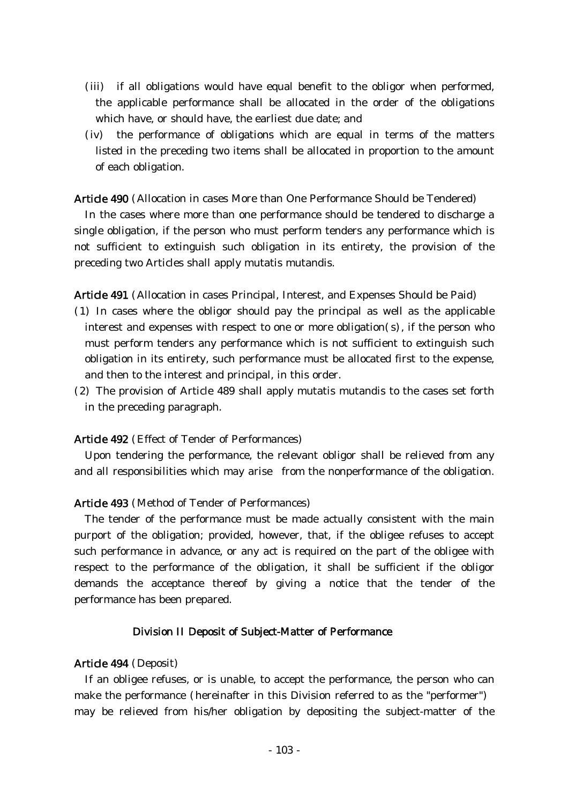- (iii) if all obligations would have equal benefit to the obligor when performed, the applicable performance shall be allocated in the order of the obligations which have, or should have, the earliest due date; and
- (iv) the performance of obligations which are equal in terms of the matters listed in the preceding two items shall be allocated in proportion to the amount of each obligation.

### Article 490 (Allocation in cases More than One Performance Should be Tendered)

In the cases where more than one performance should be tendered to discharge a single obligation, if the person who must perform tenders any performance which is not sufficient to extinguish such obligation in its entirety, the provision of the preceding two Articles shall apply mutatis mutandis.

Article 491 (Allocation in cases Principal, Interest, and Expenses Should be Paid)

- ( )1 In cases where the obligor should pay the principal as well as the applicable interest and expenses with respect to one or more obligation $(s)$ , if the person who must perform tenders any performance which is not sufficient to extinguish such obligation in its entirety, such performance must be allocated first to the expense, and then to the interest and principal, in this order.
- (2) The provision of Article 489 shall apply mutatis mutandis to the cases set forth in the preceding paragraph.

### Article 492 (Effect of Tender of Performances)

Upon tendering the performance, the relevant obligor shall be relieved from any and all responsibilities which may arise from the nonperformance of the obligation.

#### Article 493 (Method of Tender of Performances)

The tender of the performance must be made actually consistent with the main purport of the obligation; provided, however, that, if the obligee refuses to accept such performance in advance, or any act is required on the part of the obligee with respect to the performance of the obligation, it shall be sufficient if the obligor demands the acceptance thereof by giving a notice that the tender of the performance has been prepared.

### Division II Deposit of Subject-Matter of Performance

#### Article 494 (Deposit)

If an obligee refuses, or is unable, to accept the performance, the person who can make the performance (hereinafter in this Division referred to as the "performer") may be relieved from his/her obligation by depositing the subject-matter of the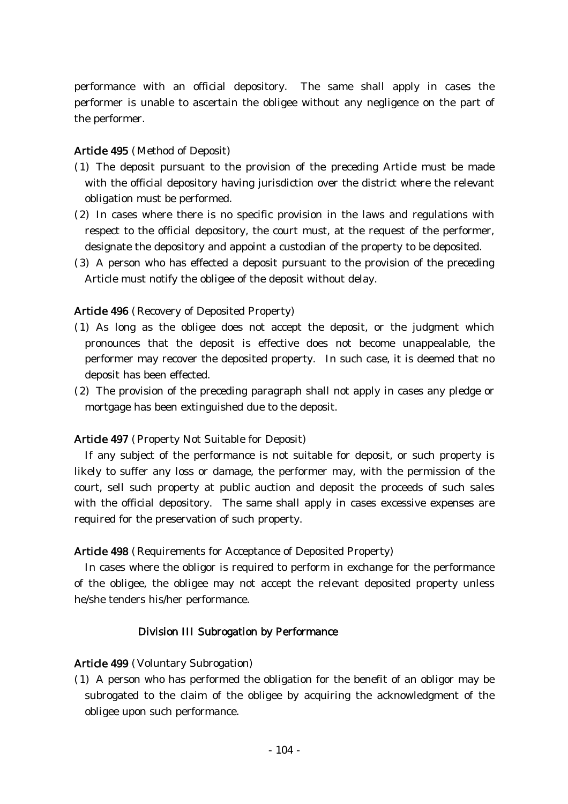performance with an official depository. The same shall apply in cases the performer is unable to ascertain the obligee without any negligence on the part of the performer.

# Article 495 (Method of Deposit)

- ( )1 The deposit pursuant to the provision of the preceding Article must be made with the official depository having jurisdiction over the district where the relevant obligation must be performed.
- $(2)$  In cases where there is no specific provision in the laws and regulations with respect to the official depository, the court must, at the request of the performer, designate the depository and appoint a custodian of the property to be deposited.
- ( )3 A person who has effected a deposit pursuant to the provision of the preceding Article must notify the obligee of the deposit without delay.

## Article 496 (Recovery of Deposited Property)

- ( )1 As long as the obligee does not accept the deposit, or the judgment which pronounces that the deposit is effective does not become unappealable, the performer may recover the deposited property. In such case, it is deemed that no deposit has been effected.
- (2) The provision of the preceding paragraph shall not apply in cases any pledge or mortgage has been extinguished due to the deposit.

# Article 497 (Property Not Suitable for Deposit)

If any subject of the performance is not suitable for deposit, or such property is likely to suffer any loss or damage, the performer may, with the permission of the court, sell such property at public auction and deposit the proceeds of such sales with the official depository. The same shall apply in cases excessive expenses are required for the preservation of such property.

### Article 498 (Requirements for Acceptance of Deposited Property)

In cases where the obligor is required to perform in exchange for the performance of the obligee, the obligee may not accept the relevant deposited property unless he/she tenders his/her performance.

### Division III Subrogation by Performance

### Article 499 (Voluntary Subrogation)

 $(1)$  A person who has performed the obligation for the benefit of an obligor may be subrogated to the claim of the obligee by acquiring the acknowledgment of the obligee upon such performance.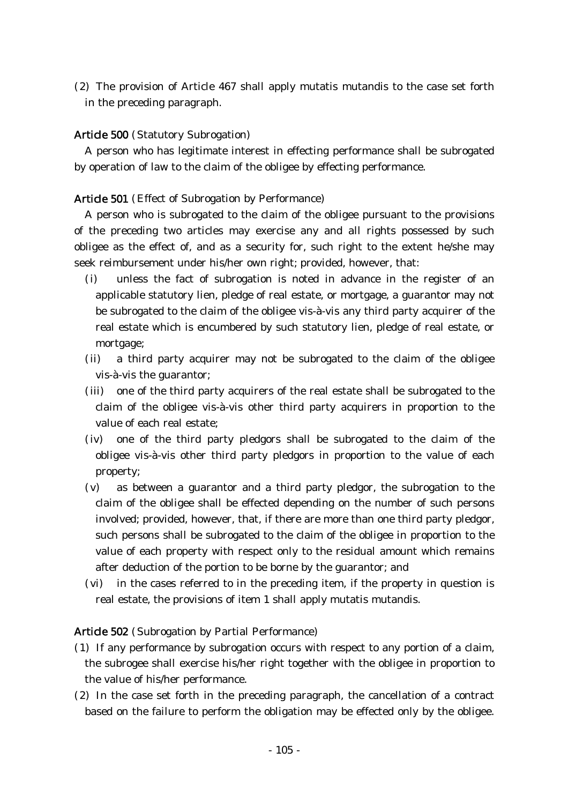$(2)$  The provision of Article 467 shall apply mutatis mutandis to the case set forth in the preceding paragraph.

# Article 500 (Statutory Subrogation)

A person who has legitimate interest in effecting performance shall be subrogated by operation of law to the claim of the obligee by effecting performance.

# Article 501 (Effect of Subrogation by Performance)

A person who is subrogated to the claim of the obligee pursuant to the provisions of the preceding two articles may exercise any and all rights possessed by such obligee as the effect of, and as a security for, such right to the extent he/she may seek reimbursement under his/her own right; provided, however, that:

- (i) unless the fact of subrogation is noted in advance in the register of an applicable statutory lien, pledge of real estate, or mortgage, a guarantor may not be subrogated to the claim of the obligee vis-à-vis any third party acquirer of the real estate which is encumbered by such statutory lien, pledge of real estate, or mortgage;
- (ii) a third party acquirer may not be subrogated to the claim of the obligee vis-à-vis the guarantor;
- (iii) one of the third party acquirers of the real estate shall be subrogated to the claim of the obligee vis-à-vis other third party acquirers in proportion to the value of each real estate;
- (iv) one of the third party pledgors shall be subrogated to the claim of the obligee vis-à-vis other third party pledgors in proportion to the value of each property;
- $(v)$  as between a guarantor and a third party pledgor, the subrogation to the claim of the obligee shall be effected depending on the number of such persons involved; provided, however, that, if there are more than one third party pledgor, such persons shall be subrogated to the claim of the obligee in proportion to the value of each property with respect only to the residual amount which remains after deduction of the portion to be borne by the guarantor; and
- (vi) in the cases referred to in the preceding item, if the property in question is real estate, the provisions of item 1 shall apply mutatis mutandis.

### Article 502 (Subrogation by Partial Performance)

- $(1)$  If any performance by subrogation occurs with respect to any portion of a claim, the subrogee shall exercise his/her right together with the obligee in proportion to the value of his/her performance.
- $(2)$  In the case set forth in the preceding paragraph, the cancellation of a contract based on the failure to perform the obligation may be effected only by the obligee.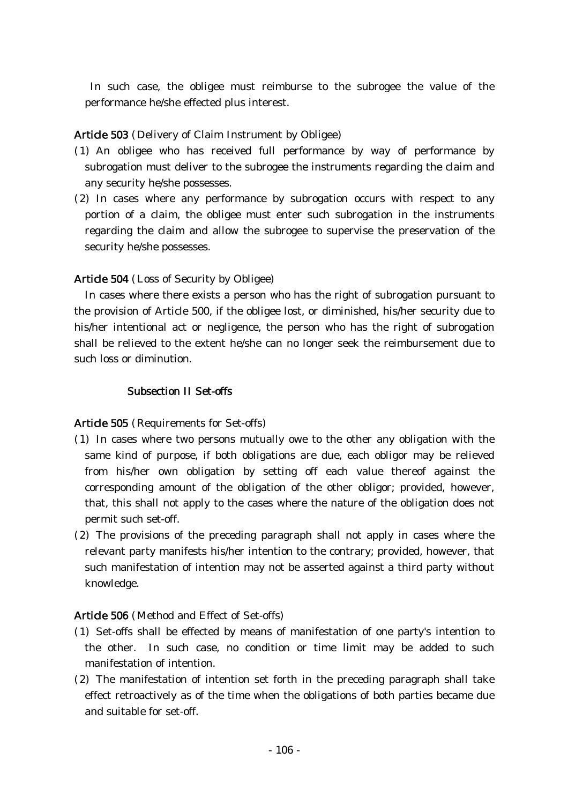In such case, the obligee must reimburse to the subrogee the value of the performance he/she effected plus interest.

# Article 503 (Delivery of Claim Instrument by Obligee)

- (1) An obligee who has received full performance by way of performance by subrogation must deliver to the subrogee the instruments regarding the claim and any security he/she possesses.
- $(2)$  In cases where any performance by subrogation occurs with respect to any portion of a claim, the obligee must enter such subrogation in the instruments regarding the claim and allow the subrogee to supervise the preservation of the security he/she possesses.

## Article 504 (Loss of Security by Obligee)

In cases where there exists a person who has the right of subrogation pursuant to the provision of Article 500, if the obligee lost, or diminished, his/her security due to his/her intentional act or negligence, the person who has the right of subrogation shall be relieved to the extent he/she can no longer seek the reimbursement due to such loss or diminution.

### Subsection II Set-offs

### Article 505 (Requirements for Set-offs)

- ( )1 In cases where two persons mutually owe to the other any obligation with the same kind of purpose, if both obligations are due, each obligor may be relieved from his/her own obligation by setting off each value thereof against the corresponding amount of the obligation of the other obligor; provided, however, that, this shall not apply to the cases where the nature of the obligation does not permit such set-off.
- (2) The provisions of the preceding paragraph shall not apply in cases where the relevant party manifests his/her intention to the contrary; provided, however, that such manifestation of intention may not be asserted against a third party without knowledge.

# Article 506 (Method and Effect of Set-offs)

- ( )1 Set-offs shall be effected by means of manifestation of one party's intention to the other. In such case, no condition or time limit may be added to such manifestation of intention.
- $(2)$  The manifestation of intention set forth in the preceding paragraph shall take effect retroactively as of the time when the obligations of both parties became due and suitable for set-off.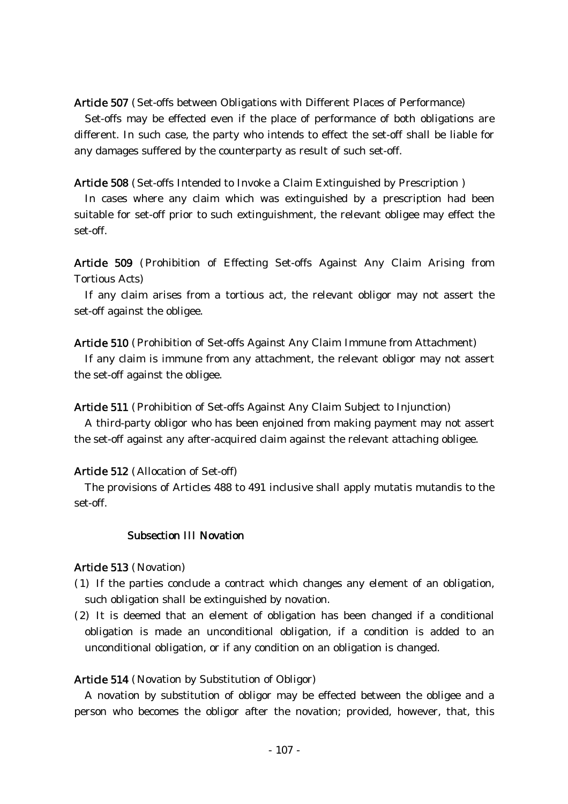Article 507 (Set-offs between Obligations with Different Places of Performance)

Set-offs may be effected even if the place of performance of both obligations are different. In such case, the party who intends to effect the set-off shall be liable for any damages suffered by the counterparty as result of such set-off.

Article 508 (Set-offs Intended to Invoke a Claim Extinguished by Prescription)

In cases where any claim which was extinguished by a prescription had been suitable for set-off prior to such extinguishment, the relevant obligee may effect the set-off.

Article 509 (Prohibition of Effecting Set-offs Against Any Claim Arising from Tortious Acts)

If any claim arises from a tortious act, the relevant obligor may not assert the set-off against the obligee.

Article 510 (Prohibition of Set-offs Against Any Claim Immune from Attachment)

If any claim is immune from any attachment, the relevant obligor may not assert the set-off against the obligee.

Article 511 (Prohibition of Set-offs Against Any Claim Subject to Injunction)

A third-party obligor who has been enjoined from making payment may not assert the set-off against any after-acquired claim against the relevant attaching obligee.

#### Article 512 (Allocation of Set-off)

The provisions of Articles 488 to 491 inclusive shall apply mutatis mutandis to the set-off.

### Subsection III Novation

Article 513 (Novation)

- (1) If the parties conclude a contract which changes any element of an obligation, such obligation shall be extinguished by novation.
- $(2)$  It is deemed that an element of obligation has been changed if a conditional obligation is made an unconditional obligation, if a condition is added to an unconditional obligation, or if any condition on an obligation is changed.

#### Article 514 (Novation by Substitution of Obligor)

A novation by substitution of obligor may be effected between the obligee and a person who becomes the obligor after the novation; provided, however, that, this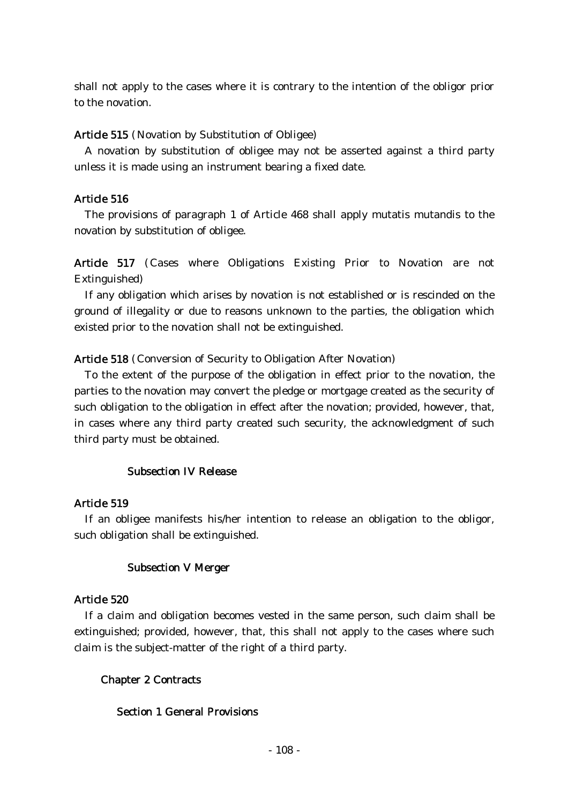shall not apply to the cases where it is contrary to the intention of the obligor prior to the novation.

## Article 515 (Novation by Substitution of Obligee)

A novation by substitution of obligee may not be asserted against a third party unless it is made using an instrument bearing a fixed date.

# Article 516

The provisions of paragraph 1 of Article 468 shall apply mutatis mutandis to the novation by substitution of obligee.

Article 517 (Cases where Obligations Existing Prior to Novation are not Extinguished)

If any obligation which arises by novation is not established or is rescinded on the ground of illegality or due to reasons unknown to the parties, the obligation which existed prior to the novation shall not be extinguished.

# Article 518 (Conversion of Security to Obligation After Novation)

To the extent of the purpose of the obligation in effect prior to the novation, the parties to the novation may convert the pledge or mortgage created as the security of such obligation to the obligation in effect after the novation; provided, however, that, in cases where any third party created such security, the acknowledgment of such third party must be obtained.

# Subsection IV Release

# Article 519

If an obligee manifests his/her intention to release an obligation to the obligor, such obligation shall be extinguished.

# Subsection V Merger

# Article 520

If a claim and obligation becomes vested in the same person, such claim shall be extinguished; provided, however, that, this shall not apply to the cases where such claim is the subject-matter of the right of a third party.

# Chapter 2 Contracts

# Section 1 General Provisions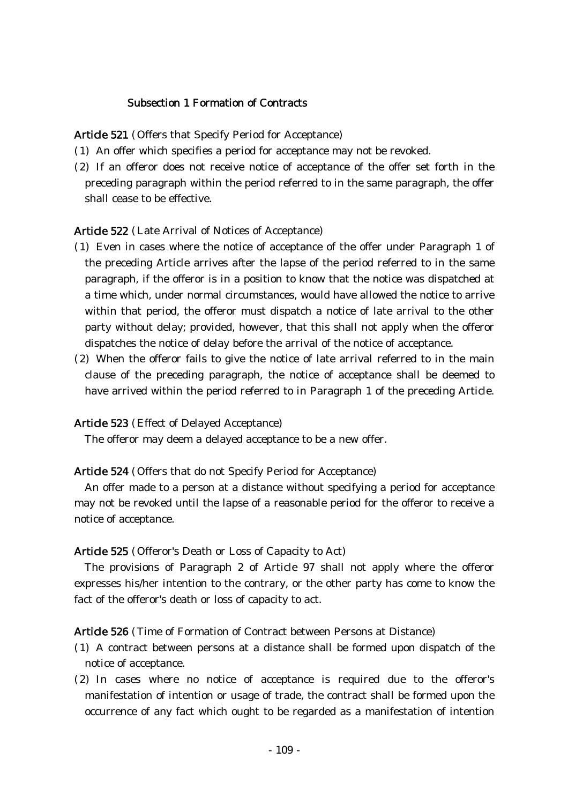## Subsection 1 Formation of Contracts

Article 521 (Offers that Specify Period for Acceptance)

- (1) An offer which specifies a period for acceptance may not be revoked.
- (2) If an offeror does not receive notice of acceptance of the offer set forth in the preceding paragraph within the period referred to in the same paragraph, the offer shall cease to be effective.

### Article 522 (Late Arrival of Notices of Acceptance)

- ( )1 Even in cases where the notice of acceptance of the offer under Paragraph 1 of the preceding Article arrives after the lapse of the period referred to in the same paragraph, if the offeror is in a position to know that the notice was dispatched at a time which, under normal circumstances, would have allowed the notice to arrive within that period, the offeror must dispatch a notice of late arrival to the other party without delay; provided, however, that this shall not apply when the offeror dispatches the notice of delay before the arrival of the notice of acceptance.
- $(2)$  When the offeror fails to give the notice of late arrival referred to in the main clause of the preceding paragraph, the notice of acceptance shall be deemed to have arrived within the period referred to in Paragraph 1 of the preceding Article.

### Article 523 (Effect of Delayed Acceptance)

The offeror may deem a delayed acceptance to be a new offer.

### Article 524 (Offers that do not Specify Period for Acceptance)

An offer made to a person at a distance without specifying a period for acceptance may not be revoked until the lapse of a reasonable period for the offeror to receive a notice of acceptance.

#### Article 525 (Offeror's Death or Loss of Capacity to Act)

The provisions of Paragraph 2 of Article 97 shall not apply where the offeror expresses his/her intention to the contrary, or the other party has come to know the fact of the offeror's death or loss of capacity to act.

### Article 526 (Time of Formation of Contract between Persons at Distance)

- ( )1 A contract between persons at a distance shall be formed upon dispatch of the notice of acceptance.
- $(2)$  In cases where no notice of acceptance is required due to the offeror's manifestation of intention or usage of trade, the contract shall be formed upon the occurrence of any fact which ought to be regarded as a manifestation of intention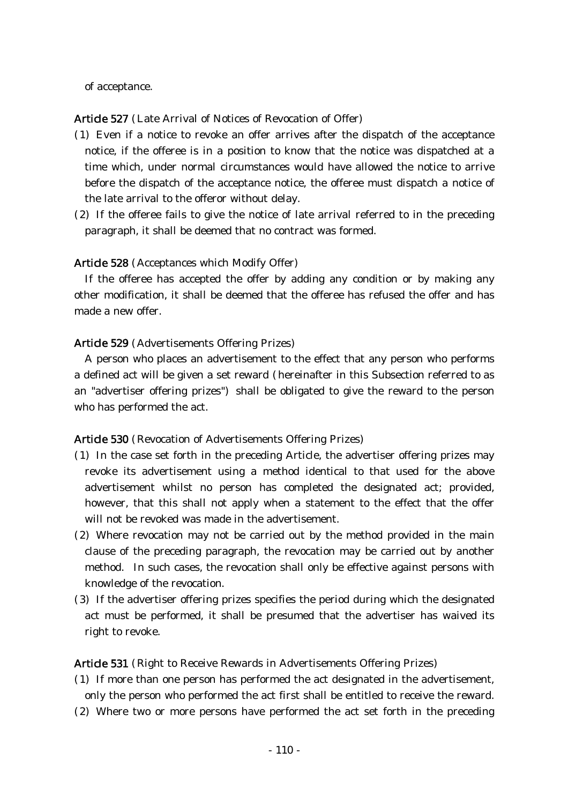of acceptance.

Article 527 (Late Arrival of Notices of Revocation of Offer)

- ( )1 Even if a notice to revoke an offer arrives after the dispatch of the acceptance notice, if the offeree is in a position to know that the notice was dispatched at a time which, under normal circumstances would have allowed the notice to arrive before the dispatch of the acceptance notice, the offeree must dispatch a notice of the late arrival to the offeror without delay.
- $(2)$  If the offeree fails to give the notice of late arrival referred to in the preceding paragraph, it shall be deemed that no contract was formed.

### Article 528 (Acceptances which Modify Offer)

If the offeree has accepted the offer by adding any condition or by making any other modification, it shall be deemed that the offeree has refused the offer and has made a new offer.

#### Article 529 (Advertisements Offering Prizes)

A person who places an advertisement to the effect that any person who performs a defined act will be given a set reward (hereinafter in this Subsection referred to as an "advertiser offering prizes") shall be obligated to give the reward to the person who has performed the act.

#### Article 530 (Revocation of Advertisements Offering Prizes)

- ( )1 In the case set forth in the preceding Article, the advertiser offering prizes may revoke its advertisement using a method identical to that used for the above advertisement whilst no person has completed the designated act; provided, however, that this shall not apply when a statement to the effect that the offer will not be revoked was made in the advertisement.
- (2) Where revocation may not be carried out by the method provided in the main clause of the preceding paragraph, the revocation may be carried out by another method. In such cases, the revocation shall only be effective against persons with knowledge of the revocation.
- (3) If the advertiser offering prizes specifies the period during which the designated act must be performed, it shall be presumed that the advertiser has waived its right to revoke.

### Article 531 (Right to Receive Rewards in Advertisements Offering Prizes)

- ( )1 If more than one person has performed the act designated in the advertisement, only the person who performed the act first shall be entitled to receive the reward.
- (2) Where two or more persons have performed the act set forth in the preceding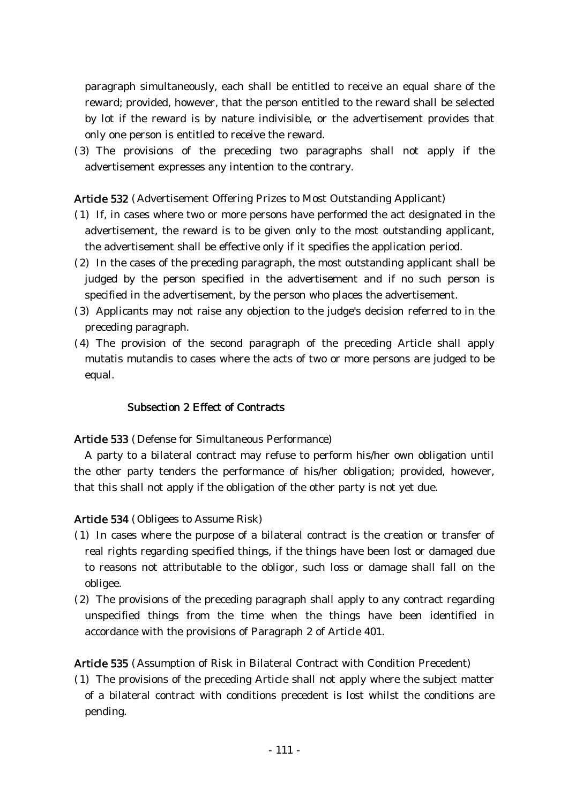paragraph simultaneously, each shall be entitled to receive an equal share of the reward; provided, however, that the person entitled to the reward shall be selected by lot if the reward is by nature indivisible, or the advertisement provides that only one person is entitled to receive the reward.

(3) The provisions of the preceding two paragraphs shall not apply if the advertisement expresses any intention to the contrary.

## Article 532 (Advertisement Offering Prizes to Most Outstanding Applicant)

- ( )1 If, in cases where two or more persons have performed the act designated in the advertisement, the reward is to be given only to the most outstanding applicant, the advertisement shall be effective only if it specifies the application period.
- $(2)$  In the cases of the preceding paragraph, the most outstanding applicant shall be judged by the person specified in the advertisement and if no such person is specified in the advertisement, by the person who places the advertisement.
- (3) Applicants may not raise any objection to the judge's decision referred to in the preceding paragraph.
- (4) The provision of the second paragraph of the preceding Article shall apply mutatis mutandis to cases where the acts of two or more persons are judged to be equal.

## Subsection 2 Effect of Contracts

## Article 533 (Defense for Simultaneous Performance)

A party to a bilateral contract may refuse to perform his/her own obligation until the other party tenders the performance of his/her obligation; provided, however, that this shall not apply if the obligation of the other party is not yet due.

## Article 534 (Obligees to Assume Risk)

- (1) In cases where the purpose of a bilateral contract is the creation or transfer of real rights regarding specified things, if the things have been lost or damaged due to reasons not attributable to the obligor, such loss or damage shall fall on the obligee.
- $(2)$  The provisions of the preceding paragraph shall apply to any contract regarding unspecified things from the time when the things have been identified in accordance with the provisions of Paragraph 2 of Article 401.

## Article 535 (Assumption of Risk in Bilateral Contract with Condition Precedent)

( )1 The provisions of the preceding Article shall not apply where the subject matter of a bilateral contract with conditions precedent is lost whilst the conditions are pending.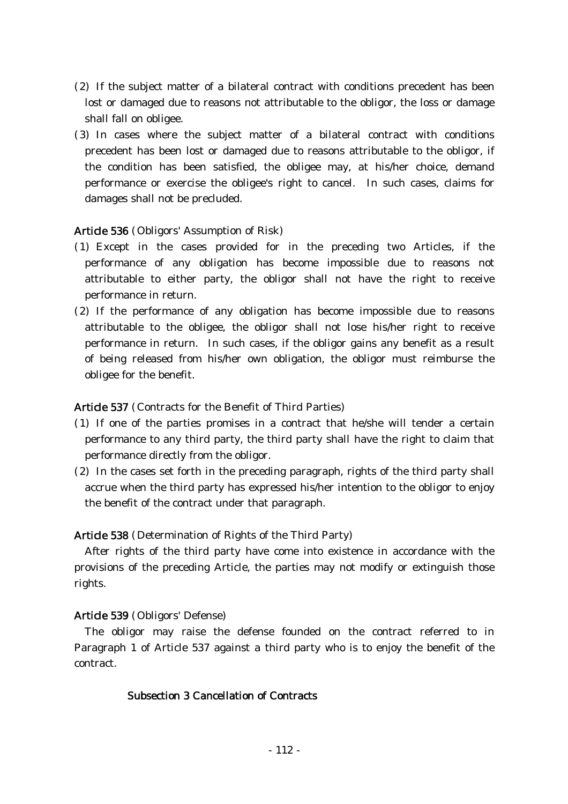- $(2)$  If the subject matter of a bilateral contract with conditions precedent has been lost or damaged due to reasons not attributable to the obligor, the loss or damage shall fall on obligee.
- (3) In cases where the subject matter of a bilateral contract with conditions precedent has been lost or damaged due to reasons attributable to the obligor, if the condition has been satisfied, the obligee may, at his/her choice, demand performance or exercise the obligee's right to cancel. In such cases, claims for damages shall not be precluded.

### Article 536 (Obligors' Assumption of Risk)

- ( )1 Except in the cases provided for in the preceding two Articles, if the performance of any obligation has become impossible due to reasons not attributable to either party, the obligor shall not have the right to receive performance in return.
- (2) If the performance of any obligation has become impossible due to reasons attributable to the obligee, the obligor shall not lose his/her right to receive performance in return. In such cases, if the obligor gains any benefit as a result of being released from his/her own obligation, the obligor must reimburse the obligee for the benefit.

## Article 537 (Contracts for the Benefit of Third Parties)

- $(1)$  If one of the parties promises in a contract that he/she will tender a certain performance to any third party, the third party shall have the right to claim that performance directly from the obligor.
- $(2)$  In the cases set forth in the preceding paragraph, rights of the third party shall accrue when the third party has expressed his/her intention to the obligor to enjoy the benefit of the contract under that paragraph.

### Article 538 (Determination of Rights of the Third Party)

After rights of the third party have come into existence in accordance with the provisions of the preceding Article, the parties may not modify or extinguish those rights.

## Article 539 (Obligors' Defense)

The obligor may raise the defense founded on the contract referred to in Paragraph 1 of Article 537 against a third party who is to enjoy the benefit of the contract.

## Subsection 3 Cancellation of Contracts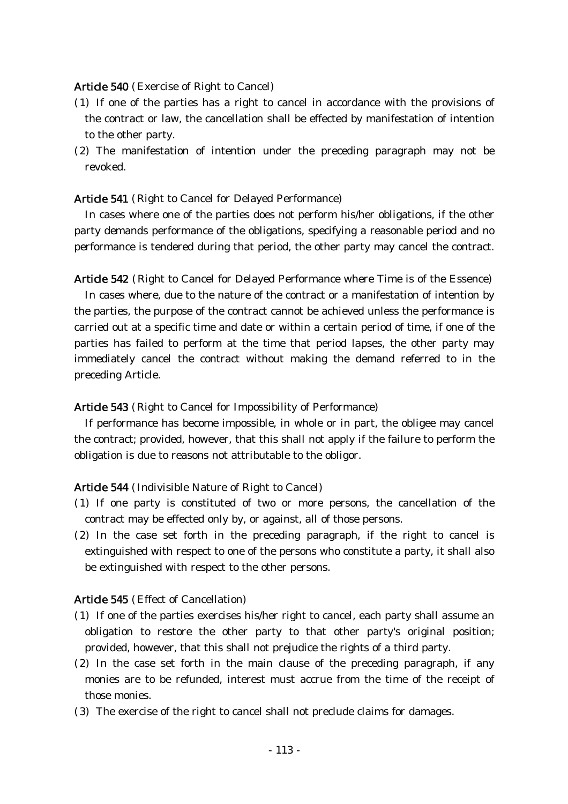#### Article 540 (Exercise of Right to Cancel)

- ( )1 If one of the parties has a right to cancel in accordance with the provisions of the contract or law, the cancellation shall be effected by manifestation of intention to the other party.
- $(2)$  The manifestation of intention under the preceding paragraph may not be revoked.

### Article 541 (Right to Cancel for Delayed Performance)

In cases where one of the parties does not perform his/her obligations, if the other party demands performance of the obligations, specifying a reasonable period and no performance is tendered during that period, the other party may cancel the contract.

Article 542 (Right to Cancel for Delayed Performance where Time is of the Essence) In cases where, due to the nature of the contract or a manifestation of intention by the parties, the purpose of the contract cannot be achieved unless the performance is carried out at a specific time and date or within a certain period of time, if one of the parties has failed to perform at the time that period lapses, the other party may immediately cancel the contract without making the demand referred to in the preceding Article.

Article 543 (Right to Cancel for Impossibility of Performance)

If performance has become impossible, in whole or in part, the obligee may cancel the contract; provided, however, that this shall not apply if the failure to perform the obligation is due to reasons not attributable to the obligor.

#### Article 544 (Indivisible Nature of Right to Cancel)

- ( )1 If one party is constituted of two or more persons, the cancellation of the contract may be effected only by, or against, all of those persons.
- $(2)$  In the case set forth in the preceding paragraph, if the right to cancel is extinguished with respect to one of the persons who constitute a party, it shall also be extinguished with respect to the other persons.

#### Article 545 (Effect of Cancellation)

- (1) If one of the parties exercises his/her right to cancel, each party shall assume an obligation to restore the other party to that other party's original position; provided, however, that this shall not prejudice the rights of a third party.
- $(2)$  In the case set forth in the main clause of the preceding paragraph, if any monies are to be refunded, interest must accrue from the time of the receipt of those monies.
- (3) The exercise of the right to cancel shall not preclude claims for damages.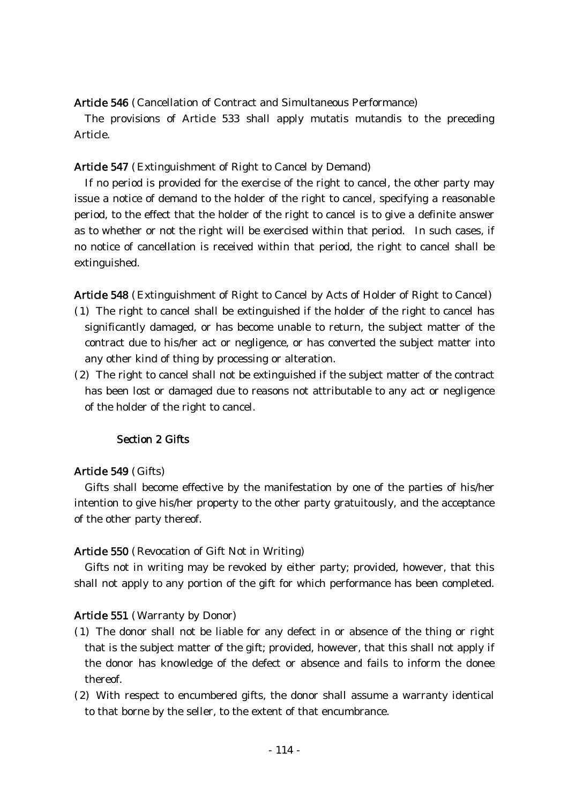### Article 546 (Cancellation of Contract and Simultaneous Performance)

The provisions of Article 533 shall apply mutatis mutandis to the preceding Article.

## Article 547 (Extinguishment of Right to Cancel by Demand)

If no period is provided for the exercise of the right to cancel, the other party may issue a notice of demand to the holder of the right to cancel, specifying a reasonable period, to the effect that the holder of the right to cancel is to give a definite answer as to whether or not the right will be exercised within that period. In such cases, if no notice of cancellation is received within that period, the right to cancel shall be extinguished.

Article 548 (Extinguishment of Right to Cancel by Acts of Holder of Right to Cancel)

- ( )1 The right to cancel shall be extinguished if the holder of the right to cancel has significantly damaged, or has become unable to return, the subject matter of the contract due to his/her act or negligence, or has converted the subject matter into any other kind of thing by processing or alteration.
- $(2)$  The right to cancel shall not be extinguished if the subject matter of the contract has been lost or damaged due to reasons not attributable to any act or negligence of the holder of the right to cancel.

## Section 2 Gifts

### Article 549 (Gifts)

Gifts shall become effective by the manifestation by one of the parties of his/her intention to give his/her property to the other party gratuitously, and the acceptance of the other party thereof.

## Article 550 (Revocation of Gift Not in Writing)

Gifts not in writing may be revoked by either party; provided, however, that this shall not apply to any portion of the gift for which performance has been completed.

## Article 551 (Warranty by Donor)

- ( )1 The donor shall not be liable for any defect in or absence of the thing or right that is the subject matter of the gift; provided, however, that this shall not apply if the donor has knowledge of the defect or absence and fails to inform the donee thereof.
- (2) With respect to encumbered gifts, the donor shall assume a warranty identical to that borne by the seller, to the extent of that encumbrance.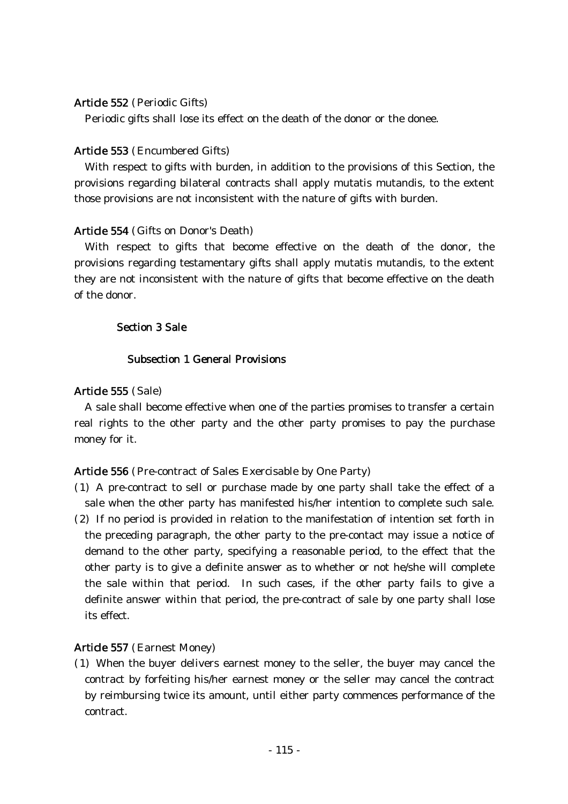### Article 552 (Periodic Gifts)

Periodic gifts shall lose its effect on the death of the donor or the donee.

### Article 553 (Encumbered Gifts)

With respect to gifts with burden, in addition to the provisions of this Section, the provisions regarding bilateral contracts shall apply mutatis mutandis, to the extent those provisions are not inconsistent with the nature of gifts with burden.

### Article 554 (Gifts on Donor's Death)

With respect to gifts that become effective on the death of the donor, the provisions regarding testamentary gifts shall apply mutatis mutandis, to the extent they are not inconsistent with the nature of gifts that become effective on the death of the donor.

### Section 3 Sale

### Subsection 1 General Provisions

### Article 555 (Sale)

A sale shall become effective when one of the parties promises to transfer a certain real rights to the other party and the other party promises to pay the purchase money for it.

Article 556 (Pre-contract of Sales Exercisable by One Party)

- (1) A pre-contract to sell or purchase made by one party shall take the effect of a sale when the other party has manifested his/her intention to complete such sale.
- (2) If no period is provided in relation to the manifestation of intention set forth in the preceding paragraph, the other party to the pre-contact may issue a notice of demand to the other party, specifying a reasonable period, to the effect that the other party is to give a definite answer as to whether or not he/she will complete the sale within that period. In such cases, if the other party fails to give a definite answer within that period, the pre-contract of sale by one party shall lose its effect.

## Article 557 (Earnest Money)

(1) When the buyer delivers earnest money to the seller, the buyer may cancel the contract by forfeiting his/her earnest money or the seller may cancel the contract by reimbursing twice its amount, until either party commences performance of the contract.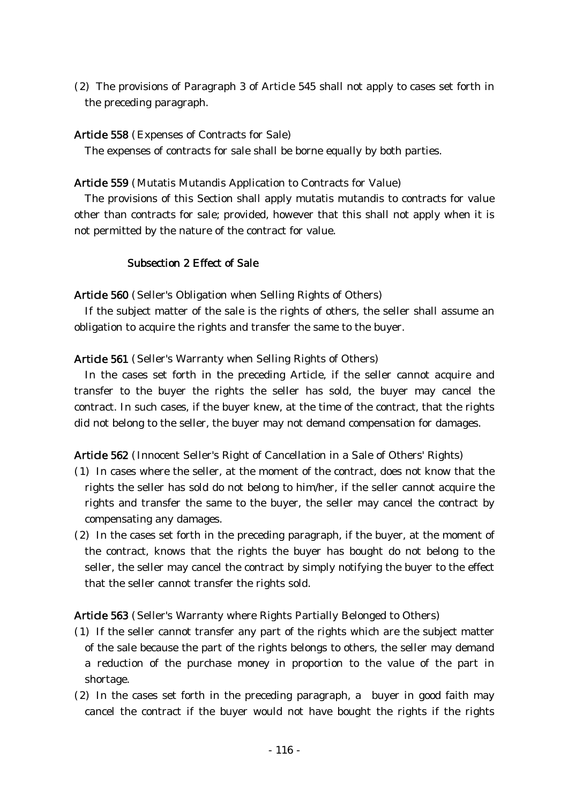(2) The provisions of Paragraph 3 of Article 545 shall not apply to cases set forth in the preceding paragraph.

## Article 558 (Expenses of Contracts for Sale)

The expenses of contracts for sale shall be borne equally by both parties.

## Article 559 (Mutatis Mutandis Application to Contracts for Value)

The provisions of this Section shall apply mutatis mutandis to contracts for value other than contracts for sale; provided, however that this shall not apply when it is not permitted by the nature of the contract for value.

## Subsection 2 Effect of Sale

Article 560 (Seller's Obligation when Selling Rights of Others)

If the subject matter of the sale is the rights of others, the seller shall assume an obligation to acquire the rights and transfer the same to the buyer.

Article 561 (Seller's Warranty when Selling Rights of Others)

In the cases set forth in the preceding Article, if the seller cannot acquire and transfer to the buyer the rights the seller has sold, the buyer may cancel the contract. In such cases, if the buyer knew, at the time of the contract, that the rights did not belong to the seller, the buyer may not demand compensation for damages.

Article 562 (Innocent Seller's Right of Cancellation in a Sale of Others' Rights)

- ( )1 In cases where the seller, at the moment of the contract, does not know that the rights the seller has sold do not belong to him/her, if the seller cannot acquire the rights and transfer the same to the buyer, the seller may cancel the contract by compensating any damages.
- $(2)$  In the cases set forth in the preceding paragraph, if the buyer, at the moment of the contract, knows that the rights the buyer has bought do not belong to the seller, the seller may cancel the contract by simply notifying the buyer to the effect that the seller cannot transfer the rights sold.

Article 563 (Seller's Warranty where Rights Partially Belonged to Others)

- ( )1 If the seller cannot transfer any part of the rights which are the subject matter of the sale because the part of the rights belongs to others, the seller may demand a reduction of the purchase money in proportion to the value of the part in shortage.
- $(2)$  In the cases set forth in the preceding paragraph, a buyer in good faith may cancel the contract if the buyer would not have bought the rights if the rights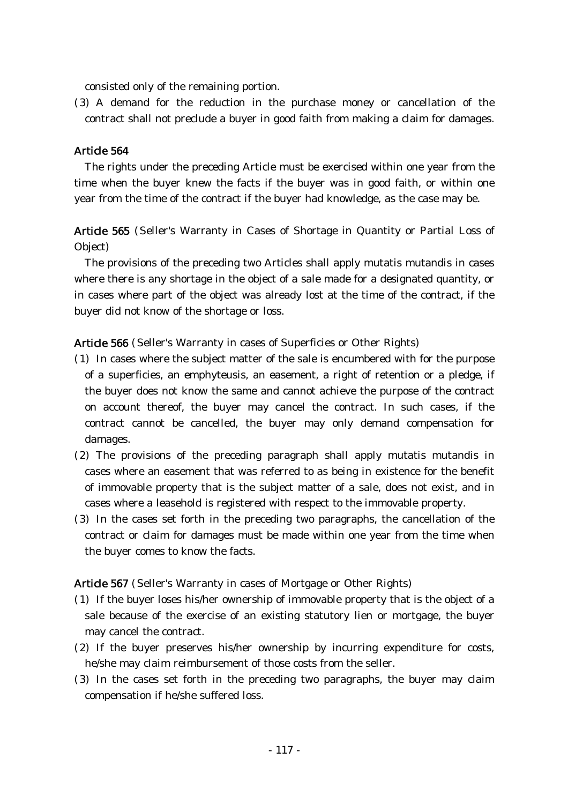consisted only of the remaining portion.

(3) A demand for the reduction in the purchase money or cancellation of the contract shall not preclude a buyer in good faith from making a claim for damages.

## Article 564

The rights under the preceding Article must be exercised within one year from the time when the buyer knew the facts if the buyer was in good faith, or within one year from the time of the contract if the buyer had knowledge, as the case may be.

Article 565 (Seller's Warranty in Cases of Shortage in Quantity or Partial Loss of Object)

The provisions of the preceding two Articles shall apply mutatis mutandis in cases where there is any shortage in the object of a sale made for a designated quantity, or in cases where part of the object was already lost at the time of the contract, if the buyer did not know of the shortage or loss.

Article 566 (Seller's Warranty in cases of Superficies or Other Rights)

- ( )1 In cases where the subject matter of the sale is encumbered with for the purpose of a superficies, an emphyteusis, an easement, a right of retention or a pledge, if the buyer does not know the same and cannot achieve the purpose of the contract on account thereof, the buyer may cancel the contract. In such cases, if the contract cannot be cancelled, the buyer may only demand compensation for damages.
- $(2)$  The provisions of the preceding paragraph shall apply mutatis mutandis in cases where an easement that was referred to as being in existence for the benefit of immovable property that is the subject matter of a sale, does not exist, and in cases where a leasehold is registered with respect to the immovable property.
- (3) In the cases set forth in the preceding two paragraphs, the cancellation of the contract or claim for damages must be made within one year from the time when the buyer comes to know the facts.

Article 567 (Seller's Warranty in cases of Mortgage or Other Rights)

- $(1)$  If the buyer loses his/her ownership of immovable property that is the object of a sale because of the exercise of an existing statutory lien or mortgage, the buyer may cancel the contract.
- (2) If the buyer preserves his/her ownership by incurring expenditure for costs, he/she may claim reimbursement of those costs from the seller.
- ( )3 In the cases set forth in the preceding two paragraphs, the buyer may claim compensation if he/she suffered loss.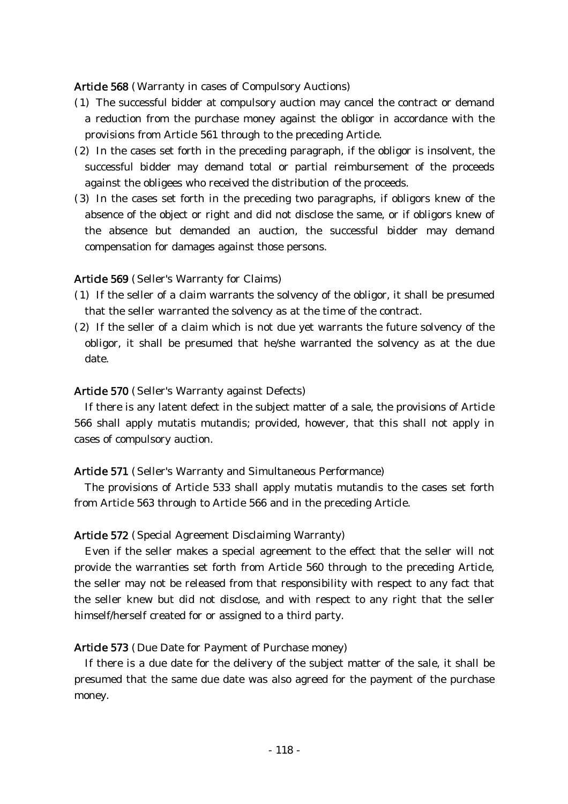Article 568 (Warranty in cases of Compulsory Auctions)

- ( )1 The successful bidder at compulsory auction may cancel the contract or demand a reduction from the purchase money against the obligor in accordance with the provisions from Article 561 through to the preceding Article.
- $(2)$  In the cases set forth in the preceding paragraph, if the obligor is insolvent, the successful bidder may demand total or partial reimbursement of the proceeds against the obligees who received the distribution of the proceeds.
- (3) In the cases set forth in the preceding two paragraphs, if obligors knew of the absence of the object or right and did not disclose the same, or if obligors knew of the absence but demanded an auction, the successful bidder may demand compensation for damages against those persons.

## Article 569 (Seller's Warranty for Claims)

- ( )1 If the seller of a claim warrants the solvency of the obligor, it shall be presumed that the seller warranted the solvency as at the time of the contract.
- $(2)$  If the seller of a claim which is not due yet warrants the future solvency of the obligor, it shall be presumed that he/she warranted the solvency as at the due date.

### Article 570 (Seller's Warranty against Defects)

If there is any latent defect in the subject matter of a sale, the provisions of Article 566 shall apply mutatis mutandis; provided, however, that this shall not apply in cases of compulsory auction.

### Article 571 (Seller's Warranty and Simultaneous Performance)

The provisions of Article 533 shall apply mutatis mutandis to the cases set forth from Article 563 through to Article 566 and in the preceding Article.

## Article 572 (Special Agreement Disclaiming Warranty)

Even if the seller makes a special agreement to the effect that the seller will not provide the warranties set forth from Article 560 through to the preceding Article, the seller may not be released from that responsibility with respect to any fact that the seller knew but did not disclose, and with respect to any right that the seller himself/herself created for or assigned to a third party.

### Article 573 (Due Date for Payment of Purchase money)

If there is a due date for the delivery of the subject matter of the sale, it shall be presumed that the same due date was also agreed for the payment of the purchase money.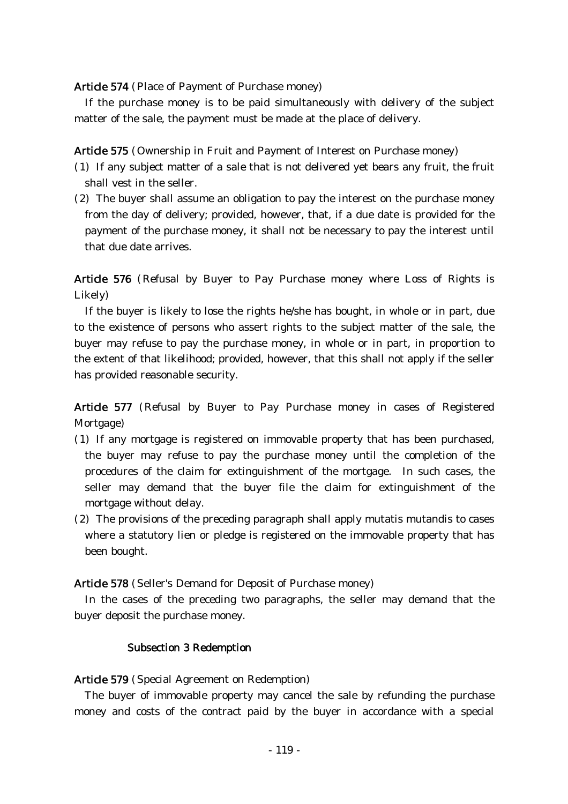Article 574 (Place of Payment of Purchase money)

If the purchase money is to be paid simultaneously with delivery of the subject matter of the sale, the payment must be made at the place of delivery.

Article 575 (Ownership in Fruit and Payment of Interest on Purchase money)

- ( )1 If any subject matter of a sale that is not delivered yet bears any fruit, the fruit shall vest in the seller.
- $(2)$  The buyer shall assume an obligation to pay the interest on the purchase money from the day of delivery; provided, however, that, if a due date is provided for the payment of the purchase money, it shall not be necessary to pay the interest until that due date arrives.

Article 576 (Refusal by Buyer to Pay Purchase money where Loss of Rights is Likely)

If the buyer is likely to lose the rights he/she has bought, in whole or in part, due to the existence of persons who assert rights to the subject matter of the sale, the buyer may refuse to pay the purchase money, in whole or in part, in proportion to the extent of that likelihood; provided, however, that this shall not apply if the seller has provided reasonable security.

Article 577 (Refusal by Buyer to Pay Purchase money in cases of Registered Mortgage)

- (1) If any mortgage is registered on immovable property that has been purchased, the buyer may refuse to pay the purchase money until the completion of the procedures of the claim for extinguishment of the mortgage. In such cases, the seller may demand that the buyer file the claim for extinguishment of the mortgage without delay.
- (2) The provisions of the preceding paragraph shall apply mutatis mutandis to cases where a statutory lien or pledge is registered on the immovable property that has been bought.

Article 578 (Seller's Demand for Deposit of Purchase money)

In the cases of the preceding two paragraphs, the seller may demand that the buyer deposit the purchase money.

#### Subsection 3 Redemption

#### Article 579 (Special Agreement on Redemption)

The buyer of immovable property may cancel the sale by refunding the purchase money and costs of the contract paid by the buyer in accordance with a special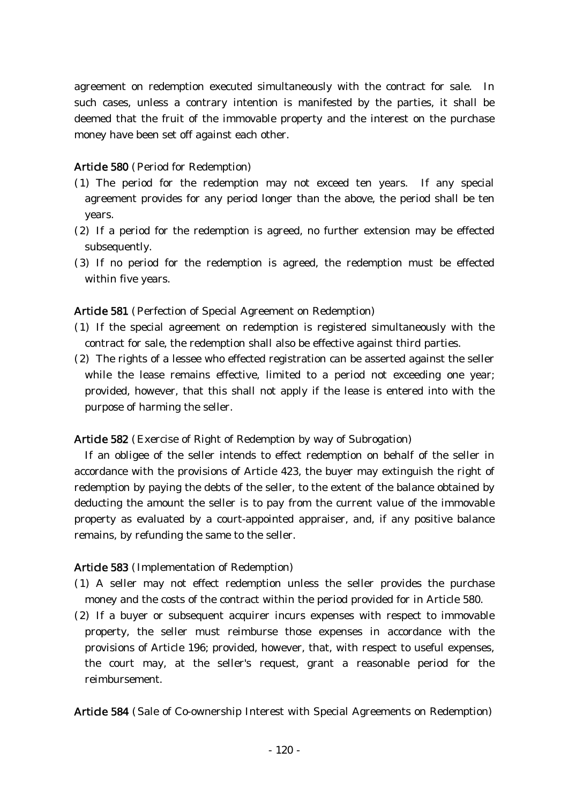agreement on redemption executed simultaneously with the contract for sale. In such cases, unless a contrary intention is manifested by the parties, it shall be deemed that the fruit of the immovable property and the interest on the purchase money have been set off against each other.

## Article 580 (Period for Redemption)

- (1) The period for the redemption may not exceed ten years. If any special agreement provides for any period longer than the above, the period shall be ten years.
- $(2)$  If a period for the redemption is agreed, no further extension may be effected subsequently.
- (3) If no period for the redemption is agreed, the redemption must be effected within five years.

Article 581 (Perfection of Special Agreement on Redemption)

- ( )1 If the special agreement on redemption is registered simultaneously with the contract for sale, the redemption shall also be effective against third parties.
- $(2)$  The rights of a lessee who effected registration can be asserted against the seller while the lease remains effective, limited to a period not exceeding one year; provided, however, that this shall not apply if the lease is entered into with the purpose of harming the seller.

Article 582 (Exercise of Right of Redemption by way of Subrogation)

If an obligee of the seller intends to effect redemption on behalf of the seller in accordance with the provisions of Article 423, the buyer may extinguish the right of redemption by paying the debts of the seller, to the extent of the balance obtained by deducting the amount the seller is to pay from the current value of the immovable property as evaluated by a court-appointed appraiser, and, if any positive balance remains, by refunding the same to the seller.

## Article 583 (Implementation of Redemption)

- ( )1 A seller may not effect redemption unless the seller provides the purchase money and the costs of the contract within the period provided for in Article 580.
- (2) If a buyer or subsequent acquirer incurs expenses with respect to immovable property, the seller must reimburse those expenses in accordance with the provisions of Article 196; provided, however, that, with respect to useful expenses, the court may, at the seller's request, grant a reasonable period for the reimbursement.

Article 584 (Sale of Co-ownership Interest with Special Agreements on Redemption)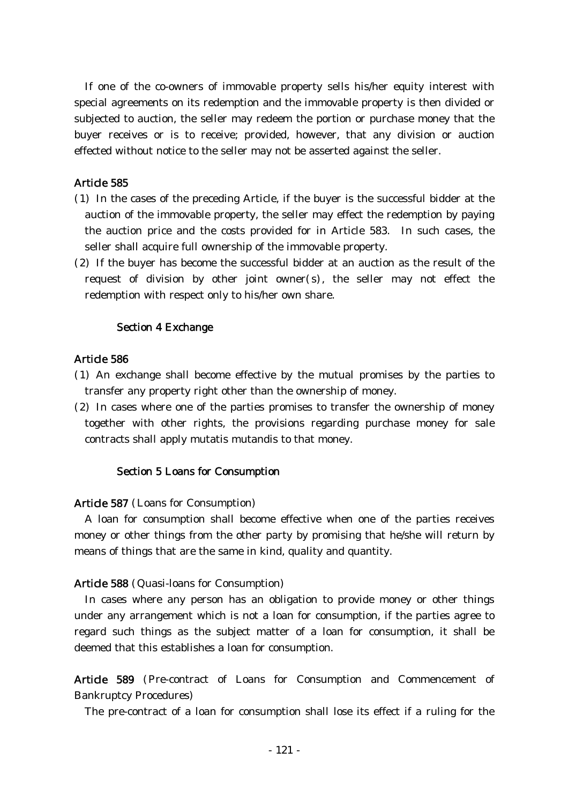If one of the co-owners of immovable property sells his/her equity interest with special agreements on its redemption and the immovable property is then divided or subjected to auction, the seller may redeem the portion or purchase money that the buyer receives or is to receive; provided, however, that any division or auction effected without notice to the seller may not be asserted against the seller.

## Article 585

- ( )1 In the cases of the preceding Article, if the buyer is the successful bidder at the auction of the immovable property, the seller may effect the redemption by paying the auction price and the costs provided for in Article 583. In such cases, the seller shall acquire full ownership of the immovable property.
- (2) If the buyer has become the successful bidder at an auction as the result of the request of division by other joint owner(s), the seller may not effect the redemption with respect only to his/her own share.

#### Section 4 Exchange

### Article 586

- ( )1 An exchange shall become effective by the mutual promises by the parties to transfer any property right other than the ownership of money.
- $(2)$  In cases where one of the parties promises to transfer the ownership of money together with other rights, the provisions regarding purchase money for sale contracts shall apply mutatis mutandis to that money.

#### Section 5 Loans for Consumption

#### Article 587 (Loans for Consumption)

A loan for consumption shall become effective when one of the parties receives money or other things from the other party by promising that he/she will return by means of things that are the same in kind, quality and quantity.

#### Article 588 (Quasi-loans for Consumption)

In cases where any person has an obligation to provide money or other things under any arrangement which is not a loan for consumption, if the parties agree to regard such things as the subject matter of a loan for consumption, it shall be deemed that this establishes a loan for consumption.

Article 589 (Pre-contract of Loans for Consumption and Commencement of Bankruptcy Procedures)

The pre-contract of a loan for consumption shall lose its effect if a ruling for the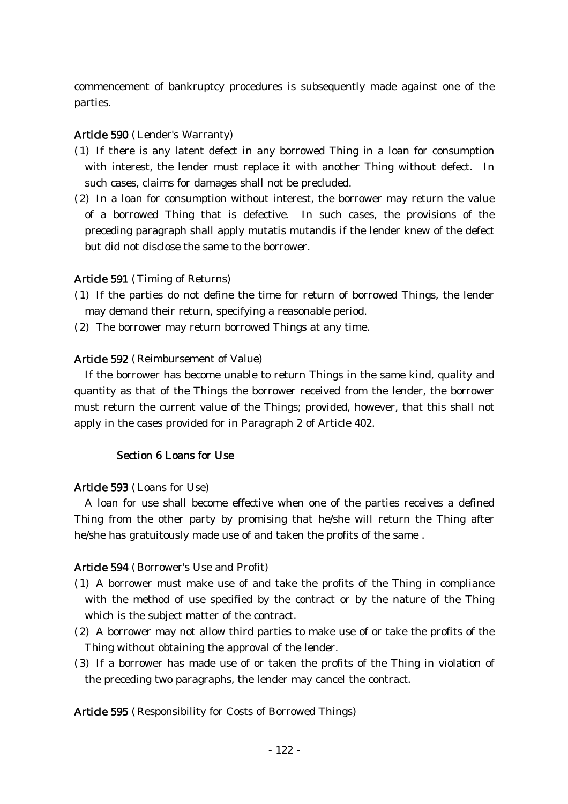commencement of bankruptcy procedures is subsequently made against one of the parties.

## Article 590 (Lender's Warranty)

- ( )1 If there is any latent defect in any borrowed Thing in a loan for consumption with interest, the lender must replace it with another Thing without defect. In such cases, claims for damages shall not be precluded.
- $(2)$  In a loan for consumption without interest, the borrower may return the value of a borrowed Thing that is defective. In such cases, the provisions of the preceding paragraph shall apply mutatis mutandis if the lender knew of the defect but did not disclose the same to the borrower.

## Article 591 (Timing of Returns)

- ( )1 If the parties do not define the time for return of borrowed Things, the lender may demand their return, specifying a reasonable period.
- (2) The borrower may return borrowed Things at any time.

## Article 592 (Reimbursement of Value)

If the borrower has become unable to return Things in the same kind, quality and quantity as that of the Things the borrower received from the lender, the borrower must return the current value of the Things; provided, however, that this shall not apply in the cases provided for in Paragraph 2 of Article 402.

## Section 6 Loans for Use

## Article 593 (Loans for Use)

A loan for use shall become effective when one of the parties receives a defined Thing from the other party by promising that he/she will return the Thing after he/she has gratuitously made use of and taken the profits of the same .

## Article 594 (Borrower's Use and Profit)

- ( )1 A borrower must make use of and take the profits of the Thing in compliance with the method of use specified by the contract or by the nature of the Thing which is the subject matter of the contract.
- $(2)$  A borrower may not allow third parties to make use of or take the profits of the Thing without obtaining the approval of the lender.
- ( )3 If a borrower has made use of or taken the profits of the Thing in violation of the preceding two paragraphs, the lender may cancel the contract.

Article 595 (Responsibility for Costs of Borrowed Things)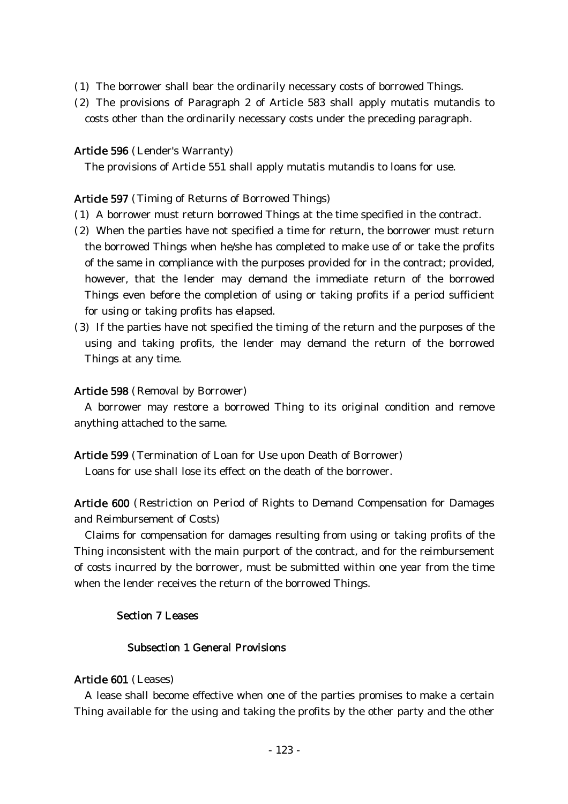- ( )1 The borrower shall bear the ordinarily necessary costs of borrowed Things.
- $(2)$  The provisions of Paragraph 2 of Article 583 shall apply mutatis mutandis to costs other than the ordinarily necessary costs under the preceding paragraph.

### Article 596 (Lender's Warranty)

The provisions of Article 551 shall apply mutatis mutandis to loans for use.

### Article 597 (Timing of Returns of Borrowed Things)

- ( )1 A borrower must return borrowed Things at the time specified in the contract.
- $(2)$  When the parties have not specified a time for return, the borrower must return the borrowed Things when he/she has completed to make use of or take the profits of the same in compliance with the purposes provided for in the contract; provided, however, that the lender may demand the immediate return of the borrowed Things even before the completion of using or taking profits if a period sufficient for using or taking profits has elapsed.
- (3) If the parties have not specified the timing of the return and the purposes of the using and taking profits, the lender may demand the return of the borrowed Things at any time.

### Article 598 (Removal by Borrower)

A borrower may restore a borrowed Thing to its original condition and remove anything attached to the same.

### Article 599 (Termination of Loan for Use upon Death of Borrower)

Loans for use shall lose its effect on the death of the borrower.

Article 600 (Restriction on Period of Rights to Demand Compensation for Damages and Reimbursement of Costs)

Claims for compensation for damages resulting from using or taking profits of the Thing inconsistent with the main purport of the contract, and for the reimbursement of costs incurred by the borrower, must be submitted within one year from the time when the lender receives the return of the borrowed Things.

#### Section 7 Leases

### Subsection 1 General Provisions

#### Article 601 (Leases)

A lease shall become effective when one of the parties promises to make a certain Thing available for the using and taking the profits by the other party and the other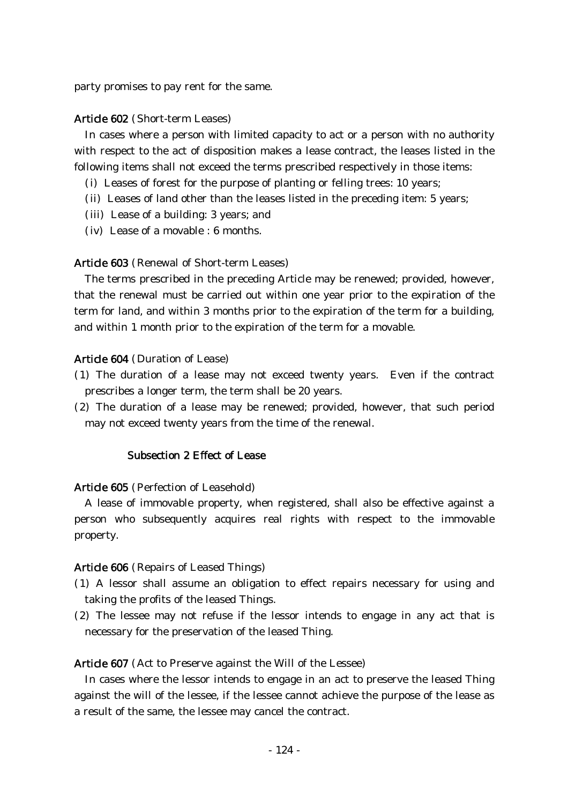party promises to pay rent for the same.

#### Article 602 (Short-term Leases)

In cases where a person with limited capacity to act or a person with no authority with respect to the act of disposition makes a lease contract, the leases listed in the following items shall not exceed the terms prescribed respectively in those items:

- (i) Leases of forest for the purpose of planting or felling trees: 10 years;
- (ii) Leases of land other than the leases listed in the preceding item: 5 years;
- (iii) Lease of a building: 3 years; and
- $(iv)$  Lease of a movable : 6 months.

#### Article 603 (Renewal of Short-term Leases)

The terms prescribed in the preceding Article may be renewed; provided, however, that the renewal must be carried out within one year prior to the expiration of the term for land, and within 3 months prior to the expiration of the term for a building, and within 1 month prior to the expiration of the term for a movable.

### Article 604 (Duration of Lease)

- ( )1 The duration of a lease may not exceed twenty years. Even if the contract prescribes a longer term, the term shall be 20 years.
- (2) The duration of a lease may be renewed; provided, however, that such period may not exceed twenty years from the time of the renewal.

## Subsection 2 Effect of Lease

#### Article 605 (Perfection of Leasehold)

A lease of immovable property, when registered, shall also be effective against a person who subsequently acquires real rights with respect to the immovable property.

#### Article 606 (Repairs of Leased Things)

- ( )1 A lessor shall assume an obligation to effect repairs necessary for using and taking the profits of the leased Things.
- $(2)$  The lessee may not refuse if the lessor intends to engage in any act that is necessary for the preservation of the leased Thing.

#### Article 607 (Act to Preserve against the Will of the Lessee)

In cases where the lessor intends to engage in an act to preserve the leased Thing against the will of the lessee, if the lessee cannot achieve the purpose of the lease as a result of the same, the lessee may cancel the contract.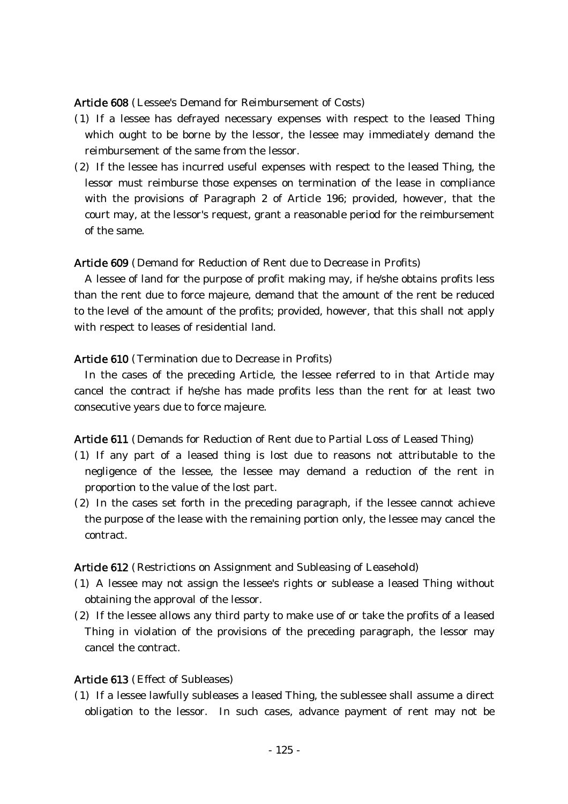Article 608 (Lessee's Demand for Reimbursement of Costs)

- ( )1 If a lessee has defrayed necessary expenses with respect to the leased Thing which ought to be borne by the lessor, the lessee may immediately demand the reimbursement of the same from the lessor.
- (2) If the lessee has incurred useful expenses with respect to the leased Thing, the lessor must reimburse those expenses on termination of the lease in compliance with the provisions of Paragraph 2 of Article 196; provided, however, that the court may, at the lessor's request, grant a reasonable period for the reimbursement of the same.

Article 609 (Demand for Reduction of Rent due to Decrease in Profits)

A lessee of land for the purpose of profit making may, if he/she obtains profits less than the rent due to force majeure, demand that the amount of the rent be reduced to the level of the amount of the profits; provided, however, that this shall not apply with respect to leases of residential land.

### Article 610 (Termination due to Decrease in Profits)

In the cases of the preceding Article, the lessee referred to in that Article may cancel the contract if he/she has made profits less than the rent for at least two consecutive years due to force majeure.

Article 611 (Demands for Reduction of Rent due to Partial Loss of Leased Thing)

- ( )1 If any part of a leased thing is lost due to reasons not attributable to the negligence of the lessee, the lessee may demand a reduction of the rent in proportion to the value of the lost part.
- $(2)$  In the cases set forth in the preceding paragraph, if the lessee cannot achieve the purpose of the lease with the remaining portion only, the lessee may cancel the contract.

## Article 612 (Restrictions on Assignment and Subleasing of Leasehold)

- ( )1 A lessee may not assign the lessee's rights or sublease a leased Thing without obtaining the approval of the lessor.
- (2) If the lessee allows any third party to make use of or take the profits of a leased Thing in violation of the provisions of the preceding paragraph, the lessor may cancel the contract.

### Article 613 (Effect of Subleases)

( )1 If a lessee lawfully subleases a leased Thing, the sublessee shall assume a direct obligation to the lessor. In such cases, advance payment of rent may not be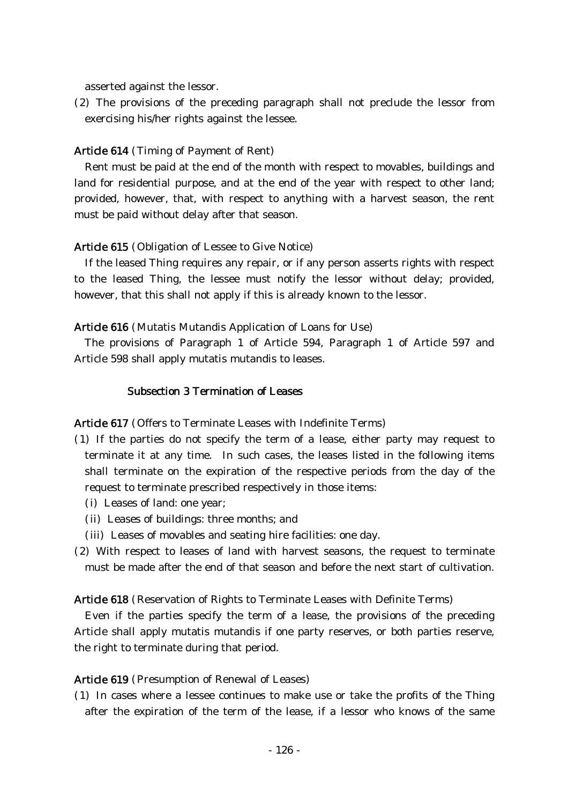asserted against the lessor.

(2) The provisions of the preceding paragraph shall not preclude the lessor from exercising his/her rights against the lessee.

### Article 614 (Timing of Payment of Rent)

Rent must be paid at the end of the month with respect to movables, buildings and land for residential purpose, and at the end of the year with respect to other land; provided, however, that, with respect to anything with a harvest season, the rent must be paid without delay after that season.

### Article 615 (Obligation of Lessee to Give Notice)

If the leased Thing requires any repair, or if any person asserts rights with respect to the leased Thing, the lessee must notify the lessor without delay; provided, however, that this shall not apply if this is already known to the lessor.

### Article 616 (Mutatis Mutandis Application of Loans for Use)

The provisions of Paragraph 1 of Article 594, Paragraph 1 of Article 597 and Article 598 shall apply mutatis mutandis to leases.

### Subsection 3 Termination of Leases

Article 617 (Offers to Terminate Leases with Indefinite Terms)

- ( )1 If the parties do not specify the term of a lease, either party may request to terminate it at any time. In such cases, the leases listed in the following items shall terminate on the expiration of the respective periods from the day of the request to terminate prescribed respectively in those items:
	- (i) Leases of land: one year;
	- (ii) Leases of buildings: three months; and
	- (iii) Leases of movables and seating hire facilities: one day.
- (2) With respect to leases of land with harvest seasons, the request to terminate must be made after the end of that season and before the next start of cultivation.

#### Article 618 (Reservation of Rights to Terminate Leases with Definite Terms)

Even if the parties specify the term of a lease, the provisions of the preceding Article shall apply mutatis mutandis if one party reserves, or both parties reserve, the right to terminate during that period.

#### Article 619 (Presumption of Renewal of Leases)

( )1 In cases where a lessee continues to make use or take the profits of the Thing after the expiration of the term of the lease, if a lessor who knows of the same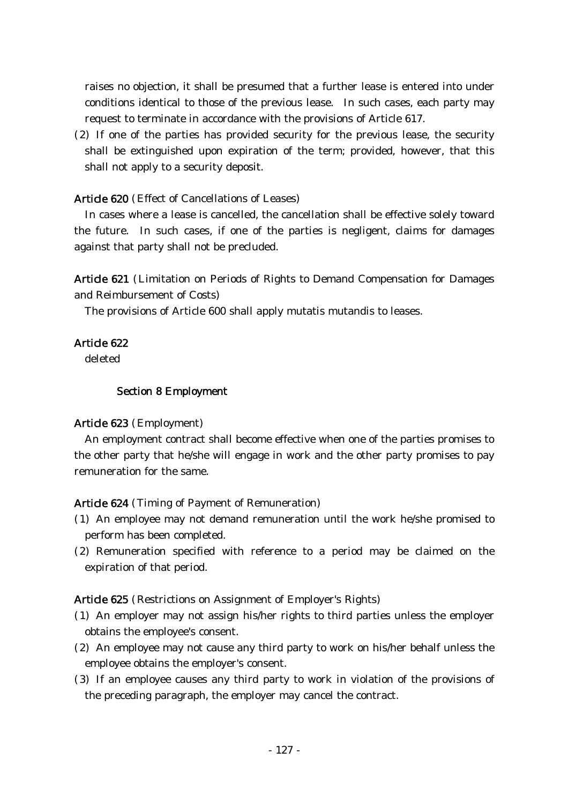raises no objection, it shall be presumed that a further lease is entered into under conditions identical to those of the previous lease. In such cases, each party may request to terminate in accordance with the provisions of Article 617.

 $(2)$  If one of the parties has provided security for the previous lease, the security shall be extinguished upon expiration of the term; provided, however, that this shall not apply to a security deposit.

## Article 620 (Effect of Cancellations of Leases)

In cases where a lease is cancelled, the cancellation shall be effective solely toward the future. In such cases, if one of the parties is negligent, claims for damages against that party shall not be precluded.

Article 621 (Limitation on Periods of Rights to Demand Compensation for Damages and Reimbursement of Costs)

The provisions of Article 600 shall apply mutatis mutandis to leases.

## Article 622

deleted

## Section 8 Employment

## Article 623 (Employment)

An employment contract shall become effective when one of the parties promises to the other party that he/she will engage in work and the other party promises to pay remuneration for the same.

## Article 624 (Timing of Payment of Remuneration)

- ( )1 An employee may not demand remuneration until the work he/she promised to perform has been completed.
- (2) Remuneration specified with reference to a period may be claimed on the expiration of that period.

## Article 625 (Restrictions on Assignment of Employer's Rights)

- (1) An employer may not assign his/her rights to third parties unless the employer obtains the employee's consent.
- (2) An employee may not cause any third party to work on his/her behalf unless the employee obtains the employer's consent.
- (3) If an employee causes any third party to work in violation of the provisions of the preceding paragraph, the employer may cancel the contract.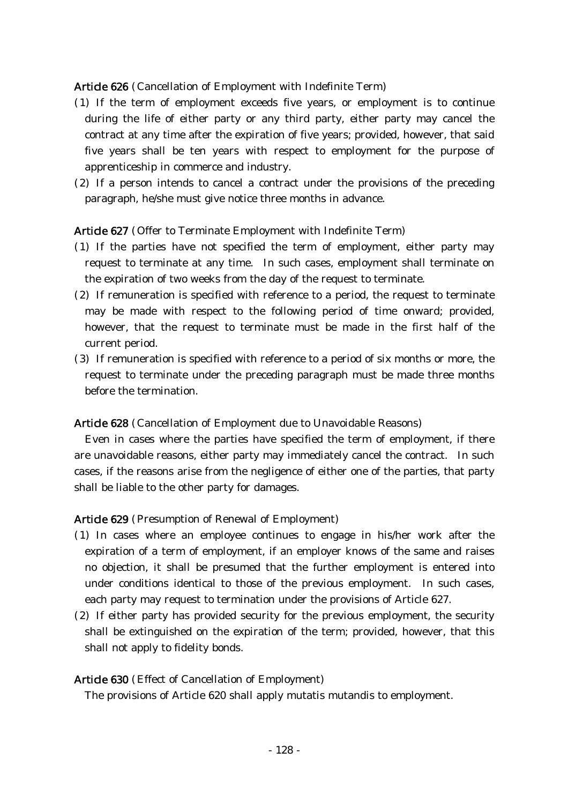Article 626 (Cancellation of Employment with Indefinite Term)

- ( )1 If the term of employment exceeds five years, or employment is to continue during the life of either party or any third party, either party may cancel the contract at any time after the expiration of five years; provided, however, that said five years shall be ten years with respect to employment for the purpose of apprenticeship in commerce and industry.
- $(2)$  If a person intends to cancel a contract under the provisions of the preceding paragraph, he/she must give notice three months in advance.

## Article 627 (Offer to Terminate Employment with Indefinite Term)

- ( )1 If the parties have not specified the term of employment, either party may request to terminate at any time. In such cases, employment shall terminate on the expiration of two weeks from the day of the request to terminate.
- $(2)$  If remuneration is specified with reference to a period, the request to terminate may be made with respect to the following period of time onward; provided, however, that the request to terminate must be made in the first half of the current period.
- (3) If remuneration is specified with reference to a period of six months or more, the request to terminate under the preceding paragraph must be made three months before the termination.

Article 628 (Cancellation of Employment due to Unavoidable Reasons)

Even in cases where the parties have specified the term of employment, if there are unavoidable reasons, either party may immediately cancel the contract. In such cases, if the reasons arise from the negligence of either one of the parties, that party shall be liable to the other party for damages.

## Article 629 (Presumption of Renewal of Employment)

- ( )1 In cases where an employee continues to engage in his/her work after the expiration of a term of employment, if an employer knows of the same and raises no objection, it shall be presumed that the further employment is entered into under conditions identical to those of the previous employment. In such cases, each party may request to termination under the provisions of Article 627.
- $(2)$  If either party has provided security for the previous employment, the security shall be extinguished on the expiration of the term; provided, however, that this shall not apply to fidelity bonds.

## Article 630 (Effect of Cancellation of Employment)

The provisions of Article 620 shall apply mutatis mutandis to employment.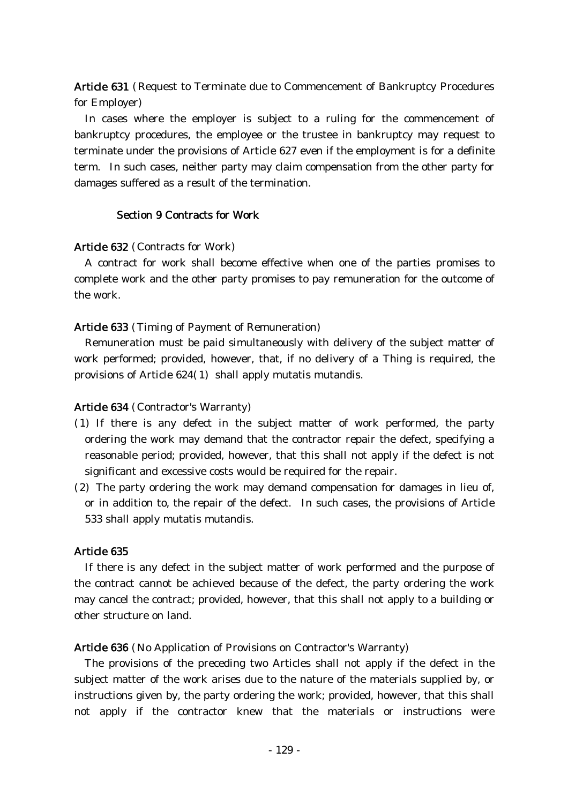Article 631 (Request to Terminate due to Commencement of Bankruptcy Procedures for Employer)

In cases where the employer is subject to a ruling for the commencement of bankruptcy procedures, the employee or the trustee in bankruptcy may request to terminate under the provisions of Article 627 even if the employment is for a definite term. In such cases, neither party may claim compensation from the other party for damages suffered as a result of the termination.

## Section 9 Contracts for Work

## Article 632 (Contracts for Work)

A contract for work shall become effective when one of the parties promises to complete work and the other party promises to pay remuneration for the outcome of the work.

## Article 633 (Timing of Payment of Remuneration)

Remuneration must be paid simultaneously with delivery of the subject matter of work performed; provided, however, that, if no delivery of a Thing is required, the provisions of Article  $624(1)$  shall apply mutatis mutandis.

## Article 634 (Contractor's Warranty)

- ( )1 If there is any defect in the subject matter of work performed, the party ordering the work may demand that the contractor repair the defect, specifying a reasonable period; provided, however, that this shall not apply if the defect is not significant and excessive costs would be required for the repair.
- $(2)$  The party ordering the work may demand compensation for damages in lieu of, or in addition to, the repair of the defect. In such cases, the provisions of Article 533 shall apply mutatis mutandis.

## Article 635

If there is any defect in the subject matter of work performed and the purpose of the contract cannot be achieved because of the defect, the party ordering the work may cancel the contract; provided, however, that this shall not apply to a building or other structure on land.

## Article 636 (No Application of Provisions on Contractor's Warranty)

The provisions of the preceding two Articles shall not apply if the defect in the subject matter of the work arises due to the nature of the materials supplied by, or instructions given by, the party ordering the work; provided, however, that this shall not apply if the contractor knew that the materials or instructions were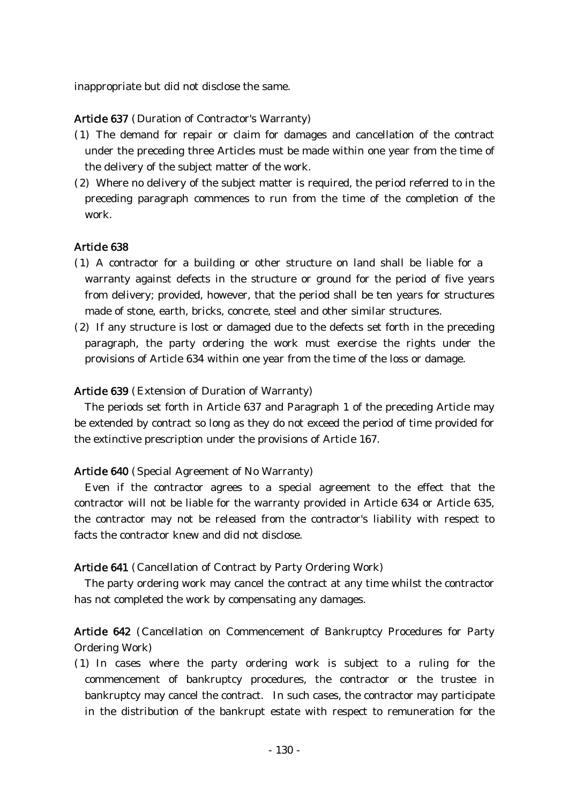inappropriate but did not disclose the same.

## Article 637 (Duration of Contractor's Warranty)

- ( )1 The demand for repair or claim for damages and cancellation of the contract under the preceding three Articles must be made within one year from the time of the delivery of the subject matter of the work.
- (2) Where no delivery of the subject matter is required, the period referred to in the preceding paragraph commences to run from the time of the completion of the work.

### Article 638

- (1) A contractor for a building or other structure on land shall be liable for a warranty against defects in the structure or ground for the period of five years from delivery; provided, however, that the period shall be ten years for structures made of stone, earth, bricks, concrete, steel and other similar structures.
- $(2)$  If any structure is lost or damaged due to the defects set forth in the preceding paragraph, the party ordering the work must exercise the rights under the provisions of Article 634 within one year from the time of the loss or damage.

### Article 639 (Extension of Duration of Warranty)

The periods set forth in Article 637 and Paragraph 1 of the preceding Article may be extended by contract so long as they do not exceed the period of time provided for the extinctive prescription under the provisions of Article 167.

### Article 640 (Special Agreement of No Warranty)

Even if the contractor agrees to a special agreement to the effect that the contractor will not be liable for the warranty provided in Article 634 or Article 635, the contractor may not be released from the contractor's liability with respect to facts the contractor knew and did not disclose.

### Article 641 (Cancellation of Contract by Party Ordering Work)

The party ordering work may cancel the contract at any time whilst the contractor has not completed the work by compensating any damages.

# Article 642 (Cancellation on Commencement of Bankruptcy Procedures for Party Ordering Work)

(1) In cases where the party ordering work is subject to a ruling for the commencement of bankruptcy procedures, the contractor or the trustee in bankruptcy may cancel the contract. In such cases, the contractor may participate in the distribution of the bankrupt estate with respect to remuneration for the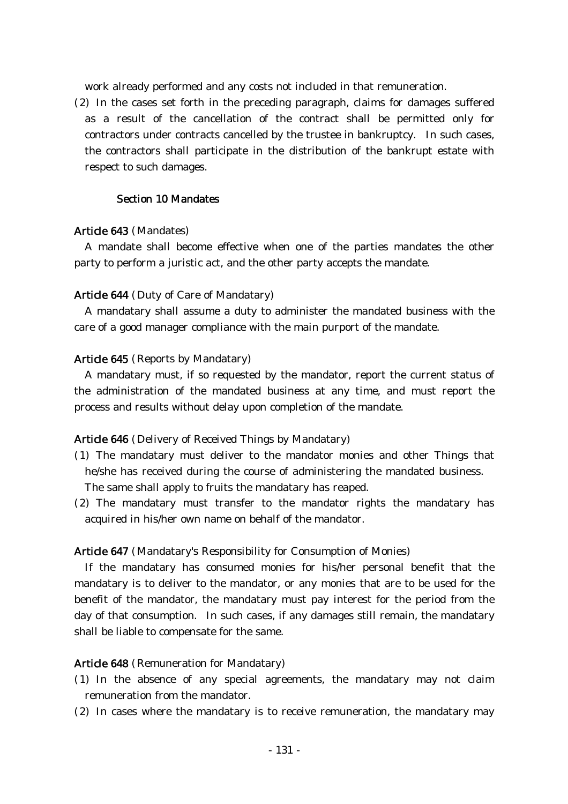work already performed and any costs not included in that remuneration.

 $(2)$  In the cases set forth in the preceding paragraph, claims for damages suffered as a result of the cancellation of the contract shall be permitted only for contractors under contracts cancelled by the trustee in bankruptcy. In such cases, the contractors shall participate in the distribution of the bankrupt estate with respect to such damages.

### Section 10 Mandates

#### Article 643 (Mandates)

A mandate shall become effective when one of the parties mandates the other party to perform a juristic act, and the other party accepts the mandate.

#### Article 644 (Duty of Care of Mandatary)

A mandatary shall assume a duty to administer the mandated business with the care of a good manager compliance with the main purport of the mandate.

### Article 645 (Reports by Mandatary)

A mandatary must, if so requested by the mandator, report the current status of the administration of the mandated business at any time, and must report the process and results without delay upon completion of the mandate.

#### Article 646 (Delivery of Received Things by Mandatary)

- ( )1 The mandatary must deliver to the mandator monies and other Things that he/she has received during the course of administering the mandated business. The same shall apply to fruits the mandatary has reaped.
- (2) The mandatary must transfer to the mandator rights the mandatary has acquired in his/her own name on behalf of the mandator.

#### Article 647 (Mandatary's Responsibility for Consumption of Monies)

If the mandatary has consumed monies for his/her personal benefit that the mandatary is to deliver to the mandator, or any monies that are to be used for the benefit of the mandator, the mandatary must pay interest for the period from the day of that consumption. In such cases, if any damages still remain, the mandatary shall be liable to compensate for the same.

#### Article 648 (Remuneration for Mandatary)

- ( )1 In the absence of any special agreements, the mandatary may not claim remuneration from the mandator.
- $(2)$  In cases where the mandatary is to receive remuneration, the mandatary may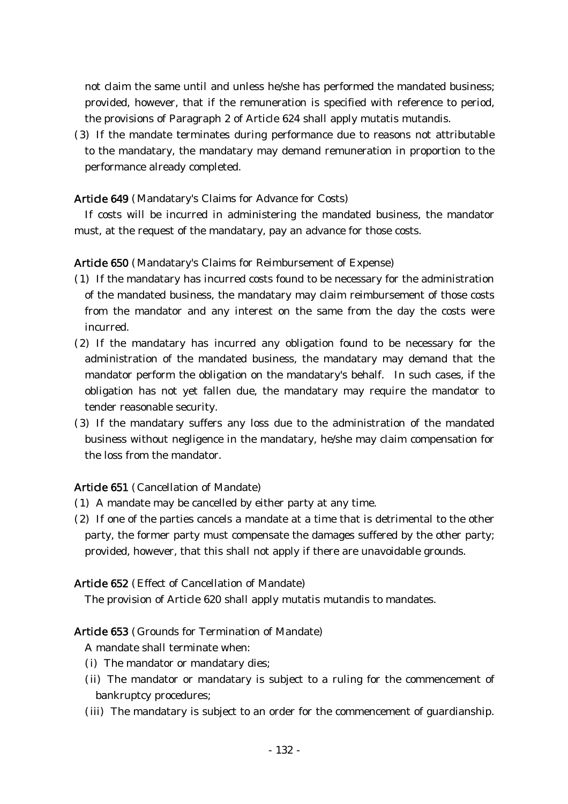not claim the same until and unless he/she has performed the mandated business; provided, however, that if the remuneration is specified with reference to period, the provisions of Paragraph 2 of Article 624 shall apply mutatis mutandis.

(3) If the mandate terminates during performance due to reasons not attributable to the mandatary, the mandatary may demand remuneration in proportion to the performance already completed.

## Article 649 (Mandatary's Claims for Advance for Costs)

If costs will be incurred in administering the mandated business, the mandator must, at the request of the mandatary, pay an advance for those costs.

## Article 650 (Mandatary's Claims for Reimbursement of Expense)

- ( )1 If the mandatary has incurred costs found to be necessary for the administration of the mandated business, the mandatary may claim reimbursement of those costs from the mandator and any interest on the same from the day the costs were incurred.
- $(2)$  If the mandatary has incurred any obligation found to be necessary for the administration of the mandated business, the mandatary may demand that the mandator perform the obligation on the mandatary's behalf. In such cases, if the obligation has not yet fallen due, the mandatary may require the mandator to tender reasonable security.
- (3) If the mandatary suffers any loss due to the administration of the mandated business without negligence in the mandatary, he/she may claim compensation for the loss from the mandator.

## Article 651 (Cancellation of Mandate)

- $(1)$  A mandate may be cancelled by either party at any time.
- $(2)$  If one of the parties cancels a mandate at a time that is detrimental to the other party, the former party must compensate the damages suffered by the other party; provided, however, that this shall not apply if there are unavoidable grounds.

## Article 652 (Effect of Cancellation of Mandate)

The provision of Article 620 shall apply mutatis mutandis to mandates.

## Article 653 (Grounds for Termination of Mandate)

A mandate shall terminate when:

- (i) The mandator or mandatary dies;
- (ii) The mandator or mandatary is subject to a ruling for the commencement of bankruptcy procedures;
- (iii) The mandatary is subject to an order for the commencement of guardianship.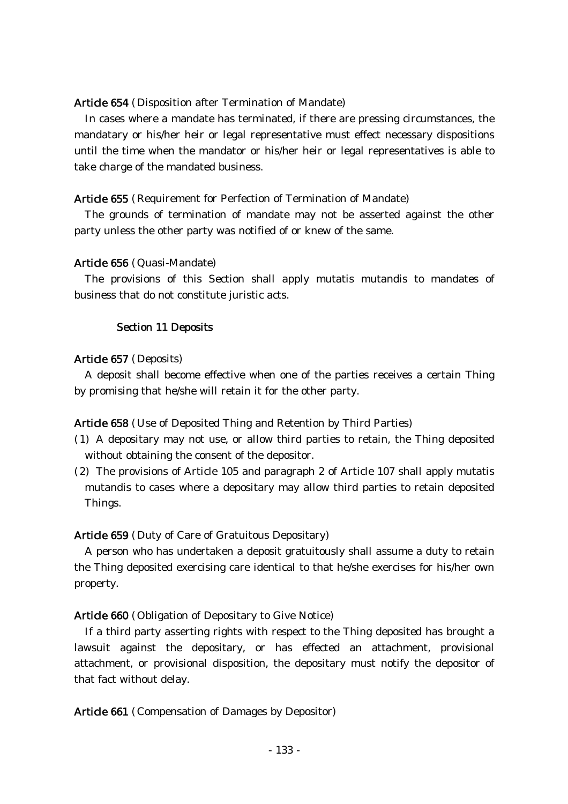### Article 654 (Disposition after Termination of Mandate)

In cases where a mandate has terminated, if there are pressing circumstances, the mandatary or his/her heir or legal representative must effect necessary dispositions until the time when the mandator or his/her heir or legal representatives is able to take charge of the mandated business.

### Article 655 (Requirement for Perfection of Termination of Mandate)

The grounds of termination of mandate may not be asserted against the other party unless the other party was notified of or knew of the same.

### Article 656 (Quasi-Mandate)

The provisions of this Section shall apply mutatis mutandis to mandates of business that do not constitute juristic acts.

## Section 11 Deposits

### Article 657 (Deposits)

A deposit shall become effective when one of the parties receives a certain Thing by promising that he/she will retain it for the other party.

Article 658 (Use of Deposited Thing and Retention by Third Parties)

- ( )1 A depositary may not use, or allow third parties to retain, the Thing deposited without obtaining the consent of the depositor.
- $(2)$  The provisions of Article 105 and paragraph 2 of Article 107 shall apply mutatis mutandis to cases where a depositary may allow third parties to retain deposited Things.

## Article 659 (Duty of Care of Gratuitous Depositary)

A person who has undertaken a deposit gratuitously shall assume a duty to retain the Thing deposited exercising care identical to that he/she exercises for his/her own property.

## Article 660 (Obligation of Depositary to Give Notice)

If a third party asserting rights with respect to the Thing deposited has brought a lawsuit against the depositary, or has effected an attachment, provisional attachment, or provisional disposition, the depositary must notify the depositor of that fact without delay.

Article 661 (Compensation of Damages by Depositor)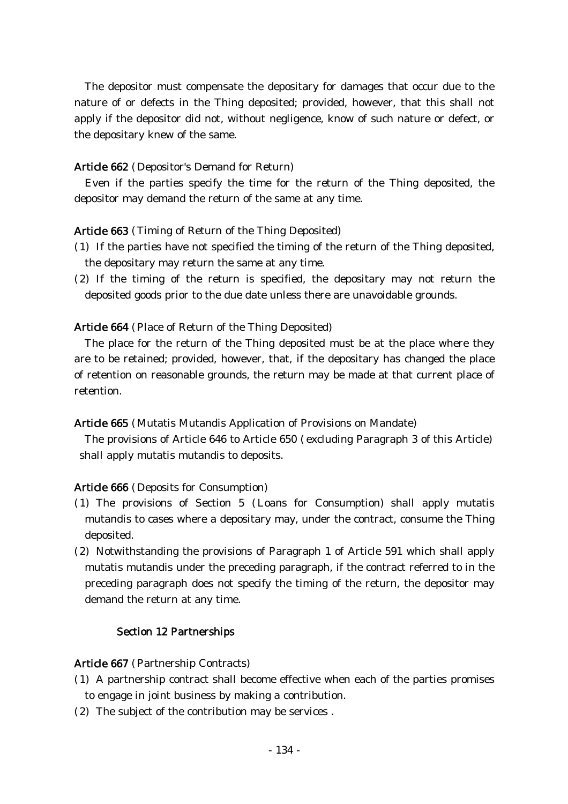The depositor must compensate the depositary for damages that occur due to the nature of or defects in the Thing deposited; provided, however, that this shall not apply if the depositor did not, without negligence, know of such nature or defect, or the depositary knew of the same.

## Article 662 (Depositor's Demand for Return)

Even if the parties specify the time for the return of the Thing deposited, the depositor may demand the return of the same at any time.

## Article 663 (Timing of Return of the Thing Deposited)

- ( )1 If the parties have not specified the timing of the return of the Thing deposited, the depositary may return the same at any time.
- $(2)$  If the timing of the return is specified, the depositary may not return the deposited goods prior to the due date unless there are unavoidable grounds.

## Article 664 (Place of Return of the Thing Deposited)

The place for the return of the Thing deposited must be at the place where they are to be retained; provided, however, that, if the depositary has changed the place of retention on reasonable grounds, the return may be made at that current place of retention.

## Article 665 (Mutatis Mutandis Application of Provisions on Mandate)

The provisions of Article 646 to Article  $650$  (excluding Paragraph 3 of this Article) shall apply mutatis mutandis to deposits.

## Article 666 (Deposits for Consumption)

- $(1)$  The provisions of Section 5 (Loans for Consumption) shall apply mutatis mutandis to cases where a depositary may, under the contract, consume the Thing deposited.
- $(2)$  Notwithstanding the provisions of Paragraph 1 of Article 591 which shall apply mutatis mutandis under the preceding paragraph, if the contract referred to in the preceding paragraph does not specify the timing of the return, the depositor may demand the return at any time.

## Section 12 Partnerships

## Article 667 (Partnership Contracts)

- ( )1 A partnership contract shall become effective when each of the parties promises to engage in joint business by making a contribution.
- $(2)$  The subject of the contribution may be services.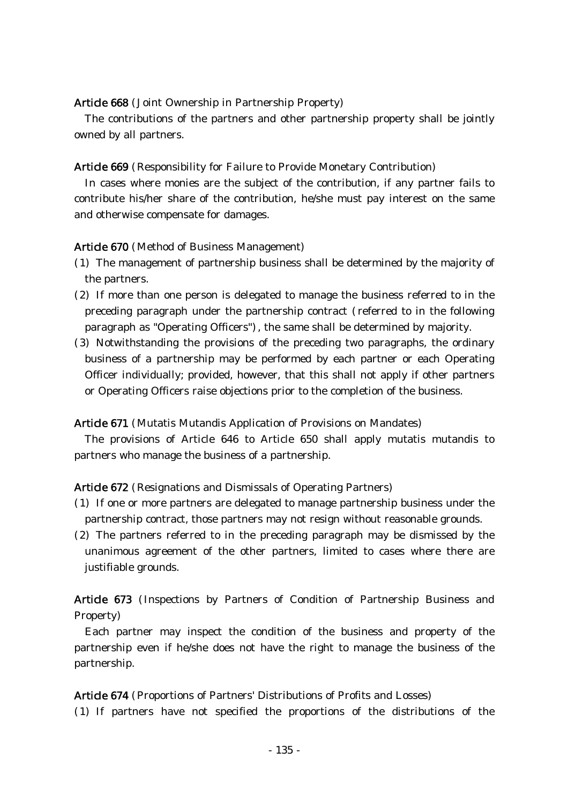Article 668 (Joint Ownership in Partnership Property)

The contributions of the partners and other partnership property shall be jointly owned by all partners.

## Article 669 (Responsibility for Failure to Provide Monetary Contribution)

In cases where monies are the subject of the contribution, if any partner fails to contribute his/her share of the contribution, he/she must pay interest on the same and otherwise compensate for damages.

## Article 670 (Method of Business Management)

- ( )1 The management of partnership business shall be determined by the majority of the partners.
- (2) If more than one person is delegated to manage the business referred to in the preceding paragraph under the partnership contract (referred to in the following paragraph as "Operating Officers"), the same shall be determined by majority.
- (3) Notwithstanding the provisions of the preceding two paragraphs, the ordinary business of a partnership may be performed by each partner or each Operating Officer individually; provided, however, that this shall not apply if other partners or Operating Officers raise objections prior to the completion of the business.

Article 671 (Mutatis Mutandis Application of Provisions on Mandates)

The provisions of Article 646 to Article 650 shall apply mutatis mutandis to partners who manage the business of a partnership.

Article 672 (Resignations and Dismissals of Operating Partners)

- ( )1 If one or more partners are delegated to manage partnership business under the partnership contract, those partners may not resign without reasonable grounds.
- $(2)$  The partners referred to in the preceding paragraph may be dismissed by the unanimous agreement of the other partners, limited to cases where there are justifiable grounds.

Article 673 (Inspections by Partners of Condition of Partnership Business and Property)

Each partner may inspect the condition of the business and property of the partnership even if he/she does not have the right to manage the business of the partnership.

Article 674 (Proportions of Partners' Distributions of Profits and Losses)

( )1 If partners have not specified the proportions of the distributions of the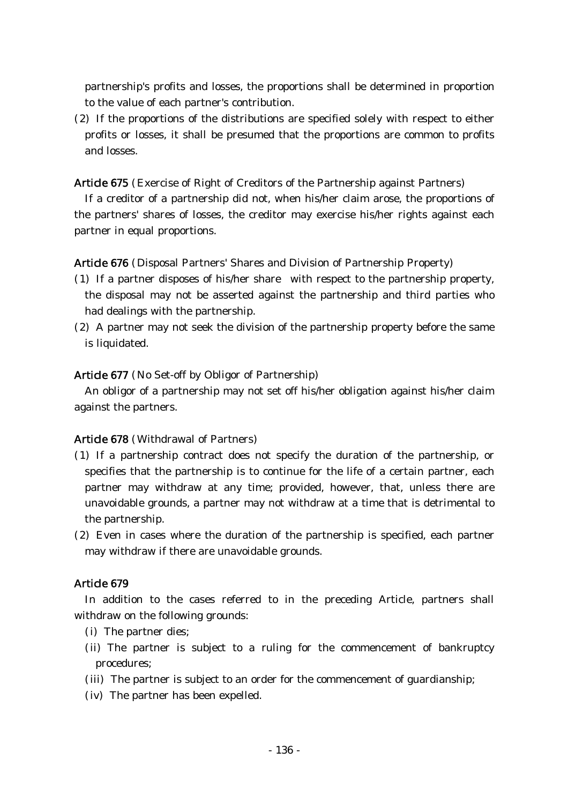partnership's profits and losses, the proportions shall be determined in proportion to the value of each partner's contribution.

 $(2)$  If the proportions of the distributions are specified solely with respect to either profits or losses, it shall be presumed that the proportions are common to profits and losses.

Article 675 (Exercise of Right of Creditors of the Partnership against Partners)

If a creditor of a partnership did not, when his/her claim arose, the proportions of the partners' shares of losses, the creditor may exercise his/her rights against each partner in equal proportions.

Article 676 (Disposal Partners' Shares and Division of Partnership Property)

- ( )1 If a partner disposes of his/her share with respect to the partnership property, the disposal may not be asserted against the partnership and third parties who had dealings with the partnership.
- $(2)$  A partner may not seek the division of the partnership property before the same is liquidated.

# Article 677 (No Set-off by Obligor of Partnership)

An obligor of a partnership may not set off his/her obligation against his/her claim against the partners.

# Article 678 (Withdrawal of Partners)

- ( )1 If a partnership contract does not specify the duration of the partnership, or specifies that the partnership is to continue for the life of a certain partner, each partner may withdraw at any time; provided, however, that, unless there are unavoidable grounds, a partner may not withdraw at a time that is detrimental to the partnership.
- $(2)$  Even in cases where the duration of the partnership is specified, each partner may withdraw if there are unavoidable grounds.

# Article 679

In addition to the cases referred to in the preceding Article, partners shall withdraw on the following grounds:

- (i) The partner dies;
- (ii) The partner is subject to a ruling for the commencement of bankruptcy procedures;
- (iii) The partner is subject to an order for the commencement of guardianship;
- $(iv)$  The partner has been expelled.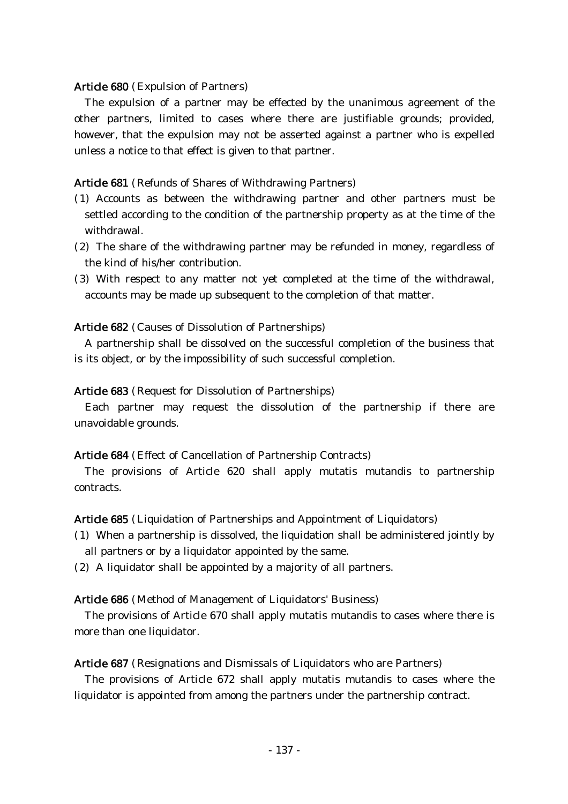### Article 680 (Expulsion of Partners)

The expulsion of a partner may be effected by the unanimous agreement of the other partners, limited to cases where there are justifiable grounds; provided, however, that the expulsion may not be asserted against a partner who is expelled unless a notice to that effect is given to that partner.

## Article 681 (Refunds of Shares of Withdrawing Partners)

- (1) Accounts as between the withdrawing partner and other partners must be settled according to the condition of the partnership property as at the time of the withdrawal.
- $(2)$  The share of the withdrawing partner may be refunded in money, regardless of the kind of his/her contribution.
- (3) With respect to any matter not yet completed at the time of the withdrawal, accounts may be made up subsequent to the completion of that matter.

## Article 682 (Causes of Dissolution of Partnerships)

A partnership shall be dissolved on the successful completion of the business that is its object, or by the impossibility of such successful completion.

## Article 683 (Request for Dissolution of Partnerships)

Each partner may request the dissolution of the partnership if there are unavoidable grounds.

## Article 684 (Effect of Cancellation of Partnership Contracts)

The provisions of Article 620 shall apply mutatis mutandis to partnership contracts.

## Article 685 (Liquidation of Partnerships and Appointment of Liquidators)

- ( )1 When a partnership is dissolved, the liquidation shall be administered jointly by all partners or by a liquidator appointed by the same.
- $(2)$  A liquidator shall be appointed by a majority of all partners.

## Article 686 (Method of Management of Liquidators' Business)

The provisions of Article 670 shall apply mutatis mutandis to cases where there is more than one liquidator.

## Article 687 (Resignations and Dismissals of Liquidators who are Partners)

The provisions of Article 672 shall apply mutatis mutandis to cases where the liquidator is appointed from among the partners under the partnership contract.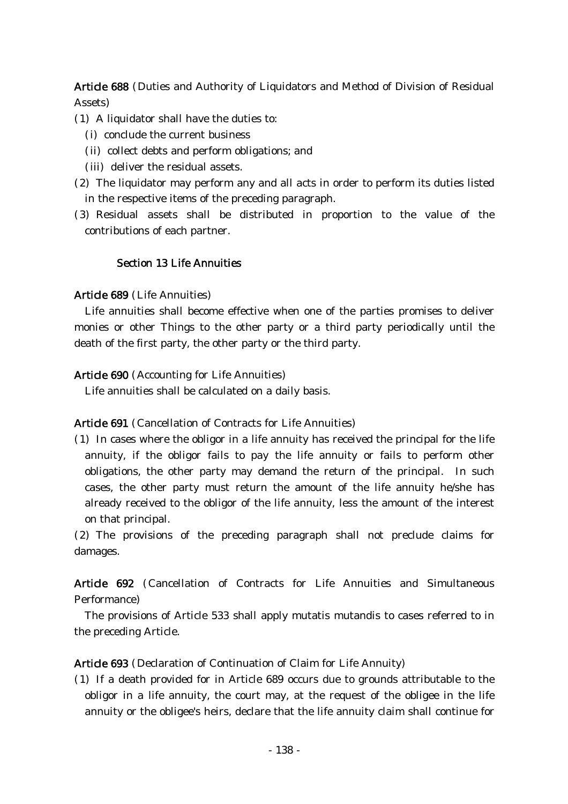Article 688 (Duties and Authority of Liquidators and Method of Division of Residual Assets)

- $(1)$  A liquidator shall have the duties to:
	- (i) conclude the current business
	- (ii) collect debts and perform obligations; and
	- (iii) deliver the residual assets.
- (2) The liquidator may perform any and all acts in order to perform its duties listed in the respective items of the preceding paragraph.
- (3) Residual assets shall be distributed in proportion to the value of the contributions of each partner.

## Section 13 Life Annuities

## Article 689 (Life Annuities)

Life annuities shall become effective when one of the parties promises to deliver monies or other Things to the other party or a third party periodically until the death of the first party, the other party or the third party.

## Article 690 (Accounting for Life Annuities)

Life annuities shall be calculated on a daily basis.

## Article 691 (Cancellation of Contracts for Life Annuities)

( )1 In cases where the obligor in a life annuity has received the principal for the life annuity, if the obligor fails to pay the life annuity or fails to perform other obligations, the other party may demand the return of the principal. In such cases, the other party must return the amount of the life annuity he/she has already received to the obligor of the life annuity, less the amount of the interest on that principal.

(2) The provisions of the preceding paragraph shall not preclude claims for damages.

Article 692 (Cancellation of Contracts for Life Annuities and Simultaneous Performance)

The provisions of Article 533 shall apply mutatis mutandis to cases referred to in the preceding Article.

## Article 693 (Declaration of Continuation of Claim for Life Annuity)

( )1 If a death provided for in Article 689 occurs due to grounds attributable to the obligor in a life annuity, the court may, at the request of the obligee in the life annuity or the obligee's heirs, declare that the life annuity claim shall continue for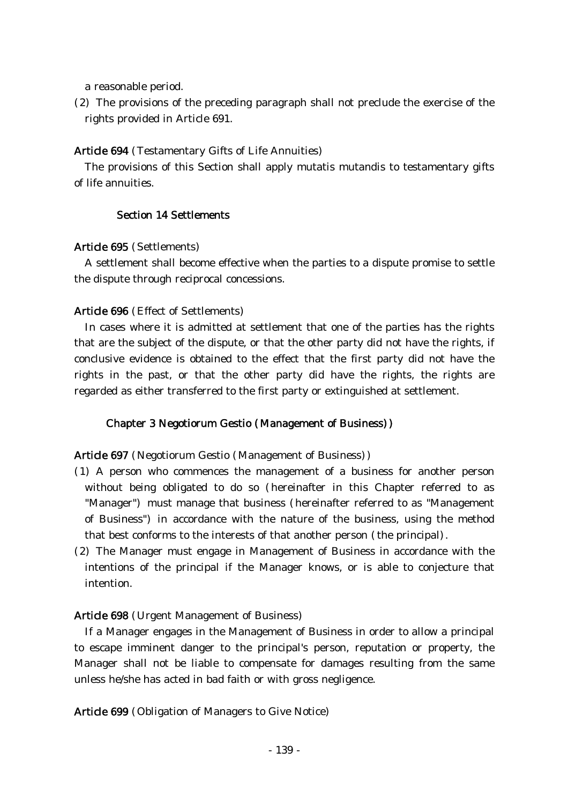a reasonable period.

(2) The provisions of the preceding paragraph shall not preclude the exercise of the rights provided in Article 691.

## Article 694 (Testamentary Gifts of Life Annuities)

The provisions of this Section shall apply mutatis mutandis to testamentary gifts of life annuities.

## Section 14 Settlements

## Article 695 (Settlements)

A settlement shall become effective when the parties to a dispute promise to settle the dispute through reciprocal concessions.

## Article 696 (Effect of Settlements)

In cases where it is admitted at settlement that one of the parties has the rights that are the subject of the dispute, or that the other party did not have the rights, if conclusive evidence is obtained to the effect that the first party did not have the rights in the past, or that the other party did have the rights, the rights are regarded as either transferred to the first party or extinguished at settlement.

## Chapter 3 Negotiorum Gestio (Management of Business))

Article 697 (Negotiorum Gestio (Management of Business))

- ( )1 A person who commences the management of a business for another person without being obligated to do so (hereinafter in this Chapter referred to as "Manager" must manage that business (hereinafter referred to as "Management" of Business" in accordance with the nature of the business, using the method that best conforms to the interests of that another person (the principal).
- (2) The Manager must engage in Management of Business in accordance with the intentions of the principal if the Manager knows, or is able to conjecture that intention.

## Article 698 (Urgent Management of Business)

If a Manager engages in the Management of Business in order to allow a principal to escape imminent danger to the principal's person, reputation or property, the Manager shall not be liable to compensate for damages resulting from the same unless he/she has acted in bad faith or with gross negligence.

Article 699 (Obligation of Managers to Give Notice)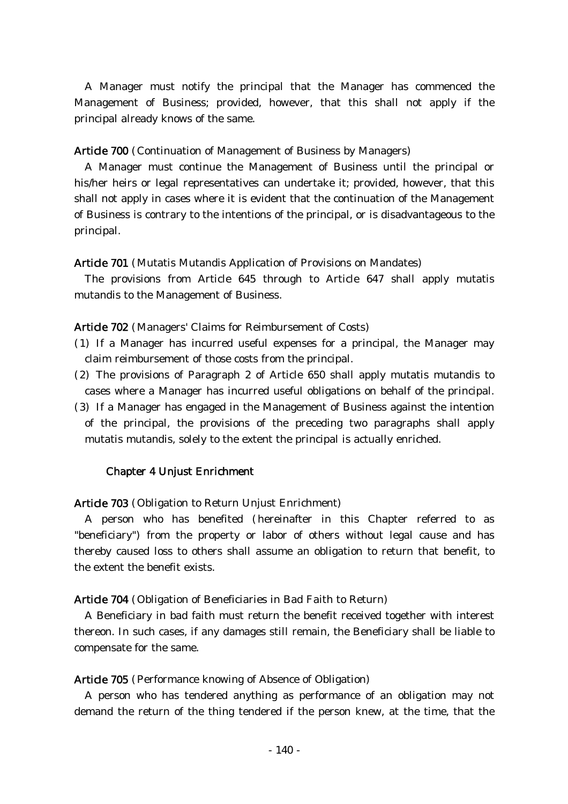A Manager must notify the principal that the Manager has commenced the Management of Business; provided, however, that this shall not apply if the principal already knows of the same.

Article 700 (Continuation of Management of Business by Managers)

A Manager must continue the Management of Business until the principal or his/her heirs or legal representatives can undertake it; provided, however, that this shall not apply in cases where it is evident that the continuation of the Management of Business is contrary to the intentions of the principal, or is disadvantageous to the principal.

### Article 701 (Mutatis Mutandis Application of Provisions on Mandates)

The provisions from Article 645 through to Article 647 shall apply mutatis mutandis to the Management of Business.

Article 702 (Managers' Claims for Reimbursement of Costs)

- ( )1 If a Manager has incurred useful expenses for a principal, the Manager may claim reimbursement of those costs from the principal.
- $(2)$  The provisions of Paragraph 2 of Article 650 shall apply mutatis mutandis to cases where a Manager has incurred useful obligations on behalf of the principal.
- (3) If a Manager has engaged in the Management of Business against the intention of the principal, the provisions of the preceding two paragraphs shall apply mutatis mutandis, solely to the extent the principal is actually enriched.

### Chapter 4 Unjust Enrichment

Article 703 (Obligation to Return Unjust Enrichment)

A person who has benefited (hereinafter in this Chapter referred to as "beneficiary") from the property or labor of others without legal cause and has thereby caused loss to others shall assume an obligation to return that benefit, to the extent the benefit exists.

### Article 704 (Obligation of Beneficiaries in Bad Faith to Return)

A Beneficiary in bad faith must return the benefit received together with interest thereon. In such cases, if any damages still remain, the Beneficiary shall be liable to compensate for the same.

### Article 705 (Performance knowing of Absence of Obligation)

A person who has tendered anything as performance of an obligation may not demand the return of the thing tendered if the person knew, at the time, that the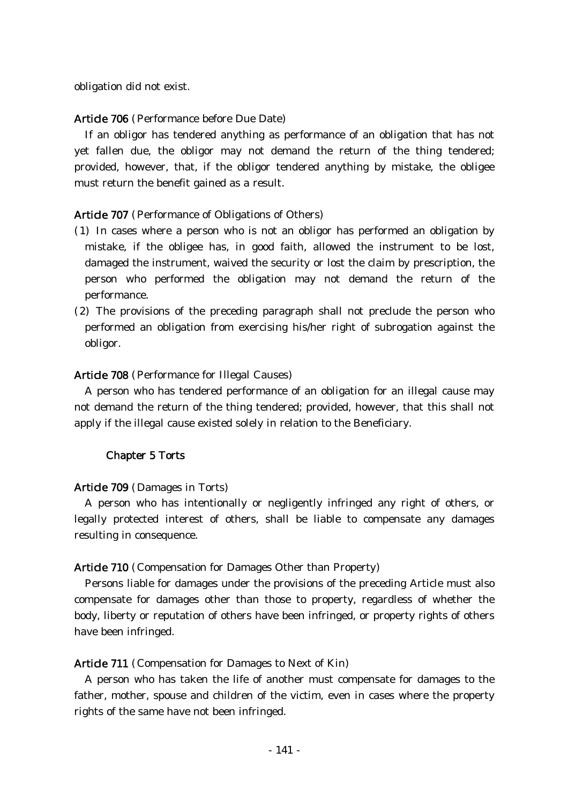obligation did not exist.

### Article 706 (Performance before Due Date)

If an obligor has tendered anything as performance of an obligation that has not yet fallen due, the obligor may not demand the return of the thing tendered; provided, however, that, if the obligor tendered anything by mistake, the obligee must return the benefit gained as a result.

## Article 707 (Performance of Obligations of Others)

- ( )1 In cases where a person who is not an obligor has performed an obligation by mistake, if the obligee has, in good faith, allowed the instrument to be lost, damaged the instrument, waived the security or lost the claim by prescription, the person who performed the obligation may not demand the return of the performance.
- (2) The provisions of the preceding paragraph shall not preclude the person who performed an obligation from exercising his/her right of subrogation against the obligor.

### Article 708 (Performance for Illegal Causes)

A person who has tendered performance of an obligation for an illegal cause may not demand the return of the thing tendered; provided, however, that this shall not apply if the illegal cause existed solely in relation to the Beneficiary.

### Chapter 5 Torts

### Article 709 (Damages in Torts)

A person who has intentionally or negligently infringed any right of others, or legally protected interest of others, shall be liable to compensate any damages resulting in consequence.

### Article 710 (Compensation for Damages Other than Property)

Persons liable for damages under the provisions of the preceding Article must also compensate for damages other than those to property, regardless of whether the body, liberty or reputation of others have been infringed, or property rights of others have been infringed.

### Article 711 (Compensation for Damages to Next of Kin)

A person who has taken the life of another must compensate for damages to the father, mother, spouse and children of the victim, even in cases where the property rights of the same have not been infringed.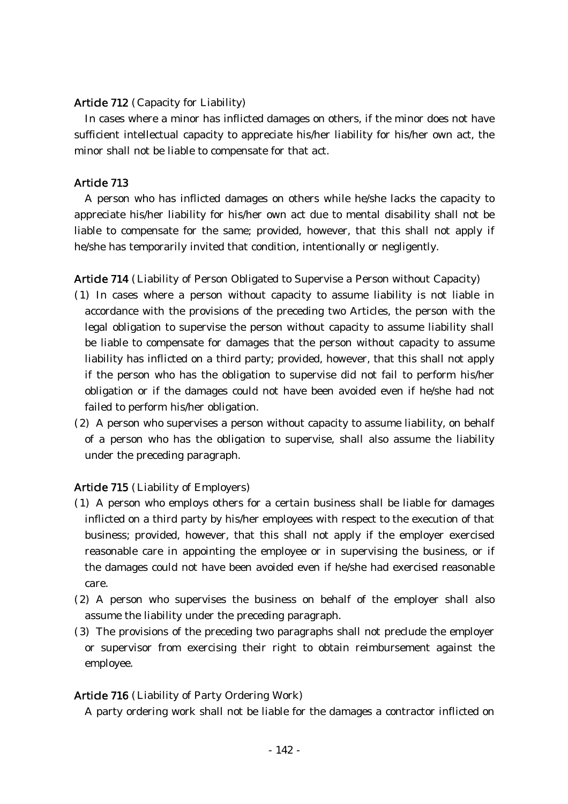## Article 712 (Capacity for Liability)

In cases where a minor has inflicted damages on others, if the minor does not have sufficient intellectual capacity to appreciate his/her liability for his/her own act, the minor shall not be liable to compensate for that act.

## Article 713

A person who has inflicted damages on others while he/she lacks the capacity to appreciate his/her liability for his/her own act due to mental disability shall not be liable to compensate for the same; provided, however, that this shall not apply if he/she has temporarily invited that condition, intentionally or negligently.

Article 714 (Liability of Person Obligated to Supervise a Person without Capacity)

- ( )1 In cases where a person without capacity to assume liability is not liable in accordance with the provisions of the preceding two Articles, the person with the legal obligation to supervise the person without capacity to assume liability shall be liable to compensate for damages that the person without capacity to assume liability has inflicted on a third party; provided, however, that this shall not apply if the person who has the obligation to supervise did not fail to perform his/her obligation or if the damages could not have been avoided even if he/she had not failed to perform his/her obligation.
- $(2)$  A person who supervises a person without capacity to assume liability, on behalf of a person who has the obligation to supervise, shall also assume the liability under the preceding paragraph.

## Article 715 (Liability of Employers)

- $(1)$  A person who employs others for a certain business shall be liable for damages inflicted on a third party by his/her employees with respect to the execution of that business; provided, however, that this shall not apply if the employer exercised reasonable care in appointing the employee or in supervising the business, or if the damages could not have been avoided even if he/she had exercised reasonable care.
- $(2)$  A person who supervises the business on behalf of the employer shall also assume the liability under the preceding paragraph.
- (3) The provisions of the preceding two paragraphs shall not preclude the employer or supervisor from exercising their right to obtain reimbursement against the employee.

## Article 716 (Liability of Party Ordering Work)

A party ordering work shall not be liable for the damages a contractor inflicted on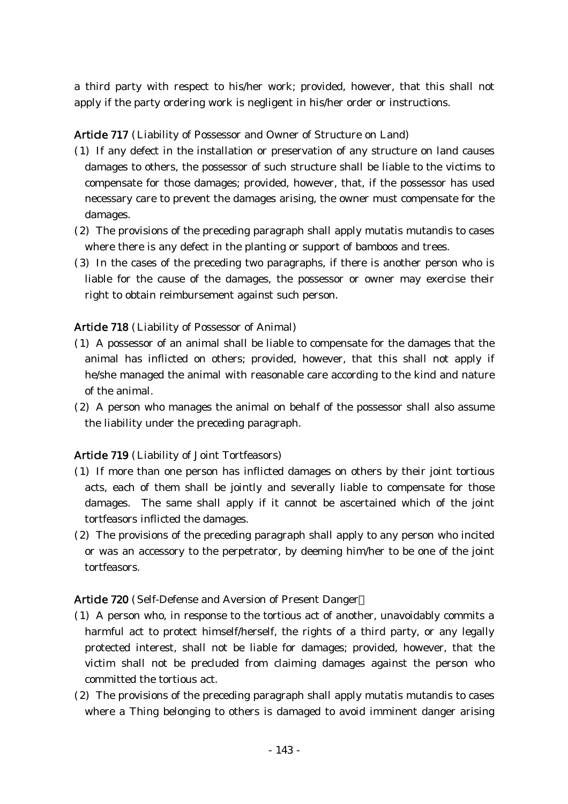a third party with respect to his/her work; provided, however, that this shall not apply if the party ordering work is negligent in his/her order or instructions.

Article 717 (Liability of Possessor and Owner of Structure on Land)

- (1) If any defect in the installation or preservation of any structure on land causes damages to others, the possessor of such structure shall be liable to the victims to compensate for those damages; provided, however, that, if the possessor has used necessary care to prevent the damages arising, the owner must compensate for the damages.
- $(2)$  The provisions of the preceding paragraph shall apply mutatis mutandis to cases where there is any defect in the planting or support of bamboos and trees.
- (3) In the cases of the preceding two paragraphs, if there is another person who is liable for the cause of the damages, the possessor or owner may exercise their right to obtain reimbursement against such person.

# Article 718 (Liability of Possessor of Animal)

- ( )1 A possessor of an animal shall be liable to compensate for the damages that the animal has inflicted on others; provided, however, that this shall not apply if he/she managed the animal with reasonable care according to the kind and nature of the animal.
- $(2)$  A person who manages the animal on behalf of the possessor shall also assume the liability under the preceding paragraph.

# Article 719 (Liability of Joint Tortfeasors)

- ( )1 If more than one person has inflicted damages on others by their joint tortious acts, each of them shall be jointly and severally liable to compensate for those damages. The same shall apply if it cannot be ascertained which of the joint tortfeasors inflicted the damages.
- $(2)$  The provisions of the preceding paragraph shall apply to any person who incited or was an accessory to the perpetrator, by deeming him/her to be one of the joint tortfeasors.

# Article 720 (Self-Defense and Aversion of Present Danger

- (1) A person who, in response to the tortious act of another, unavoidably commits a harmful act to protect himself/herself, the rights of a third party, or any legally protected interest, shall not be liable for damages; provided, however, that the victim shall not be precluded from claiming damages against the person who committed the tortious act.
- $(2)$  The provisions of the preceding paragraph shall apply mutatis mutandis to cases where a Thing belonging to others is damaged to avoid imminent danger arising